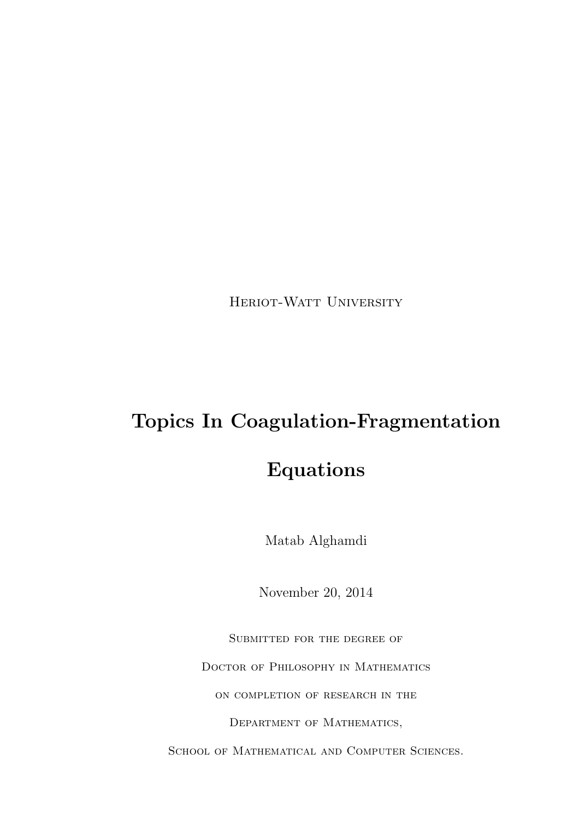HERIOT-WATT UNIVERSITY

## Topics In Coagulation-Fragmentation

## Equations

Matab Alghamdi

November 20, 2014

Submitted for the degree of

DOCTOR OF PHILOSOPHY IN MATHEMATICS

on completion of research in the

Department of Mathematics,

SCHOOL OF MATHEMATICAL AND COMPUTER SCIENCES.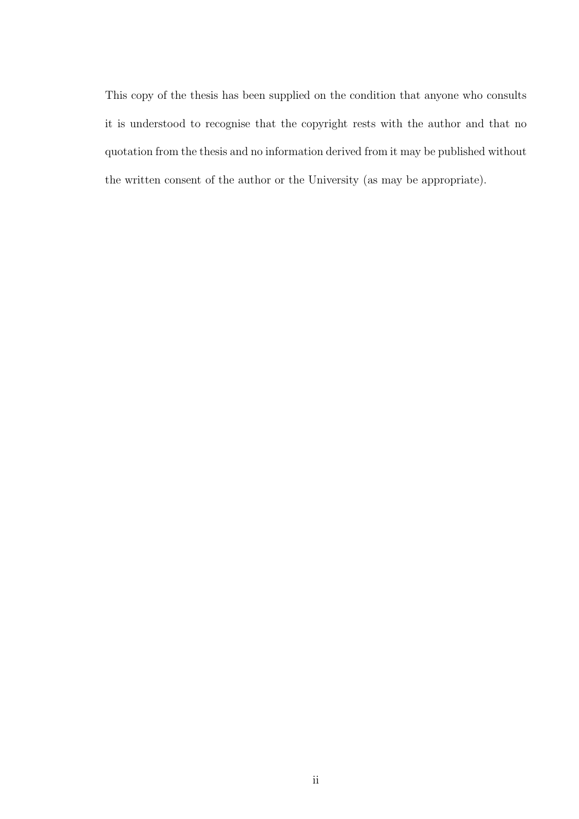This copy of the thesis has been supplied on the condition that anyone who consults it is understood to recognise that the copyright rests with the author and that no quotation from the thesis and no information derived from it may be published without the written consent of the author or the University (as may be appropriate).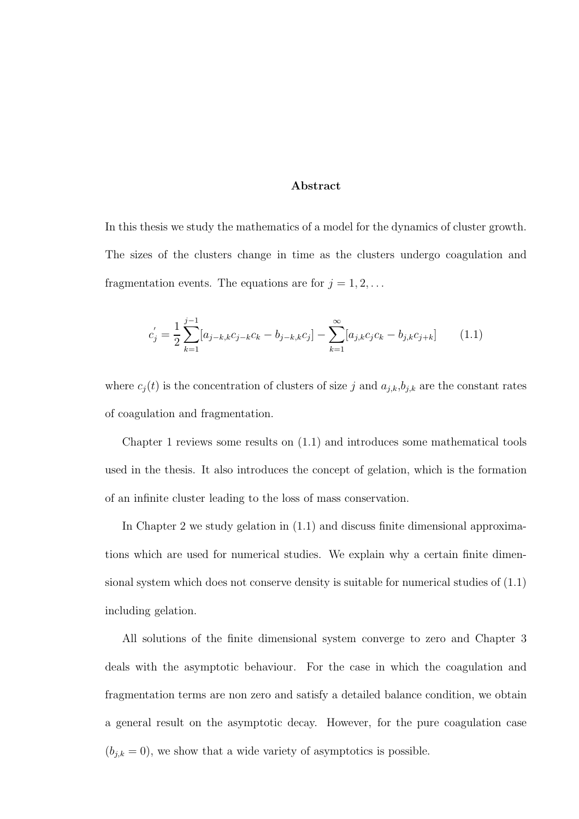#### Abstract

In this thesis we study the mathematics of a model for the dynamics of cluster growth. The sizes of the clusters change in time as the clusters undergo coagulation and fragmentation events. The equations are for  $j = 1, 2, \ldots$ 

$$
c'_{j} = \frac{1}{2} \sum_{k=1}^{j-1} [a_{j-k,k}c_{j-k}c_k - b_{j-k,k}c_j] - \sum_{k=1}^{\infty} [a_{j,k}c_jc_k - b_{j,k}c_{j+k}] \tag{1.1}
$$

where  $c_j(t)$  is the concentration of clusters of size j and  $a_{j,k},b_{j,k}$  are the constant rates of coagulation and fragmentation.

Chapter 1 reviews some results on (1.1) and introduces some mathematical tools used in the thesis. It also introduces the concept of gelation, which is the formation of an infinite cluster leading to the loss of mass conservation.

In Chapter 2 we study gelation in (1.1) and discuss finite dimensional approximations which are used for numerical studies. We explain why a certain finite dimensional system which does not conserve density is suitable for numerical studies of (1.1) including gelation.

All solutions of the finite dimensional system converge to zero and Chapter 3 deals with the asymptotic behaviour. For the case in which the coagulation and fragmentation terms are non zero and satisfy a detailed balance condition, we obtain a general result on the asymptotic decay. However, for the pure coagulation case  $(b_{j,k} = 0)$ , we show that a wide variety of asymptotics is possible.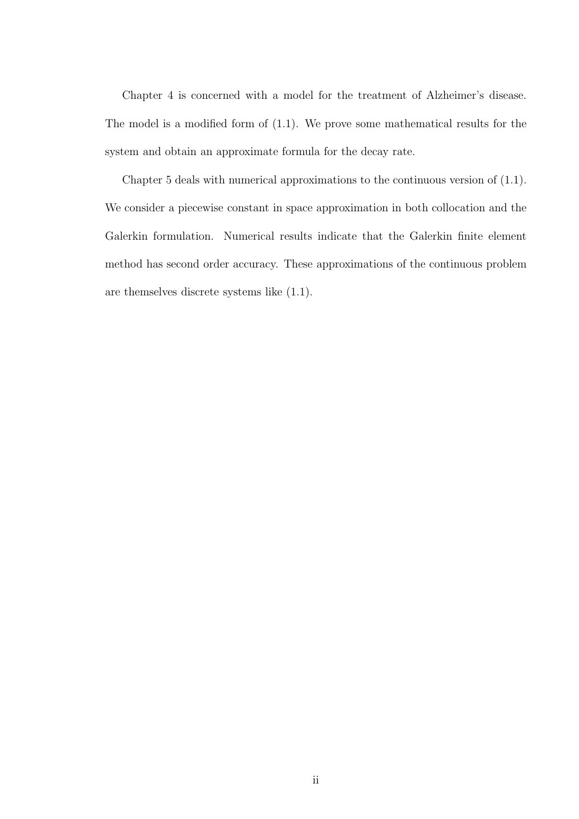Chapter 4 is concerned with a model for the treatment of Alzheimer's disease. The model is a modified form of (1.1). We prove some mathematical results for the system and obtain an approximate formula for the decay rate.

Chapter 5 deals with numerical approximations to the continuous version of (1.1). We consider a piecewise constant in space approximation in both collocation and the Galerkin formulation. Numerical results indicate that the Galerkin finite element method has second order accuracy. These approximations of the continuous problem are themselves discrete systems like (1.1).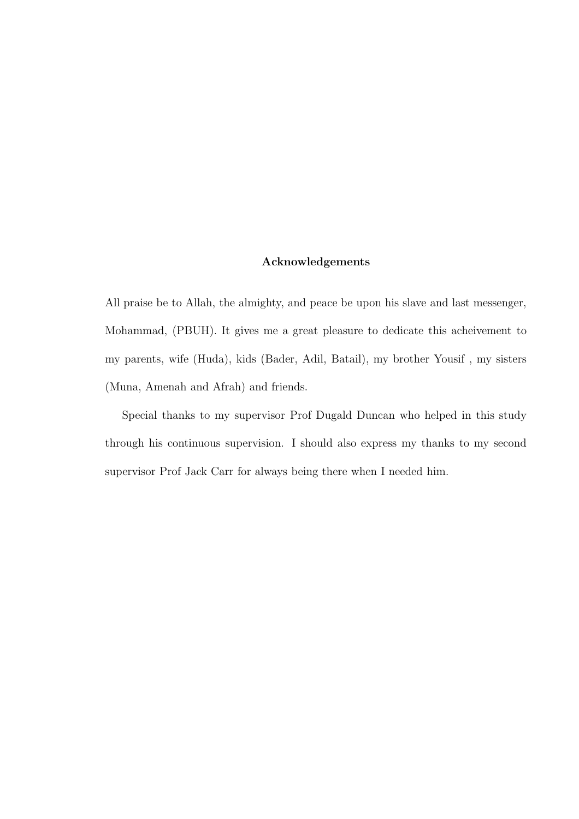#### Acknowledgements

All praise be to Allah, the almighty, and peace be upon his slave and last messenger, Mohammad, (PBUH). It gives me a great pleasure to dedicate this acheivement to my parents, wife (Huda), kids (Bader, Adil, Batail), my brother Yousif , my sisters (Muna, Amenah and Afrah) and friends.

Special thanks to my supervisor Prof Dugald Duncan who helped in this study through his continuous supervision. I should also express my thanks to my second supervisor Prof Jack Carr for always being there when I needed him.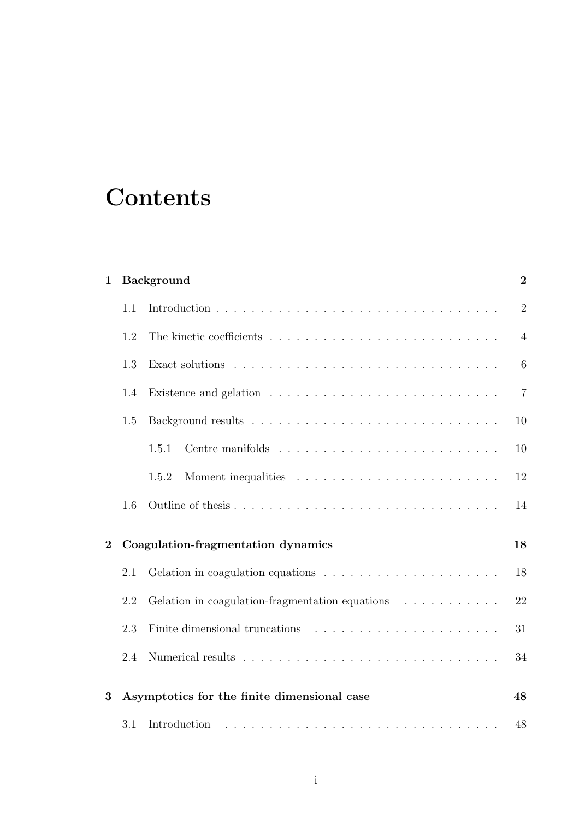# **Contents**

| $\mathbf{1}$   |     | <b>Background</b>                                                                    | $\overline{2}$ |
|----------------|-----|--------------------------------------------------------------------------------------|----------------|
|                | 1.1 |                                                                                      | $\overline{2}$ |
|                | 1.2 |                                                                                      | $\overline{4}$ |
|                | 1.3 |                                                                                      | 6              |
|                | 1.4 |                                                                                      | $\overline{7}$ |
|                | 1.5 |                                                                                      | 10             |
|                |     | 1.5.1                                                                                | 10             |
|                |     | 1.5.2                                                                                | 12             |
|                | 1.6 |                                                                                      | 14             |
| $\overline{2}$ |     | Coagulation-fragmentation dynamics                                                   | 18             |
|                | 2.1 | Gelation in coagulation equations $\ldots \ldots \ldots \ldots \ldots \ldots \ldots$ | 18             |
|                | 2.2 | Gelation in coagulation-fragmentation equations $\ldots \ldots \ldots$               | 22             |
|                | 2.3 |                                                                                      | 31             |
|                | 2.4 |                                                                                      | 34             |
| 3              |     | Asymptotics for the finite dimensional case                                          | 48             |
|                | 3.1 | Introduction                                                                         | 48             |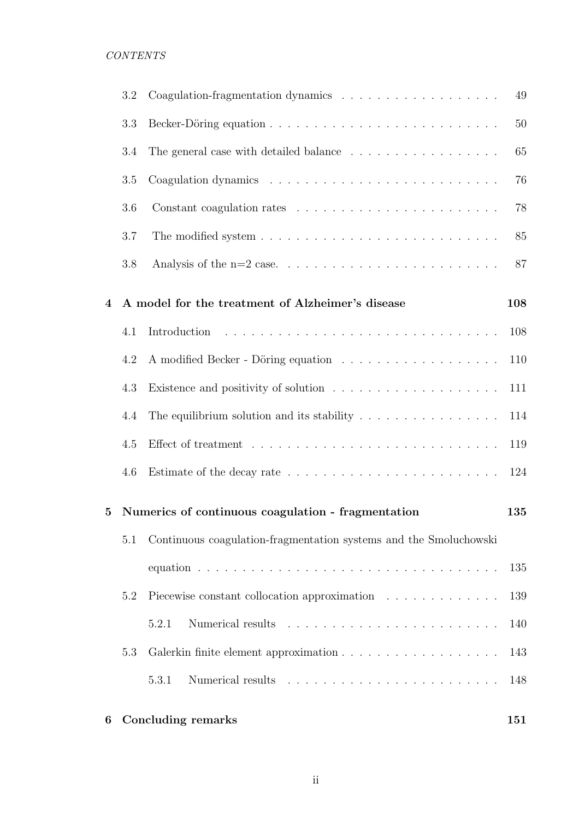|          | 3.2 |                                                                                                                                      | 49  |
|----------|-----|--------------------------------------------------------------------------------------------------------------------------------------|-----|
|          | 3.3 |                                                                                                                                      | 50  |
|          | 3.4 | The general case with detailed balance $\ldots \ldots \ldots \ldots \ldots$                                                          | 65  |
|          | 3.5 |                                                                                                                                      | 76  |
|          | 3.6 |                                                                                                                                      | 78  |
|          | 3.7 |                                                                                                                                      | 85  |
|          | 3.8 |                                                                                                                                      | 87  |
| 4        |     | A model for the treatment of Alzheimer's disease                                                                                     | 108 |
|          | 4.1 | .<br>The contract of the contract of the contract of the contract of the contract of the contract of the contract of<br>Introduction | 108 |
|          | 4.2 |                                                                                                                                      | 110 |
|          | 4.3 | Existence and positivity of solution $\ldots \ldots \ldots \ldots \ldots \ldots$                                                     | 111 |
|          | 4.4 | The equilibrium solution and its stability $\ldots \ldots \ldots \ldots \ldots$                                                      | 114 |
|          | 4.5 |                                                                                                                                      | 119 |
|          | 4.6 |                                                                                                                                      | 124 |
| $\bf{5}$ |     | Numerics of continuous coagulation - fragmentation                                                                                   | 135 |
|          | 5.1 | Continuous coagulation-fragmentation systems and the Smoluchowski                                                                    |     |
|          |     |                                                                                                                                      | 135 |
|          | 5.2 | Piecewise constant collocation approximation                                                                                         | 139 |
|          |     | 5.2.1                                                                                                                                | 140 |
|          | 5.3 |                                                                                                                                      | 143 |
|          |     | 5.3.1                                                                                                                                | 148 |
| 6        |     | <b>Concluding remarks</b>                                                                                                            | 151 |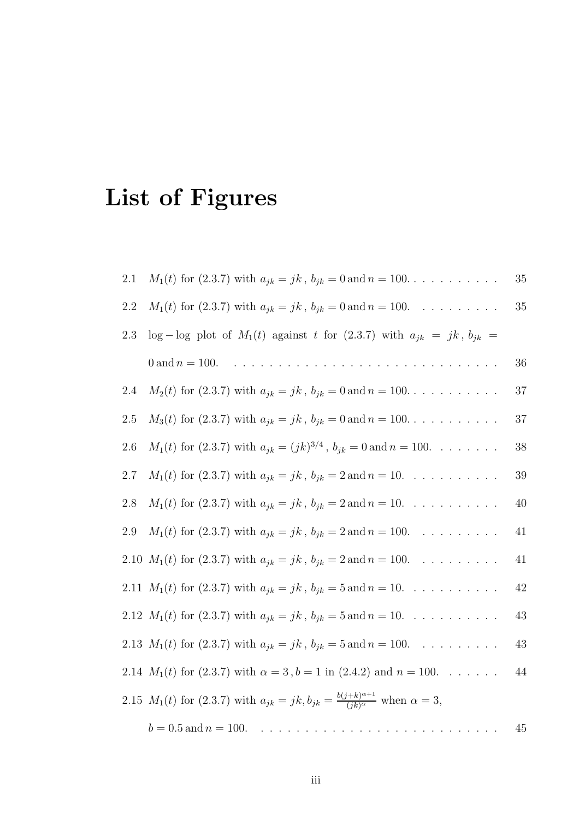# List of Figures

| 2.1     | $M_1(t)$ for (2.3.7) with $a_{jk} = jk$ , $b_{jk} = 0$ and $n = 100$                                               | 35     |
|---------|--------------------------------------------------------------------------------------------------------------------|--------|
| $2.2\,$ | $M_1(t)$ for (2.3.7) with $a_{jk} = jk$ , $b_{jk} = 0$ and $n = 100$ .                                             | $35\,$ |
| 2.3     | $\log - \log$ plot of $M_1(t)$ against t for (2.3.7) with $a_{jk} = jk, b_{jk}$                                    |        |
|         | 0 and $n = 100$ .                                                                                                  | 36     |
| 2.4     | $M_2(t)$ for (2.3.7) with $a_{jk} = jk$ , $b_{jk} = 0$ and $n = 100$                                               | 37     |
| 2.5     | $M_3(t)$ for (2.3.7) with $a_{jk} = jk$ , $b_{jk} = 0$ and $n = 100$                                               | $37\,$ |
| 2.6     | $M_1(t)$ for (2.3.7) with $a_{jk} = (jk)^{3/4}$ , $b_{jk} = 0$ and $n = 100$ .                                     | $38\,$ |
| $2.7\,$ | $M_1(t)$ for (2.3.7) with $a_{jk} = jk$ , $b_{jk} = 2$ and $n = 10$ .                                              | $39\,$ |
| $2.8\,$ | $M_1(t)$ for (2.3.7) with $a_{jk} = jk$ , $b_{jk} = 2$ and $n = 10$ .                                              | 40     |
| $2.9\,$ | $M_1(t)$ for (2.3.7) with $a_{jk} = jk$ , $b_{jk} = 2$ and $n = 100$ .                                             | 41     |
|         | 2.10 $M_1(t)$ for (2.3.7) with $a_{jk} = jk$ , $b_{jk} = 2$ and $n = 100$ .                                        | 41     |
|         | 2.11 $M_1(t)$ for (2.3.7) with $a_{jk} = jk$ , $b_{jk} = 5$ and $n = 10$ .                                         | 42     |
|         | 2.12 $M_1(t)$ for (2.3.7) with $a_{jk} = jk$ , $b_{jk} = 5$ and $n = 10$ .                                         | 43     |
|         | 2.13 $M_1(t)$ for (2.3.7) with $a_{jk} = jk$ , $b_{jk} = 5$ and $n = 100$ .                                        | 43     |
|         | 2.14 $M_1(t)$ for (2.3.7) with $\alpha = 3$ , $b = 1$ in (2.4.2) and $n = 100$ .                                   | 44     |
|         | 2.15 $M_1(t)$ for (2.3.7) with $a_{jk} = jk, b_{jk} = \frac{b(j+k)^{\alpha+1}}{(jk)^{\alpha}}$ when $\alpha = 3$ , |        |
|         | $b = 0.5$ and $n = 100$ .                                                                                          | $45\,$ |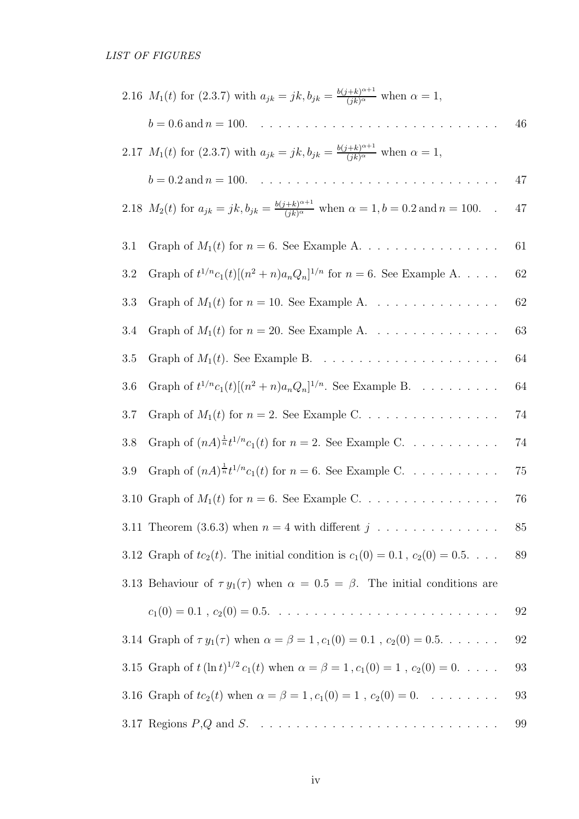| 2.16 $M_1(t)$ for (2.3.7) with $a_{jk} = jk, b_{jk} = \frac{b(j+k)^{\alpha+1}}{(jk)^{\alpha}}$ when $\alpha = 1$ ,           |        |
|------------------------------------------------------------------------------------------------------------------------------|--------|
| $b = 0.6$ and $n = 100$ .                                                                                                    | 46     |
| 2.17 $M_1(t)$ for (2.3.7) with $a_{jk} = jk, b_{jk} = \frac{b(j+k)^{\alpha+1}}{(jk)^{\alpha}}$ when $\alpha = 1$ ,           |        |
| $b = 0.2$ and $n = 100$ .                                                                                                    | 47     |
| 2.18 $M_2(t)$ for $a_{jk} = jk, b_{jk} = \frac{b(j+k)^{\alpha+1}}{(jk)^{\alpha}}$ when $\alpha = 1, b = 0.2$ and $n = 100$ . | 47     |
| 3.1                                                                                                                          | 61     |
| Graph of $t^{1/n} c_1(t) [(n^2 + n)a_n Q_n]^{1/n}$ for $n = 6$ . See Example A<br>3.2                                        | 62     |
| 3.3                                                                                                                          | 62     |
| Graph of $M_1(t)$ for $n = 20$ . See Example A<br>3.4                                                                        | 63     |
| 3.5                                                                                                                          | 64     |
| Graph of $t^{1/n}c_1(t)[(n^2+n)a_nQ_n]^{1/n}$ . See Example B.<br>3.6                                                        | 64     |
| Graph of $M_1(t)$ for $n = 2$ . See Example C.<br>3.7                                                                        | 74     |
| Graph of $(nA)^{\frac{1}{n}}t^{1/n}c_1(t)$ for $n=2$ . See Example C.<br>3.8                                                 | 74     |
| Graph of $(nA)^{\frac{1}{n}}t^{1/n}c_1(t)$ for $n = 6$ . See Example C.<br>3.9                                               | 75     |
| 3.10 Graph of $M_1(t)$ for $n = 6$ . See Example C.                                                                          | 76     |
| 3.11 Theorem (3.6.3) when $n = 4$ with different $j \dots \dots \dots \dots$                                                 | 85     |
| 3.12 Graph of $tc_2(t)$ . The initial condition is $c_1(0) = 0.1$ , $c_2(0) = 0.5$                                           | $89\,$ |
| 3.13 Behaviour of $\tau y_1(\tau)$ when $\alpha = 0.5 = \beta$ . The initial conditions are                                  |        |
|                                                                                                                              | 92     |
| 3.14 Graph of $\tau y_1(\tau)$ when $\alpha = \beta = 1$ , $c_1(0) = 0.1$ , $c_2(0) = 0.5$                                   | 92     |
| 3.15 Graph of $t (\ln t)^{1/2} c_1(t)$ when $\alpha = \beta = 1$ , $c_1(0) = 1$ , $c_2(0) = 0$                               | 93     |
| 3.16 Graph of $tc_2(t)$ when $\alpha = \beta = 1$ , $c_1(0) = 1$ , $c_2(0) = 0$ .                                            | 93     |
|                                                                                                                              | 99     |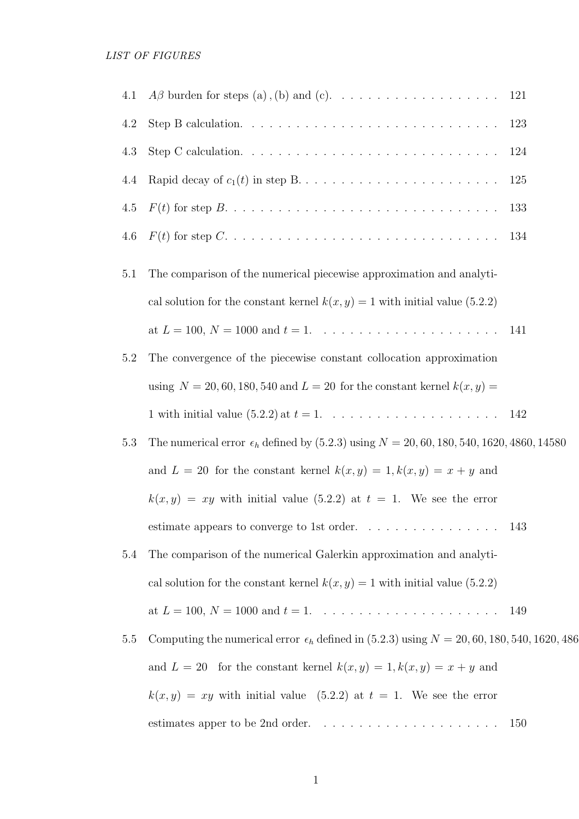| 4.1 | $A\beta$ burden for steps (a), (b) and (c). 121                                                                                    |     |
|-----|------------------------------------------------------------------------------------------------------------------------------------|-----|
| 4.2 |                                                                                                                                    | 123 |
| 4.3 | Step C calculation. $\ldots \ldots \ldots \ldots \ldots \ldots \ldots \ldots \ldots \ldots$                                        | 124 |
| 4.4 |                                                                                                                                    | 125 |
| 4.5 |                                                                                                                                    | 133 |
| 4.6 | $F(t)$ for step $C. \ldots \ldots \ldots \ldots \ldots \ldots \ldots \ldots \ldots \ldots \ldots$                                  | 134 |
| 5.1 | The comparison of the numerical piecewise approximation and analyti-                                                               |     |
|     | cal solution for the constant kernel $k(x, y) = 1$ with initial value (5.2.2)                                                      |     |
|     |                                                                                                                                    | 141 |
| 5.2 | The convergence of the piecewise constant collocation approximation                                                                |     |
|     | using $N = 20, 60, 180, 540$ and $L = 20$ for the constant kernel $k(x, y) =$                                                      |     |
|     |                                                                                                                                    |     |
| 5.3 | The numerical error $\epsilon_h$ defined by (5.2.3) using $N = 20, 60, 180, 540, 1620, 4860, 14580$                                |     |
|     | and $L = 20$ for the constant kernel $k(x, y) = 1, k(x, y) = x + y$ and                                                            |     |
|     | $k(x, y) = xy$ with initial value (5.2.2) at $t = 1$ . We see the error                                                            |     |
|     | estimate appears to converge to 1st order.<br>$\hfill\ldots$ $\hfill\ldots$ $\hfill\ldots$ $\hfill\ldots$ .<br>$\ldots$ $\ldots$ . | 143 |
| 5.4 | The comparison of the numerical Galerkin approximation and analyti-                                                                |     |
|     | cal solution for the constant kernel $k(x, y) = 1$ with initial value (5.2.2)                                                      |     |
|     | at $L = 100, N = 1000$ and $t = 1, \ldots, \ldots, \ldots, \ldots, \ldots, \ldots$                                                 | 149 |
| 5.5 | Computing the numerical error $\epsilon_h$ defined in (5.2.3) using $N = 20, 60, 180, 540, 1620, 486$                              |     |
|     | and $L = 20$ for the constant kernel $k(x, y) = 1, k(x, y) = x + y$ and                                                            |     |
|     | $k(x, y) = xy$ with initial value (5.2.2) at $t = 1$ . We see the error                                                            |     |
|     | estimates apper to be 2nd order. $\ldots \ldots \ldots \ldots \ldots \ldots \ldots$                                                | 150 |
|     |                                                                                                                                    |     |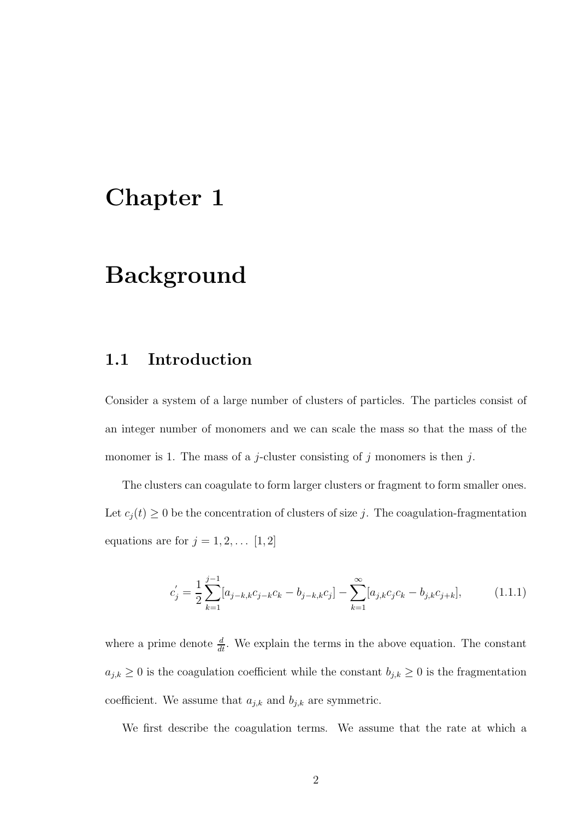## Chapter 1

## Background

#### 1.1 Introduction

Consider a system of a large number of clusters of particles. The particles consist of an integer number of monomers and we can scale the mass so that the mass of the monomer is 1. The mass of a j-cluster consisting of j monomers is then j.

The clusters can coagulate to form larger clusters or fragment to form smaller ones. Let  $c_j(t) \geq 0$  be the concentration of clusters of size j. The coagulation-fragmentation equations are for  $j = 1, 2, \dots [1, 2]$ 

$$
c'_{j} = \frac{1}{2} \sum_{k=1}^{j-1} [a_{j-k,k}c_{j-k}c_{k} - b_{j-k,k}c_{j}] - \sum_{k=1}^{\infty} [a_{j,k}c_{j}c_{k} - b_{j,k}c_{j+k}],
$$
(1.1.1)

where a prime denote  $\frac{d}{dt}$ . We explain the terms in the above equation. The constant  $a_{j,k} \geq 0$  is the coagulation coefficient while the constant  $b_{j,k} \geq 0$  is the fragmentation coefficient. We assume that  $a_{j,k}$  and  $b_{j,k}$  are symmetric.

We first describe the coagulation terms. We assume that the rate at which a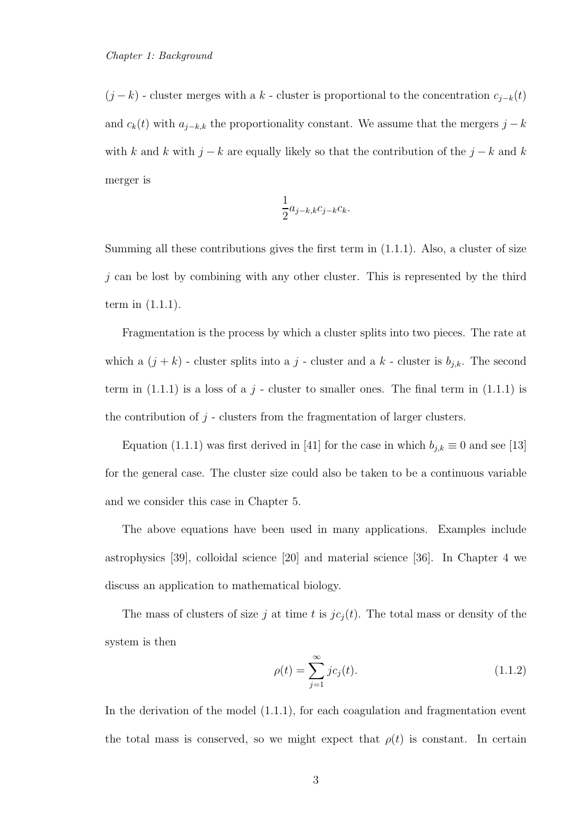$(j - k)$  - cluster merges with a k - cluster is proportional to the concentration  $c_{j-k}(t)$ and  $c_k(t)$  with  $a_{j-k,k}$  the proportionality constant. We assume that the mergers  $j - k$ with k and k with  $j - k$  are equally likely so that the contribution of the  $j - k$  and k merger is

$$
\frac{1}{2}a_{j-k,k}c_{j-k}c_k.
$$

Summing all these contributions gives the first term in (1.1.1). Also, a cluster of size  $j$  can be lost by combining with any other cluster. This is represented by the third term in (1.1.1).

Fragmentation is the process by which a cluster splits into two pieces. The rate at which a  $(j + k)$  - cluster splits into a j - cluster and a k - cluster is  $b_{j,k}$ . The second term in  $(1.1.1)$  is a loss of a j - cluster to smaller ones. The final term in  $(1.1.1)$  is the contribution of  $j$  - clusters from the fragmentation of larger clusters.

Equation (1.1.1) was first derived in [41] for the case in which  $b_{j,k} \equiv 0$  and see [13] for the general case. The cluster size could also be taken to be a continuous variable and we consider this case in Chapter 5.

The above equations have been used in many applications. Examples include astrophysics [39], colloidal science [20] and material science [36]. In Chapter 4 we discuss an application to mathematical biology.

The mass of clusters of size j at time t is  $jc_j(t)$ . The total mass or density of the system is then

$$
\rho(t) = \sum_{j=1}^{\infty} j c_j(t).
$$
\n(1.1.2)

In the derivation of the model (1.1.1), for each coagulation and fragmentation event the total mass is conserved, so we might expect that  $\rho(t)$  is constant. In certain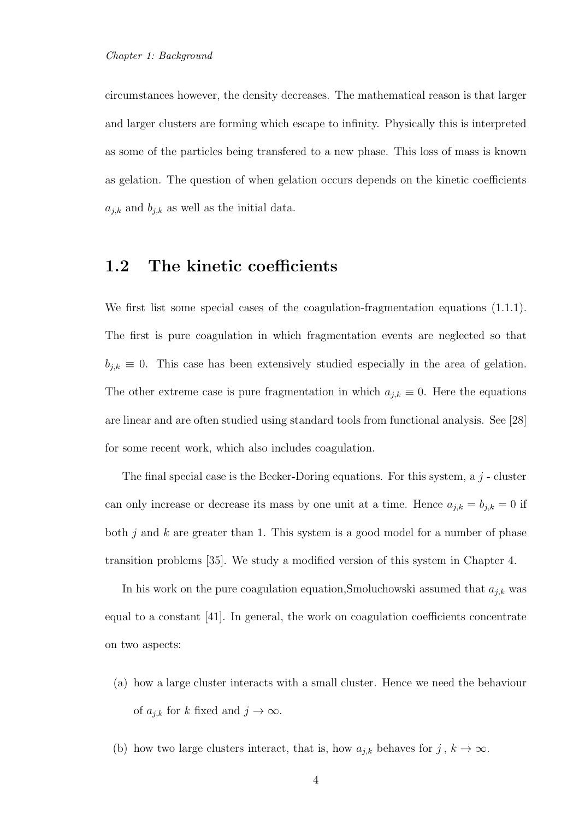circumstances however, the density decreases. The mathematical reason is that larger and larger clusters are forming which escape to infinity. Physically this is interpreted as some of the particles being transfered to a new phase. This loss of mass is known as gelation. The question of when gelation occurs depends on the kinetic coefficients  $a_{j,k}$  and  $b_{j,k}$  as well as the initial data.

#### 1.2 The kinetic coefficients

We first list some special cases of the coagulation-fragmentation equations  $(1.1.1)$ . The first is pure coagulation in which fragmentation events are neglected so that  $b_{j,k} \equiv 0$ . This case has been extensively studied especially in the area of gelation. The other extreme case is pure fragmentation in which  $a_{j,k} \equiv 0$ . Here the equations are linear and are often studied using standard tools from functional analysis. See [28] for some recent work, which also includes coagulation.

The final special case is the Becker-Doring equations. For this system, a  $j$ -cluster can only increase or decrease its mass by one unit at a time. Hence  $a_{j,k} = b_{j,k} = 0$  if both  $j$  and  $k$  are greater than 1. This system is a good model for a number of phase transition problems [35]. We study a modified version of this system in Chapter 4.

In his work on the pure coagulation equation, Smoluchowski assumed that  $a_{i,k}$  was equal to a constant [41]. In general, the work on coagulation coefficients concentrate on two aspects:

- (a) how a large cluster interacts with a small cluster. Hence we need the behaviour of  $a_{j,k}$  for k fixed and  $j \to \infty$ .
- (b) how two large clusters interact, that is, how  $a_{j,k}$  behaves for  $j, k \to \infty$ .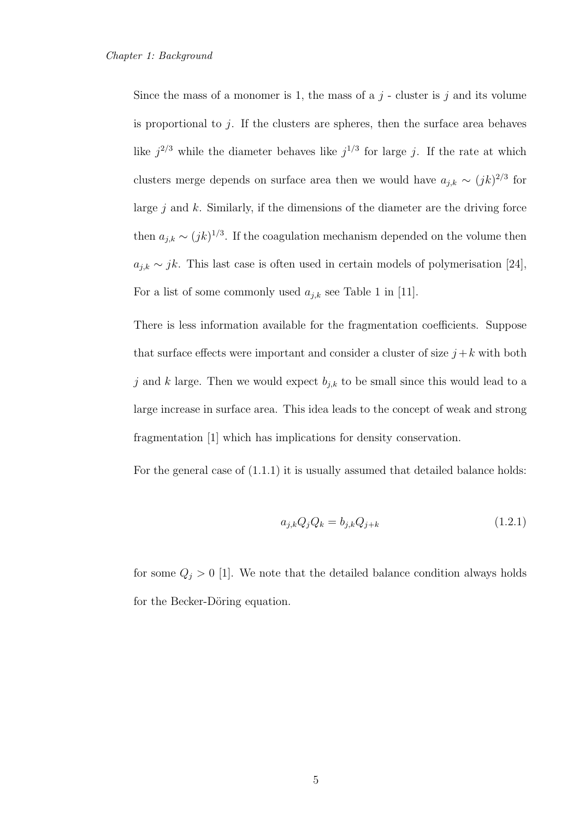Since the mass of a monomer is 1, the mass of a  $j$  - cluster is  $j$  and its volume is proportional to  $j$ . If the clusters are spheres, then the surface area behaves like  $j^{2/3}$  while the diameter behaves like  $j^{1/3}$  for large j. If the rate at which clusters merge depends on surface area then we would have  $a_{j,k} \sim (jk)^{2/3}$  for large  $j$  and  $k$ . Similarly, if the dimensions of the diameter are the driving force then  $a_{j,k} \sim (jk)^{1/3}$ . If the coagulation mechanism depended on the volume then  $a_{j,k} \sim jk$ . This last case is often used in certain models of polymerisation [24], For a list of some commonly used  $a_{j,k}$  see Table 1 in [11].

There is less information available for the fragmentation coefficients. Suppose that surface effects were important and consider a cluster of size  $j + k$  with both j and k large. Then we would expect  $b_{j,k}$  to be small since this would lead to a large increase in surface area. This idea leads to the concept of weak and strong fragmentation [1] which has implications for density conservation.

For the general case of (1.1.1) it is usually assumed that detailed balance holds:

$$
a_{j,k}Q_jQ_k = b_{j,k}Q_{j+k}
$$
 (1.2.1)

for some  $Q_j > 0$  [1]. We note that the detailed balance condition always holds for the Becker-Döring equation.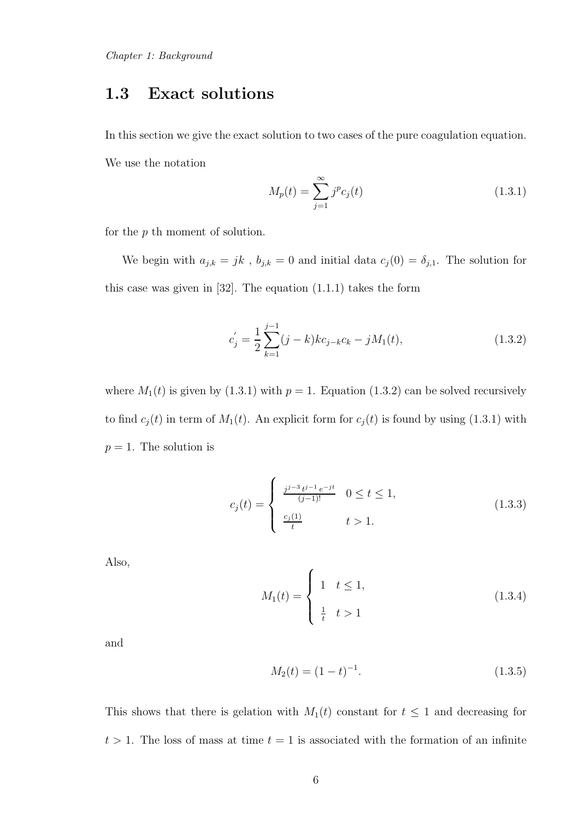## 1.3 Exact solutions

In this section we give the exact solution to two cases of the pure coagulation equation. We use the notation

$$
M_p(t) = \sum_{j=1}^{\infty} j^p c_j(t)
$$
\n(1.3.1)

for the p th moment of solution.

We begin with  $a_{j,k} = jk$ ,  $b_{j,k} = 0$  and initial data  $c_j(0) = \delta_{j,1}$ . The solution for this case was given in [32]. The equation (1.1.1) takes the form

$$
c'_{j} = \frac{1}{2} \sum_{k=1}^{j-1} (j-k) k c_{j-k} c_k - j M_1(t),
$$
\n(1.3.2)

where  $M_1(t)$  is given by (1.3.1) with  $p = 1$ . Equation (1.3.2) can be solved recursively to find  $c_j(t)$  in term of  $M_1(t)$ . An explicit form for  $c_j(t)$  is found by using (1.3.1) with  $p = 1$ . The solution is

$$
c_j(t) = \begin{cases} \frac{j^{j-3}t^{j-1}e^{-jt}}{(j-1)!} & 0 \le t \le 1, \\ \frac{c_j(1)}{t} & t > 1. \end{cases}
$$
(1.3.3)

Also,

$$
M_1(t) = \begin{cases} 1 & t \le 1, \\ \frac{1}{t} & t > 1 \end{cases}
$$
 (1.3.4)

and

$$
M_2(t) = (1 - t)^{-1}.
$$
\n(1.3.5)

This shows that there is gelation with  $M_1(t)$  constant for  $t \leq 1$  and decreasing for  $t > 1$ . The loss of mass at time  $t = 1$  is associated with the formation of an infinite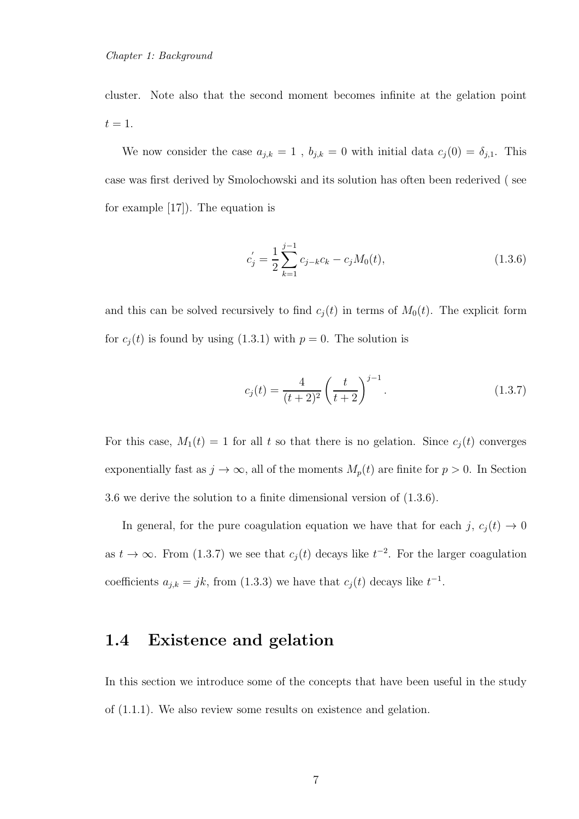cluster. Note also that the second moment becomes infinite at the gelation point  $t=1$ .

We now consider the case  $a_{j,k} = 1$ ,  $b_{j,k} = 0$  with initial data  $c_j(0) = \delta_{j,1}$ . This case was first derived by Smolochowski and its solution has often been rederived ( see for example [17]). The equation is

$$
c'_{j} = \frac{1}{2} \sum_{k=1}^{j-1} c_{j-k} c_k - c_j M_0(t),
$$
\n(1.3.6)

and this can be solved recursively to find  $c_i(t)$  in terms of  $M_0(t)$ . The explicit form for  $c_j(t)$  is found by using (1.3.1) with  $p = 0$ . The solution is

$$
c_j(t) = \frac{4}{(t+2)^2} \left(\frac{t}{t+2}\right)^{j-1}.
$$
 (1.3.7)

For this case,  $M_1(t) = 1$  for all t so that there is no gelation. Since  $c_j(t)$  converges exponentially fast as  $j \to \infty$ , all of the moments  $M_p(t)$  are finite for  $p > 0$ . In Section 3.6 we derive the solution to a finite dimensional version of (1.3.6).

In general, for the pure coagulation equation we have that for each j,  $c_j(t) \to 0$ as  $t \to \infty$ . From (1.3.7) we see that  $c_j(t)$  decays like  $t^{-2}$ . For the larger coagulation coefficients  $a_{j,k} = jk$ , from (1.3.3) we have that  $c_j(t)$  decays like  $t^{-1}$ .

## 1.4 Existence and gelation

In this section we introduce some of the concepts that have been useful in the study of (1.1.1). We also review some results on existence and gelation.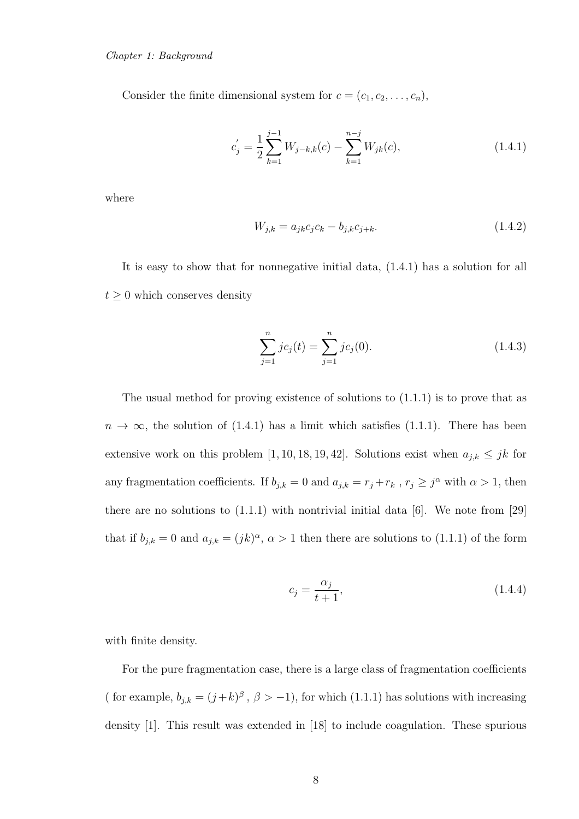Consider the finite dimensional system for  $c = (c_1, c_2, \ldots, c_n)$ ,

$$
c'_{j} = \frac{1}{2} \sum_{k=1}^{j-1} W_{j-k,k}(c) - \sum_{k=1}^{n-j} W_{jk}(c),
$$
\n(1.4.1)

where

$$
W_{j,k} = a_{jk}c_jc_k - b_{j,k}c_{j+k}.
$$
\n(1.4.2)

It is easy to show that for nonnegative initial data, (1.4.1) has a solution for all  $t \geq 0$  which conserves density

$$
\sum_{j=1}^{n} j c_j(t) = \sum_{j=1}^{n} j c_j(0). \qquad (1.4.3)
$$

The usual method for proving existence of solutions to (1.1.1) is to prove that as  $n \to \infty$ , the solution of (1.4.1) has a limit which satisfies (1.1.1). There has been extensive work on this problem [1, 10, 18, 19, 42]. Solutions exist when  $a_{j,k} \leq jk$  for any fragmentation coefficients. If  $b_{j,k} = 0$  and  $a_{j,k} = r_j + r_k$ ,  $r_j \geq j^{\alpha}$  with  $\alpha > 1$ , then there are no solutions to (1.1.1) with nontrivial initial data [6]. We note from [29] that if  $b_{j,k} = 0$  and  $a_{j,k} = (jk)^{\alpha}, \alpha > 1$  then there are solutions to  $(1.1.1)$  of the form

$$
c_j = \frac{\alpha_j}{t+1},\tag{1.4.4}
$$

with finite density.

For the pure fragmentation case, there is a large class of fragmentation coefficients ( for example,  $b_{j,k} = (j+k)^{\beta}$ ,  $\beta > -1$ ), for which (1.1.1) has solutions with increasing density [1]. This result was extended in [18] to include coagulation. These spurious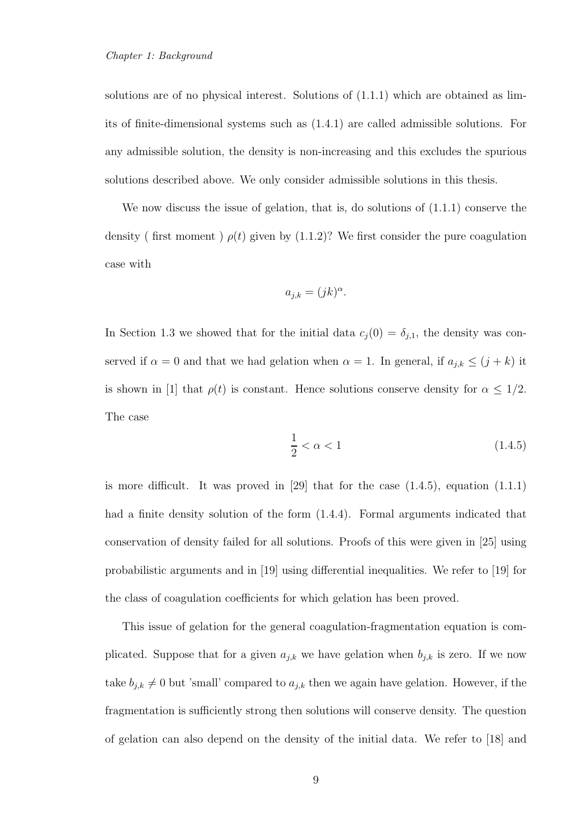solutions are of no physical interest. Solutions of (1.1.1) which are obtained as limits of finite-dimensional systems such as (1.4.1) are called admissible solutions. For any admissible solution, the density is non-increasing and this excludes the spurious solutions described above. We only consider admissible solutions in this thesis.

We now discuss the issue of gelation, that is, do solutions of  $(1.1.1)$  conserve the density ( first moment )  $\rho(t)$  given by (1.1.2)? We first consider the pure coagulation case with

$$
a_{j,k} = (jk)^{\alpha}.
$$

In Section 1.3 we showed that for the initial data  $c_j(0) = \delta_{j,1}$ , the density was conserved if  $\alpha = 0$  and that we had gelation when  $\alpha = 1$ . In general, if  $a_{j,k} \le (j + k)$  it is shown in [1] that  $\rho(t)$  is constant. Hence solutions conserve density for  $\alpha \leq 1/2$ . The case

$$
\frac{1}{2} < \alpha < 1\tag{1.4.5}
$$

is more difficult. It was proved in  $[29]$  that for the case  $(1.4.5)$ , equation  $(1.1.1)$ had a finite density solution of the form (1.4.4). Formal arguments indicated that conservation of density failed for all solutions. Proofs of this were given in [25] using probabilistic arguments and in [19] using differential inequalities. We refer to [19] for the class of coagulation coefficients for which gelation has been proved.

This issue of gelation for the general coagulation-fragmentation equation is complicated. Suppose that for a given  $a_{j,k}$  we have gelation when  $b_{j,k}$  is zero. If we now take  $b_{j,k} \neq 0$  but 'small' compared to  $a_{j,k}$  then we again have gelation. However, if the fragmentation is sufficiently strong then solutions will conserve density. The question of gelation can also depend on the density of the initial data. We refer to [18] and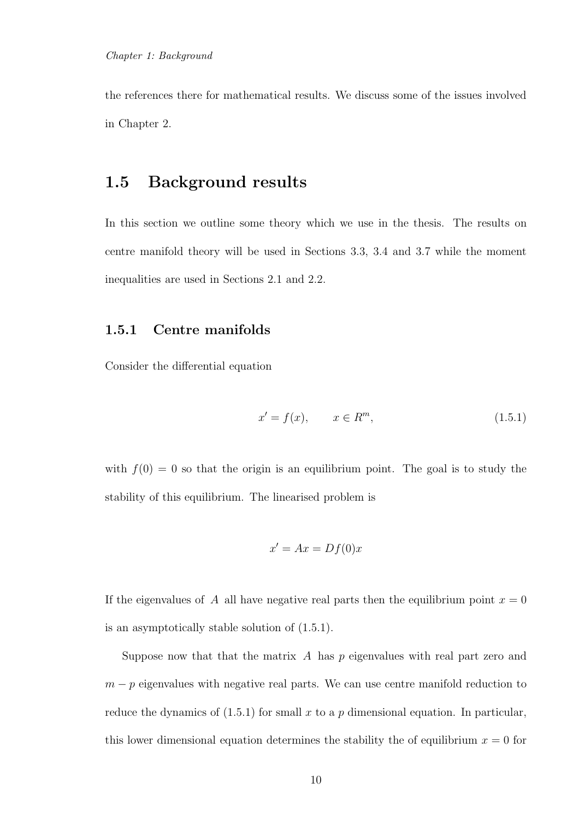the references there for mathematical results. We discuss some of the issues involved in Chapter 2.

## 1.5 Background results

In this section we outline some theory which we use in the thesis. The results on centre manifold theory will be used in Sections 3.3, 3.4 and 3.7 while the moment inequalities are used in Sections 2.1 and 2.2.

#### 1.5.1 Centre manifolds

Consider the differential equation

$$
x' = f(x), \qquad x \in R^m,
$$
\n
$$
(1.5.1)
$$

with  $f(0) = 0$  so that the origin is an equilibrium point. The goal is to study the stability of this equilibrium. The linearised problem is

$$
x' = Ax = Df(0)x
$$

If the eigenvalues of A all have negative real parts then the equilibrium point  $x = 0$ is an asymptotically stable solution of (1.5.1).

Suppose now that that the matrix  $A$  has  $p$  eigenvalues with real part zero and  $m - p$  eigenvalues with negative real parts. We can use centre manifold reduction to reduce the dynamics of  $(1.5.1)$  for small x to a p dimensional equation. In particular, this lower dimensional equation determines the stability the of equilibrium  $x = 0$  for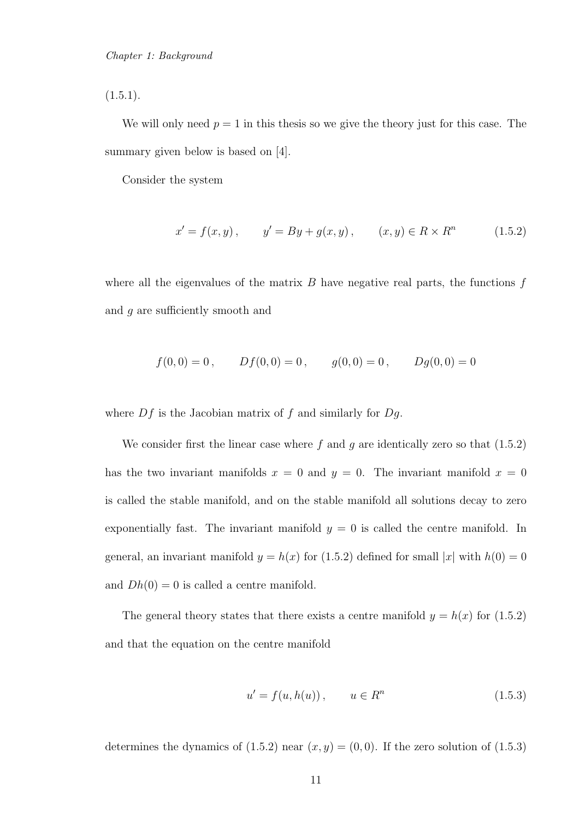$(1.5.1).$ 

We will only need  $p = 1$  in this thesis so we give the theory just for this case. The summary given below is based on [4].

Consider the system

$$
x' = f(x, y), \qquad y' = By + g(x, y), \qquad (x, y) \in R \times R^n \tag{1.5.2}
$$

where all the eigenvalues of the matrix  $B$  have negative real parts, the functions  $f$ and g are sufficiently smooth and

$$
f(0,0) = 0
$$
,  $Df(0,0) = 0$ ,  $g(0,0) = 0$ ,  $Dg(0,0) = 0$ 

where  $Df$  is the Jacobian matrix of  $f$  and similarly for  $Dg$ .

We consider first the linear case where  $f$  and  $g$  are identically zero so that  $(1.5.2)$ has the two invariant manifolds  $x = 0$  and  $y = 0$ . The invariant manifold  $x = 0$ is called the stable manifold, and on the stable manifold all solutions decay to zero exponentially fast. The invariant manifold  $y = 0$  is called the centre manifold. In general, an invariant manifold  $y = h(x)$  for (1.5.2) defined for small |x| with  $h(0) = 0$ and  $Dh(0) = 0$  is called a centre manifold.

The general theory states that there exists a centre manifold  $y = h(x)$  for  $(1.5.2)$ and that the equation on the centre manifold

$$
u' = f(u, h(u)), \qquad u \in R^n
$$
\n(1.5.3)

determines the dynamics of  $(1.5.2)$  near  $(x, y) = (0, 0)$ . If the zero solution of  $(1.5.3)$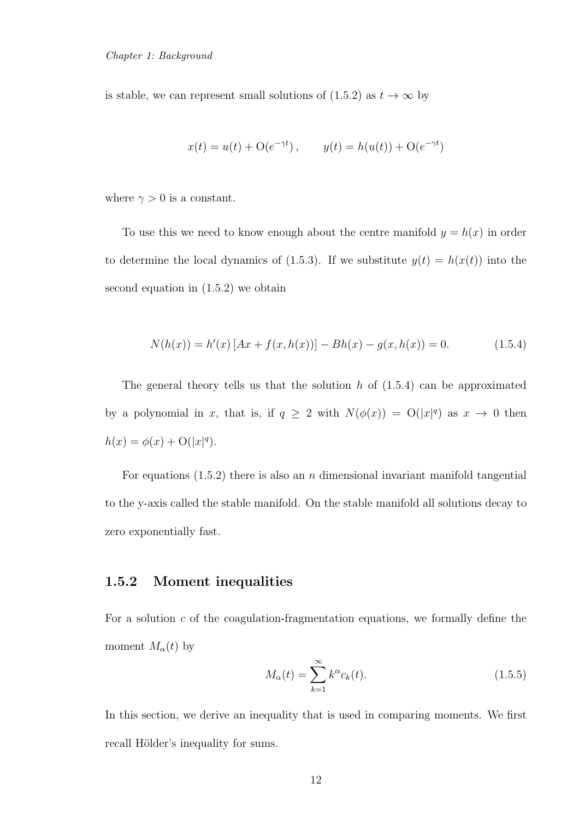is stable, we can represent small solutions of (1.5.2) as  $t \to \infty$  by

$$
x(t) = u(t) + O(e^{-\gamma t}),
$$
  $y(t) = h(u(t)) + O(e^{-\gamma t})$ 

where  $\gamma > 0$  is a constant.

To use this we need to know enough about the centre manifold  $y = h(x)$  in order to determine the local dynamics of (1.5.3). If we substitute  $y(t) = h(x(t))$  into the second equation in (1.5.2) we obtain

$$
N(h(x)) = h'(x) [Ax + f(x, h(x))] - Bh(x) - g(x, h(x)) = 0.
$$
 (1.5.4)

The general theory tells us that the solution  $h$  of  $(1.5.4)$  can be approximated by a polynomial in x, that is, if  $q \ge 2$  with  $N(\phi(x)) = O(|x|^q)$  as  $x \to 0$  then  $h(x) = \phi(x) + O(|x|^q).$ 

For equations  $(1.5.2)$  there is also an *n* dimensional invariant manifold tangential to the y-axis called the stable manifold. On the stable manifold all solutions decay to zero exponentially fast.

#### 1.5.2 Moment inequalities

For a solution  $c$  of the coagulation-fragmentation equations, we formally define the moment  $M_{\alpha}(t)$  by

$$
M_{\alpha}(t) = \sum_{k=1}^{\infty} k^{\alpha} c_k(t). \qquad (1.5.5)
$$

In this section, we derive an inequality that is used in comparing moments. We first recall Hölder's inequality for sums.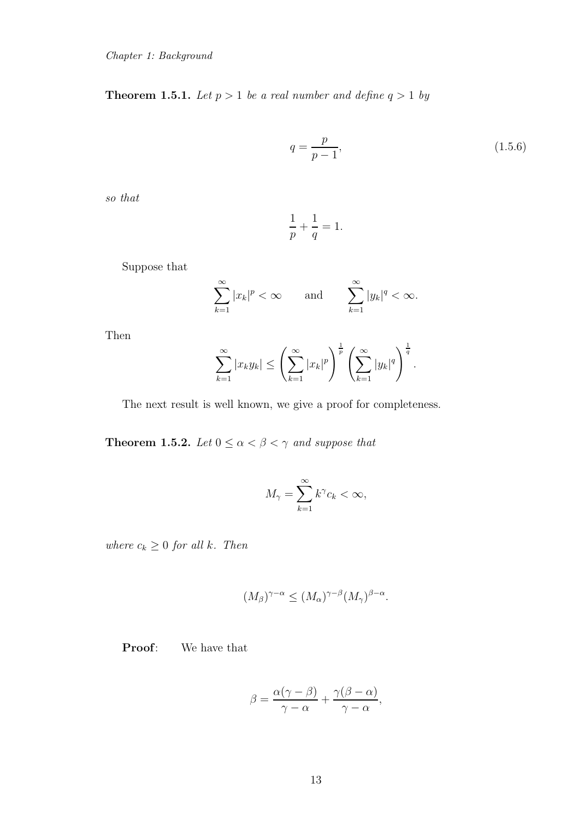**Theorem 1.5.1.** *Let*  $p > 1$  *be a real number and define*  $q > 1$  *by* 

$$
q = \frac{p}{p-1},\tag{1.5.6}
$$

*so that*

$$
\frac{1}{p} + \frac{1}{q} = 1.
$$

Suppose that

$$
\sum_{k=1}^{\infty} |x_k|^p < \infty \qquad \text{and} \qquad \sum_{k=1}^{\infty} |y_k|^q < \infty.
$$

Then

$$
\sum_{k=1}^{\infty} |x_k y_k| \le \left(\sum_{k=1}^{\infty} |x_k|^p\right)^{\frac{1}{p}} \left(\sum_{k=1}^{\infty} |y_k|^q\right)^{\frac{1}{q}}.
$$

The next result is well known, we give a proof for completeness.

**Theorem 1.5.2.** *Let*  $0 \leq \alpha < \beta < \gamma$  *and suppose that* 

$$
M_{\gamma} = \sum_{k=1}^{\infty} k^{\gamma} c_k < \infty,
$$

*where*  $c_k \geq 0$  *for all k. Then* 

$$
(M_{\beta})^{\gamma-\alpha} \le (M_{\alpha})^{\gamma-\beta} (M_{\gamma})^{\beta-\alpha}.
$$

Proof: We have that

$$
\beta = \frac{\alpha(\gamma - \beta)}{\gamma - \alpha} + \frac{\gamma(\beta - \alpha)}{\gamma - \alpha},
$$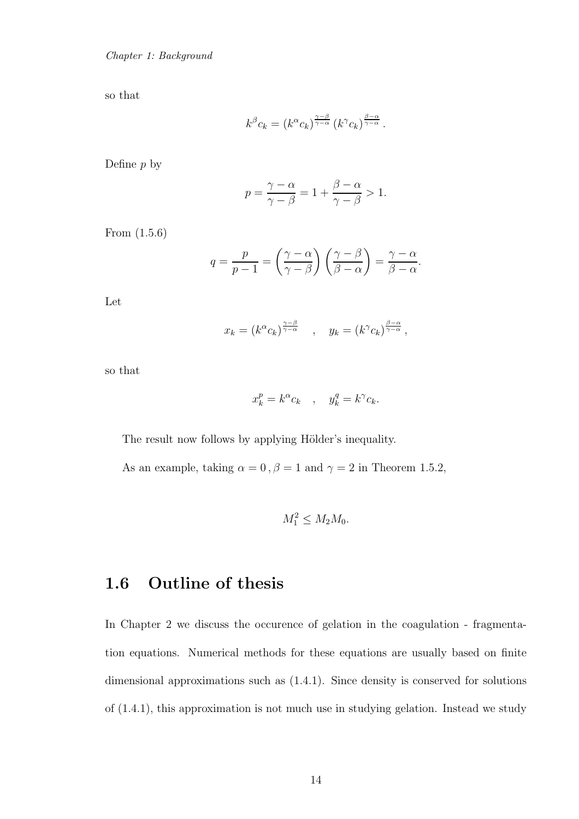Chapter 1: Background

so that

$$
k^{\beta}c_k = (k^{\alpha}c_k)^{\frac{\gamma-\beta}{\gamma-\alpha}} (k^{\gamma}c_k)^{\frac{\beta-\alpha}{\gamma-\alpha}}.
$$

Define  $p$  by

$$
p = \frac{\gamma - \alpha}{\gamma - \beta} = 1 + \frac{\beta - \alpha}{\gamma - \beta} > 1.
$$

From (1.5.6)

$$
q = \frac{p}{p-1} = \left(\frac{\gamma - \alpha}{\gamma - \beta}\right) \left(\frac{\gamma - \beta}{\beta - \alpha}\right) = \frac{\gamma - \alpha}{\beta - \alpha}.
$$

Let

$$
x_k = (k^{\alpha} c_k)^{\frac{\gamma - \beta}{\gamma - \alpha}}, \quad y_k = (k^{\gamma} c_k)^{\frac{\beta - \alpha}{\gamma - \alpha}},
$$

so that

$$
x_k^p = k^\alpha c_k \quad , \quad y_k^q = k^\gamma c_k.
$$

The result now follows by applying Hölder's inequality.

As an example, taking  $\alpha = 0$ ,  $\beta = 1$  and  $\gamma = 2$  in Theorem 1.5.2,

$$
M_1^2 \le M_2 M_0.
$$

## 1.6 Outline of thesis

In Chapter 2 we discuss the occurence of gelation in the coagulation - fragmentation equations. Numerical methods for these equations are usually based on finite dimensional approximations such as (1.4.1). Since density is conserved for solutions of (1.4.1), this approximation is not much use in studying gelation. Instead we study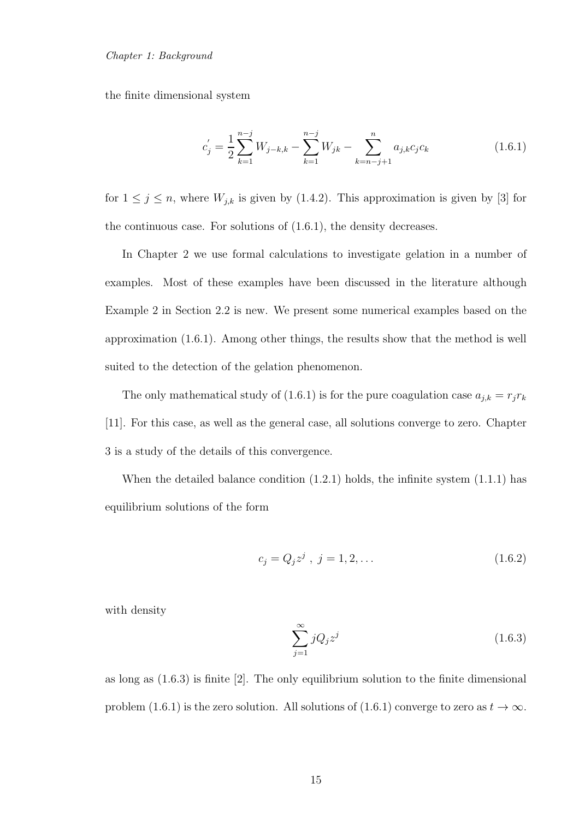#### Chapter 1: Background

the finite dimensional system

$$
c'_{j} = \frac{1}{2} \sum_{k=1}^{n-j} W_{j-k,k} - \sum_{k=1}^{n-j} W_{jk} - \sum_{k=n-j+1}^{n} a_{j,k} c_j c_k
$$
 (1.6.1)

for  $1 \leq j \leq n$ , where  $W_{j,k}$  is given by (1.4.2). This approximation is given by [3] for the continuous case. For solutions of (1.6.1), the density decreases.

In Chapter 2 we use formal calculations to investigate gelation in a number of examples. Most of these examples have been discussed in the literature although Example 2 in Section 2.2 is new. We present some numerical examples based on the approximation (1.6.1). Among other things, the results show that the method is well suited to the detection of the gelation phenomenon.

The only mathematical study of (1.6.1) is for the pure coagulation case  $a_{j,k} = r_j r_k$ [11]. For this case, as well as the general case, all solutions converge to zero. Chapter 3 is a study of the details of this convergence.

When the detailed balance condition  $(1.2.1)$  holds, the infinite system  $(1.1.1)$  has equilibrium solutions of the form

$$
c_j = Q_j z^j \, , \, j = 1, 2, \dots \tag{1.6.2}
$$

with density

$$
\sum_{j=1}^{\infty} jQ_j z^j \tag{1.6.3}
$$

as long as  $(1.6.3)$  is finite  $[2]$ . The only equilibrium solution to the finite dimensional problem (1.6.1) is the zero solution. All solutions of (1.6.1) converge to zero as  $t \to \infty$ .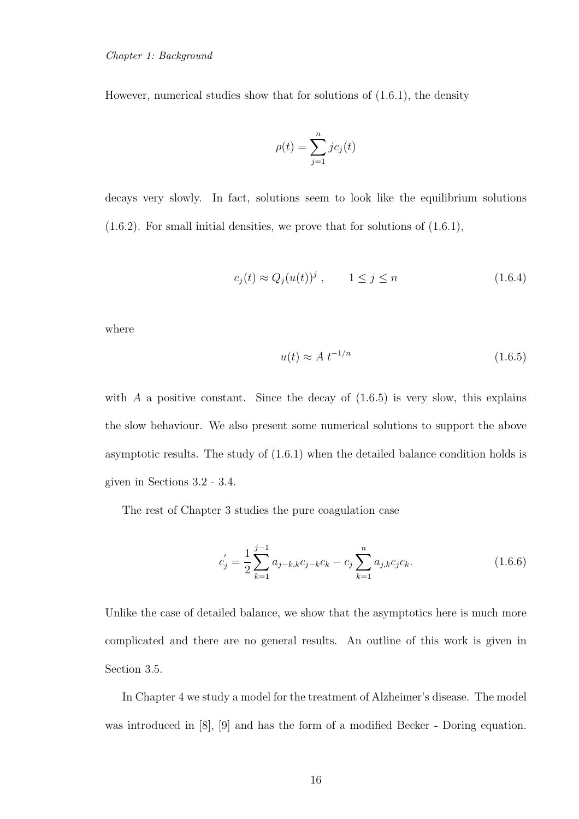However, numerical studies show that for solutions of (1.6.1), the density

$$
\rho(t) = \sum_{j=1}^{n} jc_j(t)
$$

decays very slowly. In fact, solutions seem to look like the equilibrium solutions  $(1.6.2)$ . For small initial densities, we prove that for solutions of  $(1.6.1)$ ,

$$
c_j(t) \approx Q_j(u(t))^j, \qquad 1 \le j \le n \tag{1.6.4}
$$

where

$$
u(t) \approx A t^{-1/n} \tag{1.6.5}
$$

with  $A$  a positive constant. Since the decay of  $(1.6.5)$  is very slow, this explains the slow behaviour. We also present some numerical solutions to support the above asymptotic results. The study of (1.6.1) when the detailed balance condition holds is given in Sections 3.2 - 3.4.

The rest of Chapter 3 studies the pure coagulation case

$$
c'_{j} = \frac{1}{2} \sum_{k=1}^{j-1} a_{j-k,k} c_{j-k} c_k - c_j \sum_{k=1}^{n} a_{j,k} c_j c_k.
$$
 (1.6.6)

Unlike the case of detailed balance, we show that the asymptotics here is much more complicated and there are no general results. An outline of this work is given in Section 3.5.

In Chapter 4 we study a model for the treatment of Alzheimer's disease. The model was introduced in [8], [9] and has the form of a modified Becker - Doring equation.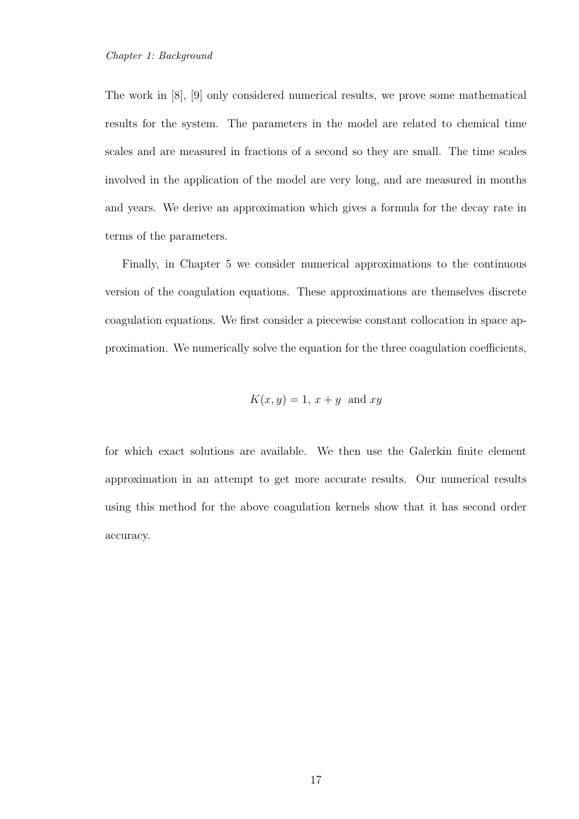The work in [8], [9] only considered numerical results, we prove some mathematical results for the system. The parameters in the model are related to chemical time scales and are measured in fractions of a second so they are small. The time scales involved in the application of the model are very long, and are measured in months and years. We derive an approximation which gives a formula for the decay rate in terms of the parameters.

Finally, in Chapter 5 we consider numerical approximations to the continuous version of the coagulation equations. These approximations are themselves discrete coagulation equations. We first consider a piecewise constant collocation in space approximation. We numerically solve the equation for the three coagulation coefficients,

$$
K(x, y) = 1, x + y \text{ and } xy
$$

for which exact solutions are available. We then use the Galerkin finite element approximation in an attempt to get more accurate results. Our numerical results using this method for the above coagulation kernels show that it has second order accuracy.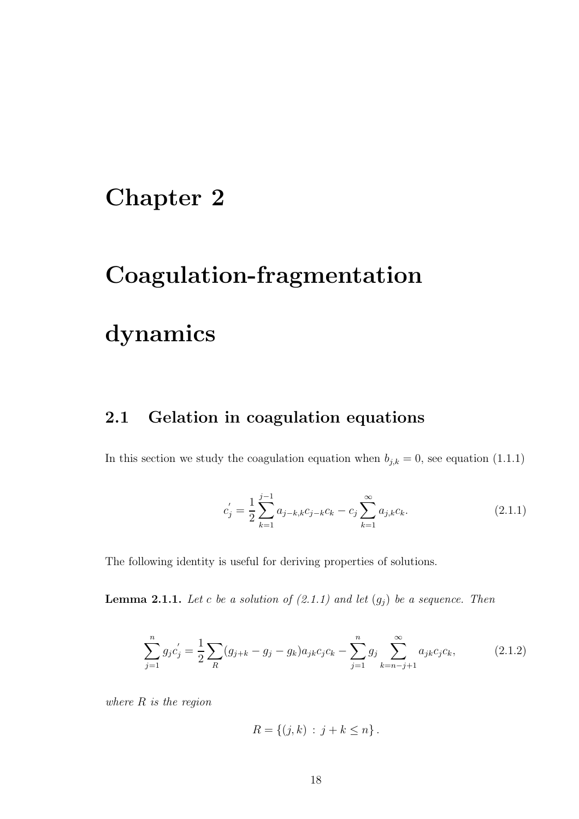# Chapter 2

# Coagulation-fragmentation

# dynamics

## 2.1 Gelation in coagulation equations

In this section we study the coagulation equation when  $b_{j,k} = 0$ , see equation (1.1.1)

$$
c'_{j} = \frac{1}{2} \sum_{k=1}^{j-1} a_{j-k,k} c_{j-k} c_k - c_j \sum_{k=1}^{\infty} a_{j,k} c_k.
$$
 (2.1.1)

The following identity is useful for deriving properties of solutions.

**Lemma 2.1.1.** Let c be a solution of  $(2.1.1)$  and let  $(g_j)$  be a sequence. Then

$$
\sum_{j=1}^{n} g_j c'_j = \frac{1}{2} \sum_{R} (g_{j+k} - g_j - g_k) a_{jk} c_j c_k - \sum_{j=1}^{n} g_j \sum_{k=n-j+1}^{\infty} a_{jk} c_j c_k, \qquad (2.1.2)
$$

*where* R *is the region*

$$
R = \{(j,k) : j + k \le n\}.
$$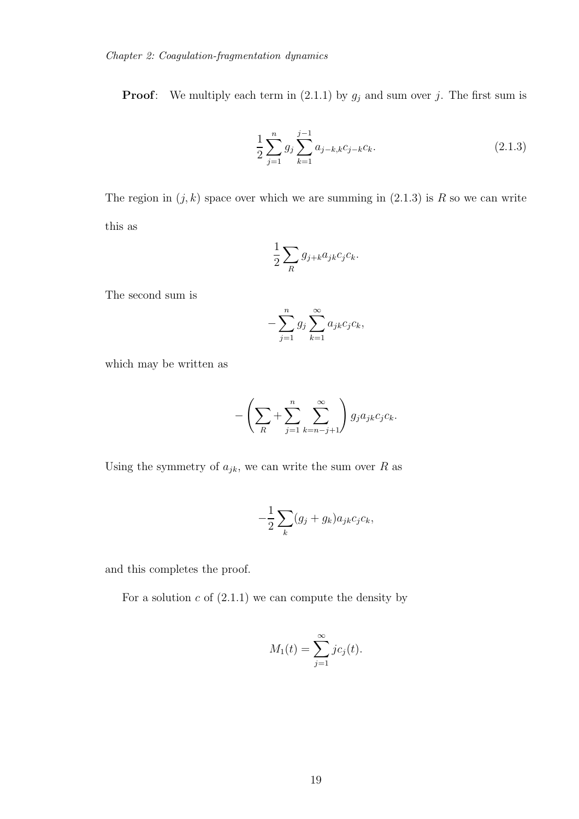**Proof:** We multiply each term in (2.1.1) by  $g_j$  and sum over j. The first sum is

$$
\frac{1}{2} \sum_{j=1}^{n} g_j \sum_{k=1}^{j-1} a_{j-k,k} c_{j-k} c_k.
$$
\n(2.1.3)

The region in  $(j, k)$  space over which we are summing in  $(2.1.3)$  is R so we can write this as

$$
\frac{1}{2} \sum_{R} g_{j+k} a_{jk} c_j c_k.
$$

The second sum is

$$
-\sum_{j=1}^n g_j \sum_{k=1}^\infty a_{jk} c_j c_k,
$$

which may be written as

$$
-\left(\sum_{R}+\sum_{j=1}^{n}\sum_{k=n-j+1}^{\infty}\right)g_j a_{jk} c_j c_k.
$$

Using the symmetry of  $a_{jk}$ , we can write the sum over R as

$$
-\frac{1}{2}\sum_{k}(g_j+g_k)a_{jk}c_jc_k,
$$

and this completes the proof.

For a solution  $c$  of  $(2.1.1)$  we can compute the density by

$$
M_1(t) = \sum_{j=1}^{\infty} j c_j(t).
$$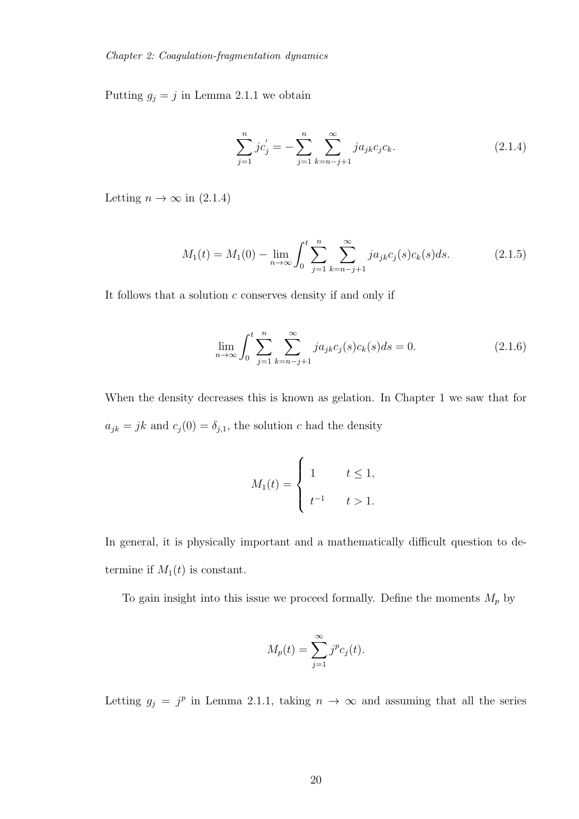Putting  $g_j = j$  in Lemma 2.1.1 we obtain

$$
\sum_{j=1}^{n} j c'_j = -\sum_{j=1}^{n} \sum_{k=n-j+1}^{\infty} j a_{jk} c_j c_k.
$$
 (2.1.4)

Letting  $n \to \infty$  in (2.1.4)

$$
M_1(t) = M_1(0) - \lim_{n \to \infty} \int_0^t \sum_{j=1}^n \sum_{k=n-j+1}^\infty j a_{jk} c_j(s) c_k(s) ds.
$$
 (2.1.5)

It follows that a solution  $c$  conserves density if and only if

$$
\lim_{n \to \infty} \int_0^t \sum_{j=1}^n \sum_{k=n-j+1}^\infty j a_{jk} c_j(s) c_k(s) ds = 0.
$$
 (2.1.6)

When the density decreases this is known as gelation. In Chapter 1 we saw that for  $a_{jk} = jk$  and  $c_j(0) = \delta_{j,1}$ , the solution c had the density

$$
M_1(t) = \begin{cases} 1 & t \le 1, \\ t^{-1} & t > 1. \end{cases}
$$

In general, it is physically important and a mathematically difficult question to determine if  $M_1(t)$  is constant.

To gain insight into this issue we proceed formally. Define the moments  $M_p$  by

$$
M_p(t) = \sum_{j=1}^{\infty} j^p c_j(t).
$$

Letting  $g_j = j^p$  in Lemma 2.1.1, taking  $n \to \infty$  and assuming that all the series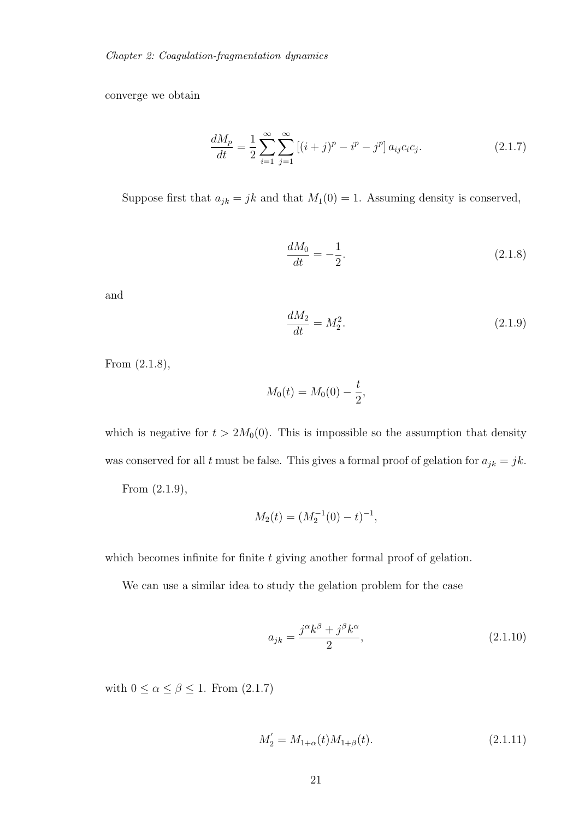converge we obtain

$$
\frac{dM_p}{dt} = \frac{1}{2} \sum_{i=1}^{\infty} \sum_{j=1}^{\infty} \left[ (i+j)^p - i^p - j^p \right] a_{ij} c_i c_j.
$$
 (2.1.7)

Suppose first that  $a_{jk} = jk$  and that  $M_1(0) = 1$ . Assuming density is conserved,

$$
\frac{dM_0}{dt} = -\frac{1}{2}.\tag{2.1.8}
$$

and

$$
\frac{dM_2}{dt} = M_2^2.
$$
\n(2.1.9)

From (2.1.8),

$$
M_0(t) = M_0(0) - \frac{t}{2},
$$

which is negative for  $t > 2M_0(0)$ . This is impossible so the assumption that density was conserved for all t must be false. This gives a formal proof of gelation for  $a_{jk} = jk$ . From (2.1.9),

$$
M_2(t) = (M_2^{-1}(0) - t)^{-1},
$$

which becomes infinite for finite  $t$  giving another formal proof of gelation.

We can use a similar idea to study the gelation problem for the case

$$
a_{jk} = \frac{j^{\alpha}k^{\beta} + j^{\beta}k^{\alpha}}{2},\tag{2.1.10}
$$

with  $0 \leq \alpha \leq \beta \leq 1$  . From (2.1.7)

$$
M_2' = M_{1+\alpha}(t)M_{1+\beta}(t). \tag{2.1.11}
$$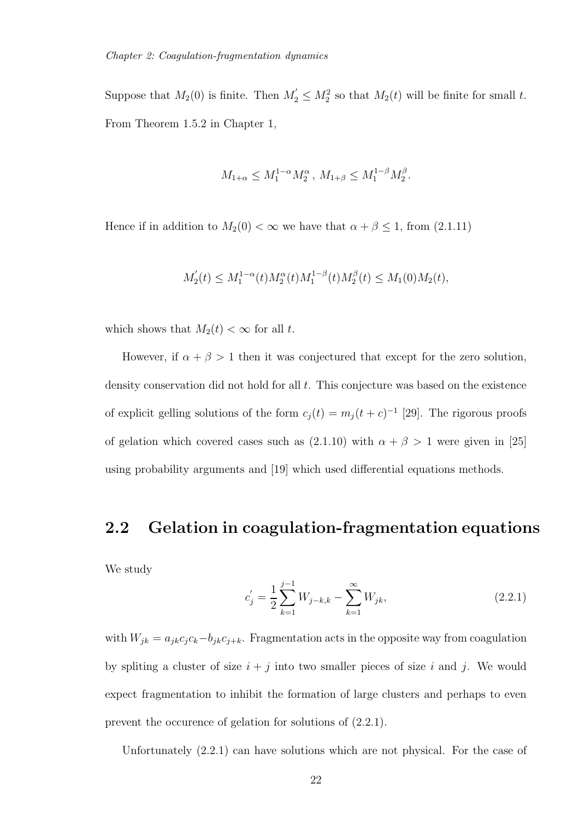Suppose that  $M_2(0)$  is finite. Then  $M'_2 \leq M_2^2$  so that  $M_2(t)$  will be finite for small t. From Theorem 1.5.2 in Chapter 1,

$$
M_{1+\alpha} \leq M_1^{1-\alpha} M_2^{\alpha}, M_{1+\beta} \leq M_1^{1-\beta} M_2^{\beta}.
$$

Hence if in addition to  $M_2(0) < \infty$  we have that  $\alpha + \beta \leq 1$ , from (2.1.11)

$$
M'_2(t) \le M_1^{1-\alpha}(t)M_2^{\alpha}(t)M_1^{1-\beta}(t)M_2^{\beta}(t) \le M_1(0)M_2(t),
$$

which shows that  $M_2(t) < \infty$  for all t.

However, if  $\alpha + \beta > 1$  then it was conjectured that except for the zero solution, density conservation did not hold for all t. This conjecture was based on the existence of explicit gelling solutions of the form  $c_j(t) = m_j(t+c)^{-1}$  [29]. The rigorous proofs of gelation which covered cases such as (2.1.10) with  $\alpha + \beta > 1$  were given in [25] using probability arguments and [19] which used differential equations methods.

#### 2.2 Gelation in coagulation-fragmentation equations

We study

$$
c'_{j} = \frac{1}{2} \sum_{k=1}^{j-1} W_{j-k,k} - \sum_{k=1}^{\infty} W_{jk},
$$
\n(2.2.1)

with  $W_{jk} = a_{jk}c_jc_k-b_{jk}c_{j+k}$ . Fragmentation acts in the opposite way from coagulation by spliting a cluster of size  $i + j$  into two smaller pieces of size i and j. We would expect fragmentation to inhibit the formation of large clusters and perhaps to even prevent the occurence of gelation for solutions of (2.2.1).

Unfortunately (2.2.1) can have solutions which are not physical. For the case of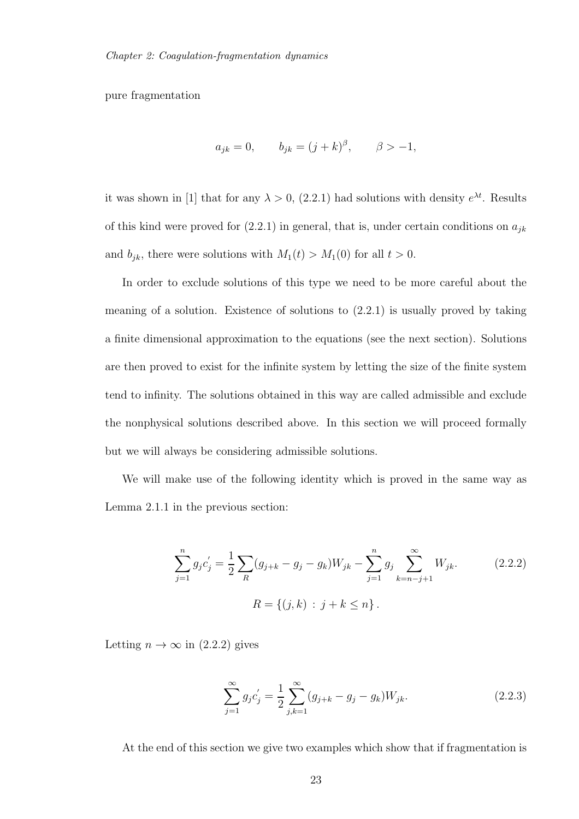pure fragmentation

$$
a_{jk} = 0,
$$
  $b_{jk} = (j + k)^{\beta},$   $\beta > -1,$ 

it was shown in [1] that for any  $\lambda > 0$ , (2.2.1) had solutions with density  $e^{\lambda t}$ . Results of this kind were proved for  $(2.2.1)$  in general, that is, under certain conditions on  $a_{jk}$ and  $b_{jk}$ , there were solutions with  $M_1(t) > M_1(0)$  for all  $t > 0$ .

In order to exclude solutions of this type we need to be more careful about the meaning of a solution. Existence of solutions to (2.2.1) is usually proved by taking a finite dimensional approximation to the equations (see the next section). Solutions are then proved to exist for the infinite system by letting the size of the finite system tend to infinity. The solutions obtained in this way are called admissible and exclude the nonphysical solutions described above. In this section we will proceed formally but we will always be considering admissible solutions.

We will make use of the following identity which is proved in the same way as Lemma 2.1.1 in the previous section:

$$
\sum_{j=1}^{n} g_j c'_j = \frac{1}{2} \sum_{R} (g_{j+k} - g_j - g_k) W_{jk} - \sum_{j=1}^{n} g_j \sum_{k=n-j+1}^{\infty} W_{jk}.
$$
\n
$$
R = \{(j,k) : j+k \le n\}.
$$
\n(2.2.2)

Letting  $n \to \infty$  in (2.2.2) gives

$$
\sum_{j=1}^{\infty} g_j c'_j = \frac{1}{2} \sum_{j,k=1}^{\infty} (g_{j+k} - g_j - g_k) W_{jk}.
$$
 (2.2.3)

At the end of this section we give two examples which show that if fragmentation is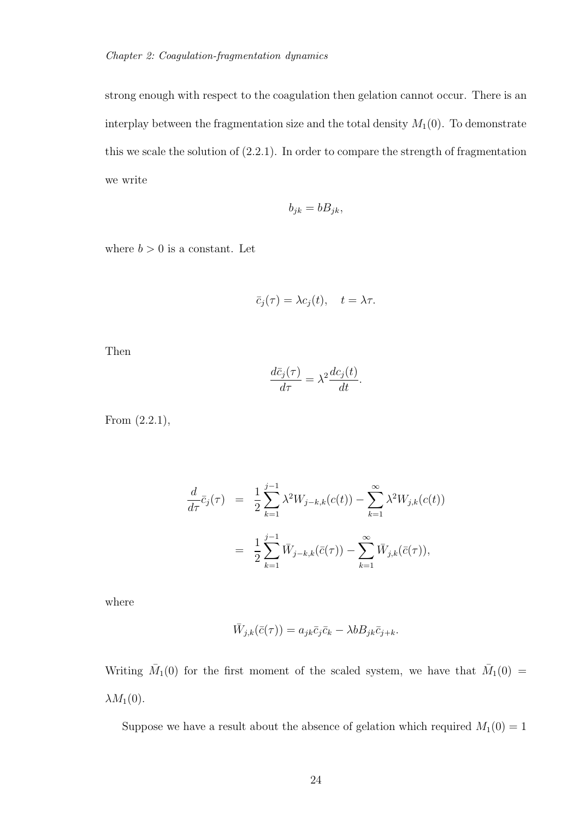strong enough with respect to the coagulation then gelation cannot occur. There is an interplay between the fragmentation size and the total density  $M_1(0)$ . To demonstrate this we scale the solution of (2.2.1). In order to compare the strength of fragmentation we write

$$
b_{jk} = bB_{jk},
$$

where  $b > 0$  is a constant. Let

$$
\bar{c}_j(\tau) = \lambda c_j(t), \quad t = \lambda \tau.
$$

Then

$$
\frac{d\bar{c}_j(\tau)}{d\tau} = \lambda^2 \frac{dc_j(t)}{dt}.
$$

From (2.2.1),

$$
\frac{d}{d\tau}\bar{c}_j(\tau) = \frac{1}{2}\sum_{k=1}^{j-1} \lambda^2 W_{j-k,k}(c(t)) - \sum_{k=1}^{\infty} \lambda^2 W_{j,k}(c(t))
$$

$$
= \frac{1}{2}\sum_{k=1}^{j-1} \bar{W}_{j-k,k}(\bar{c}(\tau)) - \sum_{k=1}^{\infty} \bar{W}_{j,k}(\bar{c}(\tau)),
$$

where

$$
\bar{W}_{j,k}(\bar{c}(\tau)) = a_{jk}\bar{c}_j\bar{c}_k - \lambda b B_{jk}\bar{c}_{j+k}.
$$

Writing  $\bar{M}_1(0)$  for the first moment of the scaled system, we have that  $\bar{M}_1(0)$  =  $\lambda M_1(0)$ .

Suppose we have a result about the absence of gelation which required  $M_1(0) = 1$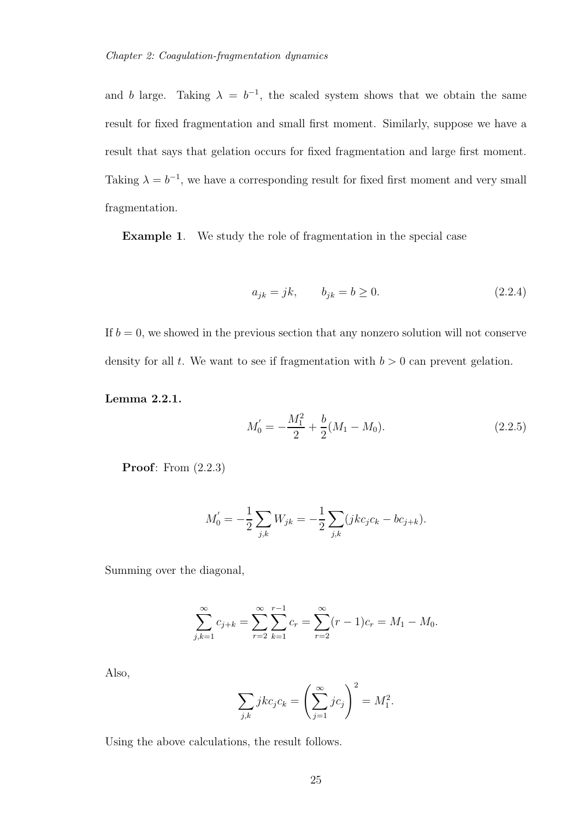and b large. Taking  $\lambda = b^{-1}$ , the scaled system shows that we obtain the same result for fixed fragmentation and small first moment. Similarly, suppose we have a result that says that gelation occurs for fixed fragmentation and large first moment. Taking  $\lambda = b^{-1}$ , we have a corresponding result for fixed first moment and very small fragmentation.

Example 1. We study the role of fragmentation in the special case

$$
a_{jk} = jk, \t b_{jk} = b \ge 0. \t (2.2.4)
$$

If  $b = 0$ , we showed in the previous section that any nonzero solution will not conserve density for all t. We want to see if fragmentation with  $b > 0$  can prevent gelation.

Lemma 2.2.1.

$$
M_0' = -\frac{M_1^2}{2} + \frac{b}{2}(M_1 - M_0). \tag{2.2.5}
$$

**Proof:** From  $(2.2.3)$ 

$$
M'_0 = -\frac{1}{2} \sum_{j,k} W_{jk} = -\frac{1}{2} \sum_{j,k} (jkc_jc_k - bc_{j+k}).
$$

Summing over the diagonal,

$$
\sum_{j,k=1}^{\infty} c_{j+k} = \sum_{r=2}^{\infty} \sum_{k=1}^{r-1} c_r = \sum_{r=2}^{\infty} (r-1)c_r = M_1 - M_0.
$$

Also,

$$
\sum_{j,k} jkc_jc_k = \left(\sum_{j=1}^{\infty} jc_j\right)^2 = M_1^2.
$$

Using the above calculations, the result follows.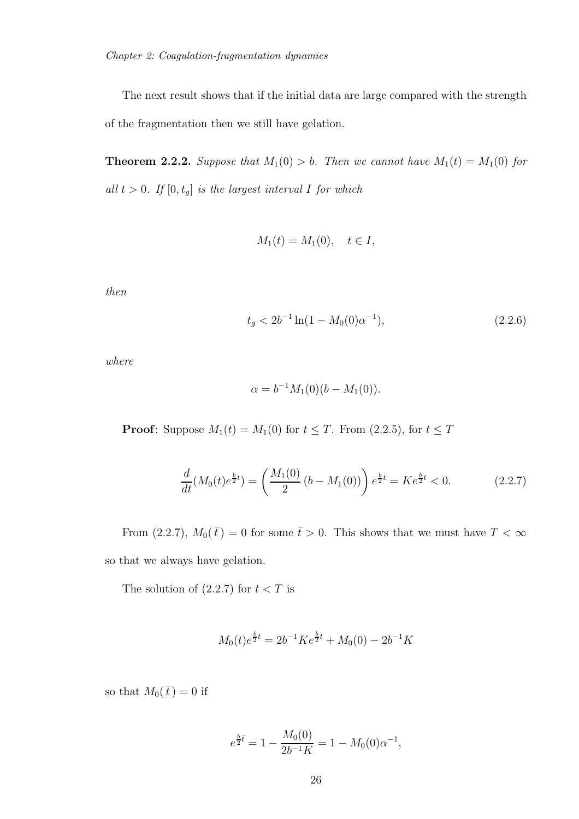The next result shows that if the initial data are large compared with the strength of the fragmentation then we still have gelation.

**Theorem 2.2.2.** *Suppose that*  $M_1(0) > b$ *. Then we cannot have*  $M_1(t) = M_1(0)$  *for*  $all t > 0$ *. If*  $[0, t_g]$  *is the largest interval I for which* 

$$
M_1(t) = M_1(0), \quad t \in I,
$$

*then*

$$
t_g < 2b^{-1}\ln(1 - M_0(0)\alpha^{-1}),\tag{2.2.6}
$$

*where*

$$
\alpha = b^{-1} M_1(0) (b - M_1(0)).
$$

**Proof:** Suppose  $M_1(t) = M_1(0)$  for  $t \leq T$ . From (2.2.5), for  $t \leq T$ 

$$
\frac{d}{dt}(M_0(t)e^{\frac{b}{2}t}) = \left(\frac{M_1(0)}{2}(b - M_1(0))\right)e^{\frac{b}{2}t} = Ke^{\frac{b}{2}t} < 0.
$$
\n(2.2.7)

From (2.2.7),  $M_0(\bar{t}) = 0$  for some  $\bar{t} > 0$ . This shows that we must have  $T < \infty$ so that we always have gelation.

The solution of  $(2.2.7)$  for  $t < T$  is

$$
M_0(t)e^{\frac{b}{2}t} = 2b^{-1}Ke^{\frac{b}{2}t} + M_0(0) - 2b^{-1}K
$$

so that  $M_0(\bar{t}) = 0$  if

$$
e^{\frac{b}{2}\bar{t}} = 1 - \frac{M_0(0)}{2b^{-1}K} = 1 - M_0(0)\alpha^{-1},
$$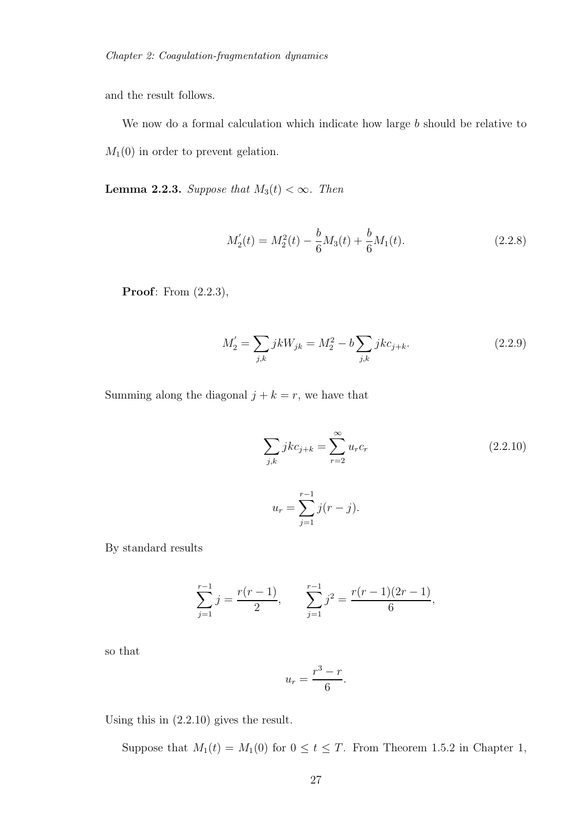and the result follows.

We now do a formal calculation which indicate how large  $b$  should be relative to  $M_1(0)$  in order to prevent gelation.

**Lemma 2.2.3.** *Suppose that*  $M_3(t) < \infty$ *. Then* 

$$
M_2'(t) = M_2^2(t) - \frac{b}{6}M_3(t) + \frac{b}{6}M_1(t).
$$
\n(2.2.8)

**Proof**: From  $(2.2.3)$ ,

$$
M_2' = \sum_{j,k} jkW_{jk} = M_2^2 - b \sum_{j,k} jkc_{j+k}.
$$
 (2.2.9)

Summing along the diagonal  $j + k = r$ , we have that

$$
\sum_{j,k} jkc_{j+k} = \sum_{r=2}^{\infty} u_r c_r
$$
\n(2.2.10)\n
$$
u_r = \sum_{j=1}^{r-1} j(r-j).
$$

By standard results

$$
\sum_{j=1}^{r-1} j = \frac{r(r-1)}{2}, \qquad \sum_{j=1}^{r-1} j^2 = \frac{r(r-1)(2r-1)}{6},
$$

so that

$$
u_r = \frac{r^3 - r}{6}.
$$

Using this in (2.2.10) gives the result.

Suppose that  $M_1(t) = M_1(0)$  for  $0 \le t \le T$ . From Theorem 1.5.2 in Chapter 1,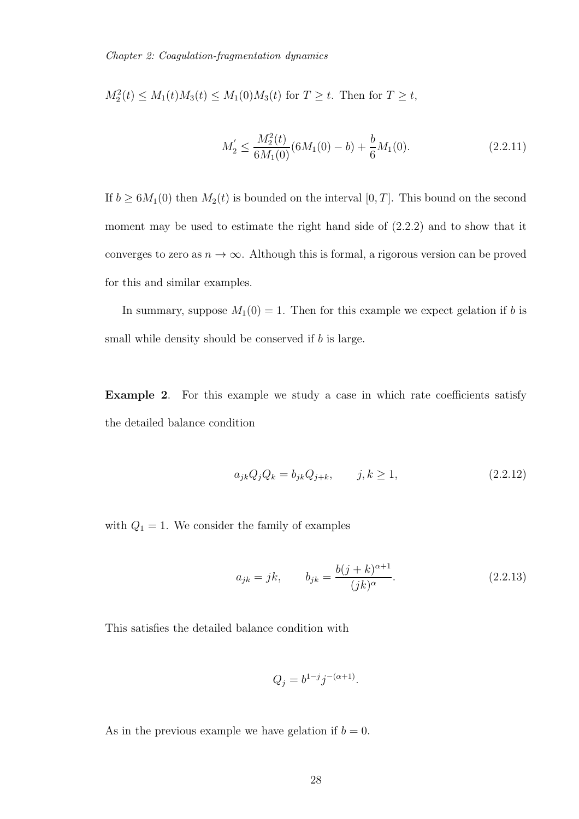$M_2^2(t) \le M_1(t)M_3(t) \le M_1(0)M_3(t)$  for  $T \ge t$ . Then for  $T \ge t$ ,

$$
M_2' \le \frac{M_2^2(t)}{6M_1(0)}(6M_1(0) - b) + \frac{b}{6}M_1(0). \tag{2.2.11}
$$

If  $b \geq 6M_1(0)$  then  $M_2(t)$  is bounded on the interval  $[0, T]$ . This bound on the second moment may be used to estimate the right hand side of  $(2.2.2)$  and to show that it converges to zero as  $n \to \infty$ . Although this is formal, a rigorous version can be proved for this and similar examples.

In summary, suppose  $M_1(0) = 1$ . Then for this example we expect gelation if b is small while density should be conserved if  $b$  is large.

Example 2. For this example we study a case in which rate coefficients satisfy the detailed balance condition

$$
a_{jk}Q_jQ_k = b_{jk}Q_{j+k}, \t j, k \ge 1,
$$
\t(2.2.12)

with  $Q_1 = 1$ . We consider the family of examples

$$
a_{jk} = jk, \t b_{jk} = \frac{b(j+k)^{\alpha+1}}{(jk)^{\alpha}}.
$$
\t(2.2.13)

This satisfies the detailed balance condition with

$$
Q_j = b^{1-j} j^{-(\alpha+1)}.
$$

As in the previous example we have gelation if  $b = 0$ .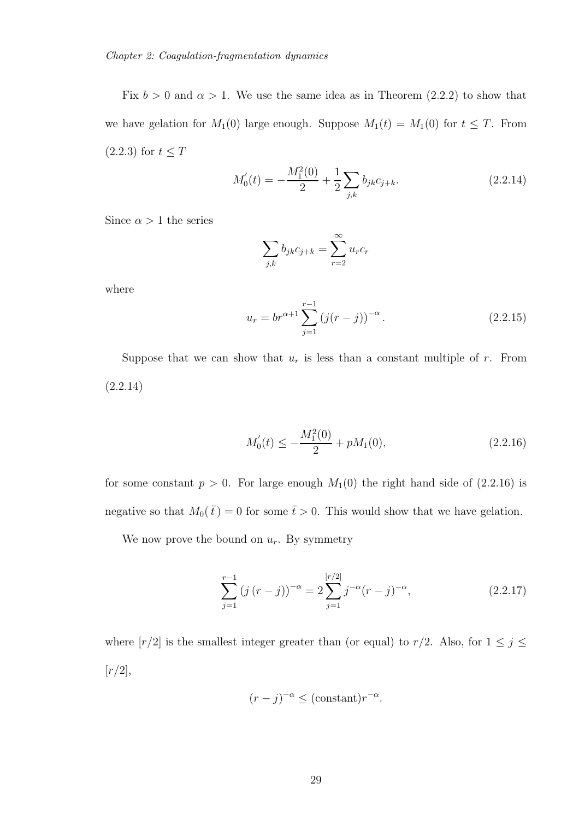Fix  $b > 0$  and  $\alpha > 1$ . We use the same idea as in Theorem (2.2.2) to show that we have gelation for  $M_1(0)$  large enough. Suppose  $M_1(t) = M_1(0)$  for  $t \leq T$ . From  $(2.2.3)$  for  $t \leq T$ 

$$
M_0'(t) = -\frac{M_1^2(0)}{2} + \frac{1}{2} \sum_{j,k} b_{jk} c_{j+k}.
$$
 (2.2.14)

Since  $\alpha>1$  the series

$$
\sum_{j,k} b_{jk} c_{j+k} = \sum_{r=2}^{\infty} u_r c_r
$$

where

$$
u_r = br^{\alpha+1} \sum_{j=1}^{r-1} (j(r-j))^{-\alpha}.
$$
 (2.2.15)

Suppose that we can show that  $u_r$  is less than a constant multiple of r. From (2.2.14)

$$
M_0'(t) \le -\frac{M_1^2(0)}{2} + pM_1(0),\tag{2.2.16}
$$

for some constant  $p > 0$ . For large enough  $M_1(0)$  the right hand side of  $(2.2.16)$  is negative so that  $M_0(\bar{t}) = 0$  for some  $\bar{t} > 0$ . This would show that we have gelation.

We now prove the bound on  $u_r$ . By symmetry

$$
\sum_{j=1}^{r-1} (j(r-j))^{-\alpha} = 2 \sum_{j=1}^{[r/2]} j^{-\alpha} (r-j)^{-\alpha}, \qquad (2.2.17)
$$

where  $[r/2]$  is the smallest integer greater than (or equal) to  $r/2$ . Also, for  $1 \leq j \leq$  $[r/2],$ 

$$
(r-j)^{-\alpha} \leq (\text{constant})r^{-\alpha}.
$$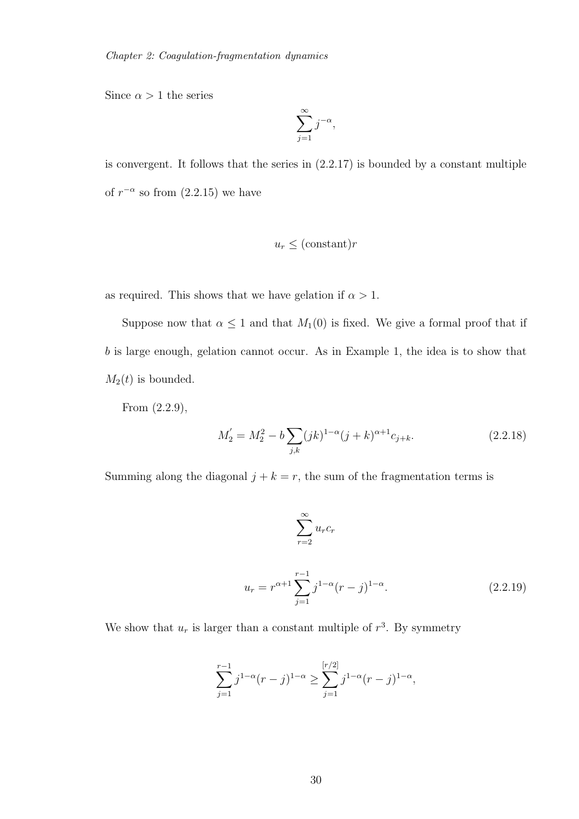Since  $\alpha > 1$  the series

$$
\sum_{j=1}^{\infty} j^{-\alpha},
$$

is convergent. It follows that the series in (2.2.17) is bounded by a constant multiple of  $r^{-\alpha}$  so from  $(2.2.15)$  we have

$$
u_r \leq (\text{constant})r
$$

as required. This shows that we have gelation if  $\alpha > 1$ .

Suppose now that  $\alpha \leq 1$  and that  $M_1(0)$  is fixed. We give a formal proof that if b is large enough, gelation cannot occur. As in Example 1, the idea is to show that  $M_2(t)$  is bounded.

From (2.2.9),

$$
M_2' = M_2^2 - b \sum_{j,k} (jk)^{1-\alpha} (j+k)^{\alpha+1} c_{j+k}.
$$
 (2.2.18)

Summing along the diagonal  $j + k = r$ , the sum of the fragmentation terms is

$$
\sum_{r=2}^{\infty} u_r c_r
$$
  

$$
u_r = r^{\alpha+1} \sum_{j=1}^{r-1} j^{1-\alpha} (r-j)^{1-\alpha}.
$$
 (2.2.19)

We show that  $u_r$  is larger than a constant multiple of  $r^3$ . By symmetry

$$
\sum_{j=1}^{r-1} j^{1-\alpha}(r-j)^{1-\alpha} \ge \sum_{j=1}^{[r/2]} j^{1-\alpha}(r-j)^{1-\alpha},
$$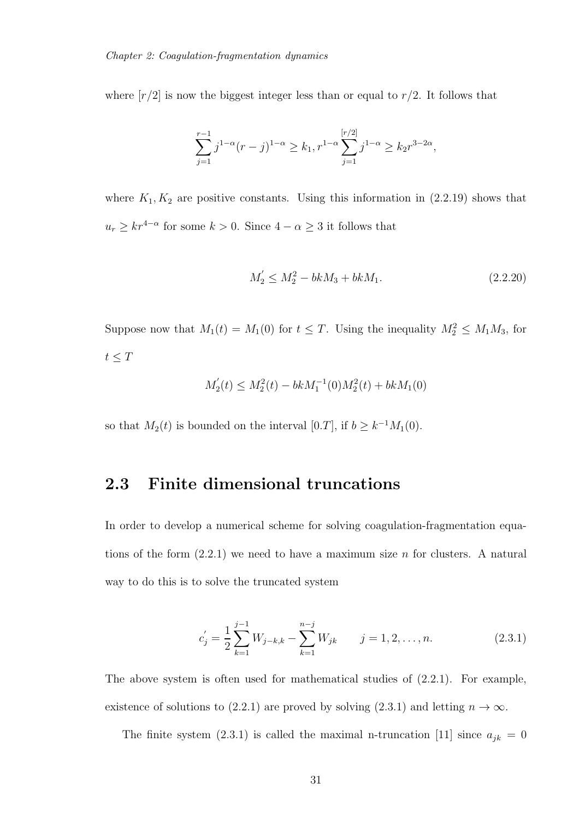where  $[r/2]$  is now the biggest integer less than or equal to  $r/2$ . It follows that

$$
\sum_{j=1}^{r-1} j^{1-\alpha}(r-j)^{1-\alpha} \ge k_1, r^{1-\alpha} \sum_{j=1}^{[r/2]} j^{1-\alpha} \ge k_2 r^{3-2\alpha},
$$

where  $K_1, K_2$  are positive constants. Using this information in  $(2.2.19)$  shows that  $u_r \geq kr^{4-\alpha}$  for some  $k > 0$ . Since  $4 - \alpha \geq 3$  it follows that

$$
M_2' \le M_2^2 - bkM_3 + bkM_1. \tag{2.2.20}
$$

Suppose now that  $M_1(t) = M_1(0)$  for  $t \leq T$ . Using the inequality  $M_2^2 \leq M_1 M_3$ , for  $t\leq T$ 

$$
M_2'(t) \le M_2^2(t) - bkM_1^{-1}(0)M_2^2(t) + bkM_1(0)
$$

so that  $M_2(t)$  is bounded on the interval [0.*T*], if  $b \geq k^{-1}M_1(0)$ .

### 2.3 Finite dimensional truncations

In order to develop a numerical scheme for solving coagulation-fragmentation equations of the form  $(2.2.1)$  we need to have a maximum size n for clusters. A natural way to do this is to solve the truncated system

$$
c'_{j} = \frac{1}{2} \sum_{k=1}^{j-1} W_{j-k,k} - \sum_{k=1}^{n-j} W_{jk} \qquad j = 1, 2, \dots, n.
$$
 (2.3.1)

The above system is often used for mathematical studies of (2.2.1). For example, existence of solutions to (2.2.1) are proved by solving (2.3.1) and letting  $n \to \infty$ .

The finite system (2.3.1) is called the maximal n-truncation [11] since  $a_{jk} = 0$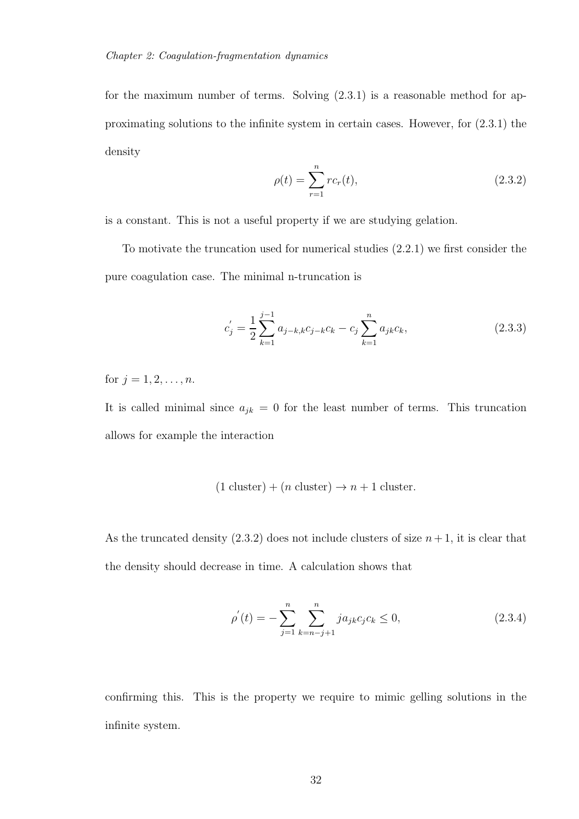for the maximum number of terms. Solving (2.3.1) is a reasonable method for approximating solutions to the infinite system in certain cases. However, for (2.3.1) the density

$$
\rho(t) = \sum_{r=1}^{n} rc_r(t),
$$
\n(2.3.2)

is a constant. This is not a useful property if we are studying gelation.

To motivate the truncation used for numerical studies (2.2.1) we first consider the pure coagulation case. The minimal n-truncation is

$$
c'_{j} = \frac{1}{2} \sum_{k=1}^{j-1} a_{j-k,k} c_{j-k} c_k - c_j \sum_{k=1}^{n} a_{jk} c_k,
$$
\n(2.3.3)

for  $j = 1, 2, ..., n$ .

It is called minimal since  $a_{jk} = 0$  for the least number of terms. This truncation allows for example the interaction

$$
(1 \text{ cluster}) + (n \text{ cluster}) \rightarrow n + 1 \text{ cluster}.
$$

As the truncated density  $(2.3.2)$  does not include clusters of size  $n+1$ , it is clear that the density should decrease in time. A calculation shows that

$$
\rho'(t) = -\sum_{j=1}^{n} \sum_{k=n-j+1}^{n} ja_{jk}c_jc_k \le 0,
$$
\n(2.3.4)

confirming this. This is the property we require to mimic gelling solutions in the infinite system.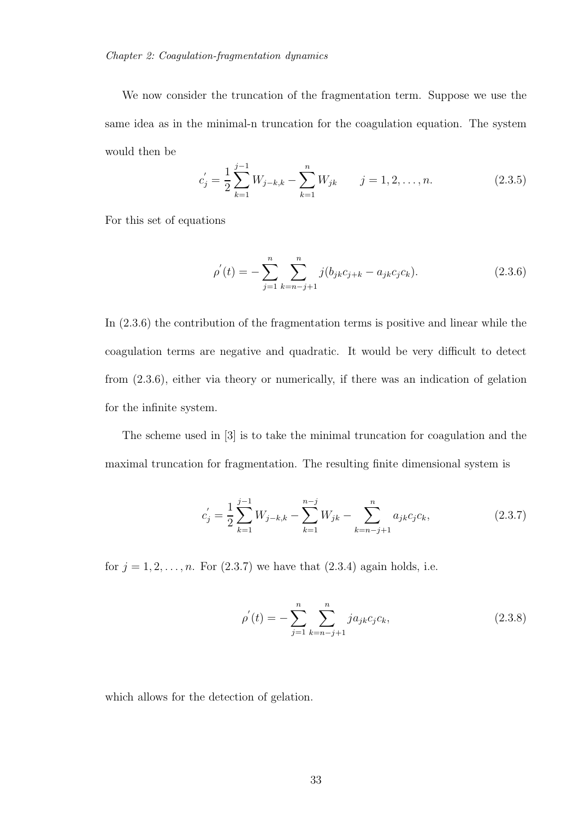We now consider the truncation of the fragmentation term. Suppose we use the same idea as in the minimal-n truncation for the coagulation equation. The system would then be

$$
c'_{j} = \frac{1}{2} \sum_{k=1}^{j-1} W_{j-k,k} - \sum_{k=1}^{n} W_{jk} \qquad j = 1, 2, \dots, n.
$$
 (2.3.5)

For this set of equations

$$
\rho^{'}(t) = -\sum_{j=1}^{n} \sum_{k=n-j+1}^{n} j(b_{jk}c_{j+k} - a_{jk}c_jc_k).
$$
\n(2.3.6)

In (2.3.6) the contribution of the fragmentation terms is positive and linear while the coagulation terms are negative and quadratic. It would be very difficult to detect from (2.3.6), either via theory or numerically, if there was an indication of gelation for the infinite system.

The scheme used in [3] is to take the minimal truncation for coagulation and the maximal truncation for fragmentation. The resulting finite dimensional system is

$$
c'_{j} = \frac{1}{2} \sum_{k=1}^{j-1} W_{j-k,k} - \sum_{k=1}^{n-j} W_{jk} - \sum_{k=n-j+1}^{n} a_{jk} c_j c_k, \qquad (2.3.7)
$$

for  $j = 1, 2, \ldots, n$ . For  $(2.3.7)$  we have that  $(2.3.4)$  again holds, i.e.

$$
\rho'(t) = -\sum_{j=1}^{n} \sum_{k=n-j+1}^{n} ja_{jk}c_jc_k,
$$
\n(2.3.8)

which allows for the detection of gelation.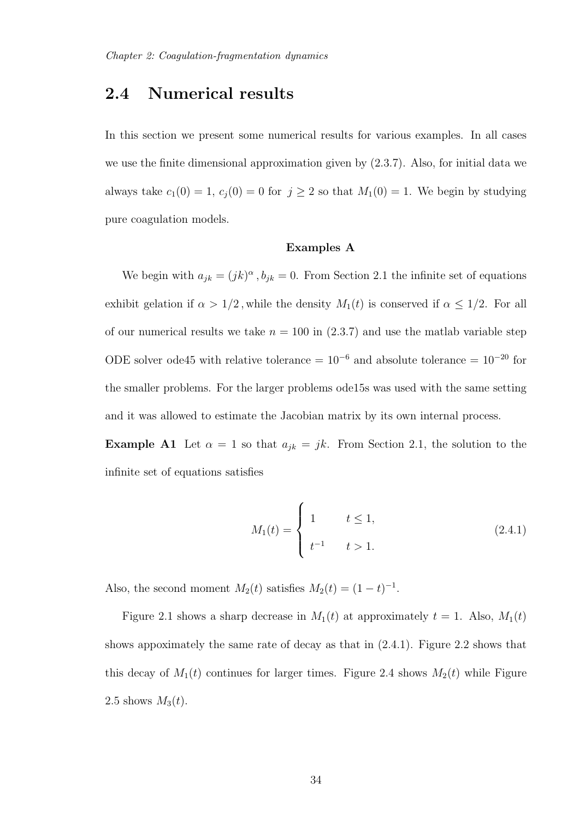## 2.4 Numerical results

In this section we present some numerical results for various examples. In all cases we use the finite dimensional approximation given by (2.3.7). Also, for initial data we always take  $c_1(0) = 1$ ,  $c_j(0) = 0$  for  $j \geq 2$  so that  $M_1(0) = 1$ . We begin by studying pure coagulation models.

### Examples A

We begin with  $a_{jk} = (jk)^{\alpha}$ ,  $b_{jk} = 0$ . From Section 2.1 the infinite set of equations exhibit gelation if  $\alpha > 1/2$ , while the density  $M_1(t)$  is conserved if  $\alpha \leq 1/2$ . For all of our numerical results we take  $n = 100$  in  $(2.3.7)$  and use the matlab variable step ODE solver ode45 with relative tolerance =  $10^{-6}$  and absolute tolerance =  $10^{-20}$  for the smaller problems. For the larger problems ode15s was used with the same setting and it was allowed to estimate the Jacobian matrix by its own internal process.

**Example A1** Let  $\alpha = 1$  so that  $a_{jk} = jk$ . From Section 2.1, the solution to the infinite set of equations satisfies

$$
M_1(t) = \begin{cases} 1 & t \le 1, \\ t^{-1} & t > 1. \end{cases}
$$
 (2.4.1)

Also, the second moment  $M_2(t)$  satisfies  $M_2(t) = (1 - t)^{-1}$ .

Figure 2.1 shows a sharp decrease in  $M_1(t)$  at approximately  $t = 1$ . Also,  $M_1(t)$ shows appoximately the same rate of decay as that in (2.4.1). Figure 2.2 shows that this decay of  $M_1(t)$  continues for larger times. Figure 2.4 shows  $M_2(t)$  while Figure 2.5 shows  $M_3(t)$ .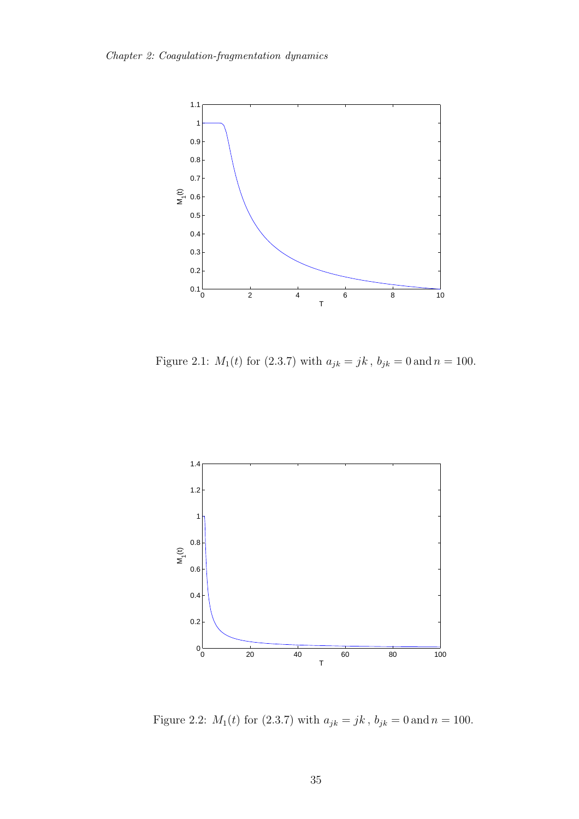

Figure 2.1:  $M_1(t)$  for (2.3.7) with  $a_{jk} = jk$ ,  $b_{jk} = 0$  and  $n = 100$ .



Figure 2.2:  $M_1(t)$  for (2.3.7) with  $a_{jk} = jk$  ,  $b_{jk} = 0\, \mathrm{and}\, n = 100.$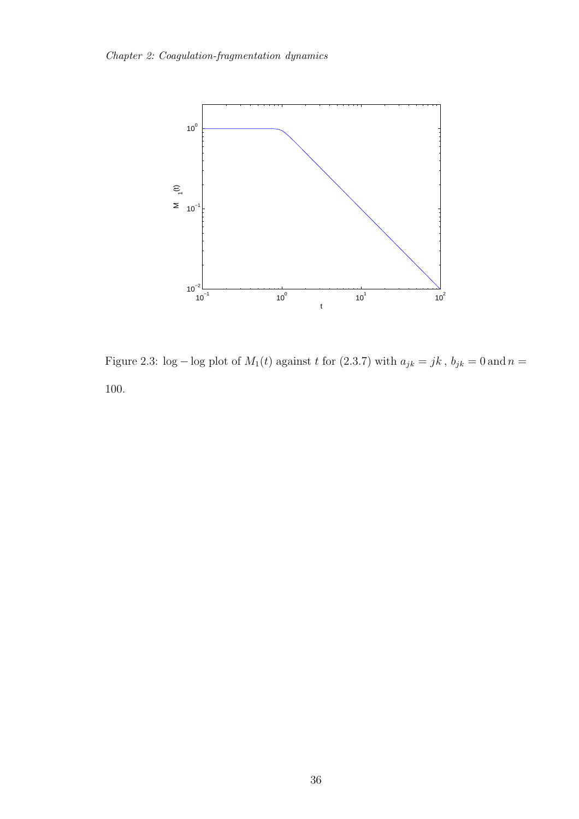

Figure 2.3: log – log plot of  $M_1(t)$  against t for (2.3.7) with  $a_{jk} = jk$ ,  $b_{jk} = 0$  and  $n =$ 100.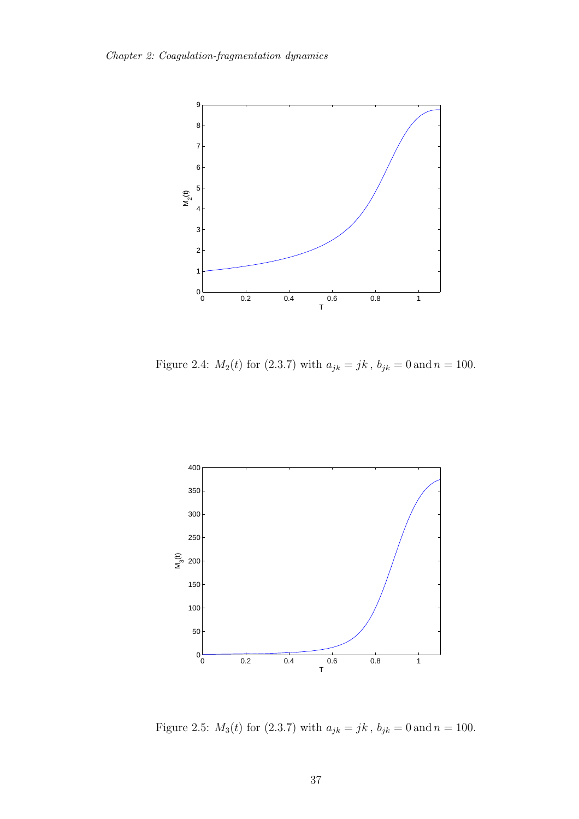

Figure 2.4:  $M_2(t)$  for (2.3.7) with  $a_{jk} = jk$ ,  $b_{jk} = 0$  and  $n = 100$ .



Figure 2.5:  $M_3(t)$  for (2.3.7) with  $a_{jk} = jk$  ,  $b_{jk} = 0$  and  $n = 100$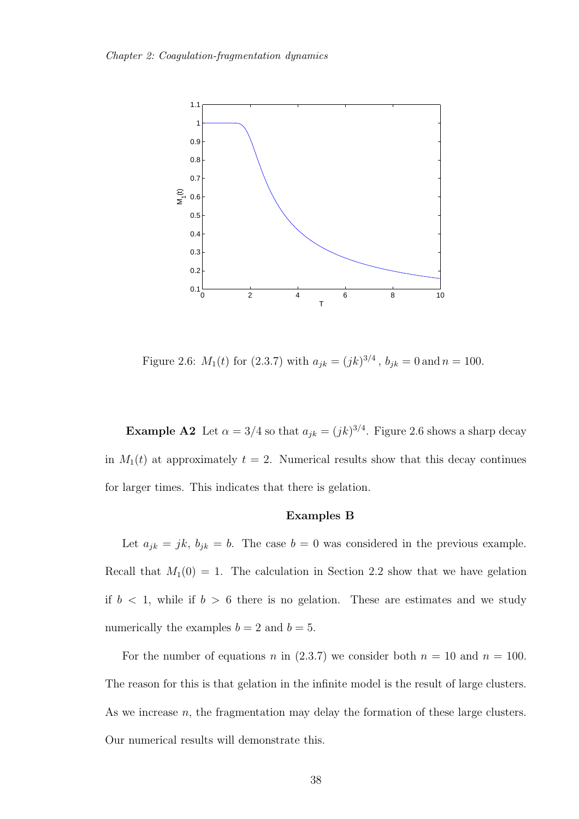

Figure 2.6:  $M_1(t)$  for (2.3.7) with  $a_{jk} = (jk)^{3/4}$ ,  $b_{jk} = 0$  and  $n = 100$ .

**Example A2** Let  $\alpha = 3/4$  so that  $a_{jk} = (jk)^{3/4}$ . Figure 2.6 shows a sharp decay in  $M_1(t)$  at approximately  $t = 2$ . Numerical results show that this decay continues for larger times. This indicates that there is gelation.

#### Examples B

Let  $a_{jk} = jk, b_{jk} = b$ . The case  $b = 0$  was considered in the previous example. Recall that  $M_1(0) = 1$ . The calculation in Section 2.2 show that we have gelation if  $b < 1$ , while if  $b > 6$  there is no gelation. These are estimates and we study numerically the examples  $b = 2$  and  $b = 5$ .

For the number of equations n in (2.3.7) we consider both  $n = 10$  and  $n = 100$ . The reason for this is that gelation in the infinite model is the result of large clusters. As we increase  $n$ , the fragmentation may delay the formation of these large clusters. Our numerical results will demonstrate this.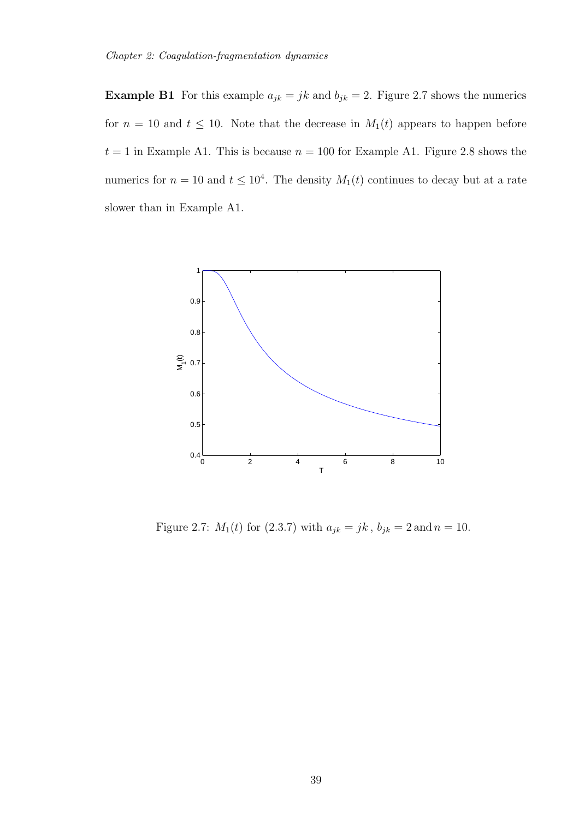**Example B1** For this example  $a_{jk} = jk$  and  $b_{jk} = 2$ . Figure 2.7 shows the numerics for  $n = 10$  and  $t \le 10$ . Note that the decrease in  $M_1(t)$  appears to happen before  $t = 1$  in Example A1. This is because  $n = 100$  for Example A1. Figure 2.8 shows the numerics for  $n = 10$  and  $t \leq 10^4$ . The density  $M_1(t)$  continues to decay but at a rate slower than in Example A1.



Figure 2.7:  $M_1(t)$  for (2.3.7) with  $a_{jk} = jk$ ,  $b_{jk} = 2$  and  $n = 10$ .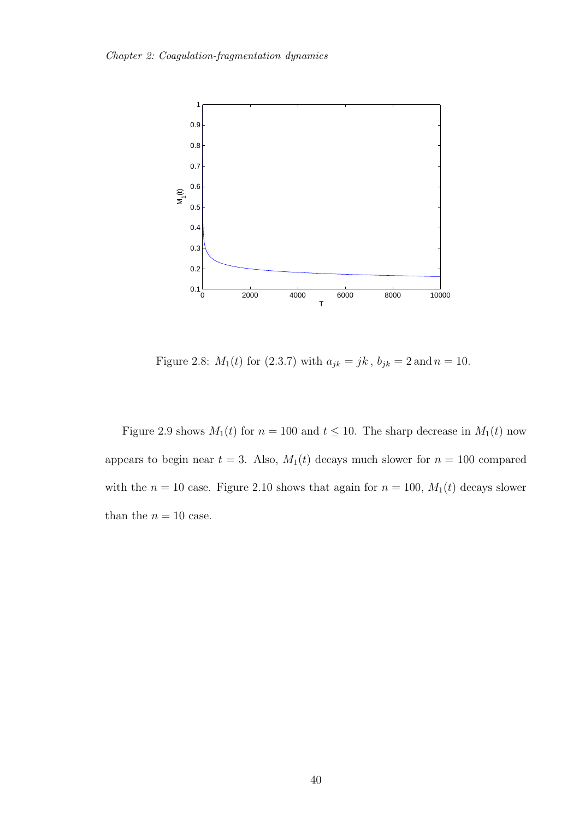

Figure 2.8:  $M_1(t)$  for (2.3.7) with  $a_{jk} = jk$ ,  $b_{jk} = 2$  and  $n = 10$ .

Figure 2.9 shows  $M_1(t)$  for  $n = 100$  and  $t \le 10$ . The sharp decrease in  $M_1(t)$  now appears to begin near  $t = 3$ . Also,  $M_1(t)$  decays much slower for  $n = 100$  compared with the  $n = 10$  case. Figure 2.10 shows that again for  $n = 100$ ,  $M_1(t)$  decays slower than the  $n = 10$  case.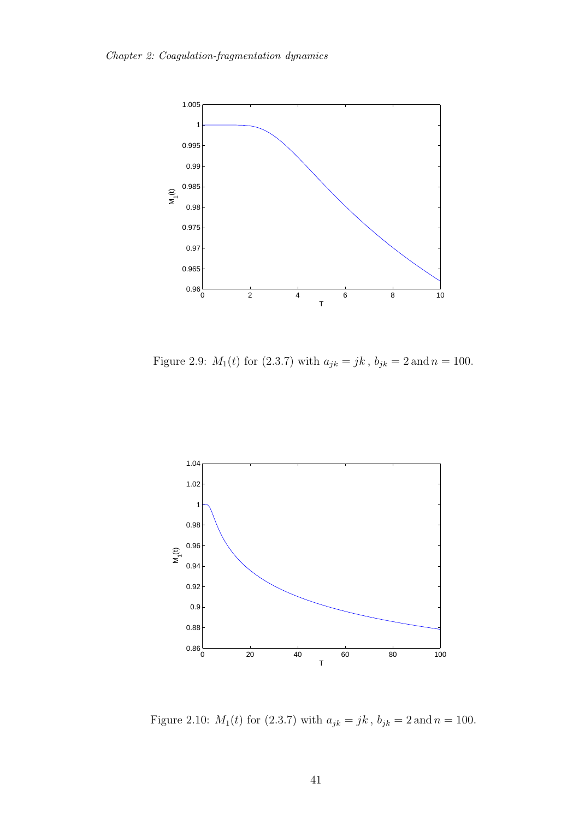

Figure 2.9:  $M_1(t)$  for (2.3.7) with  $a_{jk} = jk$ ,  $b_{jk} = 2$  and  $n = 100$ .



Figure 2.10:  $M_1(t)$  for (2.3.7) with  $a_{jk}=jk\,,\,b_{jk}=2\,\mathrm{and}\,n=100.$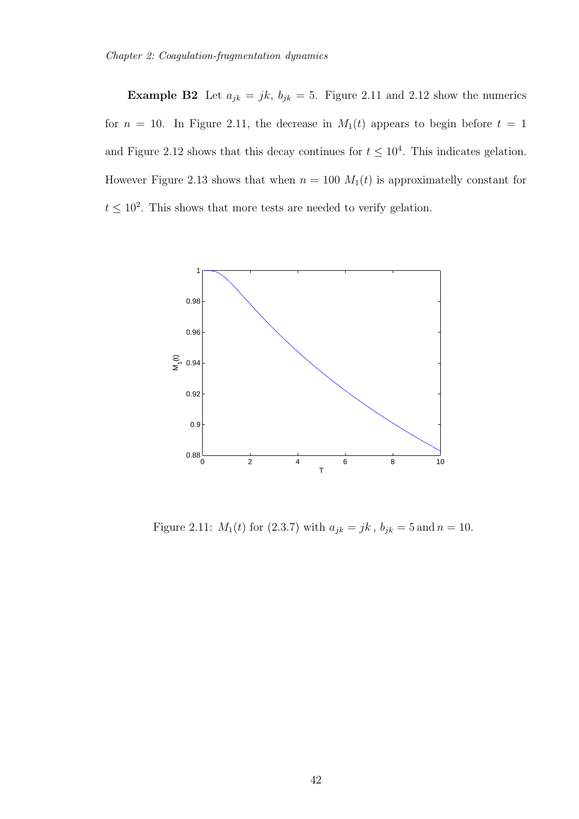**Example B2** Let  $a_{jk} = jk$ ,  $b_{jk} = 5$ . Figure 2.11 and 2.12 show the numerics for  $n = 10$ . In Figure 2.11, the decrease in  $M_1(t)$  appears to begin before  $t = 1$ and Figure 2.12 shows that this decay continues for  $t \leq 10^4$ . This indicates gelation. However Figure 2.13 shows that when  $n = 100$   $M_1(t)$  is approximatelly constant for  $t \leq 10^2$ . This shows that more tests are needed to verify gelation.



Figure 2.11:  $M_1(t)$  for (2.3.7) with  $a_{jk} = jk$ ,  $b_{jk} = 5$  and  $n = 10$ .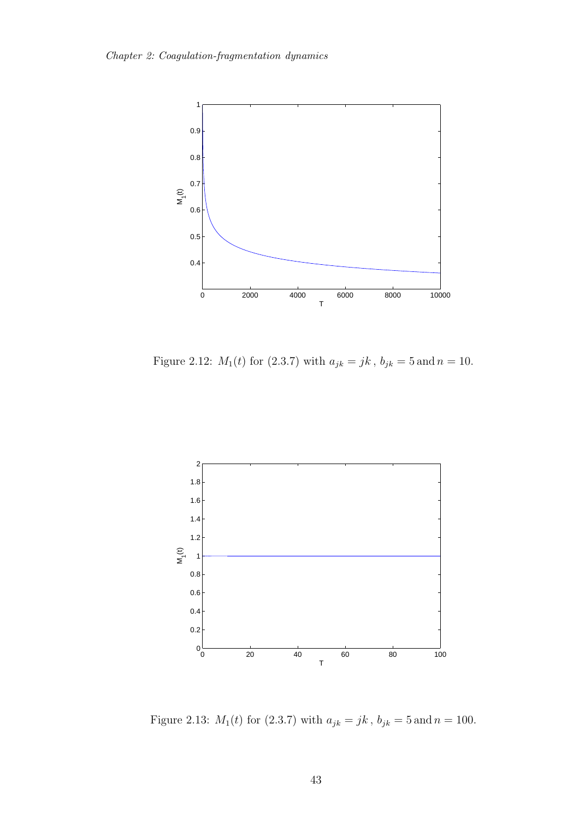

Figure 2.12:  $M_1(t)$  for (2.3.7) with  $a_{jk} = jk$ ,  $b_{jk} = 5$  and  $n = 10$ .



Figure 2.13:  $M_1(t)$  for (2.3.7) with  $a_{jk}=jk\,,\,b_{jk}=5\,\mathrm{and}\,n=100.$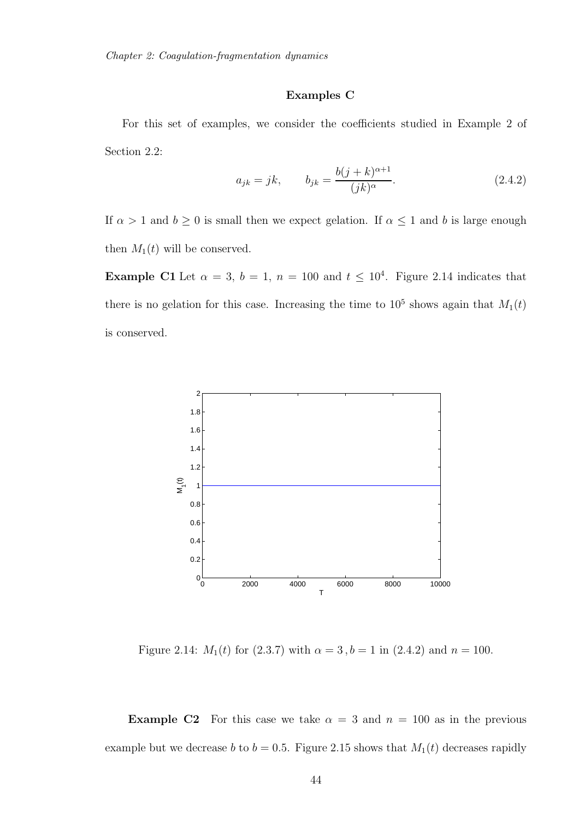### Examples C

For this set of examples, we consider the coefficients studied in Example 2 of Section 2.2:

$$
a_{jk} = jk, \t b_{jk} = \frac{b(j+k)^{\alpha+1}}{(jk)^{\alpha}}.
$$
\t(2.4.2)

If  $\alpha > 1$  and  $b \ge 0$  is small then we expect gelation. If  $\alpha \le 1$  and b is large enough then  $M_1(t)$  will be conserved.

**Example C1** Let  $\alpha = 3$ ,  $b = 1$ ,  $n = 100$  and  $t \leq 10^4$ . Figure 2.14 indicates that there is no gelation for this case. Increasing the time to  $10^5$  shows again that  $M_1(t)$ is conserved.



Figure 2.14:  $M_1(t)$  for (2.3.7) with  $\alpha = 3$ ,  $b = 1$  in (2.4.2) and  $n = 100$ .

**Example C2** For this case we take  $\alpha = 3$  and  $n = 100$  as in the previous example but we decrease b to  $b = 0.5$ . Figure 2.15 shows that  $M_1(t)$  decreases rapidly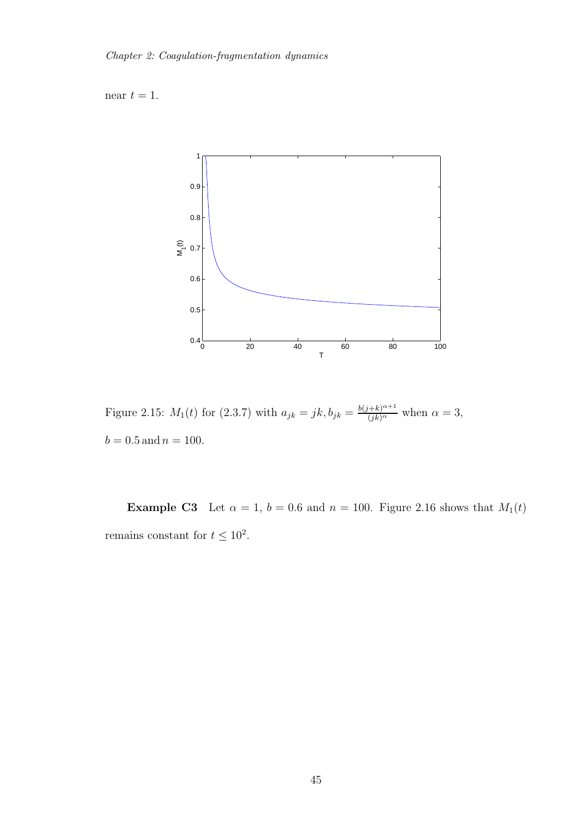near  $t = 1$ .



Figure 2.15:  $M_1(t)$  for (2.3.7) with  $a_{jk} = jk, b_{jk} = \frac{b(j+k)^{\alpha+1}}{(jk)^{\alpha}}$  when  $\alpha = 3$ ,  $b = 0.5$  and  $n = 100$ .

**Example C3** Let  $\alpha = 1$ ,  $b = 0.6$  and  $n = 100$ . Figure 2.16 shows that  $M_1(t)$ remains constant for  $t \leq 10^2$ .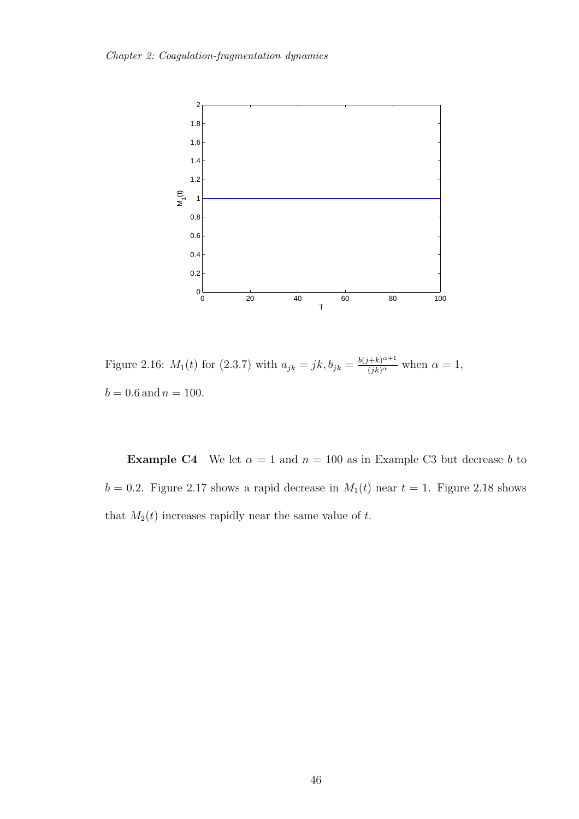

Figure 2.16:  $M_1(t)$  for (2.3.7) with  $a_{jk} = jk, b_{jk} = \frac{b(j+k)^{\alpha+1}}{(jk)^{\alpha}}$  when  $\alpha = 1$ ,  $b = 0.6$  and  $n = 100$ .

**Example C4** We let  $\alpha = 1$  and  $n = 100$  as in Example C3 but decrease b to  $b = 0.2$ . Figure 2.17 shows a rapid decrease in  $M_1(t)$  near  $t = 1$ . Figure 2.18 shows that  $M_2(t)$  increases rapidly near the same value of t.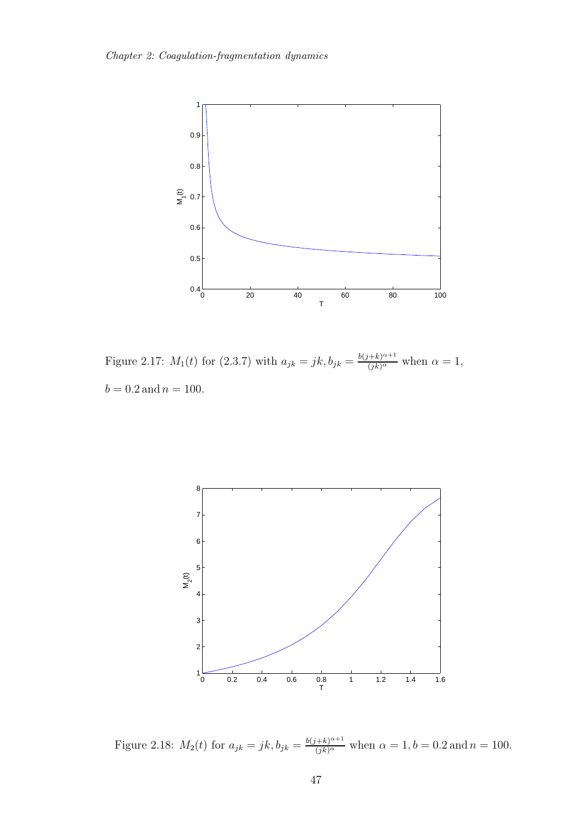

Figure 2.17:  $M_1(t)$  for (2.3.7) with  $a_{jk} = jk, b_{jk} = \frac{b(j+k)^{\alpha+1}}{(jk)^{\alpha}}$  when  $\alpha = 1$ ,  $b = 0.2$  and  $n = 100$ .



Figure 2.18:  $M_2(t)$  for  $a_{jk} = jk, b_{jk} = \frac{b(j+k)^{\alpha+1}}{(jk)^{\alpha}}$  when  $\alpha = 1, b = 0.2$  and  $n = 100$ .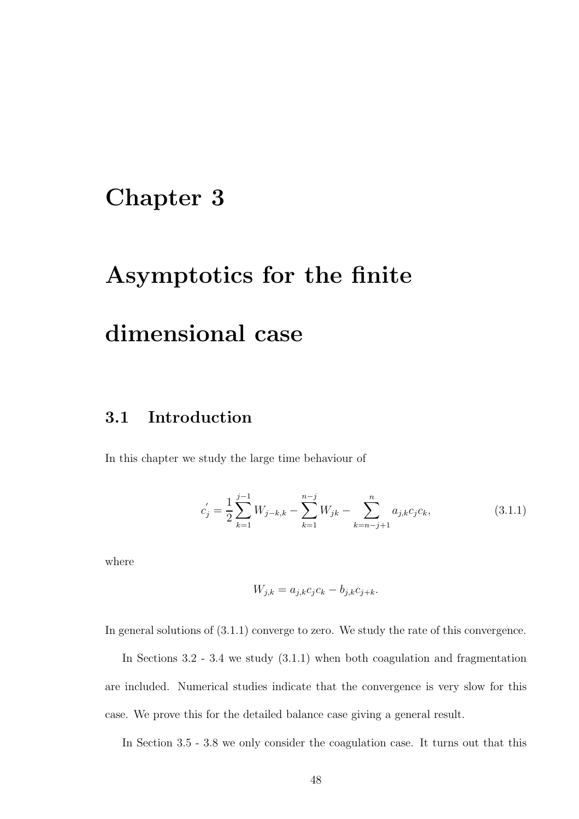## Chapter 3

# Asymptotics for the finite

# dimensional case

## 3.1 Introduction

In this chapter we study the large time behaviour of

$$
c'_{j} = \frac{1}{2} \sum_{k=1}^{j-1} W_{j-k,k} - \sum_{k=1}^{n-j} W_{jk} - \sum_{k=n-j+1}^{n} a_{j,k} c_j c_k,
$$
 (3.1.1)

where

$$
W_{j,k} = a_{j,k}c_jc_k - b_{j,k}c_{j+k}.
$$

In general solutions of (3.1.1) converge to zero. We study the rate of this convergence.

In Sections 3.2 - 3.4 we study (3.1.1) when both coagulation and fragmentation are included. Numerical studies indicate that the convergence is very slow for this case. We prove this for the detailed balance case giving a general result.

In Section 3.5 - 3.8 we only consider the coagulation case. It turns out that this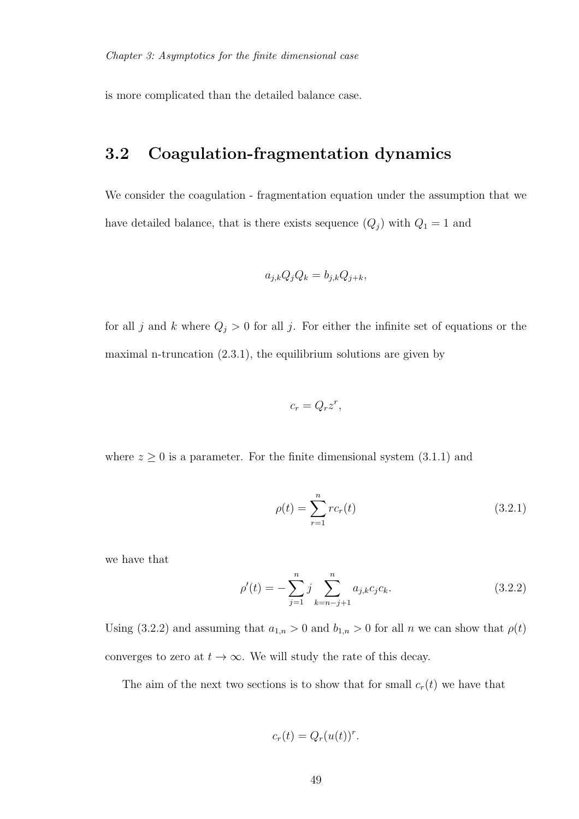is more complicated than the detailed balance case.

## 3.2 Coagulation-fragmentation dynamics

We consider the coagulation - fragmentation equation under the assumption that we have detailed balance, that is there exists sequence  $(Q_j)$  with  $Q_1 = 1$  and

$$
a_{j,k}Q_jQ_k = b_{j,k}Q_{j+k},
$$

for all j and k where  $Q_j > 0$  for all j. For either the infinite set of equations or the maximal n-truncation  $(2.3.1)$ , the equilibrium solutions are given by

$$
c_r = Q_r z^r,
$$

where  $z \geq 0$  is a parameter. For the finite dimensional system  $(3.1.1)$  and

$$
\rho(t) = \sum_{r=1}^{n} rc_r(t)
$$
\n(3.2.1)

we have that

$$
\rho'(t) = -\sum_{j=1}^{n} j \sum_{k=n-j+1}^{n} a_{j,k} c_j c_k.
$$
\n(3.2.2)

Using (3.2.2) and assuming that  $a_{1,n} > 0$  and  $b_{1,n} > 0$  for all n we can show that  $\rho(t)$ converges to zero at  $t \to \infty$ . We will study the rate of this decay.

The aim of the next two sections is to show that for small  $c_r(t)$  we have that

$$
c_r(t) = Q_r(u(t))^r.
$$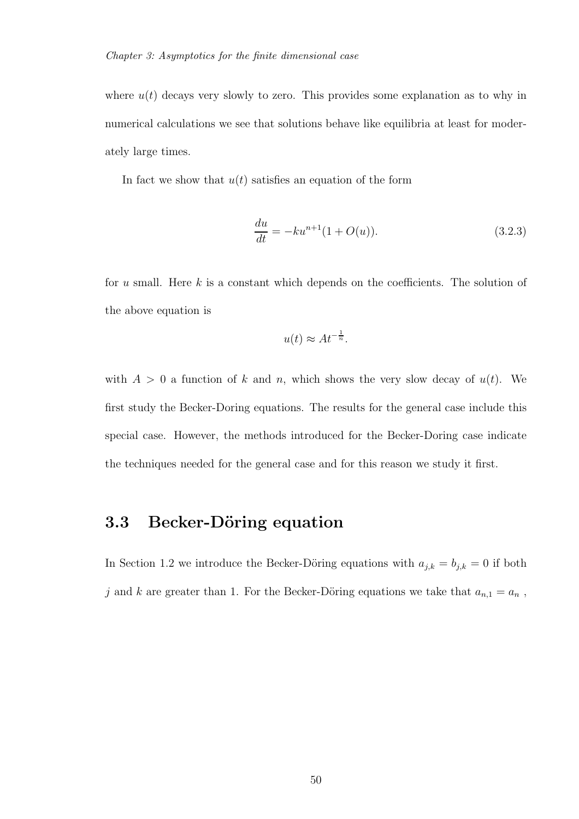where  $u(t)$  decays very slowly to zero. This provides some explanation as to why in numerical calculations we see that solutions behave like equilibria at least for moderately large times.

In fact we show that  $u(t)$  satisfies an equation of the form

$$
\frac{du}{dt} = -ku^{n+1}(1 + O(u)).
$$
\n(3.2.3)

for  $u$  small. Here  $k$  is a constant which depends on the coefficients. The solution of the above equation is

$$
u(t) \approx At^{-\frac{1}{n}}.
$$

with  $A > 0$  a function of k and n, which shows the very slow decay of  $u(t)$ . We first study the Becker-Doring equations. The results for the general case include this special case. However, the methods introduced for the Becker-Doring case indicate the techniques needed for the general case and for this reason we study it first.

## 3.3 Becker-Döring equation

In Section 1.2 we introduce the Becker-Döring equations with  $a_{j,k} = b_{j,k} = 0$  if both  $j$  and  $k$  are greater than 1. For the Becker-Döring equations we take that  $a_{n,1} = a_n$  ,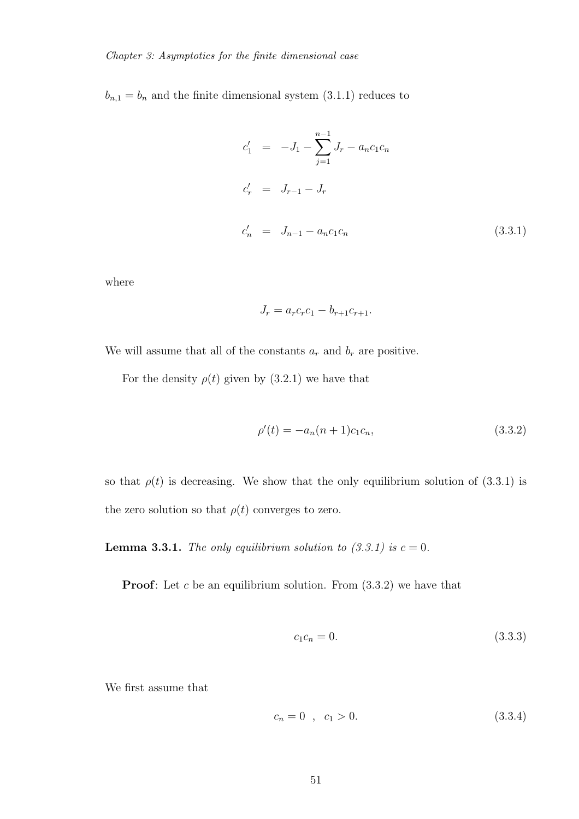$b_{n,1} = b_n$  and the finite dimensional system (3.1.1) reduces to

$$
c'_{1} = -J_{1} - \sum_{j=1}^{n-1} J_{r} - a_{n}c_{1}c_{n}
$$
  
\n
$$
c'_{r} = J_{r-1} - J_{r}
$$
  
\n
$$
c'_{n} = J_{n-1} - a_{n}c_{1}c_{n}
$$
\n(3.3.1)

where

$$
J_r = a_r c_r c_1 - b_{r+1} c_{r+1}.
$$

We will assume that all of the constants  $a_r$  and  $b_r$  are positive.

For the density  $\rho(t)$  given by (3.2.1) we have that

$$
\rho'(t) = -a_n(n+1)c_1c_n,\tag{3.3.2}
$$

so that  $\rho(t)$  is decreasing. We show that the only equilibrium solution of (3.3.1) is the zero solution so that  $\rho(t)$  converges to zero.

**Lemma 3.3.1.** *The only equilibrium solution to*  $(3.3.1)$  *is*  $c = 0$ *.* 

**Proof:** Let c be an equilibrium solution. From  $(3.3.2)$  we have that

$$
c_1 c_n = 0. \t\t(3.3.3)
$$

We first assume that

$$
c_n = 0 \quad , \quad c_1 > 0. \tag{3.3.4}
$$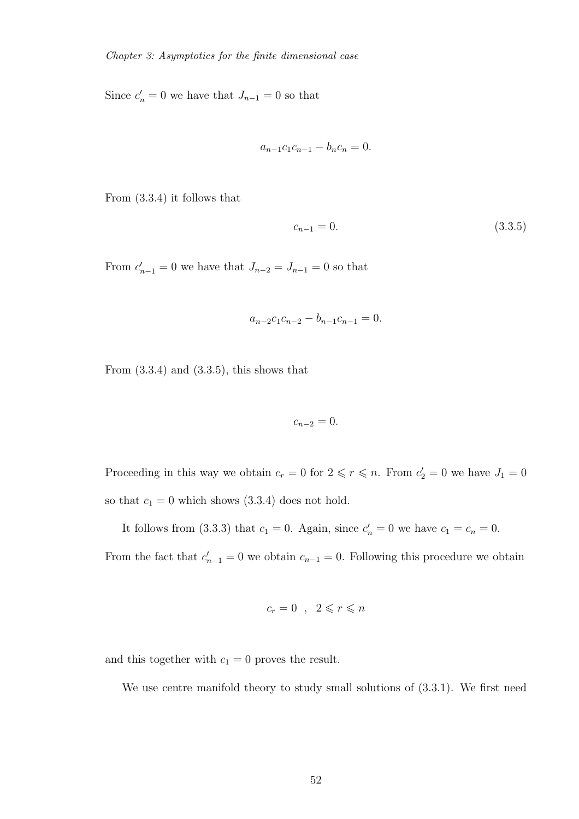Since  $c'_n = 0$  we have that  $J_{n-1} = 0$  so that

$$
a_{n-1}c_1c_{n-1} - b_nc_n = 0.
$$

From (3.3.4) it follows that

$$
c_{n-1} = 0.\t\t(3.3.5)
$$

From  $c'_{n-1} = 0$  we have that  $J_{n-2} = J_{n-1} = 0$  so that

$$
a_{n-2}c_1c_{n-2} - b_{n-1}c_{n-1} = 0.
$$

From  $(3.3.4)$  and  $(3.3.5)$ , this shows that

$$
c_{n-2}=0.
$$

Proceeding in this way we obtain  $c_r = 0$  for  $2 \leq r \leq n$ . From  $c'_2 = 0$  we have  $J_1 = 0$ so that  $c_1 = 0$  which shows  $(3.3.4)$  does not hold.

It follows from (3.3.3) that  $c_1 = 0$ . Again, since  $c'_n = 0$  we have  $c_1 = c_n = 0$ .

From the fact that  $c'_{n-1} = 0$  we obtain  $c_{n-1} = 0$ . Following this procedure we obtain

$$
c_r = 0 \quad , \quad 2 \leqslant r \leqslant n
$$

and this together with  $c_1 = 0$  proves the result.

We use centre manifold theory to study small solutions of  $(3.3.1)$ . We first need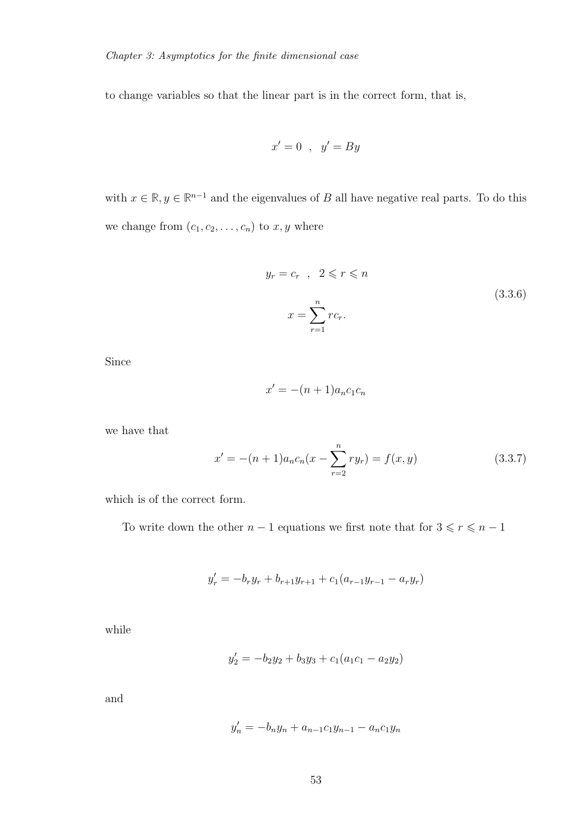to change variables so that the linear part is in the correct form, that is,

$$
x'=0 \;\;,\;\; y'=By
$$

with  $x \in \mathbb{R}, y \in \mathbb{R}^{n-1}$  and the eigenvalues of B all have negative real parts. To do this we change from  $(c_1, c_2, \ldots, c_n)$  to  $x, y$  where

$$
y_r = c_r , 2 \leq r \leq n
$$
  

$$
x = \sum_{r=1}^n r c_r.
$$
 (3.3.6)

Since

$$
x' = -(n+1)a_n c_1 c_n
$$

we have that

$$
x' = -(n+1)a_n c_n (x - \sum_{r=2}^{n} ry_r) = f(x, y)
$$
\n(3.3.7)

which is of the correct form.

To write down the other  $n-1$  equations we first note that for  $3\leqslant r\leqslant n-1$ 

$$
y'_{r} = -b_{r}y_{r} + b_{r+1}y_{r+1} + c_{1}(a_{r-1}y_{r-1} - a_{r}y_{r})
$$

while

$$
y_2' = -b_2y_2 + b_3y_3 + c_1(a_1c_1 - a_2y_2)
$$

and

$$
y'_n = -b_n y_n + a_{n-1} c_1 y_{n-1} - a_n c_1 y_n
$$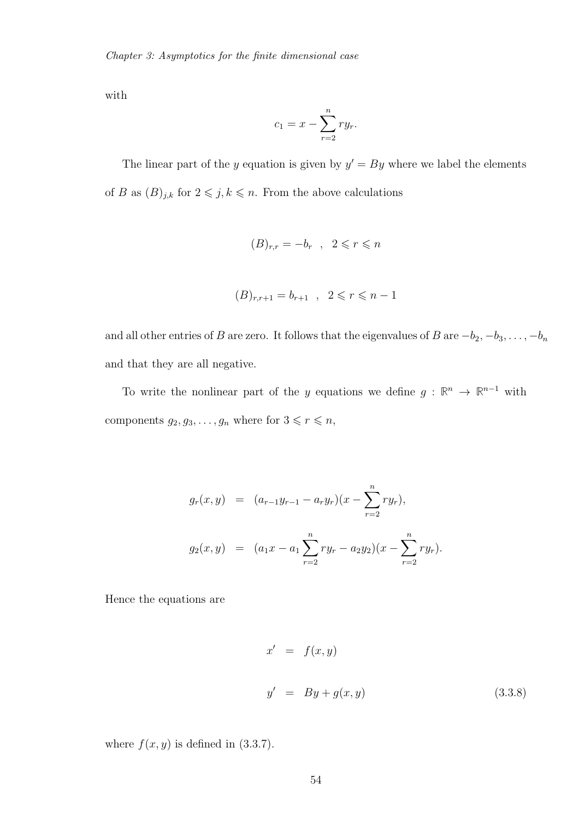with

$$
c_1 = x - \sum_{r=2}^{n} ry_r.
$$

The linear part of the y equation is given by  $y' = By$  where we label the elements of B as  $(B)_{j,k}$  for  $2 \leq j, k \leq n$ . From the above calculations

$$
(B)_{r,r} = -b_r \quad , \quad 2 \leq r \leq n
$$

$$
(B)_{r,r+1} = b_{r+1} \quad , \quad 2 \leq r \leq n-1
$$

and all other entries of B are zero. It follows that the eigenvalues of B are  $-b_2, -b_3, \ldots, -b_n$ and that they are all negative.

To write the nonlinear part of the y equations we define  $g : \mathbb{R}^n \to \mathbb{R}^{n-1}$  with components  $g_2, g_3, \ldots, g_n$  where for  $3 \leq r \leq n$ ,

$$
g_r(x, y) = (a_{r-1}y_{r-1} - a_ry_r)(x - \sum_{r=2}^n ry_r),
$$
  

$$
g_2(x, y) = (a_1x - a_1\sum_{r=2}^n ry_r - a_2y_2)(x - \sum_{r=2}^n ry_r).
$$

Hence the equations are

$$
x' = f(x, y)
$$
  

$$
y' = By + g(x, y)
$$
 (3.3.8)

where  $f(x, y)$  is defined in (3.3.7).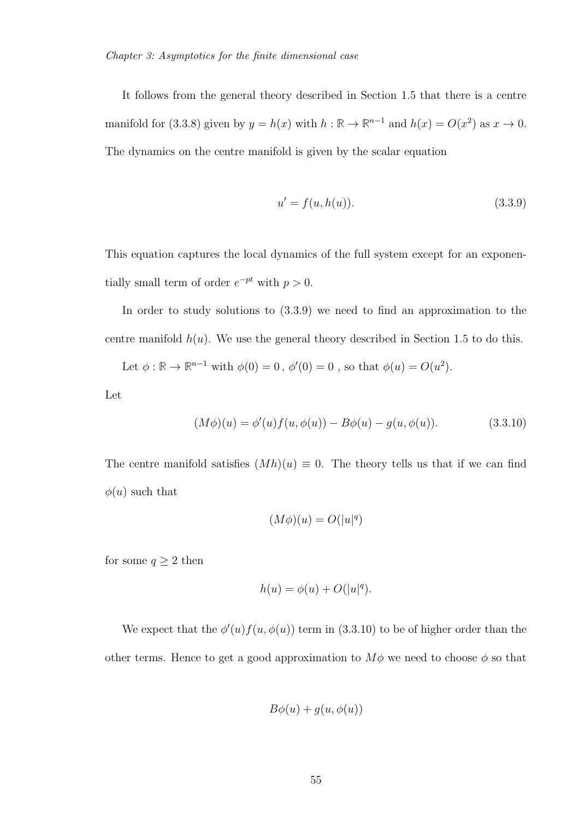It follows from the general theory described in Section 1.5 that there is a centre manifold for (3.3.8) given by  $y = h(x)$  with  $h : \mathbb{R} \to \mathbb{R}^{n-1}$  and  $h(x) = O(x^2)$  as  $x \to 0$ . The dynamics on the centre manifold is given by the scalar equation

$$
u' = f(u, h(u)).
$$
\n(3.3.9)

This equation captures the local dynamics of the full system except for an exponentially small term of order  $e^{-pt}$  with  $p > 0$ .

In order to study solutions to (3.3.9) we need to find an approximation to the centre manifold  $h(u)$ . We use the general theory described in Section 1.5 to do this.

Let  $\phi : \mathbb{R} \to \mathbb{R}^{n-1}$  with  $\phi(0) = 0$ ,  $\phi'(0) = 0$ , so that  $\phi(u) = O(u^2)$ . Let

$$
(M\phi)(u) = \phi'(u)f(u, \phi(u)) - B\phi(u) - g(u, \phi(u)).
$$
\n(3.3.10)

The centre manifold satisfies  $(Mh)(u) \equiv 0$ . The theory tells us that if we can find  $\phi(u)$  such that

$$
(M\phi)(u)=O(|u|^q)
$$

for some  $q\geq 2$  then

$$
h(u) = \phi(u) + O(|u|^q).
$$

We expect that the  $\phi'(u) f(u, \phi(u))$  term in (3.3.10) to be of higher order than the other terms. Hence to get a good approximation to  $M\phi$  we need to choose  $\phi$  so that

$$
B\phi(u) + g(u, \phi(u))
$$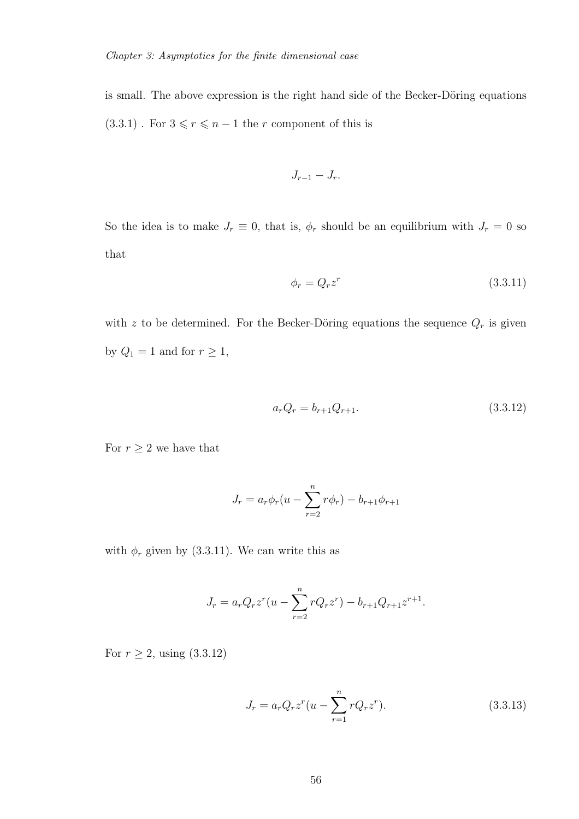is small. The above expression is the right hand side of the Becker-Döring equations  $(3.3.1)$  . For  $3\leqslant r\leqslant n-1$  the  $r$  component of this is

$$
J_{r-1}-J_r.
$$

So the idea is to make  $J_r \equiv 0$ , that is,  $\phi_r$  should be an equilibrium with  $J_r = 0$  so that

$$
\phi_r = Q_r z^r \tag{3.3.11}
$$

with z to be determined. For the Becker-Döring equations the sequence  $Q_r$  is given by  $Q_1 = 1$  and for  $r \ge 1$ ,

$$
a_r Q_r = b_{r+1} Q_{r+1}.
$$
\n(3.3.12)

For  $r\geq 2$  we have that

$$
J_r = a_r \phi_r (u - \sum_{r=2}^n r \phi_r) - b_{r+1} \phi_{r+1}
$$

with  $\phi_r$  given by (3.3.11). We can write this as

$$
J_r = a_r Q_r z^r (u - \sum_{r=2}^n r Q_r z^r) - b_{r+1} Q_{r+1} z^{r+1}.
$$

For  $r \ge 2$ , using  $(3.3.12)$ 

$$
J_r = a_r Q_r z^r (u - \sum_{r=1}^n r Q_r z^r).
$$
 (3.3.13)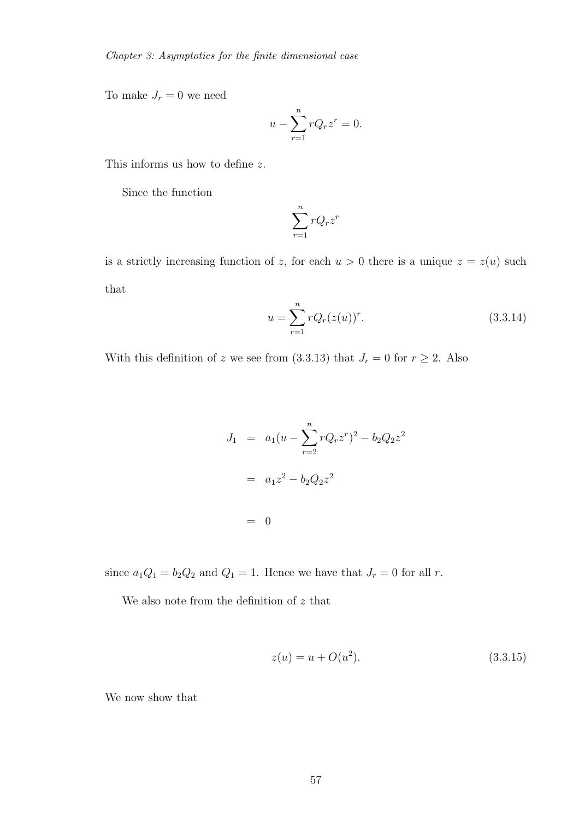To make  $J_r = 0$  we need

$$
u - \sum_{r=1}^{n} rQ_r z^r = 0.
$$

This informs us how to define z.

Since the function

$$
\sum_{r=1}^{n} rQ_r z^r
$$

is a strictly increasing function of z, for each  $u > 0$  there is a unique  $z = z(u)$  such that

$$
u = \sum_{r=1}^{n} r Q_r (z(u))^r.
$$
 (3.3.14)

With this definition of z we see from (3.3.13) that  $J_r = 0$  for  $r \ge 2$ . Also

$$
J_1 = a_1(u - \sum_{r=2}^{n} rQ_r z^r)^2 - b_2 Q_2 z^2
$$
  
=  $a_1 z^2 - b_2 Q_2 z^2$   
= 0

since  $a_1Q_1 = b_2Q_2$  and  $Q_1 = 1$ . Hence we have that  $J_r = 0$  for all r.

We also note from the definition of  $z$  that

$$
z(u) = u + O(u^2). \tag{3.3.15}
$$

We now show that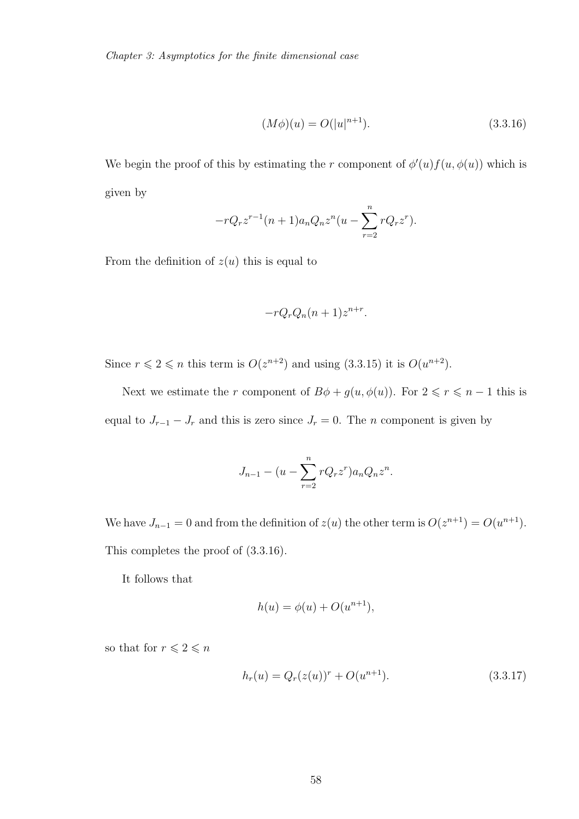$$
(M\phi)(u) = O(|u|^{n+1}).
$$
\n(3.3.16)

We begin the proof of this by estimating the r component of  $\phi'(u) f(u, \phi(u))$  which is given by

$$
-rQ_r z^{r-1}(n+1)a_n Q_n z^n (u - \sum_{r=2}^n rQ_r z^r).
$$

From the definition of  $z(u)$  this is equal to

$$
-rQ_rQ_n(n+1)z^{n+r}.
$$

Since  $r \leqslant 2 \leqslant n$  this term is  $O(z^{n+2})$  and using  $(3.3.15)$  it is  $O(u^{n+2})$ .

Next we estimate the r component of  $B\phi + g(u, \phi(u))$ . For  $2 \le r \le n - 1$  this is equal to  $J_{r-1} - J_r$  and this is zero since  $J_r = 0$ . The *n* component is given by

$$
J_{n-1} - (u - \sum_{r=2}^{n} rQ_r z^r) a_n Q_n z^n.
$$

We have  $J_{n-1} = 0$  and from the definition of  $z(u)$  the other term is  $O(z^{n+1}) = O(u^{n+1})$ . This completes the proof of (3.3.16).

It follows that

$$
h(u) = \phi(u) + O(u^{n+1}),
$$

so that for  $r\leqslant 2\leqslant n$ 

$$
h_r(u) = Q_r(z(u))^r + O(u^{n+1}).
$$
\n(3.3.17)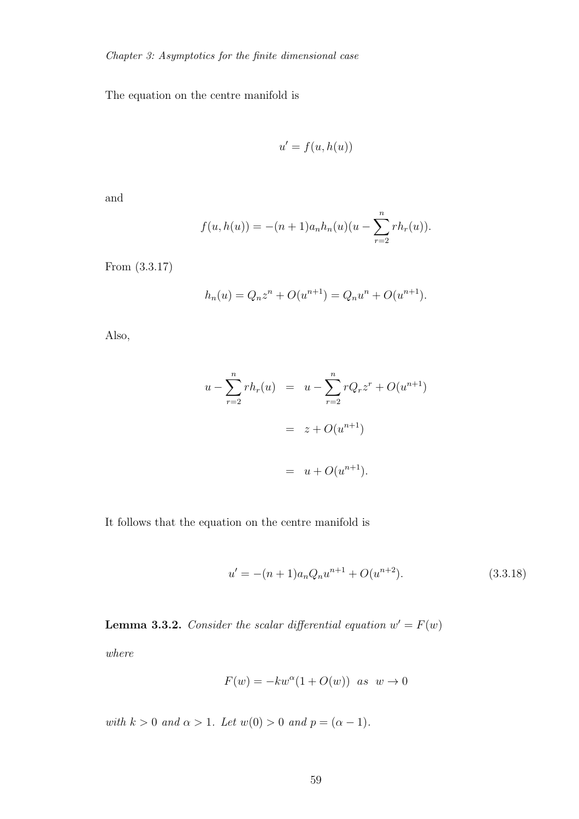The equation on the centre manifold is

$$
u' = f(u, h(u))
$$

and

$$
f(u, h(u)) = -(n+1)a_n h_n(u)(u - \sum_{r=2}^n rh_r(u)).
$$

From (3.3.17)

$$
h_n(u) = Q_n z^n + O(u^{n+1}) = Q_n u^n + O(u^{n+1}).
$$

Also,

$$
u - \sum_{r=2}^{n} rh_r(u) = u - \sum_{r=2}^{n} rQ_r z^r + O(u^{n+1})
$$
  
=  $z + O(u^{n+1})$   
=  $u + O(u^{n+1}).$ 

It follows that the equation on the centre manifold is

$$
u' = -(n+1)a_n Q_n u^{n+1} + O(u^{n+2}).
$$
\n(3.3.18)

**Lemma 3.3.2.** *Consider the scalar differential equation*  $w' = F(w)$ 

*where*

$$
F(w) = -kw^{\alpha}(1 + O(w)) \text{ as } w \to 0
$$

*with*  $k > 0$  *and*  $\alpha > 1$ *. Let*  $w(0) > 0$  *and*  $p = (\alpha - 1)$ *.*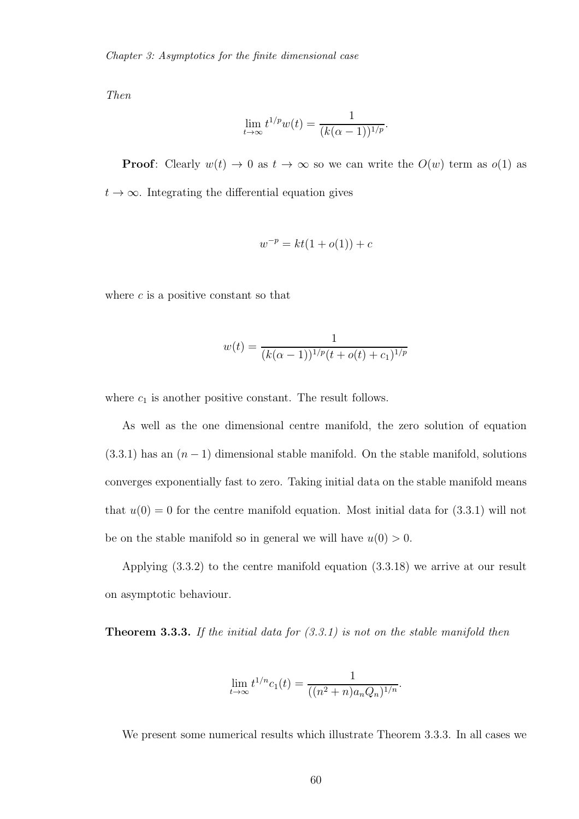*Then*

$$
\lim_{t \to \infty} t^{1/p} w(t) = \frac{1}{(k(\alpha - 1))^{1/p}}.
$$

**Proof:** Clearly  $w(t) \to 0$  as  $t \to \infty$  so we can write the  $O(w)$  term as  $o(1)$  as  $t \to \infty$ . Integrating the differential equation gives

$$
w^{-p} = kt(1 + o(1)) + c
$$

where  $c$  is a positive constant so that

$$
w(t) = \frac{1}{(k(\alpha-1))^{1/p}(t + o(t) + c_1)^{1/p}}
$$

where  $c_1$  is another positive constant. The result follows.

As well as the one dimensional centre manifold, the zero solution of equation  $(3.3.1)$  has an  $(n-1)$  dimensional stable manifold. On the stable manifold, solutions converges exponentially fast to zero. Taking initial data on the stable manifold means that  $u(0) = 0$  for the centre manifold equation. Most initial data for  $(3.3.1)$  will not be on the stable manifold so in general we will have  $u(0) > 0$ .

Applying (3.3.2) to the centre manifold equation (3.3.18) we arrive at our result on asymptotic behaviour.

Theorem 3.3.3. *If the initial data for (3.3.1) is not on the stable manifold then*

$$
\lim_{t \to \infty} t^{1/n} c_1(t) = \frac{1}{((n^2 + n)a_n Q_n)^{1/n}}.
$$

We present some numerical results which illustrate Theorem 3.3.3. In all cases we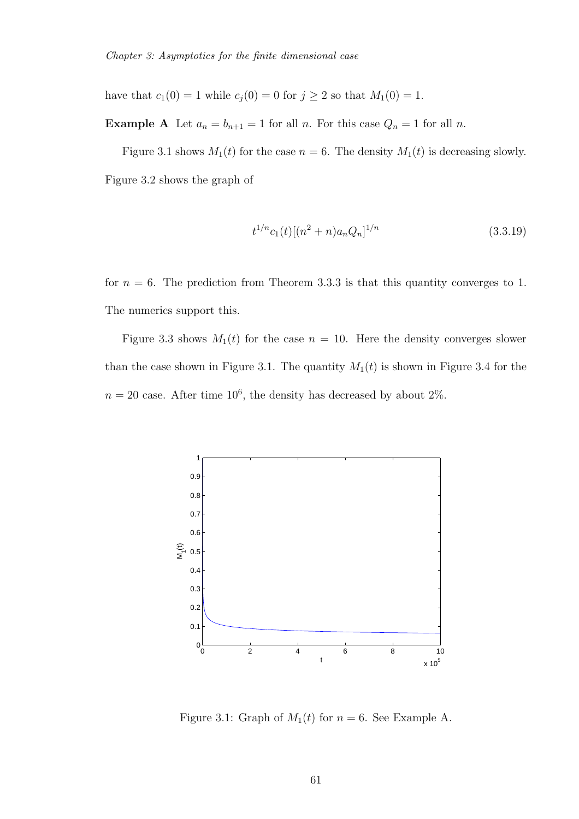have that  $c_1(0) = 1$  while  $c_j(0) = 0$  for  $j \ge 2$  so that  $M_1(0) = 1$ .

**Example A** Let  $a_n = b_{n+1} = 1$  for all n. For this case  $Q_n = 1$  for all n.

Figure 3.1 shows  $M_1(t)$  for the case  $n = 6$ . The density  $M_1(t)$  is decreasing slowly. Figure 3.2 shows the graph of

$$
t^{1/n}c_1(t)[(n^2+n)a_nQ_n]^{1/n} \tag{3.3.19}
$$

for  $n = 6$ . The prediction from Theorem 3.3.3 is that this quantity converges to 1. The numerics support this.

Figure 3.3 shows  $M_1(t)$  for the case  $n = 10$ . Here the density converges slower than the case shown in Figure 3.1. The quantity  $M_1(t)$  is shown in Figure 3.4 for the  $n = 20$  case. After time 10<sup>6</sup>, the density has decreased by about 2%.



Figure 3.1: Graph of  $M_1(t)$  for  $n = 6$ . See Example A.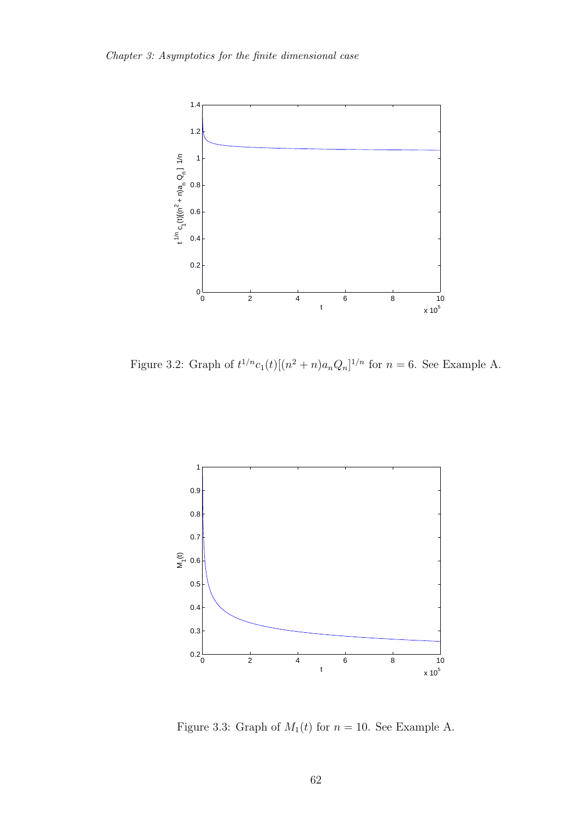

Figure 3.2: Graph of  $t^{1/n}c_1(t)[(n^2+n)a_nQ_n]^{1/n}$  for  $n=6$ . See Example A.



Figure 3.3: Graph of  $M_1(t)$  for  $n = 10$ . See Example A.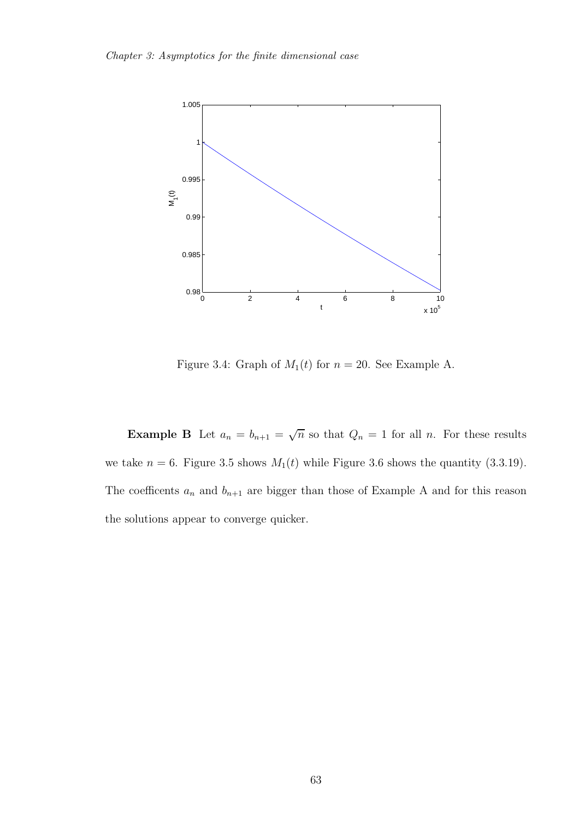

Figure 3.4: Graph of  $M_1(t)$  for  $n = 20$ . See Example A.

**Example B** Let  $a_n = b_{n+1} = \sqrt{n}$  so that  $Q_n = 1$  for all n. For these results we take  $n = 6$ . Figure 3.5 shows  $M_1(t)$  while Figure 3.6 shows the quantity (3.3.19). The coefficents  $a_n$  and  $b_{n+1}$  are bigger than those of Example A and for this reason the solutions appear to converge quicker.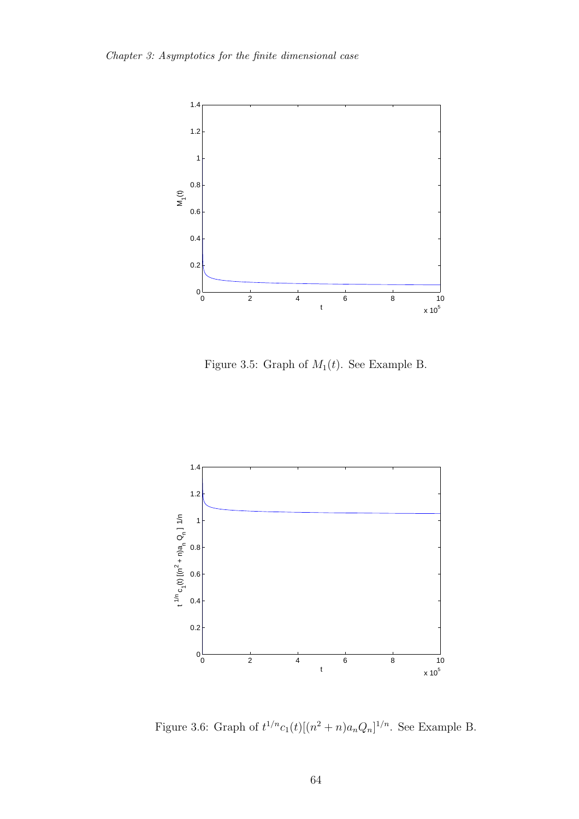

Figure 3.5: Graph of  $M_1(t)$ . See Example B.



Figure 3.6: Graph of  $t^{1/n}c_1(t)[(n^2+n)a_nQ_n]^{1/n}$ . See Example B.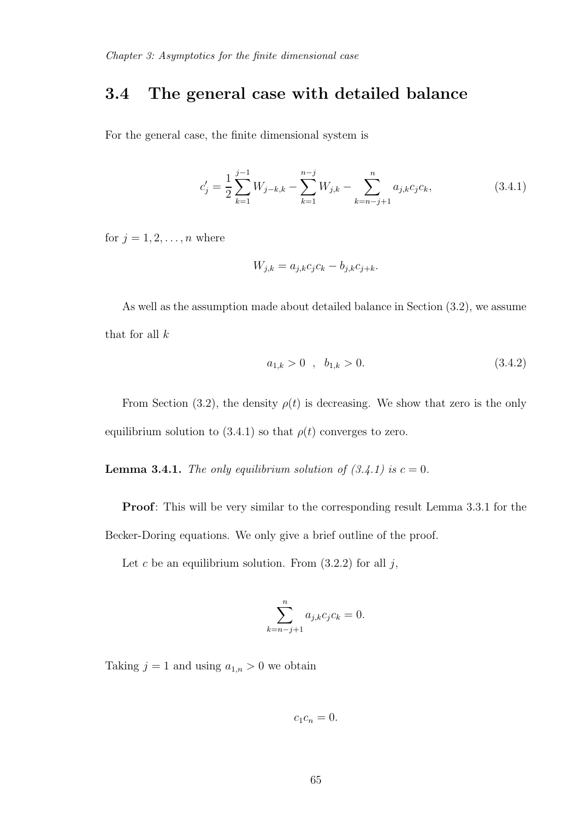### 3.4 The general case with detailed balance

For the general case, the finite dimensional system is

$$
c'_{j} = \frac{1}{2} \sum_{k=1}^{j-1} W_{j-k,k} - \sum_{k=1}^{n-j} W_{j,k} - \sum_{k=n-j+1}^{n} a_{j,k} c_j c_k,
$$
 (3.4.1)

for  $j = 1, 2, \ldots, n$  where

$$
W_{j,k} = a_{j,k}c_jc_k - b_{j,k}c_{j+k}.
$$

As well as the assumption made about detailed balance in Section (3.2), we assume that for all  $k$ 

$$
a_{1,k} > 0 \t, b_{1,k} > 0. \t\t(3.4.2)
$$

From Section (3.2), the density  $\rho(t)$  is decreasing. We show that zero is the only equilibrium solution to (3.4.1) so that  $\rho(t)$  converges to zero.

**Lemma 3.4.1.** *The only equilibrium solution of*  $(3.4.1)$  *is*  $c = 0$ *.* 

Proof: This will be very similar to the corresponding result Lemma 3.3.1 for the Becker-Doring equations. We only give a brief outline of the proof.

Let c be an equilibrium solution. From  $(3.2.2)$  for all j,

$$
\sum_{k=n-j+1}^{n} a_{j,k} c_j c_k = 0.
$$

Taking  $j = 1$  and using  $a_{1,n} > 0$  we obtain

$$
c_1c_n=0.
$$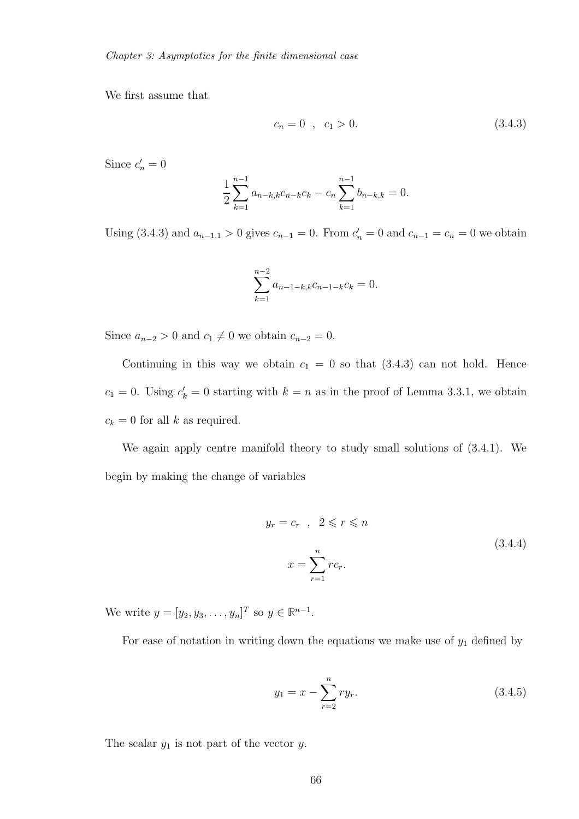We first assume that

$$
c_n = 0 \quad , \quad c_1 > 0. \tag{3.4.3}
$$

Since  $c'_n = 0$ 

$$
\frac{1}{2} \sum_{k=1}^{n-1} a_{n-k,k} c_{n-k} c_k - c_n \sum_{k=1}^{n-1} b_{n-k,k} = 0.
$$

Using (3.4.3) and  $a_{n-1,1} > 0$  gives  $c_{n-1} = 0$ . From  $c'_n = 0$  and  $c_{n-1} = c_n = 0$  we obtain

$$
\sum_{k=1}^{n-2} a_{n-1-k,k} c_{n-1-k} c_k = 0.
$$

Since  $a_{n-2} > 0$  and  $c_1 \neq 0$  we obtain  $c_{n-2} = 0$ .

Continuing in this way we obtain  $c_1 = 0$  so that  $(3.4.3)$  can not hold. Hence  $c_1 = 0$ . Using  $c'_k = 0$  starting with  $k = n$  as in the proof of Lemma 3.3.1, we obtain  $c_k = 0$  for all k as required.

We again apply centre manifold theory to study small solutions of (3.4.1). We begin by making the change of variables

$$
y_r = c_r, \quad 2 \le r \le n
$$
  

$$
x = \sum_{r=1}^n r c_r.
$$
  
(3.4.4)

We write  $y = [y_2, y_3, \dots, y_n]^T$  so  $y \in \mathbb{R}^{n-1}$ .

For ease of notation in writing down the equations we make use of  $y_1$  defined by

$$
y_1 = x - \sum_{r=2}^{n} ry_r.
$$
 (3.4.5)

The scalar  $y_1$  is not part of the vector  $y$ .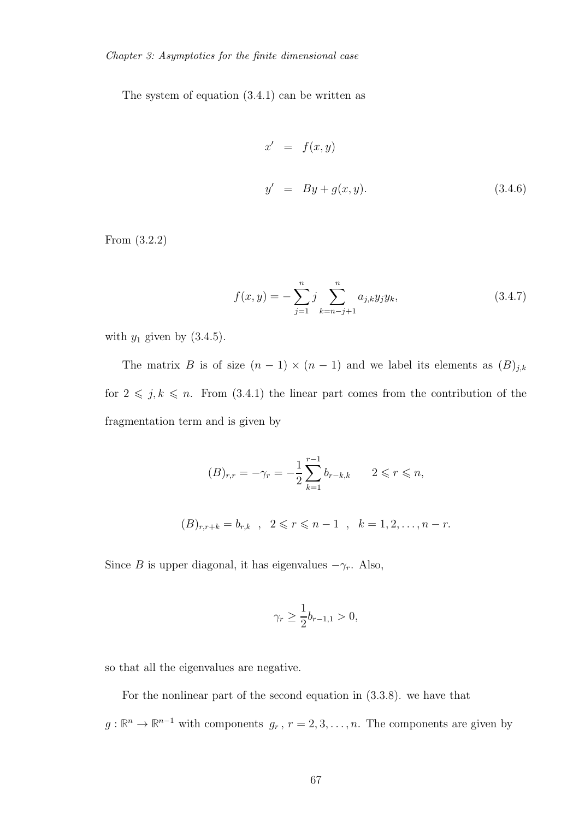The system of equation (3.4.1) can be written as

$$
x' = f(x, y)
$$
  
\n
$$
y' = By + g(x, y).
$$
\n(3.4.6)

From (3.2.2)

$$
f(x,y) = -\sum_{j=1}^{n} j \sum_{k=n-j+1}^{n} a_{j,k} y_j y_k,
$$
 (3.4.7)

with  $y_1$  given by  $(3.4.5)$ .

The matrix B is of size  $(n - 1) \times (n - 1)$  and we label its elements as  $(B)_{j,k}$ for  $2 \leq j, k \leq n$ . From (3.4.1) the linear part comes from the contribution of the fragmentation term and is given by

$$
(B)_{r,r} = -\gamma_r = -\frac{1}{2} \sum_{k=1}^{r-1} b_{r-k,k} \qquad 2 \leq r \leq n,
$$
  

$$
(B)_{r,r+k} = b_{r,k} \quad , \quad 2 \leq r \leq n-1 \quad , \quad k = 1, 2, \dots, n-r.
$$

Since B is upper diagonal, it has eigenvalues  $-\gamma_r$ . Also,

$$
\gamma_r \ge \frac{1}{2}b_{r-1,1} > 0,
$$

so that all the eigenvalues are negative.

For the nonlinear part of the second equation in (3.3.8). we have that  $g: \mathbb{R}^n \to \mathbb{R}^{n-1}$  with components  $g_r$ ,  $r = 2, 3, ..., n$ . The components are given by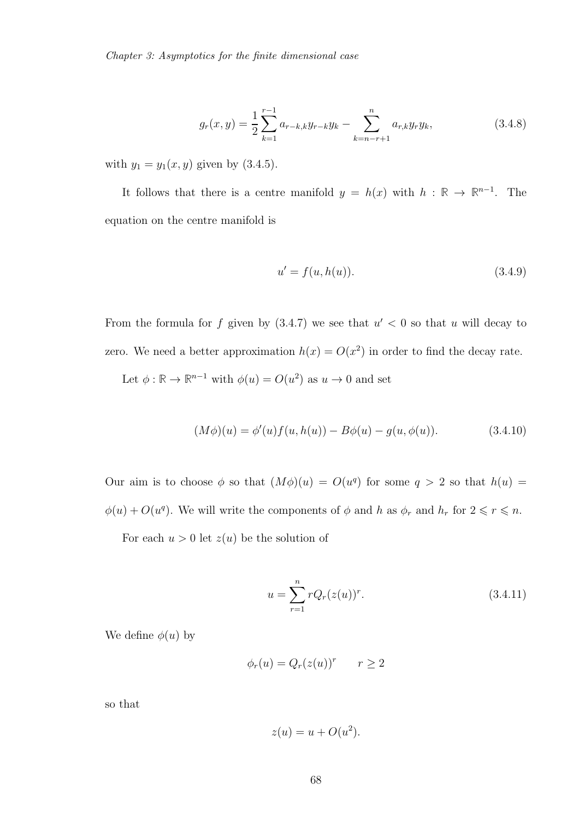$$
g_r(x,y) = \frac{1}{2} \sum_{k=1}^{r-1} a_{r-k,k} y_{r-k} y_k - \sum_{k=n-r+1}^n a_{r,k} y_r y_k,
$$
 (3.4.8)

with  $y_1 = y_1(x, y)$  given by (3.4.5).

It follows that there is a centre manifold  $y = h(x)$  with  $h : \mathbb{R} \to \mathbb{R}^{n-1}$ . The equation on the centre manifold is

$$
u' = f(u, h(u)).
$$
\n(3.4.9)

From the formula for f given by  $(3.4.7)$  we see that  $u' < 0$  so that u will decay to zero. We need a better approximation  $h(x) = O(x^2)$  in order to find the decay rate.

Let  $\phi : \mathbb{R} \to \mathbb{R}^{n-1}$  with  $\phi(u) = O(u^2)$  as  $u \to 0$  and set

$$
(M\phi)(u) = \phi'(u)f(u, h(u)) - B\phi(u) - g(u, \phi(u)).
$$
\n(3.4.10)

Our aim is to choose  $\phi$  so that  $(M\phi)(u) = O(u^q)$  for some  $q > 2$  so that  $h(u) =$  $\phi(u) + O(u^q)$ . We will write the components of  $\phi$  and h as  $\phi_r$  and  $h_r$  for  $2 \leq r \leq n$ .

For each  $u > 0$  let  $z(u)$  be the solution of

$$
u = \sum_{r=1}^{n} rQ_r(z(u))^r.
$$
 (3.4.11)

We define  $\phi(u)$  by

$$
\phi_r(u) = Q_r(z(u))^r \qquad r \ge 2
$$

so that

$$
z(u) = u + O(u^2).
$$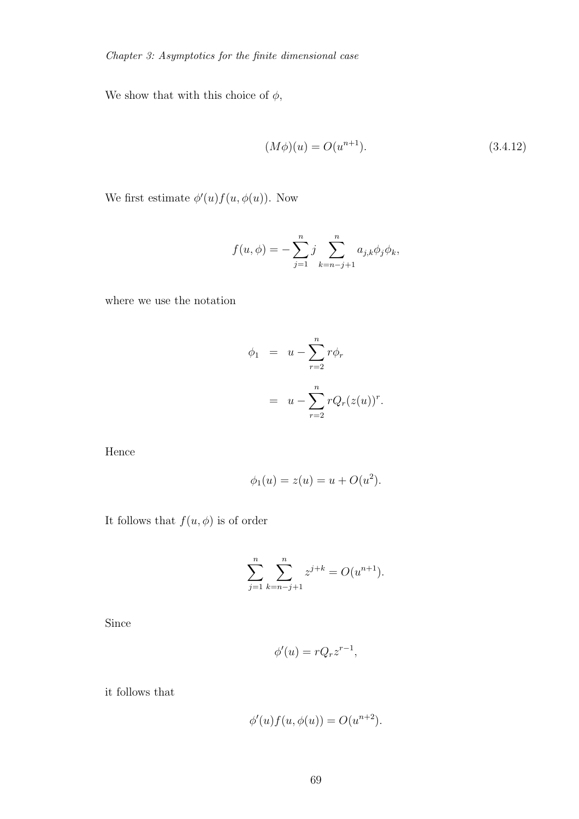We show that with this choice of  $\phi,$ 

$$
(M\phi)(u) = O(u^{n+1}).
$$
\n(3.4.12)

We first estimate  $\phi'(u) f(u, \phi(u))$ . Now

$$
f(u, \phi) = -\sum_{j=1}^{n} j \sum_{k=n-j+1}^{n} a_{j,k} \phi_j \phi_k,
$$

where we use the notation

$$
\phi_1 = u - \sum_{r=2}^n r \phi_r
$$

$$
= u - \sum_{r=2}^n r Q_r (z(u))^r.
$$

Hence

$$
\phi_1(u) = z(u) = u + O(u^2).
$$

It follows that  $f(u, \phi)$  is of order

$$
\sum_{j=1}^{n} \sum_{k=n-j+1}^{n} z^{j+k} = O(u^{n+1}).
$$

Since

$$
\phi'(u) = rQ_r z^{r-1},
$$

it follows that

$$
\phi'(u)f(u, \phi(u)) = O(u^{n+2}).
$$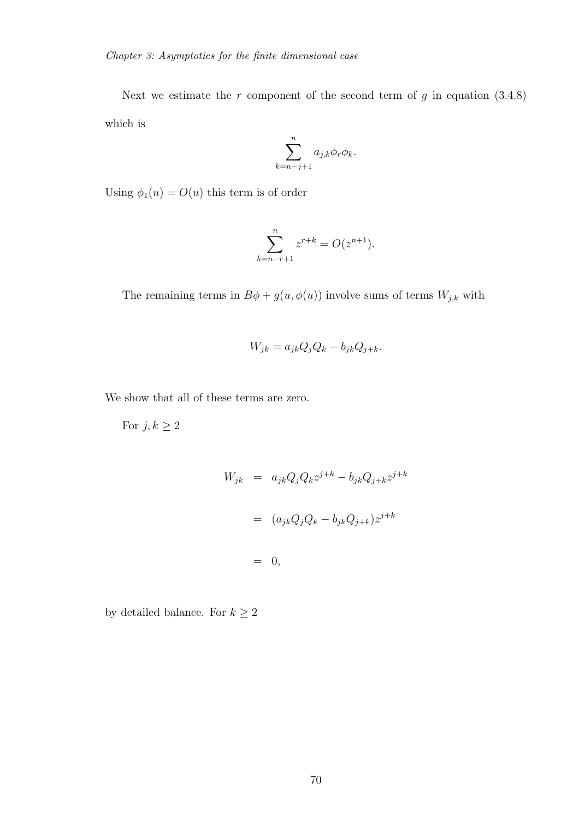Next we estimate the  $r$  component of the second term of  $g$  in equation  $(3.4.8)$ which is

$$
\sum_{k=n-j+1}^{n} a_{j,k} \phi_r \phi_k.
$$

Using  $\phi_1(u) = O(u)$  this term is of order

$$
\sum_{k=n-r+1}^{n} z^{r+k} = O(z^{n+1}).
$$

The remaining terms in  $B\phi + g(u, \phi(u))$  involve sums of terms  $W_{j,k}$  with

$$
W_{jk} = a_{jk}Q_jQ_k - b_{jk}Q_{j+k}.
$$

We show that all of these terms are zero.

For  $j, k \geq 2$ 

$$
W_{jk} = a_{jk}Q_jQ_k z^{j+k} - b_{jk}Q_{j+k} z^{j+k}
$$

$$
= (a_{jk}Q_jQ_k - b_{jk}Q_{j+k})z^{j+k}
$$

$$
= 0,
$$

by detailed balance. For  $k\geq 2$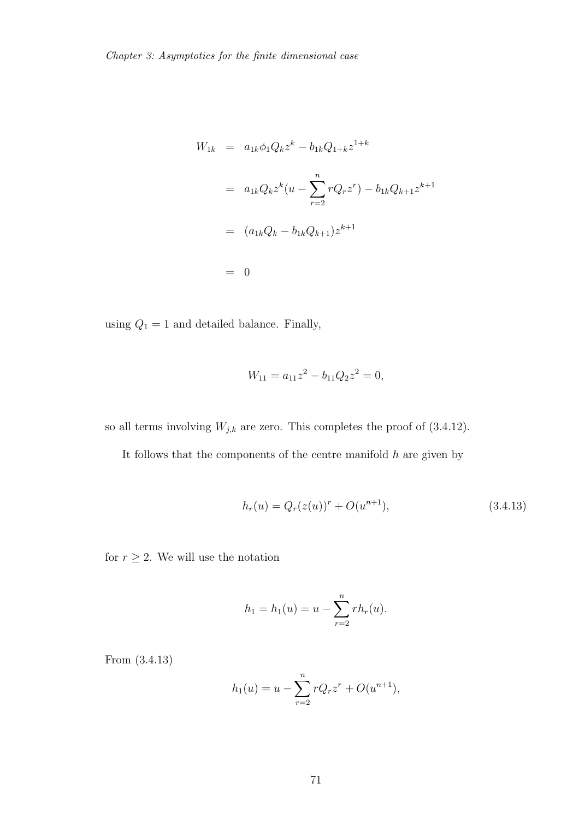$$
W_{1k} = a_{1k}\phi_1 Q_k z^k - b_{1k}Q_{1+k}z^{1+k}
$$
  
=  $a_{1k}Q_k z^k (u - \sum_{r=2}^n rQ_r z^r) - b_{1k}Q_{k+1}z^{k+1}$   
=  $(a_{1k}Q_k - b_{1k}Q_{k+1})z^{k+1}$   
= 0

using  $Q_1 = 1$  and detailed balance. Finally,

$$
W_{11} = a_{11}z^2 - b_{11}Q_2z^2 = 0,
$$

so all terms involving  $W_{j,k}$  are zero. This completes the proof of (3.4.12).

It follows that the components of the centre manifold  $h$  are given by

$$
h_r(u) = Q_r(z(u))^r + O(u^{n+1}),
$$
\n(3.4.13)

for  $r \geq 2$ . We will use the notation

$$
h_1 = h_1(u) = u - \sum_{r=2}^{n} rh_r(u).
$$

From (3.4.13)

$$
h_1(u) = u - \sum_{r=2}^{n} rQ_r z^r + O(u^{n+1}),
$$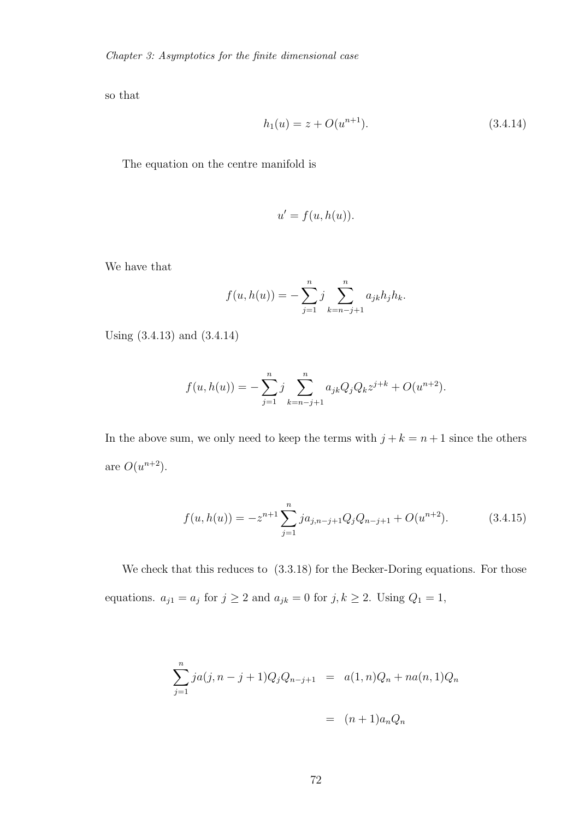so that

$$
h_1(u) = z + O(u^{n+1}).
$$
\n(3.4.14)

The equation on the centre manifold is

$$
u' = f(u, h(u)).
$$

We have that

$$
f(u, h(u)) = -\sum_{j=1}^{n} j \sum_{k=n-j+1}^{n} a_{jk} h_j h_k.
$$

Using (3.4.13) and (3.4.14)

$$
f(u, h(u)) = -\sum_{j=1}^{n} j \sum_{k=n-j+1}^{n} a_{jk} Q_j Q_k z^{j+k} + O(u^{n+2}).
$$

In the above sum, we only need to keep the terms with  $j + k = n + 1$  since the others are  $O(u^{n+2})$ .

$$
f(u, h(u)) = -z^{n+1} \sum_{j=1}^{n} j a_{j,n-j+1} Q_j Q_{n-j+1} + O(u^{n+2}).
$$
 (3.4.15)

We check that this reduces to  $(3.3.18)$  for the Becker-Doring equations. For those equations.  $a_{j1} = a_j$  for  $j \ge 2$  and  $a_{jk} = 0$  for  $j, k \ge 2$ . Using  $Q_1 = 1$ ,

$$
\sum_{j=1}^{n} ja(j, n-j+1)Q_jQ_{n-j+1} = a(1, n)Q_n + na(n, 1)Q_n
$$

$$
= (n+1)a_nQ_n
$$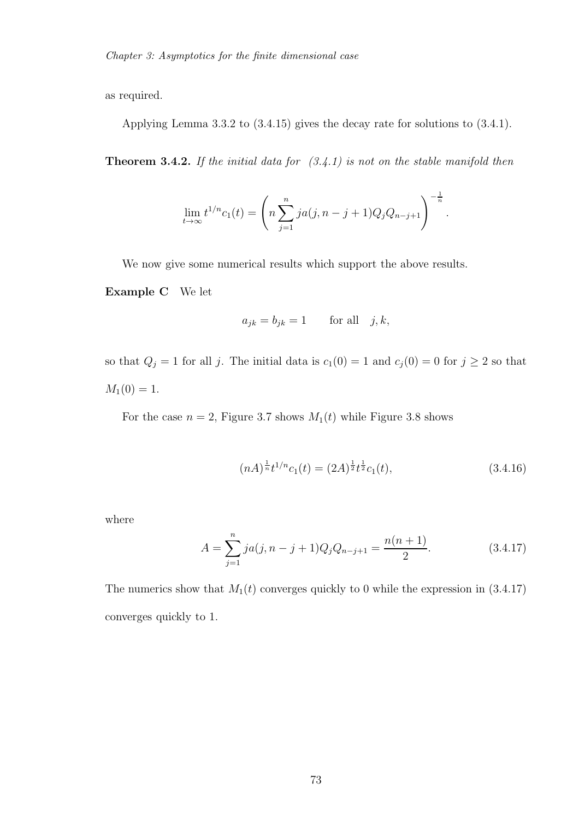as required.

Applying Lemma 3.3.2 to (3.4.15) gives the decay rate for solutions to (3.4.1).

Theorem 3.4.2. *If the initial data for (3.4.1) is not on the stable manifold then*

$$
\lim_{t \to \infty} t^{1/n} c_1(t) = \left( n \sum_{j=1}^n j a(j, n-j+1) Q_j Q_{n-j+1} \right)^{-\frac{1}{n}}
$$

We now give some numerical results which support the above results.

Example C We let

$$
a_{jk} = b_{jk} = 1 \quad \text{for all} \quad j, k,
$$

so that  $Q_j = 1$  for all j. The initial data is  $c_1(0) = 1$  and  $c_j(0) = 0$  for  $j \ge 2$  so that  $M_1(0) = 1.$ 

For the case  $n = 2$ , Figure 3.7 shows  $M_1(t)$  while Figure 3.8 shows

$$
(nA)^{\frac{1}{n}}t^{1/n}c_1(t) = (2A)^{\frac{1}{2}}t^{\frac{1}{2}}c_1(t), \qquad (3.4.16)
$$

.

where

$$
A = \sum_{j=1}^{n} ja(j, n-j+1)Q_jQ_{n-j+1} = \frac{n(n+1)}{2}.
$$
 (3.4.17)

The numerics show that  $M_1(t)$  converges quickly to 0 while the expression in  $(3.4.17)$ converges quickly to 1.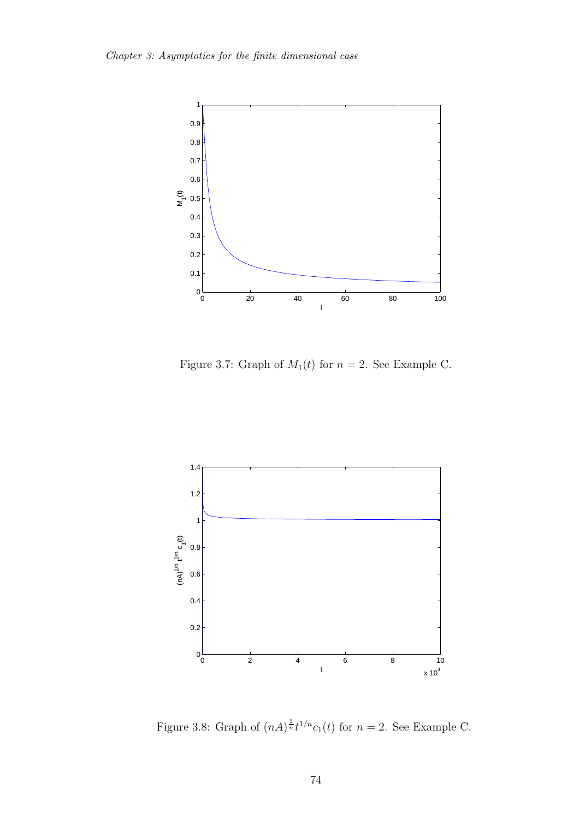

Figure 3.7: Graph of  $M_1(t)$  for  $n = 2$ . See Example C.



Figure 3.8: Graph of  $(nA)^{\frac{1}{n}}t^{1/n}c_1(t)$  for  $n=2$ . See Example C.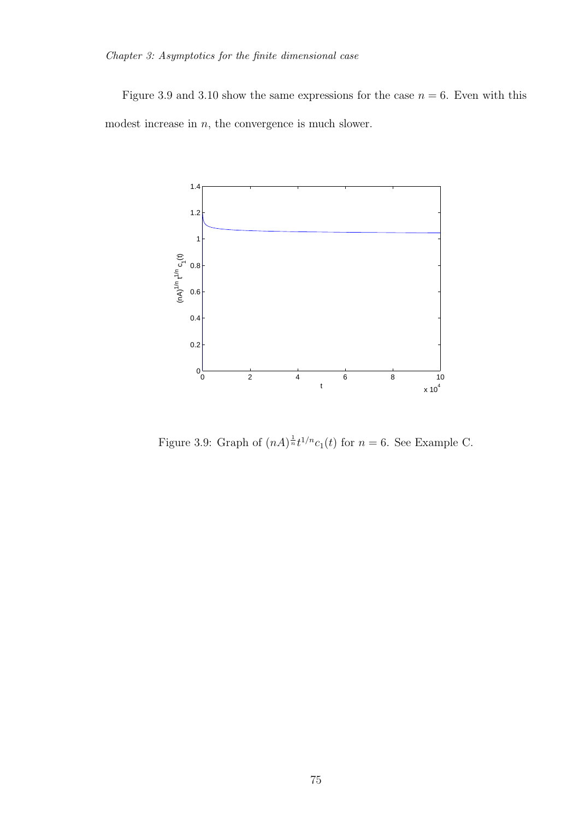Figure 3.9 and 3.10 show the same expressions for the case  $n = 6$ . Even with this modest increase in  $n$ , the convergence is much slower.



Figure 3.9: Graph of  $(nA)^{\frac{1}{n}}t^{1/n}c_1(t)$  for  $n=6$ . See Example C.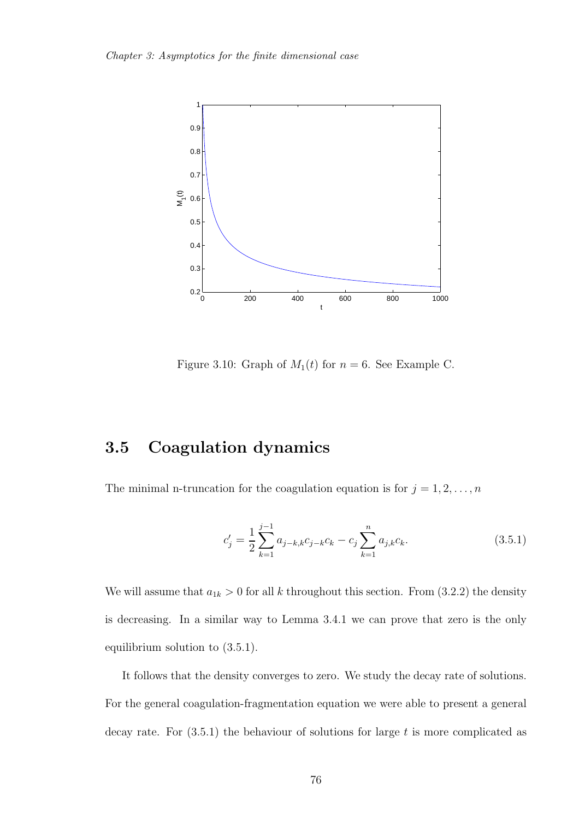

Figure 3.10: Graph of  $M_1(t)$  for  $n = 6$ . See Example C.

# 3.5 Coagulation dynamics

The minimal n-truncation for the coagulation equation is for  $j = 1, 2, \ldots, n$ 

$$
c'_{j} = \frac{1}{2} \sum_{k=1}^{j-1} a_{j-k,k} c_{j-k} c_k - c_j \sum_{k=1}^{n} a_{j,k} c_k.
$$
 (3.5.1)

We will assume that  $a_{1k} > 0$  for all k throughout this section. From (3.2.2) the density is decreasing. In a similar way to Lemma 3.4.1 we can prove that zero is the only equilibrium solution to (3.5.1).

It follows that the density converges to zero. We study the decay rate of solutions. For the general coagulation-fragmentation equation we were able to present a general decay rate. For  $(3.5.1)$  the behaviour of solutions for large t is more complicated as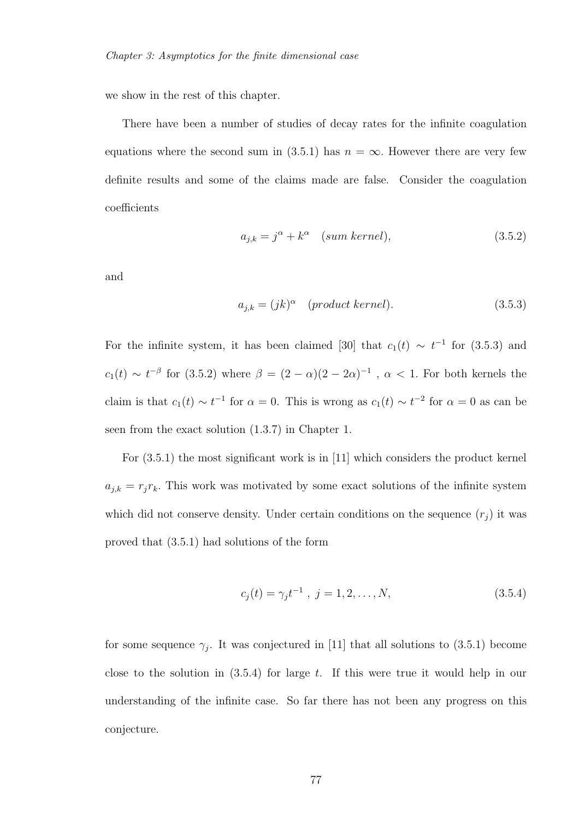we show in the rest of this chapter.

There have been a number of studies of decay rates for the infinite coagulation equations where the second sum in (3.5.1) has  $n = \infty$ . However there are very few definite results and some of the claims made are false. Consider the coagulation coefficients

$$
a_{j,k} = j^{\alpha} + k^{\alpha} \quad (sum \ kernel), \tag{3.5.2}
$$

and

$$
a_{j,k} = (jk)^{\alpha} \quad (product \, kernel). \tag{3.5.3}
$$

For the infinite system, it has been claimed [30] that  $c_1(t) \sim t^{-1}$  for (3.5.3) and  $c_1(t) \sim t^{-\beta}$  for (3.5.2) where  $\beta = (2 - \alpha)(2 - 2\alpha)^{-1}$ ,  $\alpha$  < 1. For both kernels the claim is that  $c_1(t) \sim t^{-1}$  for  $\alpha = 0$ . This is wrong as  $c_1(t) \sim t^{-2}$  for  $\alpha = 0$  as can be seen from the exact solution (1.3.7) in Chapter 1.

For (3.5.1) the most significant work is in [11] which considers the product kernel  $a_{j,k} = r_j r_k$ . This work was motivated by some exact solutions of the infinite system which did not conserve density. Under certain conditions on the sequence  $(r_j)$  it was proved that (3.5.1) had solutions of the form

$$
c_j(t) = \gamma_j t^{-1}, \ j = 1, 2, \dots, N,
$$
\n(3.5.4)

for some sequence  $\gamma_j$ . It was conjectured in [11] that all solutions to (3.5.1) become close to the solution in  $(3.5.4)$  for large t. If this were true it would help in our understanding of the infinite case. So far there has not been any progress on this conjecture.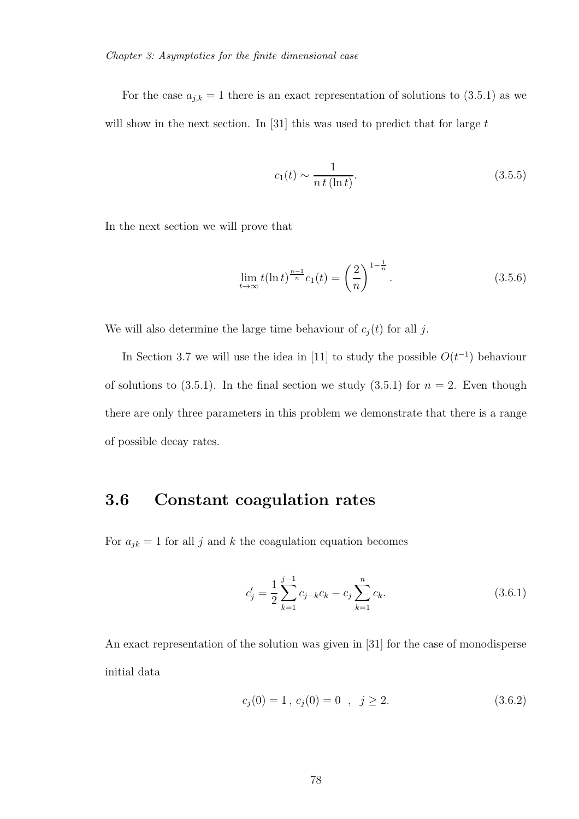For the case  $a_{j,k} = 1$  there is an exact representation of solutions to (3.5.1) as we will show in the next section. In [31] this was used to predict that for large  $t$ 

$$
c_1(t) \sim \frac{1}{n \, t \, (\ln t)}.\tag{3.5.5}
$$

In the next section we will prove that

$$
\lim_{t \to \infty} t(\ln t)^{\frac{n-1}{n}} c_1(t) = \left(\frac{2}{n}\right)^{1 - \frac{1}{n}}.
$$
\n(3.5.6)

We will also determine the large time behaviour of  $c_j(t)$  for all j.

In Section 3.7 we will use the idea in [11] to study the possible  $O(t^{-1})$  behaviour of solutions to  $(3.5.1)$ . In the final section we study  $(3.5.1)$  for  $n = 2$ . Even though there are only three parameters in this problem we demonstrate that there is a range of possible decay rates.

### 3.6 Constant coagulation rates

For  $a_{jk} = 1$  for all  $j$  and  $k$  the coagulation equation becomes

$$
c'_{j} = \frac{1}{2} \sum_{k=1}^{j-1} c_{j-k} c_k - c_j \sum_{k=1}^{n} c_k.
$$
 (3.6.1)

An exact representation of the solution was given in [31] for the case of monodisperse initial data

$$
c_j(0) = 1, c_j(0) = 0, j \ge 2.
$$
 (3.6.2)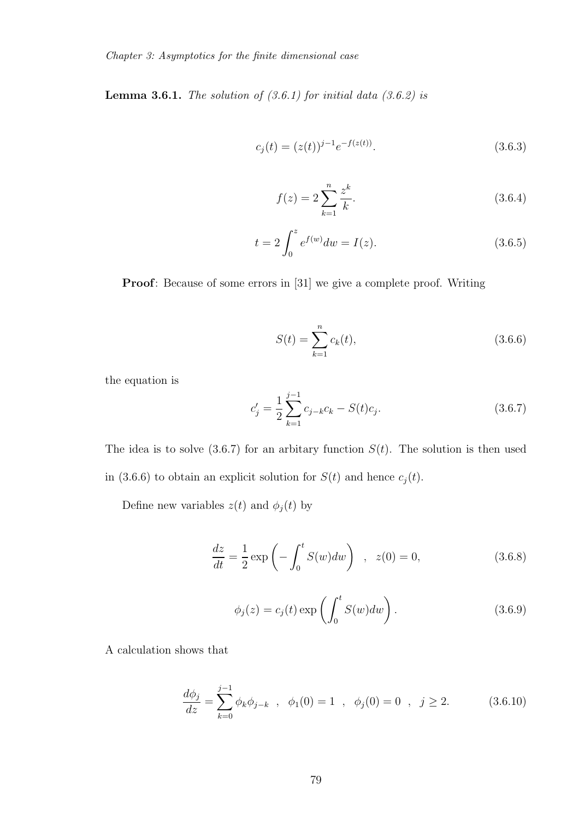Lemma 3.6.1. *The solution of (3.6.1) for initial data (3.6.2) is*

$$
c_j(t) = (z(t))^{j-1} e^{-f(z(t))}.
$$
\n(3.6.3)

$$
f(z) = 2\sum_{k=1}^{n} \frac{z^k}{k}.
$$
\n(3.6.4)

$$
t = 2 \int_0^z e^{f(w)} dw = I(z).
$$
 (3.6.5)

Proof: Because of some errors in [31] we give a complete proof. Writing

$$
S(t) = \sum_{k=1}^{n} c_k(t),
$$
\n(3.6.6)

the equation is

$$
c'_{j} = \frac{1}{2} \sum_{k=1}^{j-1} c_{j-k} c_k - S(t) c_j.
$$
 (3.6.7)

The idea is to solve  $(3.6.7)$  for an arbitary function  $S(t)$ . The solution is then used in (3.6.6) to obtain an explicit solution for  $S(t)$  and hence  $c_j(t)$ .

Define new variables  $z(t)$  and  $\phi_j(t)$  by

$$
\frac{dz}{dt} = \frac{1}{2} \exp\left(-\int_0^t S(w)dw\right) , \quad z(0) = 0,
$$
\n(3.6.8)

$$
\phi_j(z) = c_j(t) \exp\left(\int_0^t S(w) dw\right). \tag{3.6.9}
$$

A calculation shows that

$$
\frac{d\phi_j}{dz} = \sum_{k=0}^{j-1} \phi_k \phi_{j-k} \quad , \quad \phi_1(0) = 1 \quad , \quad \phi_j(0) = 0 \quad , \quad j \ge 2. \tag{3.6.10}
$$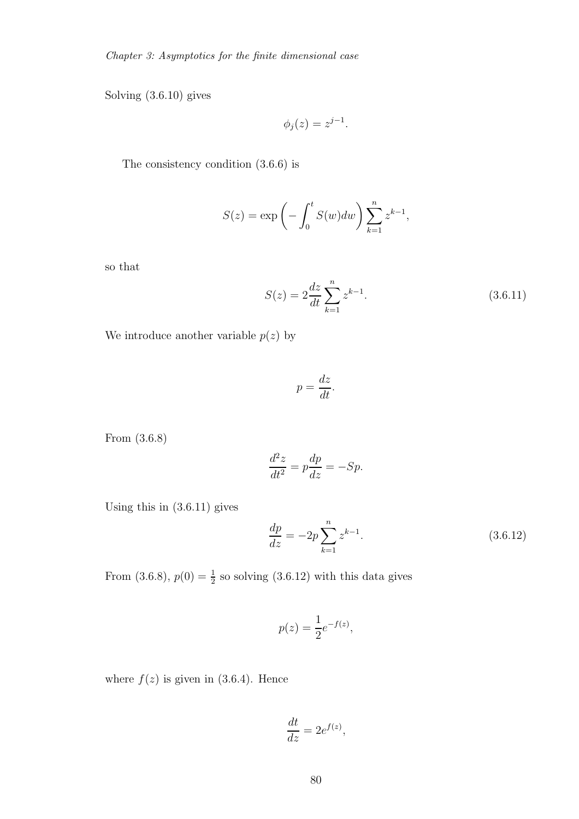Solving (3.6.10) gives

$$
\phi_j(z) = z^{j-1}.
$$

The consistency condition (3.6.6) is

$$
S(z) = \exp\left(-\int_0^t S(w)dw\right) \sum_{k=1}^n z^{k-1},
$$

so that

$$
S(z) = 2\frac{dz}{dt} \sum_{k=1}^{n} z^{k-1}.
$$
 (3.6.11)

We introduce another variable  $p(z)$  by

$$
p = \frac{dz}{dt}.
$$

From (3.6.8)

$$
\frac{d^2z}{dt^2} = p\frac{dp}{dz} = -Sp.
$$

Using this in (3.6.11) gives

$$
\frac{dp}{dz} = -2p \sum_{k=1}^{n} z^{k-1}.
$$
\n(3.6.12)

From (3.6.8),  $p(0) = \frac{1}{2}$  so solving (3.6.12) with this data gives

$$
p(z) = \frac{1}{2}e^{-f(z)},
$$

where  $f(z)$  is given in (3.6.4). Hence

$$
\frac{dt}{dz} = 2e^{f(z)},
$$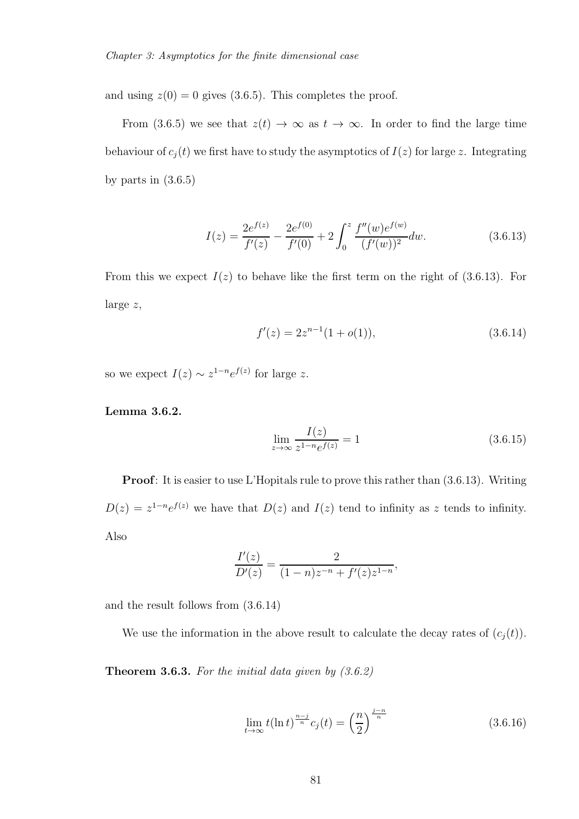and using  $z(0) = 0$  gives (3.6.5). This completes the proof.

From (3.6.5) we see that  $z(t) \to \infty$  as  $t \to \infty$ . In order to find the large time behaviour of  $c_j(t)$  we first have to study the asymptotics of  $I(z)$  for large z. Integrating by parts in  $(3.6.5)$ 

$$
I(z) = \frac{2e^{f(z)}}{f'(z)} - \frac{2e^{f(0)}}{f'(0)} + 2\int_0^z \frac{f''(w)e^{f(w)}}{(f'(w))^2} dw.
$$
 (3.6.13)

From this we expect  $I(z)$  to behave like the first term on the right of (3.6.13). For large z,

$$
f'(z) = 2z^{n-1}(1+o(1)),
$$
\n(3.6.14)

so we expect  $I(z) \sim z^{1-n} e^{f(z)}$  for large z.

Lemma 3.6.2.

$$
\lim_{z \to \infty} \frac{I(z)}{z^{1-n} e^{f(z)}} = 1
$$
\n(3.6.15)

**Proof**: It is easier to use L'Hopitals rule to prove this rather than  $(3.6.13)$ . Writing  $D(z) = z^{1-n}e^{f(z)}$  we have that  $D(z)$  and  $I(z)$  tend to infinity as z tends to infinity. Also

$$
\frac{I'(z)}{D'(z)} = \frac{2}{(1-n)z^{-n} + f'(z)z^{1-n}},
$$

and the result follows from (3.6.14)

We use the information in the above result to calculate the decay rates of  $(c_j(t))$ .

Theorem 3.6.3. *For the initial data given by (3.6.2)*

$$
\lim_{t \to \infty} t(\ln t)^{\frac{n-j}{n}} c_j(t) = \left(\frac{n}{2}\right)^{\frac{j-n}{n}} \tag{3.6.16}
$$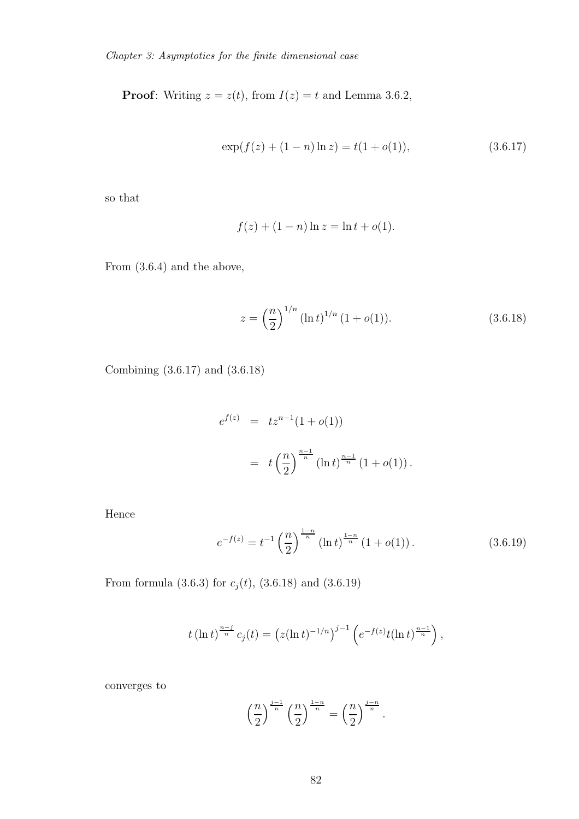**Proof:** Writing  $z = z(t)$ , from  $I(z) = t$  and Lemma 3.6.2,

$$
\exp(f(z) + (1 - n)\ln z) = t(1 + o(1)),\tag{3.6.17}
$$

so that

$$
f(z) + (1 - n) \ln z = \ln t + o(1).
$$

From (3.6.4) and the above,

$$
z = \left(\frac{n}{2}\right)^{1/n} (\ln t)^{1/n} (1 + o(1)).
$$
\n(3.6.18)

Combining (3.6.17) and (3.6.18)

$$
e^{f(z)} = tz^{n-1}(1+o(1))
$$
  
=  $t\left(\frac{n}{2}\right)^{\frac{n-1}{n}}(\ln t)^{\frac{n-1}{n}}(1+o(1)).$ 

Hence

$$
e^{-f(z)} = t^{-1} \left(\frac{n}{2}\right)^{\frac{1-n}{n}} \left(\ln t\right)^{\frac{1-n}{n}} \left(1 + o(1)\right). \tag{3.6.19}
$$

From formula (3.6.3) for  $c_j(t)$ , (3.6.18) and (3.6.19)

$$
t\left(\ln t\right)^{\frac{n-j}{n}}c_j(t) = \left(z(\ln t)^{-1/n}\right)^{j-1}\left(e^{-f(z)}t(\ln t)^{\frac{n-1}{n}}\right),\,
$$

converges to

$$
\left(\frac{n}{2}\right)^{\frac{j-1}{n}}\left(\frac{n}{2}\right)^{\frac{1-n}{n}}=\left(\frac{n}{2}\right)^{\frac{j-n}{n}}.
$$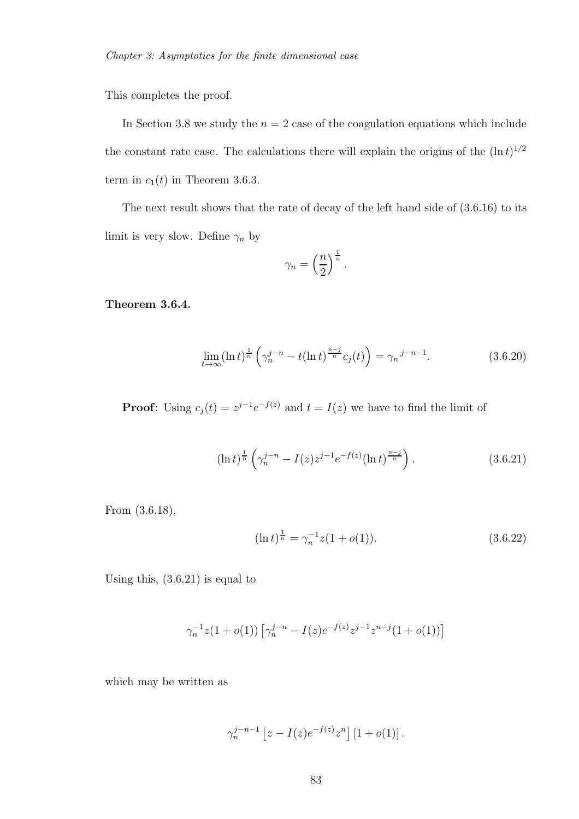This completes the proof.

In Section 3.8 we study the  $n = 2$  case of the coagulation equations which include the constant rate case. The calculations there will explain the origins of the  $(\ln t)^{1/2}$ term in  $c_1(t)$  in Theorem 3.6.3.

The next result shows that the rate of decay of the left hand side of (3.6.16) to its limit is very slow. Define  $\gamma_n$  by

$$
\gamma_n = \left(\frac{n}{2}\right)^{\frac{1}{n}}.
$$

Theorem 3.6.4.

$$
\lim_{t \to \infty} (\ln t)^{\frac{1}{n}} \left( \gamma_n^{j-n} - t(\ln t)^{\frac{n-j}{n}} c_j(t) \right) = \gamma_n^{j-n-1}.
$$
 (3.6.20)

**Proof**: Using  $c_j(t) = z^{j-1}e^{-f(z)}$  and  $t = I(z)$  we have to find the limit of

$$
(\ln t)^{\frac{1}{n}} \left( \gamma_n^{j-n} - I(z) z^{j-1} e^{-f(z)} (\ln t)^{\frac{n-j}{n}} \right). \tag{3.6.21}
$$

From (3.6.18),

$$
(\ln t)^{\frac{1}{n}} = \gamma_n^{-1} z (1 + o(1)). \tag{3.6.22}
$$

Using this,  $(3.6.21)$  is equal to

$$
\gamma_n^{-1}z(1+o(1))\left[\gamma_n^{j-n} - I(z)e^{-f(z)}z^{j-1}z^{n-j}(1+o(1))\right]
$$

which may be written as

$$
\gamma_n^{j-n-1}\left[z-I(z)e^{-f(z)}z^n\right]\left[1+o(1)\right].
$$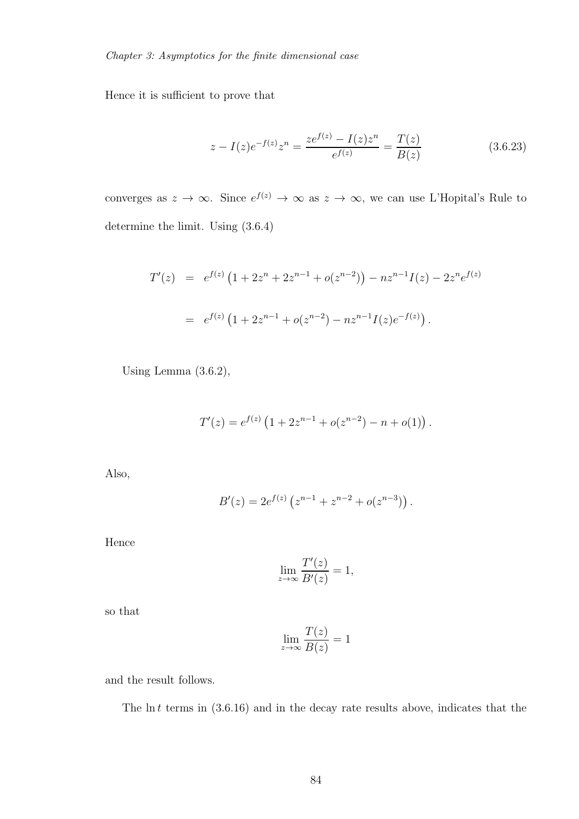Hence it is sufficient to prove that

$$
z - I(z)e^{-f(z)}z^n = \frac{ze^{f(z)} - I(z)z^n}{e^{f(z)}} = \frac{T(z)}{B(z)}
$$
(3.6.23)

converges as  $z \to \infty$ . Since  $e^{f(z)} \to \infty$  as  $z \to \infty$ , we can use L'Hopital's Rule to determine the limit. Using (3.6.4)

$$
T'(z) = e^{f(z)} \left( 1 + 2z^n + 2z^{n-1} + o(z^{n-2}) \right) - nz^{n-1}I(z) - 2z^n e^{f(z)}
$$
  
=  $e^{f(z)} \left( 1 + 2z^{n-1} + o(z^{n-2}) - nz^{n-1}I(z)e^{-f(z)} \right).$ 

Using Lemma (3.6.2),

$$
T'(z) = e^{f(z)} \left( 1 + 2z^{n-1} + o(z^{n-2}) - n + o(1) \right).
$$

Also,

$$
B'(z) = 2e^{f(z)} \left( z^{n-1} + z^{n-2} + o(z^{n-3}) \right).
$$

Hence

$$
\lim_{z \to \infty} \frac{T'(z)}{B'(z)} = 1,
$$

so that

$$
\lim_{z \to \infty} \frac{T(z)}{B(z)} = 1
$$

and the result follows.

The  $\ln t$  terms in  $(3.6.16)$  and in the decay rate results above, indicates that the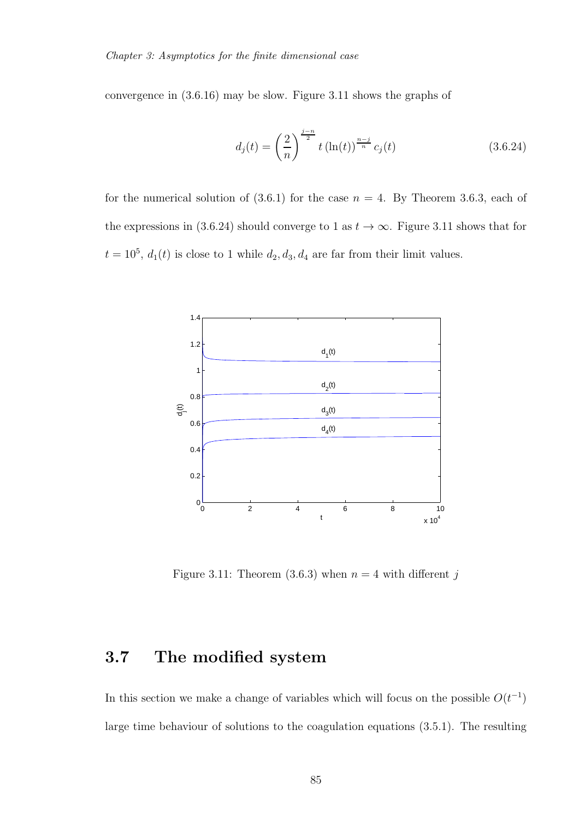convergence in (3.6.16) may be slow. Figure 3.11 shows the graphs of

$$
d_j(t) = \left(\frac{2}{n}\right)^{\frac{j-n}{2}} t\left(\ln(t)\right)^{\frac{n-j}{n}} c_j(t)
$$
\n(3.6.24)

for the numerical solution of  $(3.6.1)$  for the case  $n = 4$ . By Theorem 3.6.3, each of the expressions in (3.6.24) should converge to 1 as  $t \to \infty$ . Figure 3.11 shows that for  $t = 10^5$ ,  $d_1(t)$  is close to 1 while  $d_2, d_3, d_4$  are far from their limit values.



Figure 3.11: Theorem (3.6.3) when  $n = 4$  with different j

# 3.7 The modified system

In this section we make a change of variables which will focus on the possible  $O(t^{-1})$ large time behaviour of solutions to the coagulation equations (3.5.1). The resulting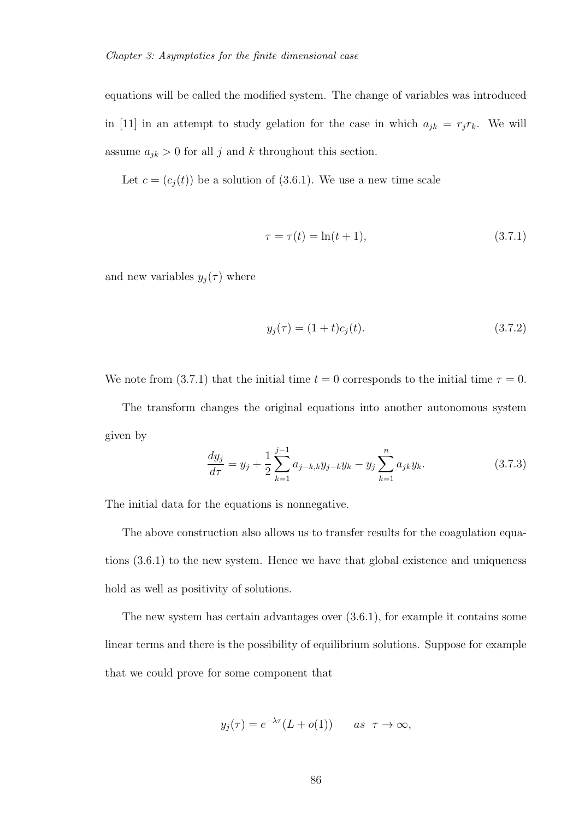equations will be called the modified system. The change of variables was introduced in [11] in an attempt to study gelation for the case in which  $a_{jk} = r_j r_k$ . We will assume  $a_{jk} > 0$  for all j and k throughout this section.

Let  $c = (c_j(t))$  be a solution of (3.6.1). We use a new time scale

$$
\tau = \tau(t) = \ln(t+1),
$$
\n(3.7.1)

and new variables  $y_j(\tau)$  where

$$
y_j(\tau) = (1+t)c_j(t). \tag{3.7.2}
$$

We note from (3.7.1) that the initial time  $t = 0$  corresponds to the initial time  $\tau = 0$ .

The transform changes the original equations into another autonomous system given by

$$
\frac{dy_j}{d\tau} = y_j + \frac{1}{2} \sum_{k=1}^{j-1} a_{j-k,k} y_{j-k} y_k - y_j \sum_{k=1}^n a_{jk} y_k.
$$
 (3.7.3)

The initial data for the equations is nonnegative.

The above construction also allows us to transfer results for the coagulation equations (3.6.1) to the new system. Hence we have that global existence and uniqueness hold as well as positivity of solutions.

The new system has certain advantages over (3.6.1), for example it contains some linear terms and there is the possibility of equilibrium solutions. Suppose for example that we could prove for some component that

$$
y_j(\tau) = e^{-\lambda \tau} (L + o(1))
$$
 as  $\tau \to \infty$ ,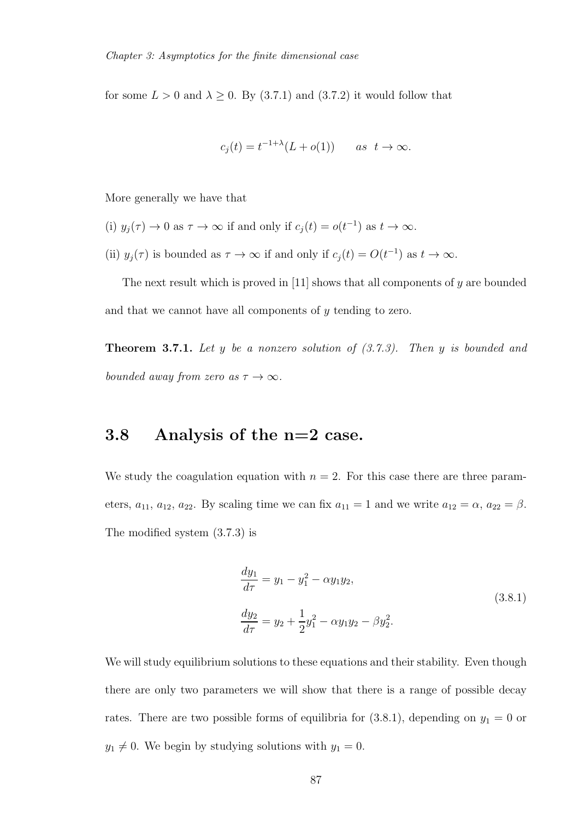for some  $L > 0$  and  $\lambda \geq 0$ . By (3.7.1) and (3.7.2) it would follow that

$$
c_j(t) = t^{-1+\lambda}(L + o(1)) \qquad as \ \ t \to \infty.
$$

More generally we have that

- (i)  $y_j(\tau) \to 0$  as  $\tau \to \infty$  if and only if  $c_j(t) = o(t^{-1})$  as  $t \to \infty$ .
- (ii)  $y_j(\tau)$  is bounded as  $\tau \to \infty$  if and only if  $c_j(t) = O(t^{-1})$  as  $t \to \infty$ .

The next result which is proved in [11] shows that all components of  $y$  are bounded and that we cannot have all components of y tending to zero.

Theorem 3.7.1. *Let* y *be a nonzero solution of (3.7.3). Then* y *is bounded and bounded away from zero as*  $\tau \to \infty$ *.* 

# 3.8 Analysis of the n=2 case.

We study the coagulation equation with  $n = 2$ . For this case there are three parameters,  $a_{11}$ ,  $a_{12}$ ,  $a_{22}$ . By scaling time we can fix  $a_{11} = 1$  and we write  $a_{12} = \alpha$ ,  $a_{22} = \beta$ . The modified system (3.7.3) is

$$
\frac{dy_1}{d\tau} = y_1 - y_1^2 - \alpha y_1 y_2,
$$
\n
$$
\frac{dy_2}{d\tau} = y_2 + \frac{1}{2}y_1^2 - \alpha y_1 y_2 - \beta y_2^2.
$$
\n(3.8.1)

We will study equilibrium solutions to these equations and their stability. Even though there are only two parameters we will show that there is a range of possible decay rates. There are two possible forms of equilibria for  $(3.8.1)$ , depending on  $y_1 = 0$  or  $y_1 \neq 0$ . We begin by studying solutions with  $y_1 = 0$ .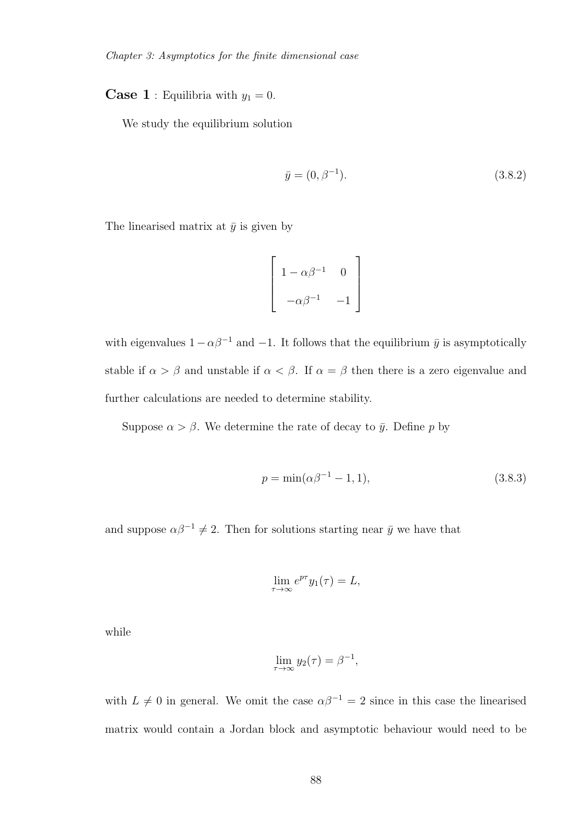**Case 1** : Equilibria with  $y_1 = 0$ .

We study the equilibrium solution

$$
\bar{y} = (0, \beta^{-1}). \tag{3.8.2}
$$

The linearised matrix at  $\bar{y}$  is given by

$$
\begin{bmatrix} 1 - \alpha \beta^{-1} & 0 \\ -\alpha \beta^{-1} & -1 \end{bmatrix}
$$

with eigenvalues  $1-\alpha\beta^{-1}$  and  $-1$ . It follows that the equilibrium  $\bar{y}$  is asymptotically stable if  $\alpha > \beta$  and unstable if  $\alpha < \beta$ . If  $\alpha = \beta$  then there is a zero eigenvalue and further calculations are needed to determine stability.

Suppose  $\alpha > \beta$ . We determine the rate of decay to  $\bar{y}$ . Define p by

$$
p = \min(\alpha \beta^{-1} - 1, 1),\tag{3.8.3}
$$

and suppose  $\alpha\beta^{-1} \neq 2$ . Then for solutions starting near  $\bar{y}$  we have that

$$
\lim_{\tau \to \infty} e^{p\tau} y_1(\tau) = L,
$$

while

$$
\lim_{\tau \to \infty} y_2(\tau) = \beta^{-1},
$$

with  $L \neq 0$  in general. We omit the case  $\alpha \beta^{-1} = 2$  since in this case the linearised matrix would contain a Jordan block and asymptotic behaviour would need to be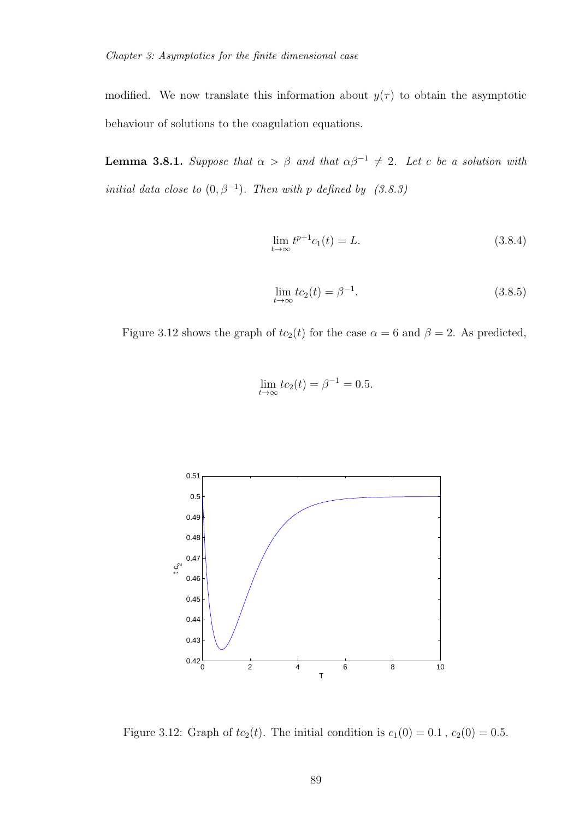modified. We now translate this information about  $y(\tau)$  to obtain the asymptotic behaviour of solutions to the coagulation equations.

**Lemma 3.8.1.** *Suppose that*  $\alpha > \beta$  *and that*  $\alpha\beta^{-1} \neq 2$ *. Let* c *be a solution with initial data close to*  $(0, \beta^{-1})$ *. Then with* p *defined by*  $(3.8.3)$ 

$$
\lim_{t \to \infty} t^{p+1} c_1(t) = L. \tag{3.8.4}
$$

$$
\lim_{t \to \infty} t c_2(t) = \beta^{-1}.
$$
\n(3.8.5)

Figure 3.12 shows the graph of  $tc_2(t)$  for the case  $\alpha = 6$  and  $\beta = 2$ . As predicted,

$$
\lim_{t \to \infty} t c_2(t) = \beta^{-1} = 0.5.
$$



Figure 3.12: Graph of  $tc_2(t)$ . The initial condition is  $c_1(0) = 0.1$ ,  $c_2(0) = 0.5$ .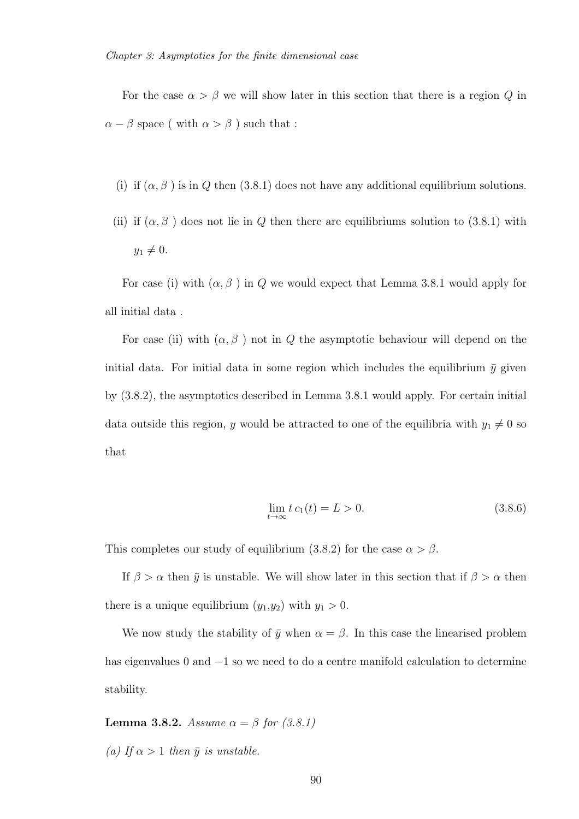For the case  $\alpha > \beta$  we will show later in this section that there is a region Q in  $\alpha - \beta$  space ( with  $\alpha > \beta$  ) such that :

- (i) if  $(\alpha, \beta)$  is in Q then (3.8.1) does not have any additional equilibrium solutions.
- (ii) if  $(\alpha, \beta)$  does not lie in Q then there are equilibriums solution to (3.8.1) with  $y_1 \neq 0.$

For case (i) with  $(\alpha, \beta)$  in Q we would expect that Lemma 3.8.1 would apply for all initial data .

For case (ii) with  $(\alpha, \beta)$  not in Q the asymptotic behaviour will depend on the initial data. For initial data in some region which includes the equilibrium  $\bar{y}$  given by (3.8.2), the asymptotics described in Lemma 3.8.1 would apply. For certain initial data outside this region, y would be attracted to one of the equilibria with  $y_1 \neq 0$  so that

$$
\lim_{t \to \infty} t \, c_1(t) = L > 0. \tag{3.8.6}
$$

This completes our study of equilibrium (3.8.2) for the case  $\alpha > \beta$ .

If  $\beta > \alpha$  then  $\bar{y}$  is unstable. We will show later in this section that if  $\beta > \alpha$  then there is a unique equilibrium  $(y_1,y_2)$  with  $y_1 > 0$ .

We now study the stability of  $\bar{y}$  when  $\alpha = \beta$ . In this case the linearised problem has eigenvalues 0 and −1 so we need to do a centre manifold calculation to determine stability.

**Lemma 3.8.2.** *Assume*  $\alpha = \beta$  *for* (3.8.1)

*(a)* If  $\alpha > 1$  *then*  $\bar{y}$  *is unstable.*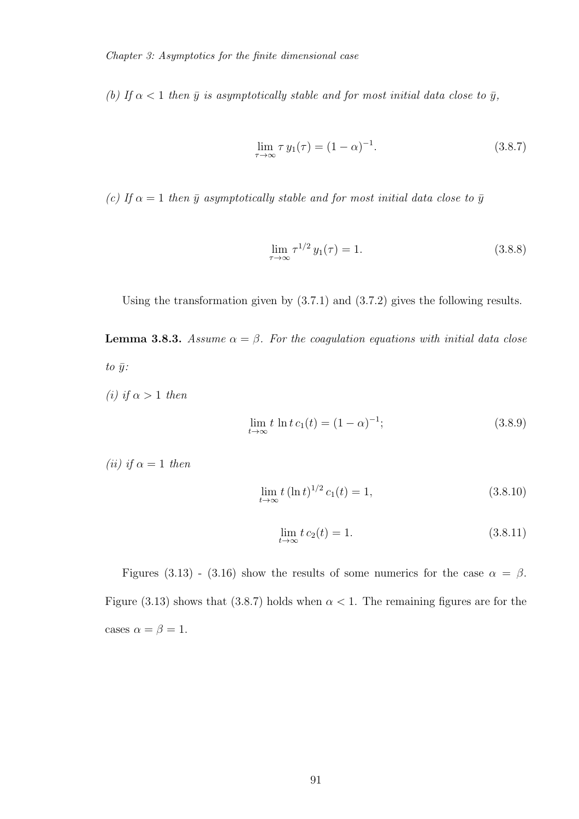*(b)* If  $\alpha$  < 1 *then*  $\bar{y}$  *is asymptotically stable and for most initial data close to*  $\bar{y}$ *,* 

$$
\lim_{\tau \to \infty} \tau y_1(\tau) = (1 - \alpha)^{-1}.
$$
\n(3.8.7)

*(c)* If  $\alpha = 1$  then  $\bar{y}$  asymptotically stable and for most initial data close to  $\bar{y}$ 

$$
\lim_{\tau \to \infty} \tau^{1/2} y_1(\tau) = 1. \tag{3.8.8}
$$

Using the transformation given by (3.7.1) and (3.7.2) gives the following results.

**Lemma 3.8.3.** *Assume*  $\alpha = \beta$ *. For the coagulation equations with initial data close*  $to \bar{y}$ *:* 

*(i) if*  $\alpha > 1$  *then* 

$$
\lim_{t \to \infty} t \ln t \, c_1(t) = (1 - \alpha)^{-1};\tag{3.8.9}
$$

*(ii) if*  $\alpha = 1$  *then* 

$$
\lim_{t \to \infty} t (\ln t)^{1/2} c_1(t) = 1,
$$
\n(3.8.10)

$$
\lim_{t \to \infty} t c_2(t) = 1.
$$
\n(3.8.11)

Figures (3.13) - (3.16) show the results of some numerics for the case  $\alpha = \beta$ . Figure (3.13) shows that (3.8.7) holds when  $\alpha < 1$ . The remaining figures are for the cases  $\alpha = \beta = 1$ .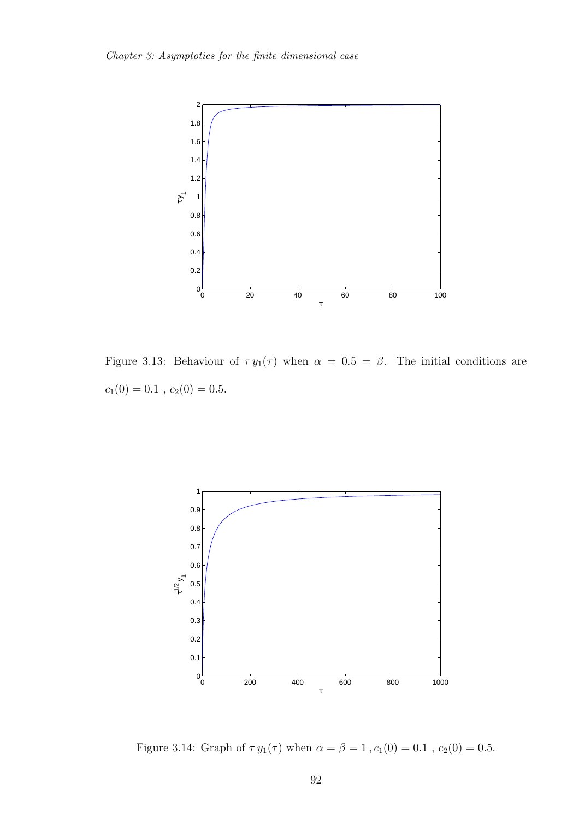

Figure 3.13: Behaviour of  $\tau y_1(\tau)$  when  $\alpha = 0.5 = \beta$ . The initial conditions are  $c_1(0) = 0.1$ ,  $c_2(0) = 0.5$ .



Figure 3.14: Graph of  $\tau \, y_1(\tau)$  when  $\alpha = \beta = 1\,, c_1(0) = 0.1$  ,  $c_2(0) = 0.5.$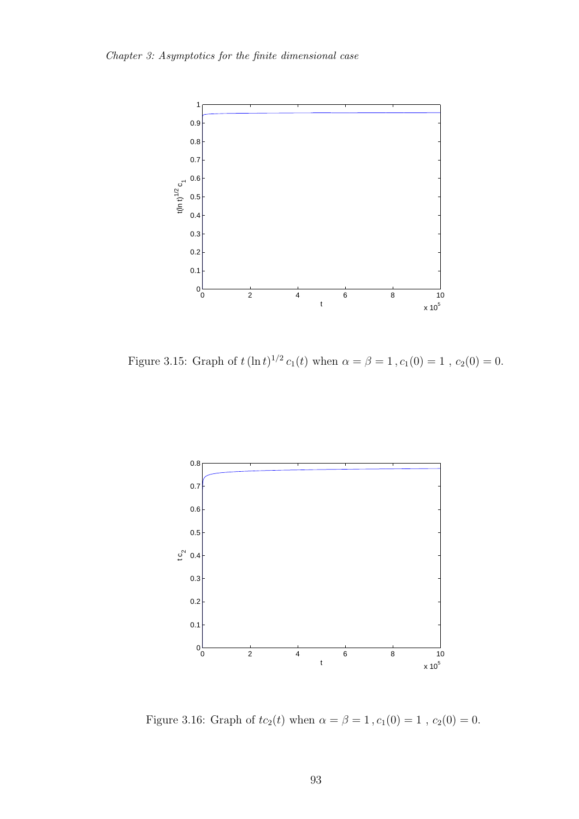

Figure 3.15: Graph of  $t(\ln t)^{1/2} c_1(t)$  when  $\alpha = \beta = 1$ ,  $c_1(0) = 1$ ,  $c_2(0) = 0$ .



Figure 3.16: Graph of  $tc_{2}(t)$  when  $\alpha=\beta=1\,,c_{1}(0)=1$  ,  $c_{2}(0)=0.$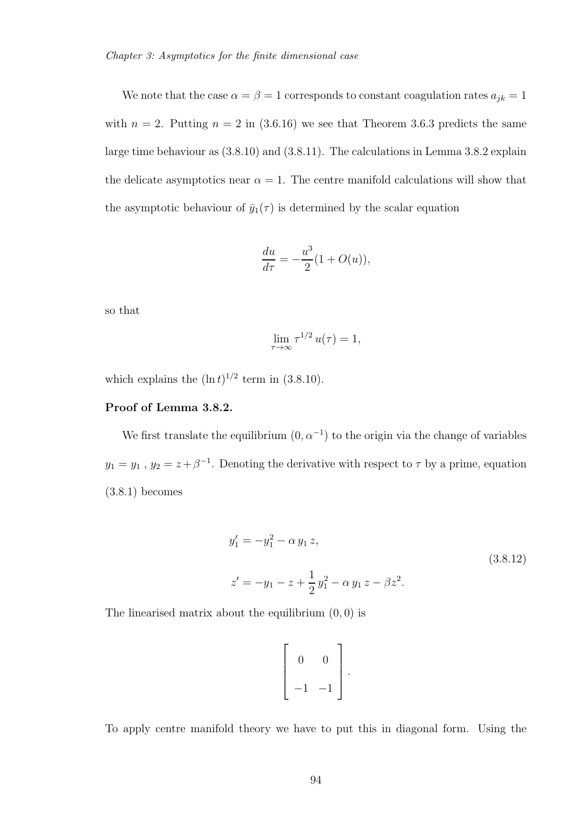We note that the case  $\alpha = \beta = 1$  corresponds to constant coagulation rates  $a_{jk} = 1$ with  $n = 2$ . Putting  $n = 2$  in (3.6.16) we see that Theorem 3.6.3 predicts the same large time behaviour as (3.8.10) and (3.8.11). The calculations in Lemma 3.8.2 explain the delicate asymptotics near  $\alpha = 1$ . The centre manifold calculations will show that the asymptotic behaviour of  $\bar{y}_1(\tau)$  is determined by the scalar equation

$$
\frac{du}{d\tau} = -\frac{u^3}{2}(1 + O(u)),
$$

so that

$$
\lim_{\tau \to \infty} \tau^{1/2} u(\tau) = 1,
$$

which explains the  $(\ln t)^{1/2}$  term in (3.8.10).

#### Proof of Lemma 3.8.2.

We first translate the equilibrium  $(0, \alpha^{-1})$  to the origin via the change of variables  $y_1 = y_1$ ,  $y_2 = z + \beta^{-1}$ . Denoting the derivative with respect to  $\tau$  by a prime, equation (3.8.1) becomes

$$
y'_1 = -y_1^2 - \alpha y_1 z,
$$
  
\n
$$
z' = -y_1 - z + \frac{1}{2}y_1^2 - \alpha y_1 z - \beta z^2.
$$
\n(3.8.12)

The linearised matrix about the equilibrium  $(0, 0)$  is

$$
\left[\begin{array}{cc} 0 & 0 \\ -1 & -1 \end{array}\right].
$$

To apply centre manifold theory we have to put this in diagonal form. Using the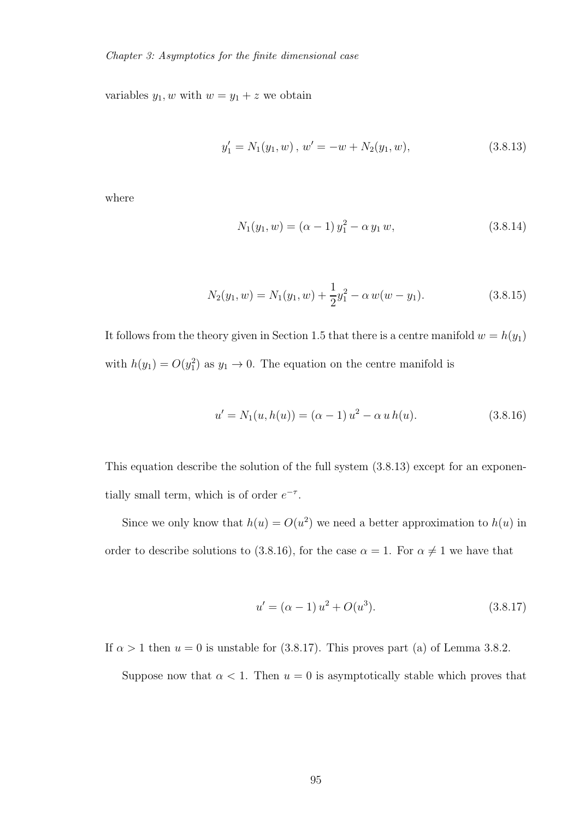variables  $y_1, w$  with  $w = y_1 + z$  we obtain

$$
y_1' = N_1(y_1, w), \, w' = -w + N_2(y_1, w), \tag{3.8.13}
$$

where

$$
N_1(y_1, w) = (\alpha - 1) y_1^2 - \alpha y_1 w,
$$
\n(3.8.14)

$$
N_2(y_1, w) = N_1(y_1, w) + \frac{1}{2}y_1^2 - \alpha w(w - y_1).
$$
 (3.8.15)

It follows from the theory given in Section 1.5 that there is a centre manifold  $w = h(y_1)$ with  $h(y_1) = O(y_1^2)$  as  $y_1 \to 0$ . The equation on the centre manifold is

$$
u' = N_1(u, h(u)) = (\alpha - 1) u^2 - \alpha u h(u).
$$
 (3.8.16)

This equation describe the solution of the full system (3.8.13) except for an exponentially small term, which is of order  $e^{-\tau}$ .

Since we only know that  $h(u) = O(u^2)$  we need a better approximation to  $h(u)$  in order to describe solutions to (3.8.16), for the case  $\alpha = 1$ . For  $\alpha \neq 1$  we have that

$$
u' = (\alpha - 1) u^2 + O(u^3).
$$
 (3.8.17)

If  $\alpha > 1$  then  $u = 0$  is unstable for (3.8.17). This proves part (a) of Lemma 3.8.2.

Suppose now that  $\alpha < 1$ . Then  $u = 0$  is asymptotically stable which proves that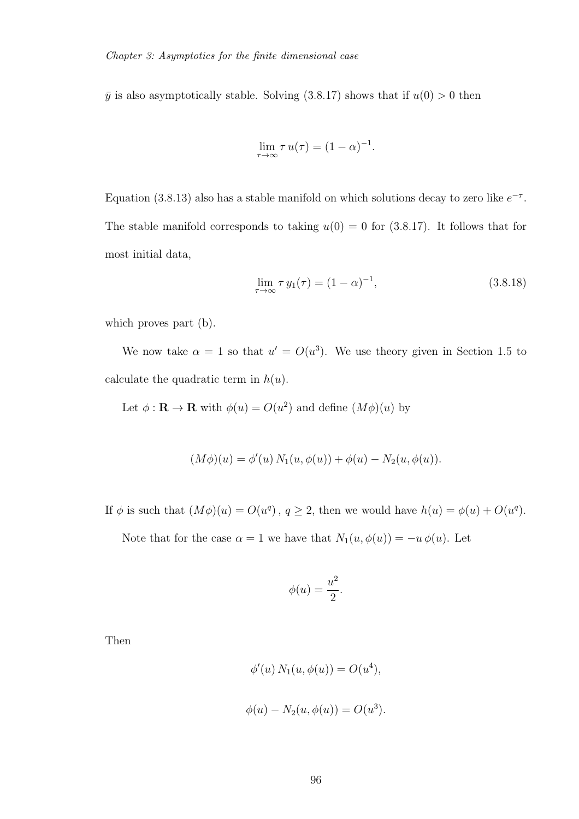$\bar{y}$  is also asymptotically stable. Solving (3.8.17) shows that if  $u(0) > 0$  then

$$
\lim_{\tau \to \infty} \tau u(\tau) = (1 - \alpha)^{-1}.
$$

Equation (3.8.13) also has a stable manifold on which solutions decay to zero like  $e^{-\tau}$ . The stable manifold corresponds to taking  $u(0) = 0$  for (3.8.17). It follows that for most initial data,

$$
\lim_{\tau \to \infty} \tau y_1(\tau) = (1 - \alpha)^{-1},
$$
\n(3.8.18)

which proves part (b).

We now take  $\alpha = 1$  so that  $u' = O(u^3)$ . We use theory given in Section 1.5 to calculate the quadratic term in  $h(u)$ .

Let  $\phi : \mathbf{R} \to \mathbf{R}$  with  $\phi(u) = O(u^2)$  and define  $(M\phi)(u)$  by

$$
(M\phi)(u) = \phi'(u) N_1(u, \phi(u)) + \phi(u) - N_2(u, \phi(u)).
$$

If  $\phi$  is such that  $(M\phi)(u) = O(u^q)$ ,  $q \ge 2$ , then we would have  $h(u) = \phi(u) + O(u^q)$ .

Note that for the case  $\alpha = 1$  we have that  $N_1(u, \phi(u)) = -u \phi(u)$ . Let

$$
\phi(u) = \frac{u^2}{2}.
$$

Then

$$
\phi'(u) N_1(u, \phi(u)) = O(u^4),
$$
  

$$
\phi(u) - N_2(u, \phi(u)) = O(u^3).
$$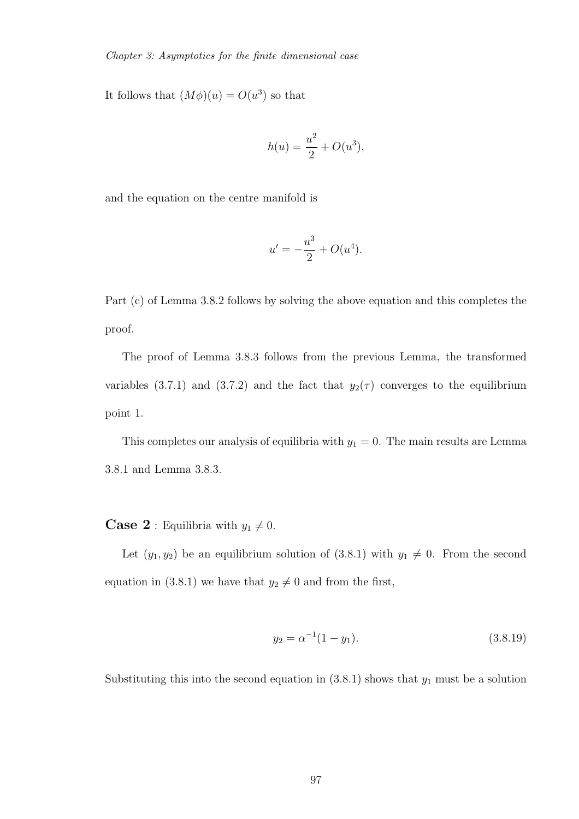It follows that  $(M\phi)(u) = O(u^3)$  so that

$$
h(u) = \frac{u^2}{2} + O(u^3),
$$

and the equation on the centre manifold is

$$
u' = -\frac{u^3}{2} + O(u^4).
$$

Part (c) of Lemma 3.8.2 follows by solving the above equation and this completes the proof.

The proof of Lemma 3.8.3 follows from the previous Lemma, the transformed variables (3.7.1) and (3.7.2) and the fact that  $y_2(\tau)$  converges to the equilibrium point 1.

This completes our analysis of equilibria with  $y_1 = 0$ . The main results are Lemma 3.8.1 and Lemma 3.8.3.

**Case 2** : Equilibria with  $y_1 \neq 0$ .

Let  $(y_1, y_2)$  be an equilibrium solution of  $(3.8.1)$  with  $y_1 \neq 0$ . From the second equation in (3.8.1) we have that  $y_2 \neq 0$  and from the first,

$$
y_2 = \alpha^{-1}(1 - y_1). \tag{3.8.19}
$$

Substituting this into the second equation in  $(3.8.1)$  shows that  $y_1$  must be a solution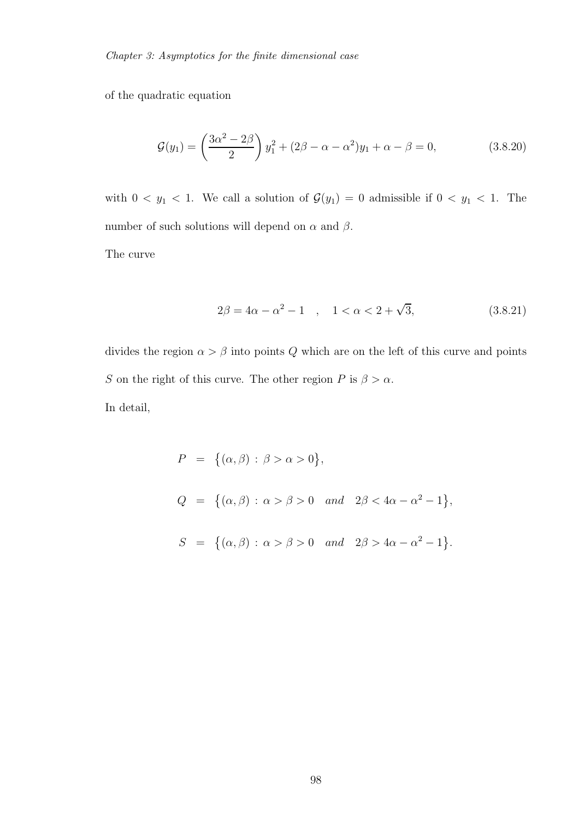of the quadratic equation

$$
\mathcal{G}(y_1) = \left(\frac{3\alpha^2 - 2\beta}{2}\right)y_1^2 + (2\beta - \alpha - \alpha^2)y_1 + \alpha - \beta = 0,
$$
 (3.8.20)

with  $0 < y_1 < 1$ . We call a solution of  $\mathcal{G}(y_1) = 0$  admissible if  $0 < y_1 < 1$ . The number of such solutions will depend on  $\alpha$  and  $\beta$ .

The curve

$$
2\beta = 4\alpha - \alpha^2 - 1 \quad , \quad 1 < \alpha < 2 + \sqrt{3}, \tag{3.8.21}
$$

divides the region  $\alpha > \beta$  into points Q which are on the left of this curve and points  $S$  on the right of this curve. The other region  $P$  is  $\beta > \alpha.$ In detail,

$$
P = \{(\alpha, \beta) : \beta > \alpha > 0\},
$$
  
\n
$$
Q = \{(\alpha, \beta) : \alpha > \beta > 0 \text{ and } 2\beta < 4\alpha - \alpha^{2} - 1\},
$$
  
\n
$$
S = \{(\alpha, \beta) : \alpha > \beta > 0 \text{ and } 2\beta > 4\alpha - \alpha^{2} - 1\}.
$$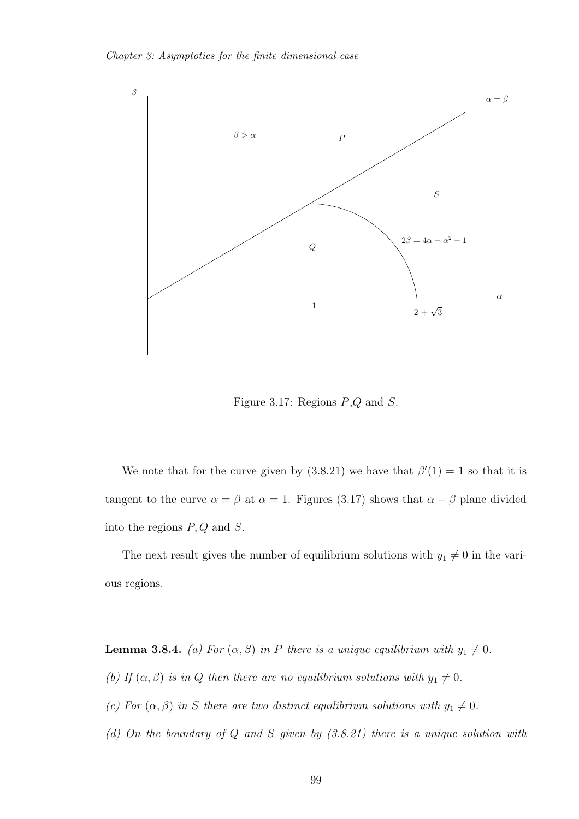

Figure 3.17: Regions  $P,Q$  and  $S$ .

We note that for the curve given by  $(3.8.21)$  we have that  $\beta'(1) = 1$  so that it is tangent to the curve  $\alpha = \beta$  at  $\alpha = 1$ . Figures (3.17) shows that  $\alpha - \beta$  plane divided into the regions  $P, Q$  and  $S$ .

The next result gives the number of equilibrium solutions with  $y_1 \neq 0$  in the various regions.

**Lemma 3.8.4.** *(a) For*  $(\alpha, \beta)$  *in P there is a unique equilibrium with*  $y_1 \neq 0$ *.* 

- *(b)* If  $(\alpha, \beta)$  *is in* Q *then there are no equilibrium solutions with*  $y_1 \neq 0$ *.*
- *(c)* For  $(\alpha, \beta)$  *in* S there are two distinct equilibrium solutions with  $y_1 \neq 0$ .
- *(d) On the boundary of* Q *and* S *given by (3.8.21) there is a unique solution with*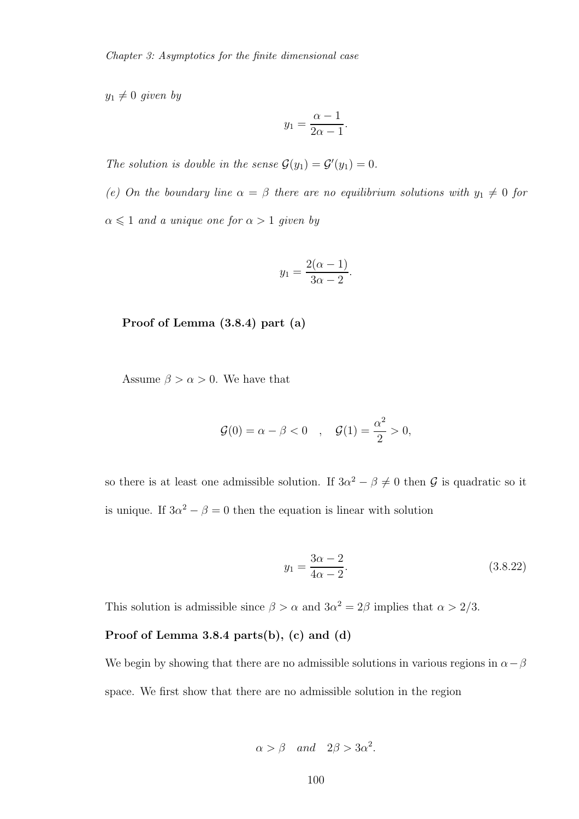$y_1 \neq 0$  *given by* 

$$
y_1 = \frac{\alpha - 1}{2\alpha - 1}.
$$

*The solution is double in the sense*  $\mathcal{G}(y_1) = \mathcal{G}'(y_1) = 0$ *.* 

*(e)* On the boundary line  $\alpha = \beta$  there are no equilibrium solutions with  $y_1 \neq 0$  for  $\alpha \leqslant 1$  *and a unique one for*  $\alpha > 1$  *given by* 

$$
y_1 = \frac{2(\alpha - 1)}{3\alpha - 2}.
$$

Proof of Lemma (3.8.4) part (a)

Assume  $\beta > \alpha > 0$ . We have that

$$
G(0) = \alpha - \beta < 0 \quad , \quad G(1) = \frac{\alpha^2}{2} > 0,
$$

so there is at least one admissible solution. If  $3\alpha^2 - \beta \neq 0$  then G is quadratic so it is unique. If  $3\alpha^2 - \beta = 0$  then the equation is linear with solution

$$
y_1 = \frac{3\alpha - 2}{4\alpha - 2}.\tag{3.8.22}
$$

This solution is admissible since  $\beta > \alpha$  and  $3\alpha^2 = 2\beta$  implies that  $\alpha > 2/3$ .

#### Proof of Lemma 3.8.4 parts(b), (c) and (d)

We begin by showing that there are no admissible solutions in various regions in  $\alpha-\beta$ space. We first show that there are no admissible solution in the region

$$
\alpha > \beta
$$
 and  $2\beta > 3\alpha^2$ .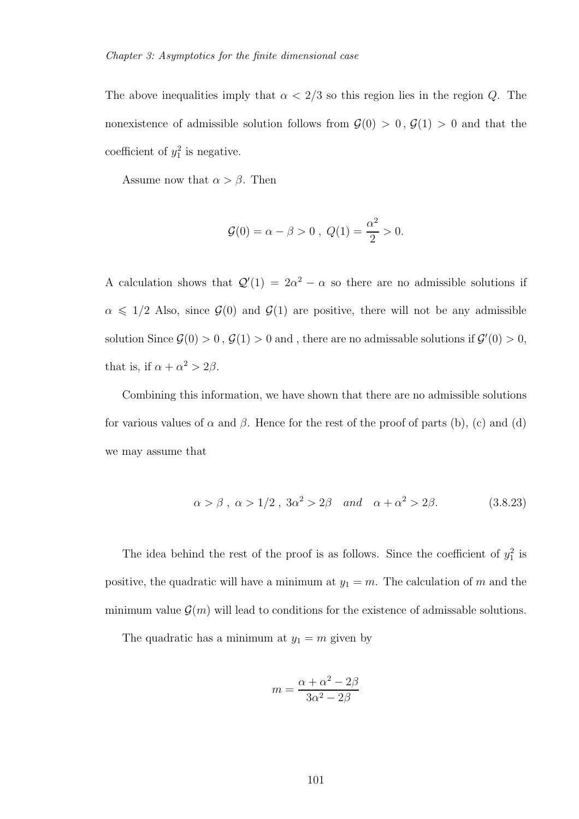The above inequalities imply that  $\alpha < 2/3$  so this region lies in the region Q. The nonexistence of admissible solution follows from  $\mathcal{G}(0) > 0$ ,  $\mathcal{G}(1) > 0$  and that the coefficient of  $y_1^2$  is negative.

Assume now that  $\alpha > \beta$ . Then

$$
\mathcal{G}(0) = \alpha - \beta > 0 , Q(1) = \frac{\alpha^2}{2} > 0.
$$

A calculation shows that  $Q'(1) = 2\alpha^2 - \alpha$  so there are no admissible solutions if  $\alpha \leq 1/2$  Also, since  $\mathcal{G}(0)$  and  $\mathcal{G}(1)$  are positive, there will not be any admissible solution Since  $\mathcal{G}(0) > 0$ ,  $\mathcal{G}(1) > 0$  and, there are no admissable solutions if  $\mathcal{G}'(0) > 0$ , that is, if  $\alpha + \alpha^2 > 2\beta$ .

Combining this information, we have shown that there are no admissible solutions for various values of  $\alpha$  and  $\beta$ . Hence for the rest of the proof of parts (b), (c) and (d) we may assume that

$$
\alpha > \beta, \ \alpha > 1/2, \ 3\alpha^2 > 2\beta \quad and \quad \alpha + \alpha^2 > 2\beta. \tag{3.8.23}
$$

The idea behind the rest of the proof is as follows. Since the coefficient of  $y_1^2$  is positive, the quadratic will have a minimum at  $y_1 = m$ . The calculation of m and the minimum value  $\mathcal{G}(m)$  will lead to conditions for the existence of admissable solutions.

The quadratic has a minimum at  $y_1 = m$  given by

$$
m = \frac{\alpha + \alpha^2 - 2\beta}{3\alpha^2 - 2\beta}
$$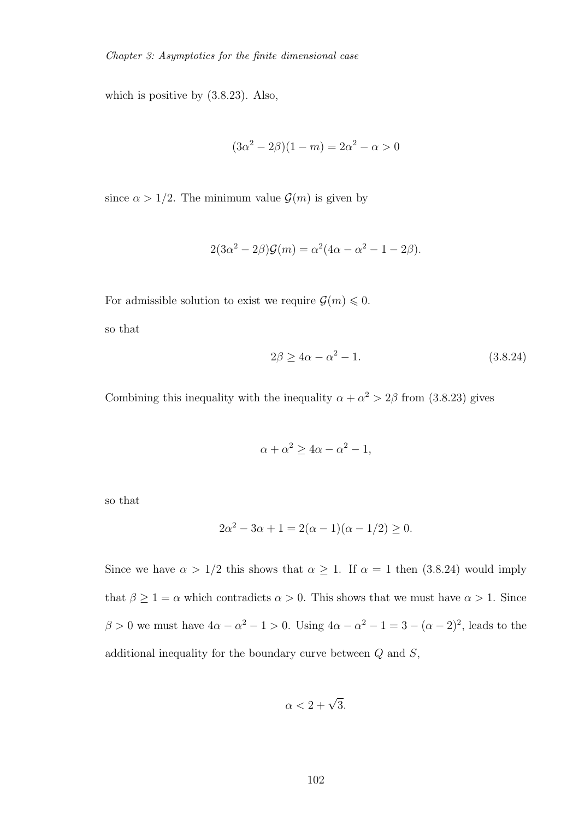which is positive by (3.8.23). Also,

$$
(3\alpha^2 - 2\beta)(1 - m) = 2\alpha^2 - \alpha > 0
$$

since  $\alpha > 1/2$ . The minimum value  $\mathcal{G}(m)$  is given by

$$
2(3\alpha^2 - 2\beta)\mathcal{G}(m) = \alpha^2(4\alpha - \alpha^2 - 1 - 2\beta).
$$

For admissible solution to exist we require  $\mathcal{G}(m) \leq 0$ .

so that

$$
2\beta \ge 4\alpha - \alpha^2 - 1. \tag{3.8.24}
$$

Combining this inequality with the inequality  $\alpha + \alpha^2 > 2\beta$  from (3.8.23) gives

$$
\alpha + \alpha^2 \ge 4\alpha - \alpha^2 - 1,
$$

so that

$$
2\alpha^2 - 3\alpha + 1 = 2(\alpha - 1)(\alpha - 1/2) \ge 0.
$$

Since we have  $\alpha > 1/2$  this shows that  $\alpha \geq 1$ . If  $\alpha = 1$  then (3.8.24) would imply that  $\beta \ge 1 = \alpha$  which contradicts  $\alpha > 0$ . This shows that we must have  $\alpha > 1$ . Since  $\beta > 0$  we must have  $4\alpha - \alpha^2 - 1 > 0$ . Using  $4\alpha - \alpha^2 - 1 = 3 - (\alpha - 2)^2$ , leads to the additional inequality for the boundary curve between  $Q$  and  $S$ ,

$$
\alpha < 2 + \sqrt{3}.
$$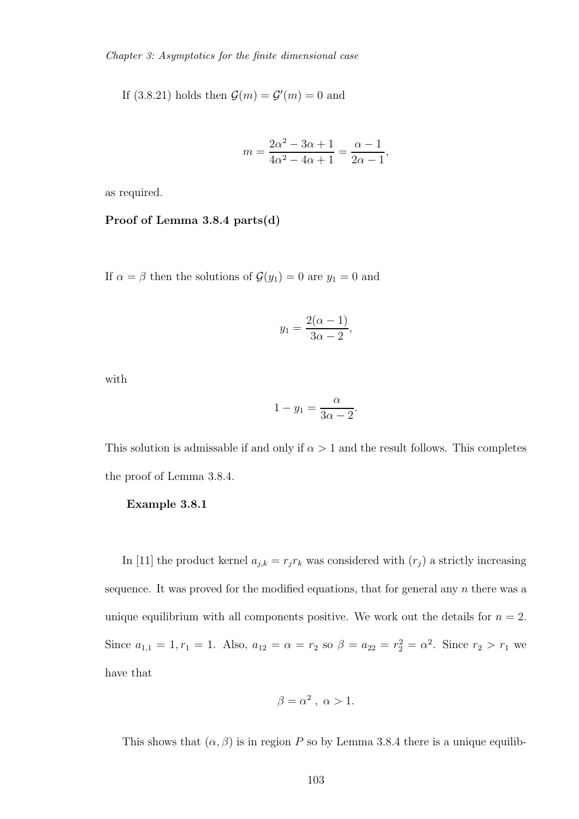Chapter 3: Asymptotics for the finite dimensional case

If (3.8.21) holds then  $\mathcal{G}(m) = \mathcal{G}'(m) = 0$  and

$$
m = \frac{2\alpha^2 - 3\alpha + 1}{4\alpha^2 - 4\alpha + 1} = \frac{\alpha - 1}{2\alpha - 1},
$$

as required.

#### Proof of Lemma 3.8.4 parts(d)

If  $\alpha = \beta$  then the solutions of  $\mathcal{G}(y_1) = 0$  are  $y_1 = 0$  and

$$
y_1 = \frac{2(\alpha - 1)}{3\alpha - 2},
$$

with

$$
1 - y_1 = \frac{\alpha}{3\alpha - 2}.
$$

This solution is admissable if and only if  $\alpha > 1$  and the result follows. This completes the proof of Lemma 3.8.4.

#### Example 3.8.1

In [11] the product kernel  $a_{j,k} = r_j r_k$  was considered with  $(r_j)$  a strictly increasing sequence. It was proved for the modified equations, that for general any  $n$  there was a unique equilibrium with all components positive. We work out the details for  $n = 2$ . Since  $a_{1,1} = 1, r_1 = 1$ . Also,  $a_{12} = \alpha = r_2$  so  $\beta = a_{22} = r_2^2 = \alpha^2$ . Since  $r_2 > r_1$  we have that

$$
\beta = \alpha^2 \ , \ \alpha > 1.
$$

This shows that  $(\alpha, \beta)$  is in region P so by Lemma 3.8.4 there is a unique equilib-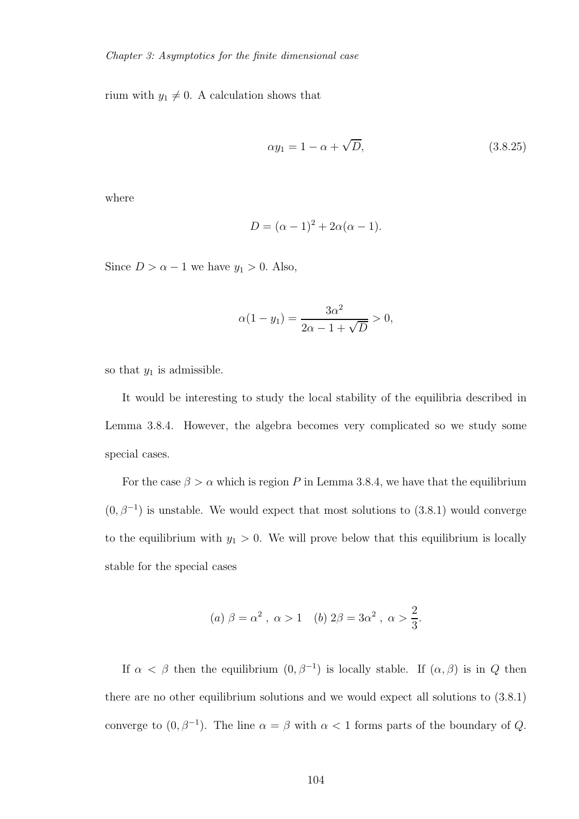rium with  $y_1 \neq 0$ . A calculation shows that

$$
\alpha y_1 = 1 - \alpha + \sqrt{D},\tag{3.8.25}
$$

where

$$
D = (\alpha - 1)^2 + 2\alpha(\alpha - 1).
$$

Since  $D > \alpha - 1$  we have  $y_1 > 0$ . Also,

$$
\alpha(1 - y_1) = \frac{3\alpha^2}{2\alpha - 1 + \sqrt{D}} > 0,
$$

so that  $y_1$  is admissible.

It would be interesting to study the local stability of the equilibria described in Lemma 3.8.4. However, the algebra becomes very complicated so we study some special cases.

For the case  $\beta > \alpha$  which is region P in Lemma 3.8.4, we have that the equilibrium  $(0, \beta^{-1})$  is unstable. We would expect that most solutions to  $(3.8.1)$  would converge to the equilibrium with  $y_1 > 0$ . We will prove below that this equilibrium is locally stable for the special cases

(a) 
$$
\beta = \alpha^2
$$
,  $\alpha > 1$  (b)  $2\beta = 3\alpha^2$ ,  $\alpha > \frac{2}{3}$ .

If  $\alpha < \beta$  then the equilibrium  $(0, \beta^{-1})$  is locally stable. If  $(\alpha, \beta)$  is in Q then there are no other equilibrium solutions and we would expect all solutions to (3.8.1) converge to  $(0, \beta^{-1})$ . The line  $\alpha = \beta$  with  $\alpha < 1$  forms parts of the boundary of Q.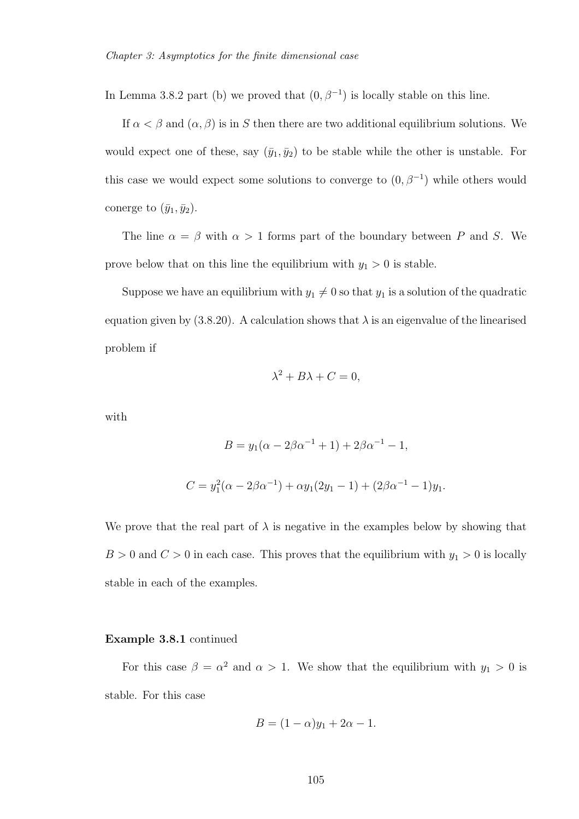In Lemma 3.8.2 part (b) we proved that  $(0, \beta^{-1})$  is locally stable on this line.

If  $\alpha < \beta$  and  $(\alpha, \beta)$  is in S then there are two additional equilibrium solutions. We would expect one of these, say  $(\bar{y}_1, \bar{y}_2)$  to be stable while the other is unstable. For this case we would expect some solutions to converge to  $(0, \beta^{-1})$  while others would conerge to  $(\bar{y}_1, \bar{y}_2)$ .

The line  $\alpha = \beta$  with  $\alpha > 1$  forms part of the boundary between P and S. We prove below that on this line the equilibrium with  $y_1 > 0$  is stable.

Suppose we have an equilibrium with  $y_1 \neq 0$  so that  $y_1$  is a solution of the quadratic equation given by (3.8.20). A calculation shows that  $\lambda$  is an eigenvalue of the linearised problem if

$$
\lambda^2 + B\lambda + C = 0,
$$

with

$$
B = y_1(\alpha - 2\beta\alpha^{-1} + 1) + 2\beta\alpha^{-1} - 1,
$$
  

$$
C = y_1^2(\alpha - 2\beta\alpha^{-1}) + \alpha y_1(2y_1 - 1) + (2\beta\alpha^{-1} - 1)y_1.
$$

We prove that the real part of  $\lambda$  is negative in the examples below by showing that  $B > 0$  and  $C > 0$  in each case. This proves that the equilibrium with  $y_1 > 0$  is locally stable in each of the examples.

#### Example 3.8.1 continued

For this case  $\beta = \alpha^2$  and  $\alpha > 1$ . We show that the equilibrium with  $y_1 > 0$  is stable. For this case

$$
B = (1 - \alpha)y_1 + 2\alpha - 1.
$$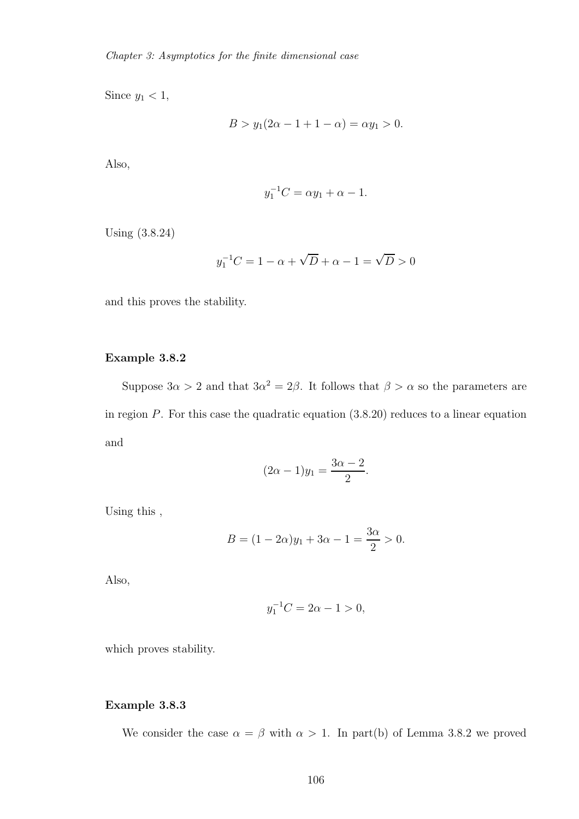Since  $y_1 < 1$ ,

$$
B > y_1(2\alpha - 1 + 1 - \alpha) = \alpha y_1 > 0.
$$

Also,

$$
y_1^{-1}C = \alpha y_1 + \alpha - 1.
$$

Using (3.8.24)

$$
y_1^{-1}C = 1 - \alpha + \sqrt{D} + \alpha - 1 = \sqrt{D} > 0
$$

and this proves the stability.

#### Example 3.8.2

Suppose  $3\alpha > 2$  and that  $3\alpha^2 = 2\beta$ . It follows that  $\beta > \alpha$  so the parameters are in region  $P$ . For this case the quadratic equation  $(3.8.20)$  reduces to a linear equation and

$$
(2\alpha - 1)y_1 = \frac{3\alpha - 2}{2}.
$$

Using this ,

$$
B = (1 - 2\alpha)y_1 + 3\alpha - 1 = \frac{3\alpha}{2} > 0.
$$

Also,

$$
y_1^{-1}C = 2\alpha - 1 > 0,
$$

which proves stability.

#### Example 3.8.3

We consider the case  $\alpha = \beta$  with  $\alpha > 1$ . In part(b) of Lemma 3.8.2 we proved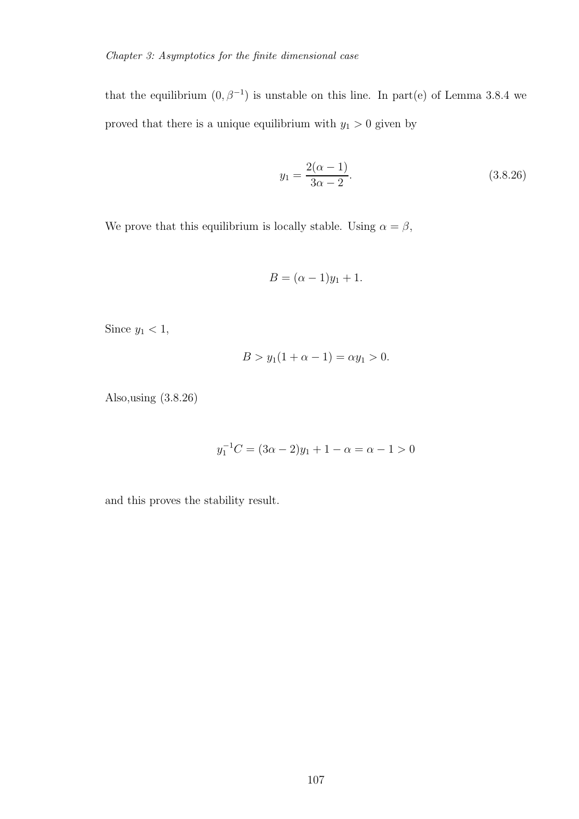that the equilibrium  $(0, \beta^{-1})$  is unstable on this line. In part(e) of Lemma 3.8.4 we proved that there is a unique equilibrium with  $y_1 > 0$  given by

$$
y_1 = \frac{2(\alpha - 1)}{3\alpha - 2}.
$$
\n(3.8.26)

We prove that this equilibrium is locally stable. Using  $\alpha=\beta,$ 

$$
B=(\alpha-1)y_1+1.
$$

Since  $y_1 < 1$ ,

$$
B > y_1(1 + \alpha - 1) = \alpha y_1 > 0.
$$

Also,using (3.8.26)

$$
y_1^{-1}C = (3\alpha - 2)y_1 + 1 - \alpha = \alpha - 1 > 0
$$

and this proves the stability result.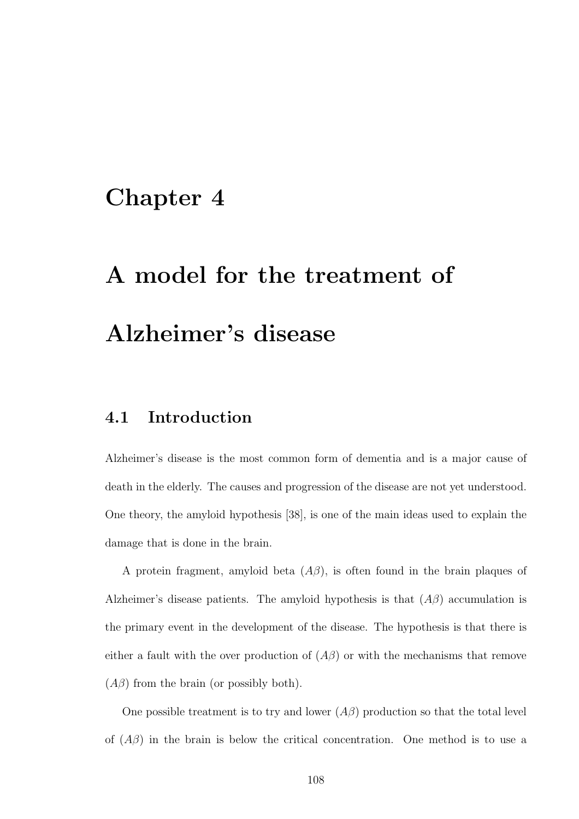## Chapter 4

## A model for the treatment of Alzheimer's disease

### 4.1 Introduction

Alzheimer's disease is the most common form of dementia and is a major cause of death in the elderly. The causes and progression of the disease are not yet understood. One theory, the amyloid hypothesis [38], is one of the main ideas used to explain the damage that is done in the brain.

A protein fragment, amyloid beta  $(A\beta)$ , is often found in the brain plaques of Alzheimer's disease patients. The amyloid hypothesis is that  $(A\beta)$  accumulation is the primary event in the development of the disease. The hypothesis is that there is either a fault with the over production of  $(A\beta)$  or with the mechanisms that remove  $(A\beta)$  from the brain (or possibly both).

One possible treatment is to try and lower  $(A\beta)$  production so that the total level of  $(A\beta)$  in the brain is below the critical concentration. One method is to use a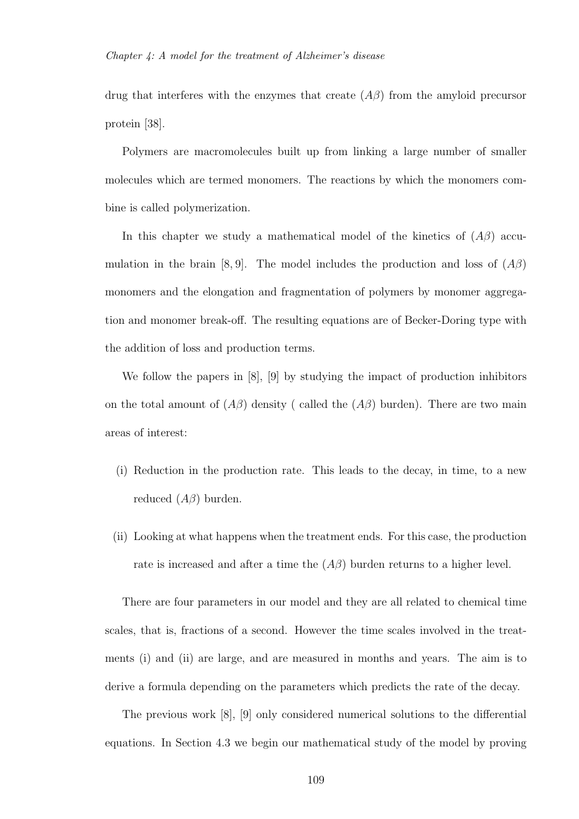drug that interferes with the enzymes that create  $(A\beta)$  from the amyloid precursor protein [38].

Polymers are macromolecules built up from linking a large number of smaller molecules which are termed monomers. The reactions by which the monomers combine is called polymerization.

In this chapter we study a mathematical model of the kinetics of  $(A\beta)$  accumulation in the brain [8, 9]. The model includes the production and loss of  $(A\beta)$ monomers and the elongation and fragmentation of polymers by monomer aggregation and monomer break-off. The resulting equations are of Becker-Doring type with the addition of loss and production terms.

We follow the papers in [8], [9] by studying the impact of production inhibitors on the total amount of  $(A\beta)$  density ( called the  $(A\beta)$  burden). There are two main areas of interest:

- (i) Reduction in the production rate. This leads to the decay, in time, to a new reduced  $(A\beta)$  burden.
- (ii) Looking at what happens when the treatment ends. For this case, the production rate is increased and after a time the  $(A\beta)$  burden returns to a higher level.

There are four parameters in our model and they are all related to chemical time scales, that is, fractions of a second. However the time scales involved in the treatments (i) and (ii) are large, and are measured in months and years. The aim is to derive a formula depending on the parameters which predicts the rate of the decay.

The previous work [8], [9] only considered numerical solutions to the differential equations. In Section 4.3 we begin our mathematical study of the model by proving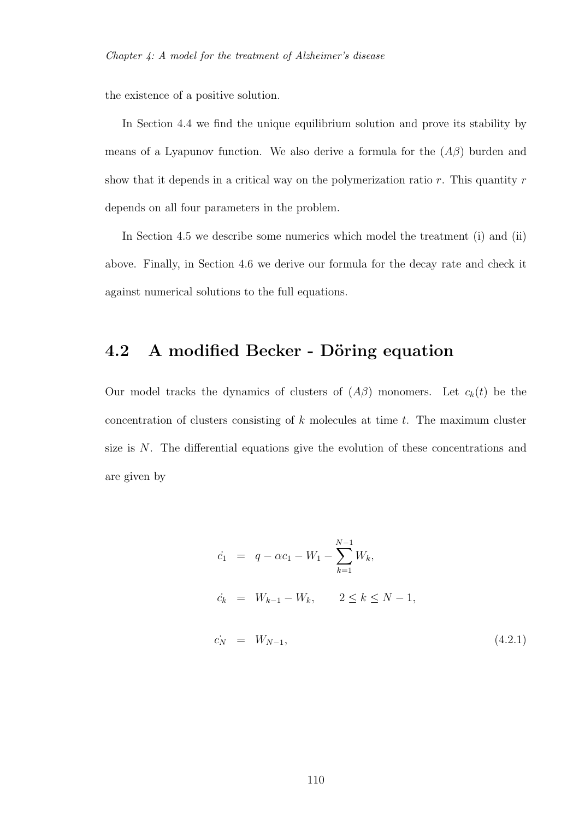the existence of a positive solution.

In Section 4.4 we find the unique equilibrium solution and prove its stability by means of a Lyapunov function. We also derive a formula for the  $(A\beta)$  burden and show that it depends in a critical way on the polymerization ratio  $r$ . This quantity  $r$ depends on all four parameters in the problem.

In Section 4.5 we describe some numerics which model the treatment (i) and (ii) above. Finally, in Section 4.6 we derive our formula for the decay rate and check it against numerical solutions to the full equations.

## 4.2 A modified Becker - Döring equation

Our model tracks the dynamics of clusters of  $(A\beta)$  monomers. Let  $c_k(t)$  be the concentration of clusters consisting of  $k$  molecules at time  $t$ . The maximum cluster size is N. The differential equations give the evolution of these concentrations and are given by

$$
\begin{aligned}\n\dot{c}_1 &= q - \alpha c_1 - W_1 - \sum_{k=1}^{N-1} W_k, \\
\dot{c}_k &= W_{k-1} - W_k, \qquad 2 \le k \le N-1, \\
\dot{c}_N &= W_{N-1}, \qquad (4.2.1)\n\end{aligned}
$$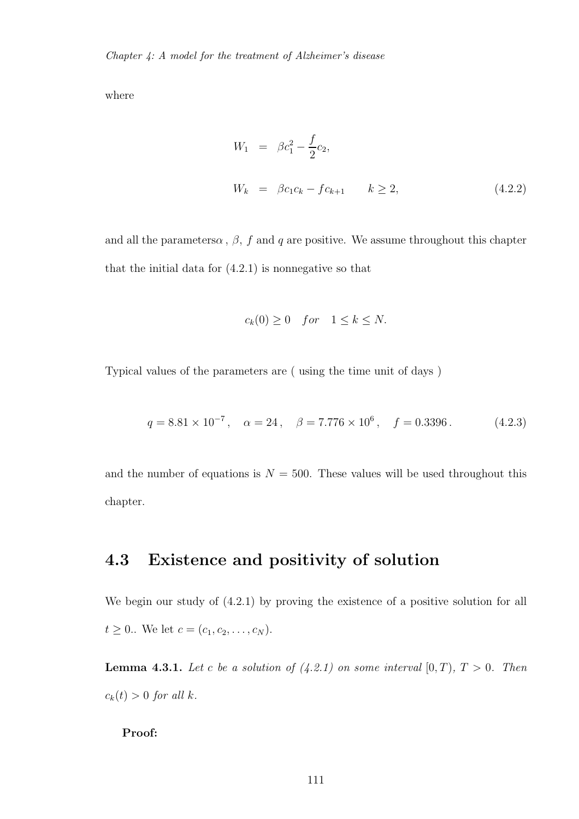where

$$
W_1 = \beta c_1^2 - \frac{f}{2} c_2,
$$
  

$$
W_k = \beta c_1 c_k - f c_{k+1} \qquad k \ge 2,
$$
 (4.2.2)

and all the parametersa,  $\beta$ , f and q are positive. We assume throughout this chapter that the initial data for  $(4.2.1)$  is nonnegative so that

$$
c_k(0) \ge 0 \quad for \quad 1 \le k \le N.
$$

Typical values of the parameters are ( using the time unit of days )

$$
q = 8.81 \times 10^{-7}
$$
,  $\alpha = 24$ ,  $\beta = 7.776 \times 10^{6}$ ,  $f = 0.3396$ . (4.2.3)

and the number of equations is  $N = 500$ . These values will be used throughout this chapter.

## 4.3 Existence and positivity of solution

We begin our study of (4.2.1) by proving the existence of a positive solution for all  $t \geq 0$ .. We let  $c = (c_1, c_2, \ldots, c_N)$ .

**Lemma 4.3.1.** Let c be a solution of  $(4.2.1)$  on some interval  $[0, T)$ ,  $T > 0$ . Then  $c_k(t) > 0$  *for all k.* 

Proof: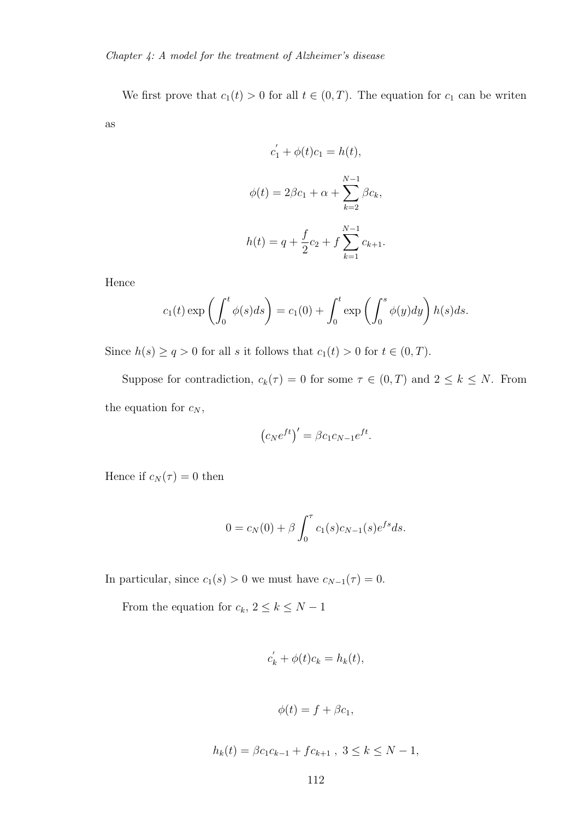We first prove that  $c_1(t) > 0$  for all  $t \in (0, T)$ . The equation for  $c_1$  can be writen as

$$
c'_1 + \phi(t)c_1 = h(t),
$$
  

$$
\phi(t) = 2\beta c_1 + \alpha + \sum_{k=2}^{N-1} \beta c_k,
$$
  

$$
h(t) = q + \frac{f}{2}c_2 + f \sum_{k=1}^{N-1} c_{k+1}.
$$

Hence

$$
c_1(t) \exp\left(\int_0^t \phi(s)ds\right) = c_1(0) + \int_0^t \exp\left(\int_0^s \phi(y)dy\right)h(s)ds.
$$

Since  $h(s) \ge q > 0$  for all s it follows that  $c_1(t) > 0$  for  $t \in (0, T)$ .

Suppose for contradiction,  $c_k(\tau) = 0$  for some  $\tau \in (0, T)$  and  $2 \leq k \leq N$ . From the equation for  $c_N$ ,

$$
(c_N e^{ft})' = \beta c_1 c_{N-1} e^{ft}.
$$

Hence if  $c_N(\tau) = 0$  then

$$
0 = c_N(0) + \beta \int_0^{\tau} c_1(s) c_{N-1}(s) e^{fs} ds.
$$

In particular, since  $c_1(s) > 0$  we must have  $c_{N-1}(\tau) = 0$ .

From the equation for  $c_k$ ,  $2 \leq k \leq N-1$ 

$$
c_k^{'} + \phi(t)c_k = h_k(t),
$$

$$
\phi(t) = f + \beta c_1,
$$

$$
h_k(t) = \beta c_1 c_{k-1} + f c_{k+1}, \ 3 \le k \le N - 1,
$$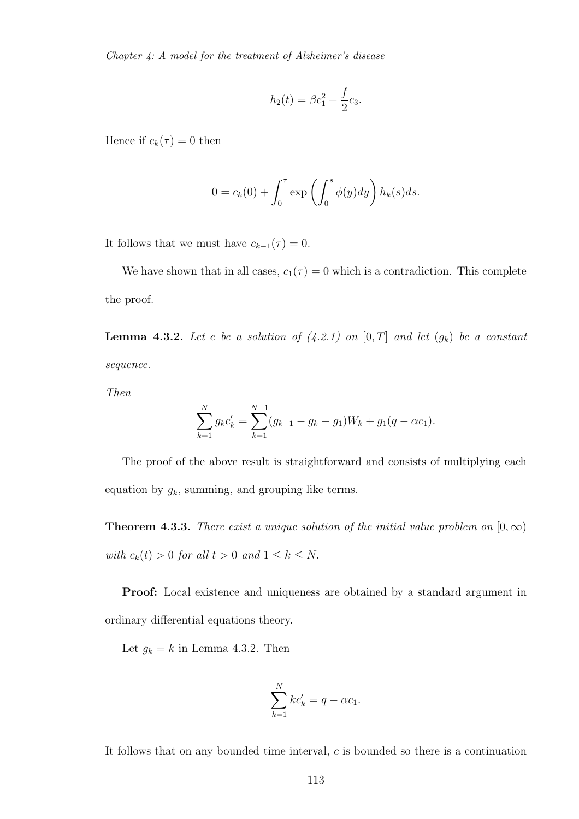Chapter 4: A model for the treatment of Alzheimer's disease

$$
h_2(t) = \beta c_1^2 + \frac{f}{2}c_3.
$$

Hence if  $c_k(\tau) = 0$  then

$$
0 = c_k(0) + \int_0^{\tau} \exp\left(\int_0^s \phi(y) dy\right) h_k(s) ds.
$$

It follows that we must have  $c_{k-1}(\tau) = 0$ .

We have shown that in all cases,  $c_1(\tau) = 0$  which is a contradiction. This complete the proof.

**Lemma 4.3.2.** Let c be a solution of  $(4.2.1)$  on  $[0, T]$  and let  $(g_k)$  be a constant *sequence.*

*Then*

$$
\sum_{k=1}^{N} g_k c'_k = \sum_{k=1}^{N-1} (g_{k+1} - g_k - g_1) W_k + g_1 (q - \alpha c_1).
$$

The proof of the above result is straightforward and consists of multiplying each equation by  $g_k$ , summing, and grouping like terms.

**Theorem 4.3.3.** *There exist a unique solution of the initial value problem on*  $[0, \infty)$ *with*  $c_k(t) > 0$  *for all*  $t > 0$  *and*  $1 \leq k \leq N$ .

Proof: Local existence and uniqueness are obtained by a standard argument in ordinary differential equations theory.

Let  $g_k = k$  in Lemma 4.3.2. Then

$$
\sum_{k=1}^{N} kc'_k = q - \alpha c_1.
$$

It follows that on any bounded time interval,  $c$  is bounded so there is a continuation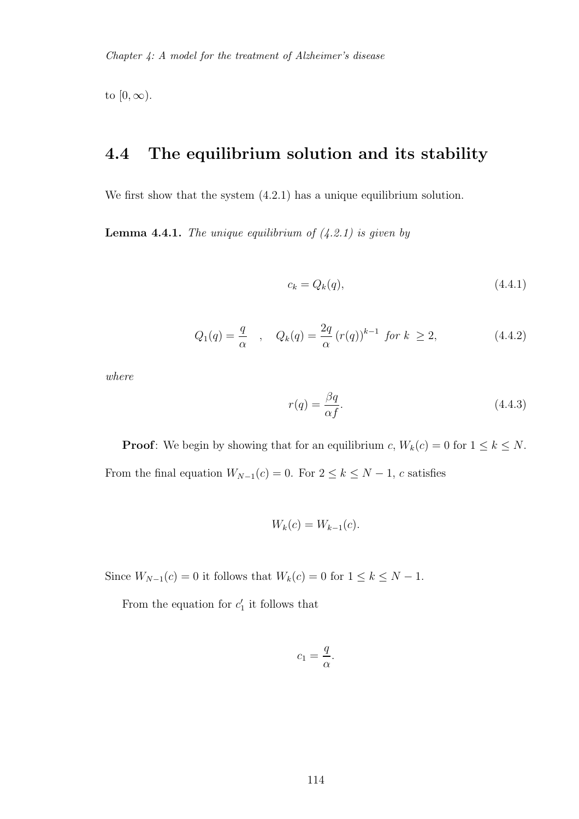to  $[0, \infty)$ .

#### 4.4 The equilibrium solution and its stability

We first show that the system  $(4.2.1)$  has a unique equilibrium solution.

Lemma 4.4.1. *The unique equilibrium of (4.2.1) is given by*

$$
c_k = Q_k(q), \tag{4.4.1}
$$

$$
Q_1(q) = \frac{q}{\alpha} \quad , \quad Q_k(q) = \frac{2q}{\alpha} (r(q))^{k-1} \text{ for } k \ge 2,
$$
 (4.4.2)

*where*

$$
r(q) = \frac{\beta q}{\alpha f}.\tag{4.4.3}
$$

**Proof:** We begin by showing that for an equilibrium c,  $W_k(c) = 0$  for  $1 \leq k \leq N$ . From the final equation  $W_{N-1}(c) = 0$ . For  $2 \le k \le N-1$ , c satisfies

$$
W_k(c) = W_{k-1}(c).
$$

Since  $W_{N-1}(c) = 0$  it follows that  $W_k(c) = 0$  for  $1 \leq k \leq N-1$ .

From the equation for  $c'_1$  it follows that

$$
c_1 = \frac{q}{\alpha}.
$$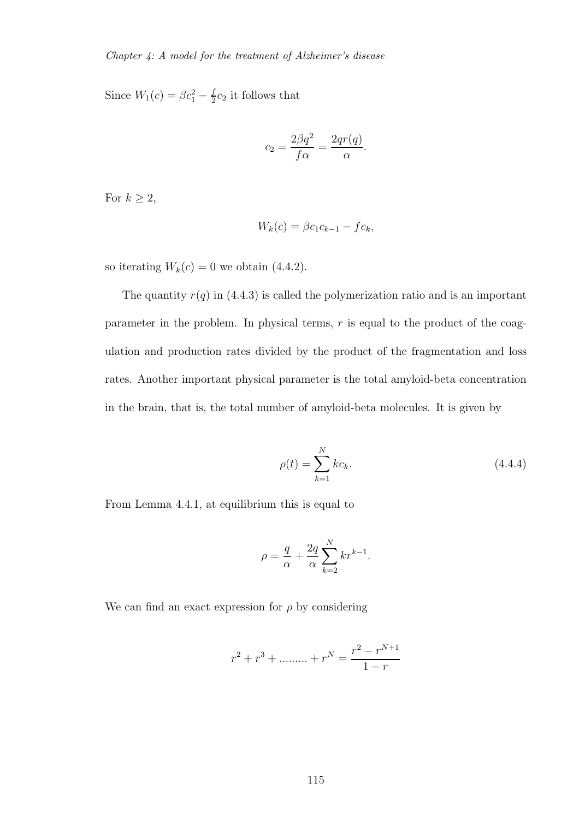Since  $W_1(c) = \beta c_1^2 - \frac{f}{2}$  $\frac{J}{2}c_2$  it follows that

$$
c_2 = \frac{2\beta q^2}{f\alpha} = \frac{2qr(q)}{\alpha}.
$$

For  $k \geq 2$ ,

$$
W_k(c) = \beta c_1 c_{k-1} - f c_k,
$$

so iterating  $W_k(c) = 0$  we obtain (4.4.2).

The quantity  $r(q)$  in (4.4.3) is called the polymerization ratio and is an important parameter in the problem. In physical terms,  $r$  is equal to the product of the coagulation and production rates divided by the product of the fragmentation and loss rates. Another important physical parameter is the total amyloid-beta concentration in the brain, that is, the total number of amyloid-beta molecules. It is given by

$$
\rho(t) = \sum_{k=1}^{N} kc_k.
$$
\n(4.4.4)

From Lemma 4.4.1, at equilibrium this is equal to

$$
\rho = \frac{q}{\alpha} + \frac{2q}{\alpha} \sum_{k=2}^{N} kr^{k-1}.
$$

We can find an exact expression for  $\rho$  by considering

$$
r^{2} + r^{3} + \dots + r^{N} = \frac{r^{2} - r^{N+1}}{1 - r}
$$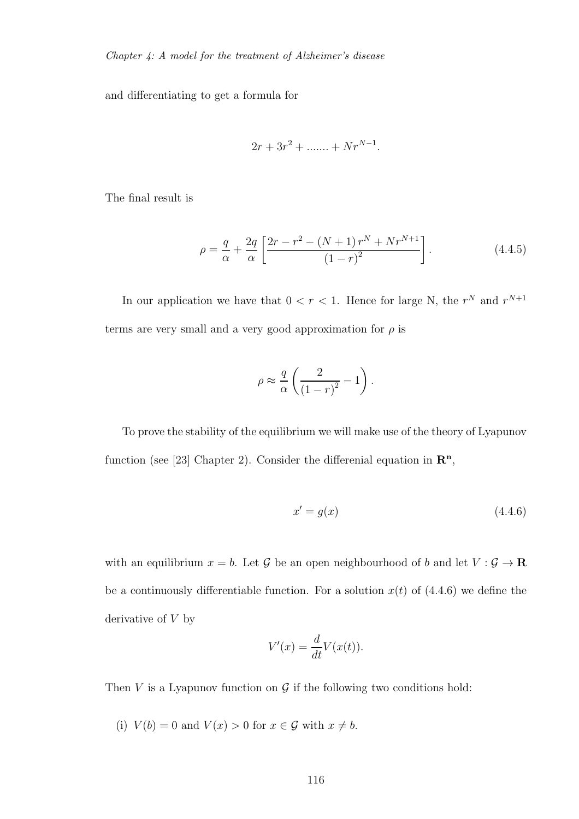and differentiating to get a formula for

$$
2r + 3r^2 + \dots + Nr^{N-1}.
$$

The final result is

$$
\rho = \frac{q}{\alpha} + \frac{2q}{\alpha} \left[ \frac{2r - r^2 - (N+1)r^N + Nr^{N+1}}{(1-r)^2} \right].
$$
\n(4.4.5)

In our application we have that  $0 < r < 1$ . Hence for large N, the  $r^N$  and  $r^{N+1}$ terms are very small and a very good approximation for  $\rho$  is

$$
\rho \approx \frac{q}{\alpha} \left( \frac{2}{\left(1 - r\right)^2} - 1 \right).
$$

To prove the stability of the equilibrium we will make use of the theory of Lyapunov function (see [23] Chapter 2). Consider the differential equation in  $\mathbb{R}^n$ ,

$$
x' = g(x) \tag{4.4.6}
$$

with an equilibrium  $x = b$ . Let  $\mathcal G$  be an open neighbourhood of b and let  $V : \mathcal G \to \mathbf R$ be a continuously differentiable function. For a solution  $x(t)$  of (4.4.6) we define the derivative of  $V$  by

$$
V'(x) = \frac{d}{dt}V(x(t)).
$$

Then  $V$  is a Lyapunov function on  $\mathcal G$  if the following two conditions hold:

(i)  $V(b) = 0$  and  $V(x) > 0$  for  $x \in \mathcal{G}$  with  $x \neq b$ .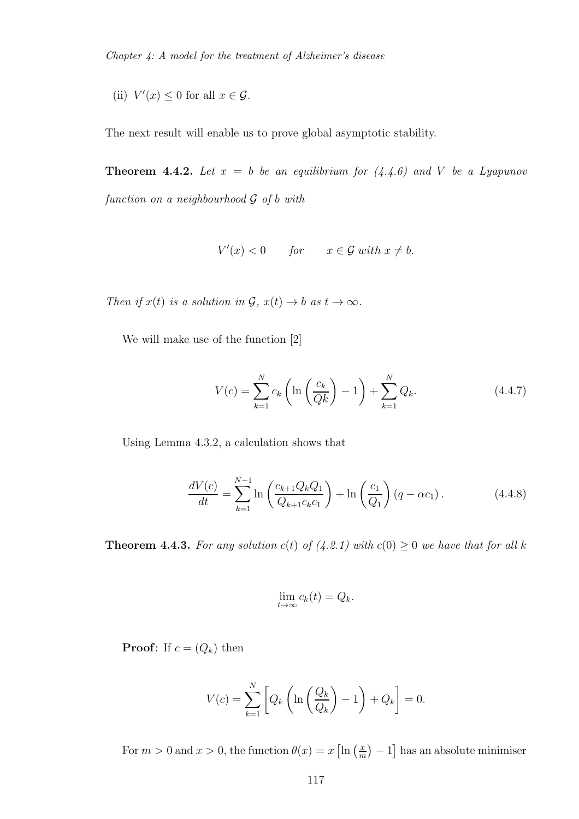(ii)  $V'(x) \leq 0$  for all  $x \in \mathcal{G}$ .

The next result will enable us to prove global asymptotic stability.

**Theorem 4.4.2.** Let  $x = b$  be an equilibrium for  $(4.4.6)$  and V be a Lyapunov *function on a neighbourhood* G *of* b *with*

$$
V'(x) < 0 \qquad \text{for} \qquad x \in \mathcal{G} \text{ with } x \neq b.
$$

*Then if*  $x(t)$  *is a solution in*  $\mathcal{G}, x(t) \to b$  *as*  $t \to \infty$ *.* 

We will make use of the function [2]

$$
V(c) = \sum_{k=1}^{N} c_k \left( \ln \left( \frac{c_k}{Qk} \right) - 1 \right) + \sum_{k=1}^{N} Q_k.
$$
 (4.4.7)

Using Lemma 4.3.2, a calculation shows that

$$
\frac{dV(c)}{dt} = \sum_{k=1}^{N-1} \ln\left(\frac{c_{k+1}Q_kQ_1}{Q_{k+1}c_kc_1}\right) + \ln\left(\frac{c_1}{Q_1}\right)(q - \alpha c_1). \tag{4.4.8}
$$

**Theorem 4.4.3.** For any solution  $c(t)$  of (4.2.1) with  $c(0) \geq 0$  we have that for all k

$$
\lim_{t\to\infty}c_k(t)=Q_k.
$$

**Proof:** If  $c = (Q_k)$  then

$$
V(c) = \sum_{k=1}^{N} \left[ Q_k \left( \ln \left( \frac{Q_k}{Q_k} \right) - 1 \right) + Q_k \right] = 0.
$$

For  $m > 0$  and  $x > 0$ , the function  $\theta(x) = x \left[ \ln \left( \frac{x}{m} \right) \right]$  $\binom{x}{m} - 1$  has an absolute minimiser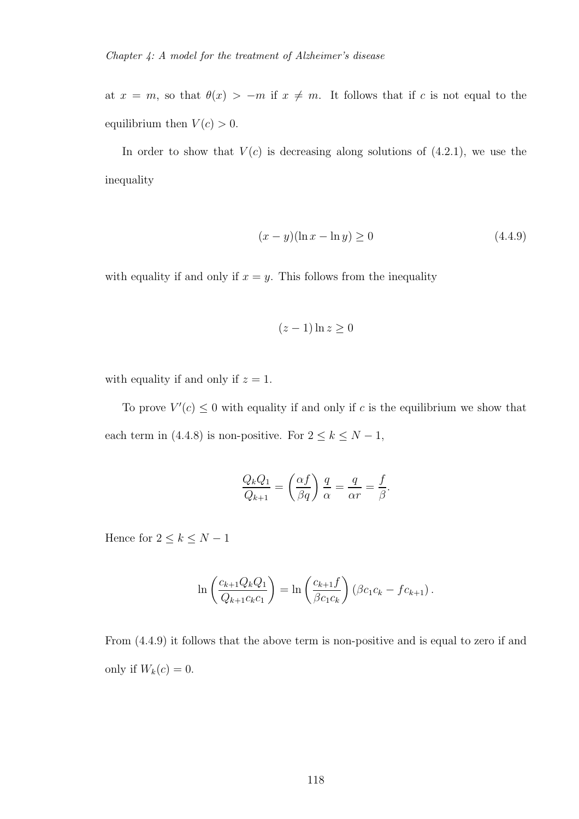at  $x = m$ , so that  $\theta(x) > -m$  if  $x \neq m$ . It follows that if c is not equal to the equilibrium then  $V(c) > 0$ .

In order to show that  $V(c)$  is decreasing along solutions of  $(4.2.1)$ , we use the inequality

$$
(x - y)(\ln x - \ln y) \ge 0
$$
\n(4.4.9)

with equality if and only if  $x = y$ . This follows from the inequality

$$
(z-1)\ln z \ge 0
$$

with equality if and only if  $z = 1$ .

To prove  $V'(c) \leq 0$  with equality if and only if c is the equilibrium we show that each term in (4.4.8) is non-positive. For  $2 \leq k \leq N-1$ ,

$$
\frac{Q_k Q_1}{Q_{k+1}} = \left(\frac{\alpha f}{\beta q}\right) \frac{q}{\alpha} = \frac{q}{\alpha r} = \frac{f}{\beta}.
$$

Hence for  $2 \leq k \leq N-1$ 

$$
\ln\left(\frac{c_{k+1}Q_kQ_1}{Q_{k+1}c_kc_1}\right) = \ln\left(\frac{c_{k+1}f}{\beta c_1c_k}\right) (\beta c_1c_k - fc_{k+1}).
$$

From (4.4.9) it follows that the above term is non-positive and is equal to zero if and only if  $W_k(c) = 0$ .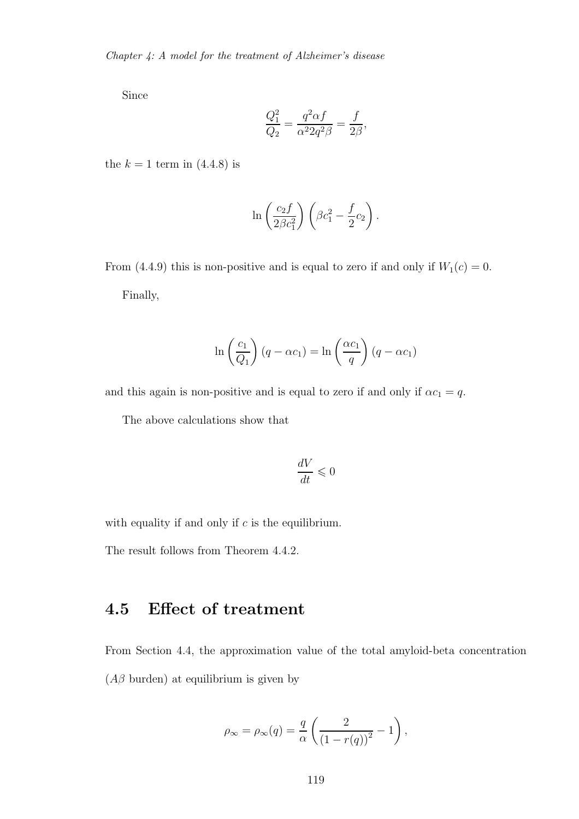Since

$$
\frac{Q_1^2}{Q_2} = \frac{q^2 \alpha f}{\alpha^2 2q^2 \beta} = \frac{f}{2\beta},
$$

the  $k = 1$  term in  $(4.4.8)$  is

$$
\ln\left(\frac{c_2f}{2\beta c_1^2}\right)\left(\beta c_1^2 - \frac{f}{2}c_2\right).
$$

From (4.4.9) this is non-positive and is equal to zero if and only if  $W_1(c) = 0$ . Finally,

$$
\ln\left(\frac{c_1}{Q_1}\right)(q - \alpha c_1) = \ln\left(\frac{\alpha c_1}{q}\right)(q - \alpha c_1)
$$

and this again is non-positive and is equal to zero if and only if  $\alpha c_1 = q$ .

The above calculations show that

$$
\frac{dV}{dt} \leqslant 0
$$

with equality if and only if  $c$  is the equilibrium.

The result follows from Theorem 4.4.2.

### 4.5 Effect of treatment

From Section 4.4, the approximation value of the total amyloid-beta concentration  $(A\beta$  burden) at equilibrium is given by

$$
\rho_{\infty} = \rho_{\infty}(q) = \frac{q}{\alpha} \left( \frac{2}{(1 - r(q))^2} - 1 \right),
$$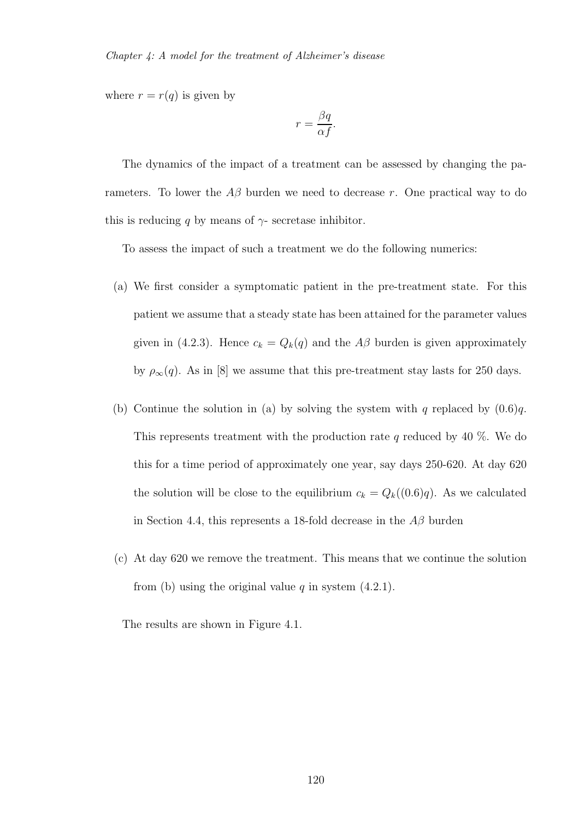where  $r = r(q)$  is given by

$$
r = \frac{\beta q}{\alpha f}.
$$

The dynamics of the impact of a treatment can be assessed by changing the parameters. To lower the  $A\beta$  burden we need to decrease r. One practical way to do this is reducing q by means of  $\gamma$ - secretase inhibitor.

To assess the impact of such a treatment we do the following numerics:

- (a) We first consider a symptomatic patient in the pre-treatment state. For this patient we assume that a steady state has been attained for the parameter values given in (4.2.3). Hence  $c_k = Q_k(q)$  and the  $A\beta$  burden is given approximately by  $\rho_{\infty}(q)$ . As in [8] we assume that this pre-treatment stay lasts for 250 days.
- (b) Continue the solution in (a) by solving the system with q replaced by  $(0.6)q$ . This represents treatment with the production rate q reduced by 40  $\%$ . We do this for a time period of approximately one year, say days 250-620. At day 620 the solution will be close to the equilibrium  $c_k = Q_k((0.6)q)$ . As we calculated in Section 4.4, this represents a 18-fold decrease in the  $A\beta$  burden
- (c) At day 620 we remove the treatment. This means that we continue the solution from (b) using the original value  $q$  in system  $(4.2.1)$ .

The results are shown in Figure 4.1.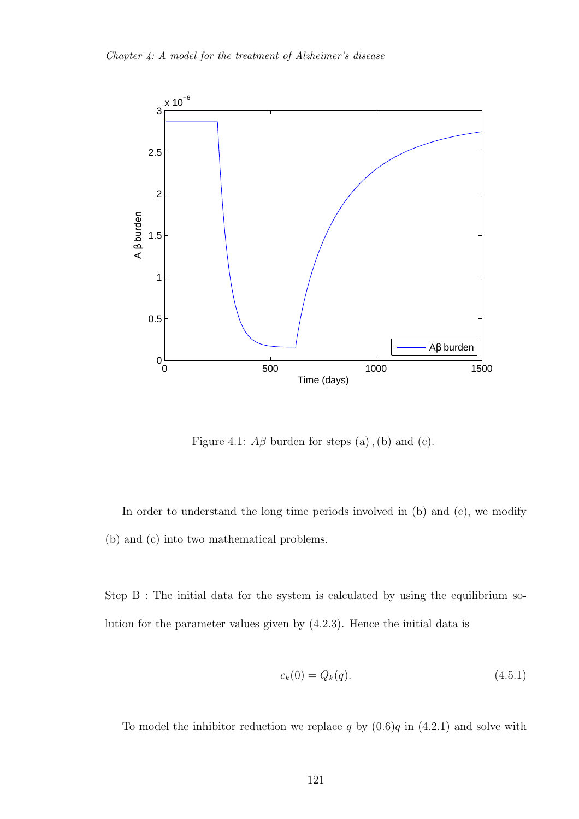

Figure 4.1:  $A\beta$  burden for steps (a), (b) and (c).

In order to understand the long time periods involved in (b) and (c), we modify (b) and (c) into two mathematical problems.

Step  $B$ : The initial data for the system is calculated by using the equilibrium solution for the parameter values given by (4.2.3). Hence the initial data is

$$
c_k(0) = Q_k(q). \t\t(4.5.1)
$$

To model the inhibitor reduction we replace q by  $(0.6)q$  in  $(4.2.1)$  and solve with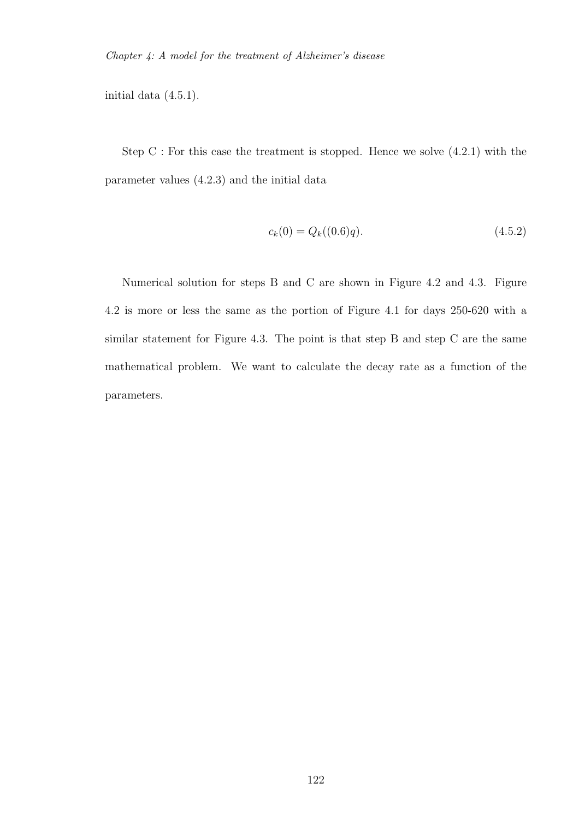initial data (4.5.1).

Step  $C$ : For this case the treatment is stopped. Hence we solve  $(4.2.1)$  with the parameter values (4.2.3) and the initial data

$$
c_k(0) = Q_k((0.6)q). \tag{4.5.2}
$$

Numerical solution for steps B and C are shown in Figure 4.2 and 4.3. Figure 4.2 is more or less the same as the portion of Figure 4.1 for days 250-620 with a similar statement for Figure 4.3. The point is that step B and step C are the same mathematical problem. We want to calculate the decay rate as a function of the parameters.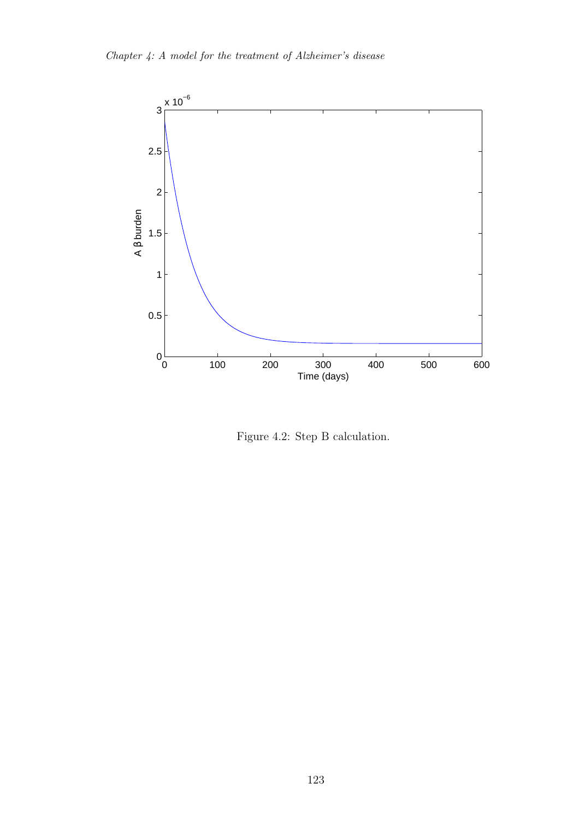

Figure 4.2: Step B calculation.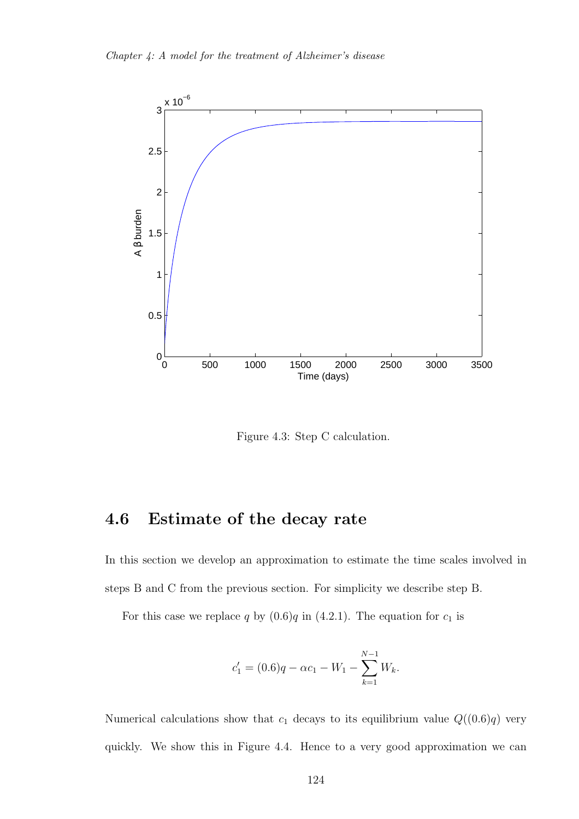

Figure 4.3: Step C calculation.

## 4.6 Estimate of the decay rate

In this section we develop an approximation to estimate the time scales involved in steps B and C from the previous section. For simplicity we describe step B.

For this case we replace q by  $(0.6)q$  in  $(4.2.1)$ . The equation for  $c_1$  is

$$
c_1' = (0.6)q - \alpha c_1 - W_1 - \sum_{k=1}^{N-1} W_k.
$$

Numerical calculations show that  $c_1$  decays to its equilibrium value  $Q((0.6)q)$  very quickly. We show this in Figure 4.4. Hence to a very good approximation we can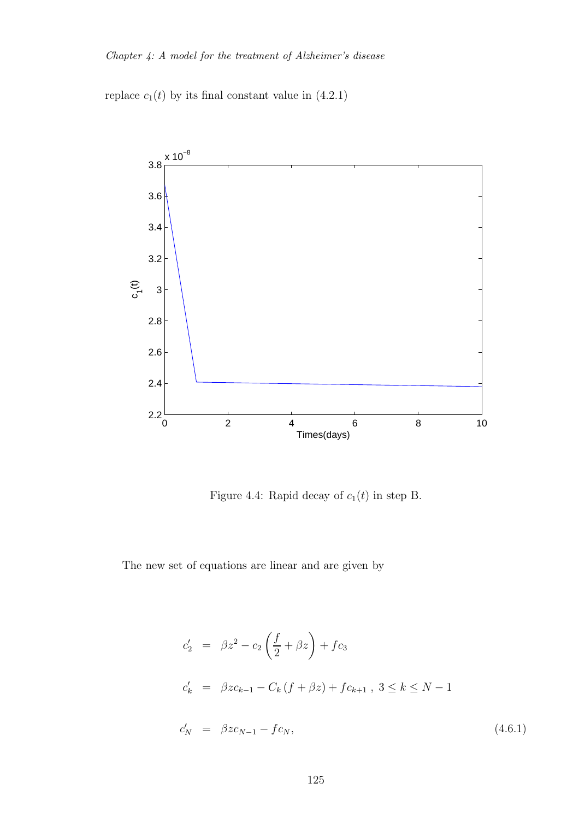replace  $c_1(t)$  by its final constant value in (4.2.1)



Figure 4.4: Rapid decay of  $c_1(t)$  in step B.

The new set of equations are linear and are given by

$$
c'_{2} = \beta z^{2} - c_{2} \left( \frac{f}{2} + \beta z \right) + fc_{3}
$$
  
\n
$$
c'_{k} = \beta z c_{k-1} - C_{k} (f + \beta z) + fc_{k+1}, 3 \le k \le N - 1
$$
  
\n
$$
c'_{N} = \beta z c_{N-1} - fc_{N},
$$
\n(4.6.1)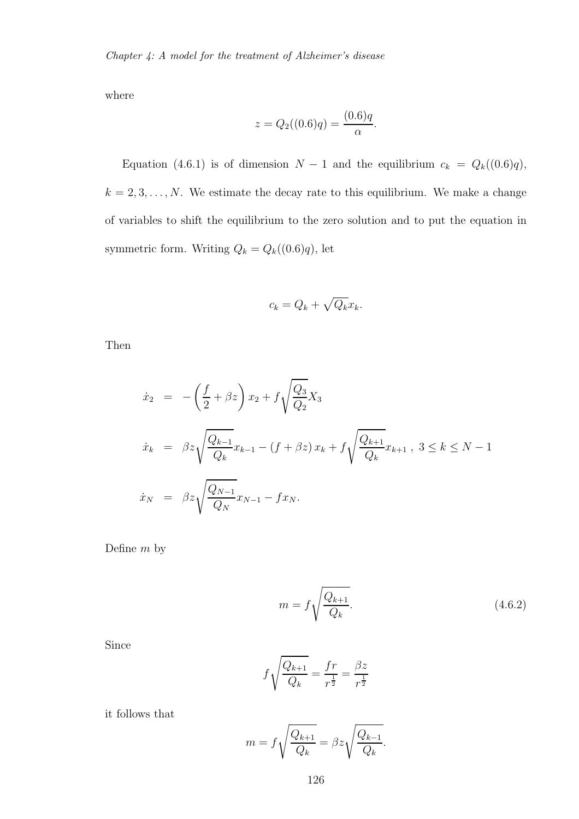where

$$
z = Q_2((0.6)q) = \frac{(0.6)q}{\alpha}.
$$

Equation (4.6.1) is of dimension  $N-1$  and the equilibrium  $c_k = Q_k((0.6)q)$ ,  $k = 2, 3, \ldots, N$ . We estimate the decay rate to this equilibrium. We make a change of variables to shift the equilibrium to the zero solution and to put the equation in symmetric form. Writing  $Q_k = Q_k((0.6)q)$ , let

$$
c_k = Q_k + \sqrt{Q_k}x_k.
$$

Then

$$
\dot{x}_2 = -\left(\frac{f}{2} + \beta z\right) x_2 + f \sqrt{\frac{Q_3}{Q_2}} X_3
$$
\n
$$
\dot{x}_k = \beta z \sqrt{\frac{Q_{k-1}}{Q_k}} x_{k-1} - (f + \beta z) x_k + f \sqrt{\frac{Q_{k+1}}{Q_k}} x_{k+1}, 3 \le k \le N - 1
$$
\n
$$
\dot{x}_N = \beta z \sqrt{\frac{Q_{N-1}}{Q_N}} x_{N-1} - f x_N.
$$

Define  $m$  by

$$
m = f \sqrt{\frac{Q_{k+1}}{Q_k}}.\t(4.6.2)
$$

Since

$$
f\sqrt{\frac{Q_{k+1}}{Q_k}} = \frac{fr}{r^{\frac{1}{2}}} = \frac{\beta z}{r^{\frac{1}{2}}}
$$

it follows that

$$
m = f\sqrt{\frac{Q_{k+1}}{Q_k}} = \beta z \sqrt{\frac{Q_{k-1}}{Q_k}}.
$$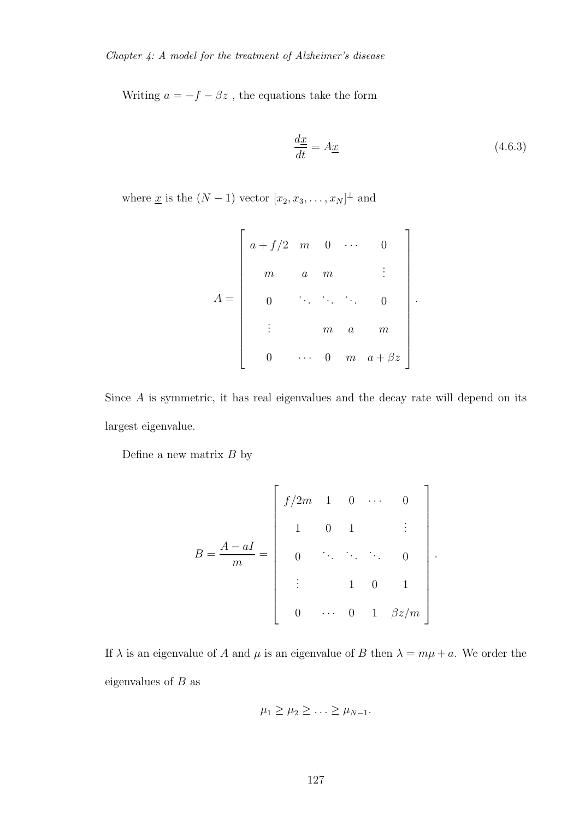Writing  $a=-f-\beta z$  , the equations take the form

$$
\frac{dx}{dt} = A\underline{x} \tag{4.6.3}
$$

.

where <u>x</u> is the  $(N-1)$  vector  $[x_2, x_3, \ldots, x_N]^{\perp}$  and

$$
A = \begin{bmatrix} a+f/2 & m & 0 & \cdots & 0 \\ m & a & m & & \vdots \\ 0 & \ddots & \ddots & \ddots & 0 \\ \vdots & & m & a & m \\ 0 & \cdots & 0 & m & a+\beta z \end{bmatrix}.
$$

Since A is symmetric, it has real eigenvalues and the decay rate will depend on its largest eigenvalue.

Define a new matrix  $B$  by

$$
B = \frac{A - aI}{m} = \begin{bmatrix} f/2m & 1 & 0 & \cdots & 0 \\ 1 & 0 & 1 & & \vdots \\ 0 & \ddots & \ddots & \ddots & 0 \\ \vdots & & 1 & 0 & 1 \\ 0 & \cdots & 0 & 1 & \beta z/m \end{bmatrix}
$$

If  $\lambda$  is an eigenvalue of A and  $\mu$  is an eigenvalue of B then  $\lambda = m\mu + a$ . We order the eigenvalues of  $B$  as

$$
\mu_1 \geq \mu_2 \geq \ldots \geq \mu_{N-1}.
$$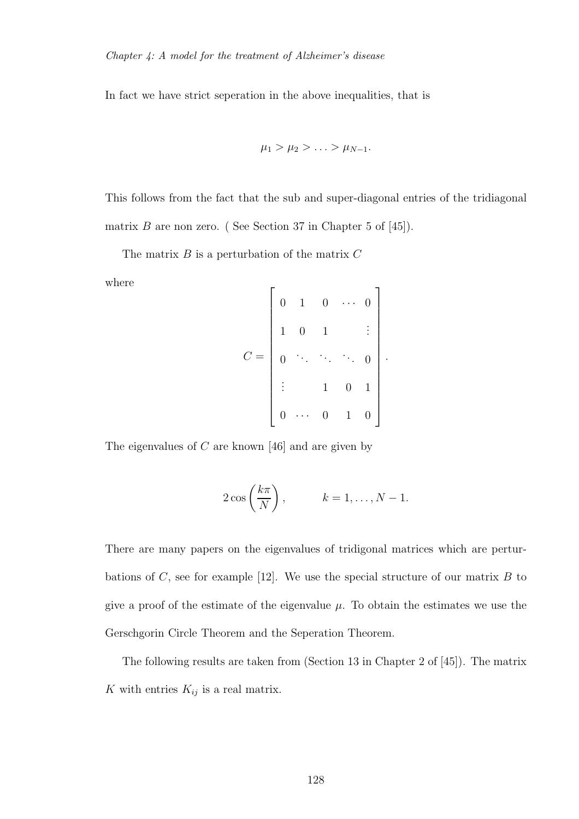In fact we have strict seperation in the above inequalities, that is

$$
\mu_1 > \mu_2 > \ldots > \mu_{N-1}.
$$

This follows from the fact that the sub and super-diagonal entries of the tridiagonal matrix  $B$  are non zero. (See Section 37 in Chapter 5 of [45]).

The matrix  $B$  is a perturbation of the matrix  $C$ 

where

$$
C = \begin{bmatrix} 0 & 1 & 0 & \cdots & 0 \\ & 1 & 0 & 1 & & \vdots \\ & & & & & \ddots & \vdots \\ & & & & & & 0 \\ \vdots & & & & 1 & 0 & 1 \\ 0 & \cdots & 0 & 1 & 0 \end{bmatrix}.
$$

The eigenvalues of  $C$  are known [46] and are given by

$$
2\cos\left(\frac{k\pi}{N}\right), \qquad k=1,\ldots,N-1.
$$

There are many papers on the eigenvalues of tridigonal matrices which are perturbations of  $C$ , see for example [12]. We use the special structure of our matrix  $B$  to give a proof of the estimate of the eigenvalue  $\mu$ . To obtain the estimates we use the Gerschgorin Circle Theorem and the Seperation Theorem.

The following results are taken from (Section 13 in Chapter 2 of [45]). The matrix K with entries  $K_{ij}$  is a real matrix.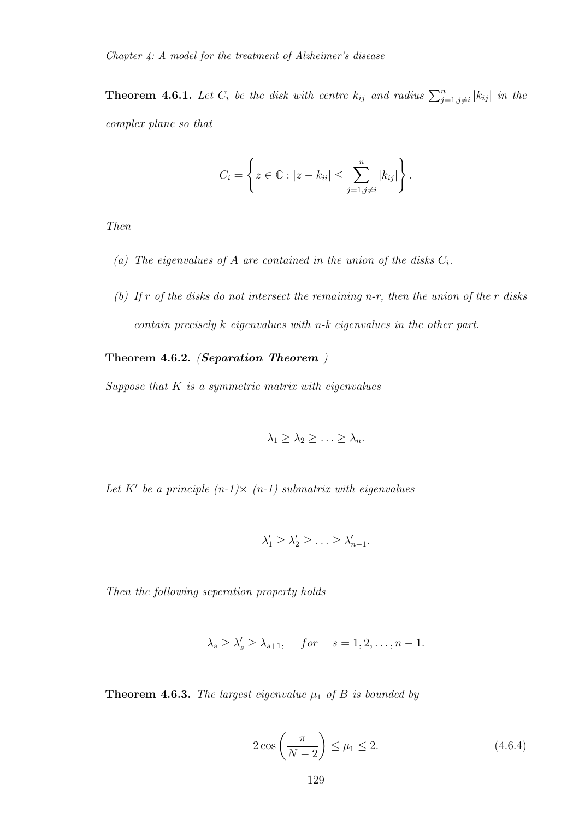**Theorem 4.6.1.** Let  $C_i$  be the disk with centre  $k_{ij}$  and radius  $\sum_{j=1,j\neq i}^{n} |k_{ij}|$  in the *complex plane so that*

$$
C_i = \left\{ z \in \mathbb{C} : |z - k_{ii}| \leq \sum_{j=1, j \neq i}^n |k_{ij}| \right\}.
$$

*Then*

- (a) The eigenvalues of A are contained in the union of the disks  $C_i$ .
- *(b) If* r *of the disks do not intersect the remaining n-r, then the union of the* r *disks contain precisely* k *eigenvalues with n-k eigenvalues in the other part.*

#### Theorem 4.6.2. *(*Separation Theorem *)*

*Suppose that* K *is a symmetric matrix with eigenvalues*

$$
\lambda_1 \geq \lambda_2 \geq \ldots \geq \lambda_n.
$$

*Let* K′ *be a principle (n-1)*× *(n-1) submatrix with eigenvalues*

$$
\lambda'_1 \geq \lambda'_2 \geq \ldots \geq \lambda'_{n-1}.
$$

*Then the following seperation property holds*

$$
\lambda_s \geq \lambda'_s \geq \lambda_{s+1}, \quad for \quad s = 1, 2, \dots, n-1.
$$

**Theorem 4.6.3.** *The largest eigenvalue*  $\mu_1$  *of*  $B$  *is bounded by* 

$$
2\cos\left(\frac{\pi}{N-2}\right) \leq \mu_1 \leq 2. \tag{4.6.4}
$$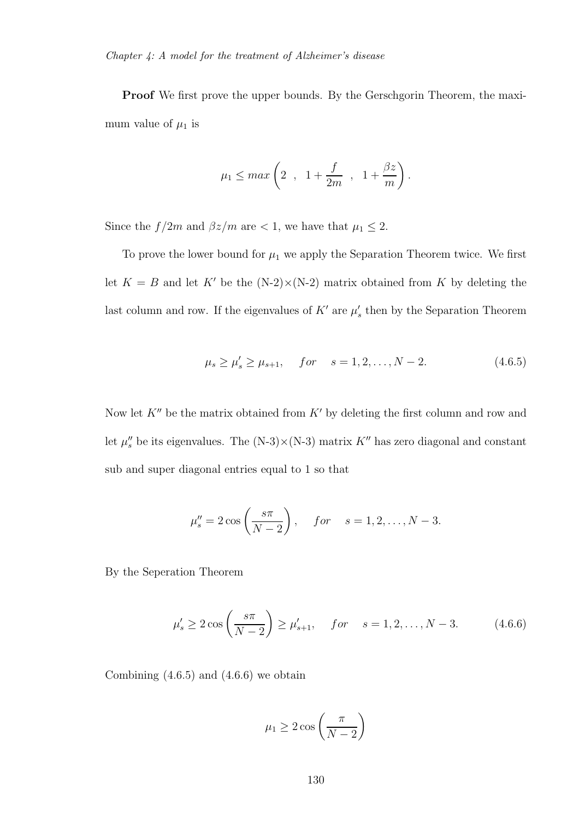**Proof** We first prove the upper bounds. By the Gerschgorin Theorem, the maximum value of  $\mu_1$  is

$$
\mu_1 \leq max \left(2 \ , \ 1 + \frac{f}{2m} \ , \ 1 + \frac{\beta z}{m}\right)
$$

Since the  $f/2m$  and  $\beta z/m$  are < 1, we have that  $\mu_1 \leq 2$ .

To prove the lower bound for  $\mu_1$  we apply the Separation Theorem twice. We first let  $K = B$  and let K' be the  $(N-2) \times (N-2)$  matrix obtained from K by deleting the last column and row. If the eigenvalues of  $K'$  are  $\mu'_{s}$  then by the Separation Theorem

$$
\mu_s \ge \mu'_s \ge \mu_{s+1}, \quad for \quad s = 1, 2, \dots, N-2.
$$
\n(4.6.5)

.

Now let  $K''$  be the matrix obtained from  $K'$  by deleting the first column and row and let  $\mu''_s$  be its eigenvalues. The (N-3)×(N-3) matrix  $K''$  has zero diagonal and constant sub and super diagonal entries equal to 1 so that

$$
\mu_s'' = 2 \cos \left( \frac{s \pi}{N-2} \right), \quad for \quad s = 1, 2, ..., N-3.
$$

By the Seperation Theorem

$$
\mu'_s \ge 2 \cos\left(\frac{s\pi}{N-2}\right) \ge \mu'_{s+1}, \quad for \quad s = 1, 2, ..., N-3.
$$
\n(4.6.6)

Combining  $(4.6.5)$  and  $(4.6.6)$  we obtain

$$
\mu_1 \ge 2\cos\left(\frac{\pi}{N-2}\right)
$$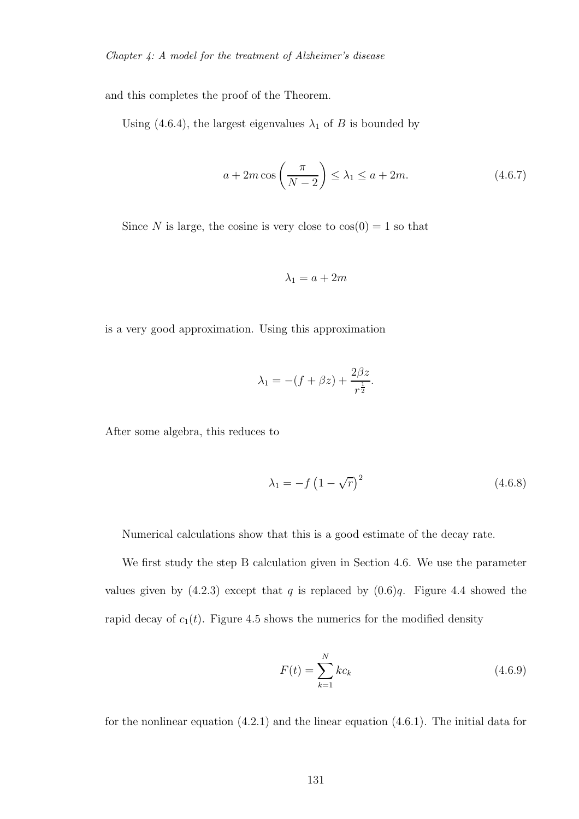and this completes the proof of the Theorem.

Using (4.6.4), the largest eigenvalues  $\lambda_1$  of B is bounded by

$$
a + 2m\cos\left(\frac{\pi}{N-2}\right) \le \lambda_1 \le a + 2m. \tag{4.6.7}
$$

Since N is large, the cosine is very close to  $cos(0) = 1$  so that

$$
\lambda_1 = a + 2m
$$

is a very good approximation. Using this approximation

$$
\lambda_1 = -(f + \beta z) + \frac{2\beta z}{r^{\frac{1}{2}}}.
$$

After some algebra, this reduces to

$$
\lambda_1 = -f\left(1 - \sqrt{r}\right)^2\tag{4.6.8}
$$

Numerical calculations show that this is a good estimate of the decay rate.

We first study the step B calculation given in Section 4.6. We use the parameter values given by  $(4.2.3)$  except that q is replaced by  $(0.6)q$ . Figure 4.4 showed the rapid decay of  $c_1(t)$ . Figure 4.5 shows the numerics for the modified density

$$
F(t) = \sum_{k=1}^{N} kc_k
$$
 (4.6.9)

for the nonlinear equation (4.2.1) and the linear equation (4.6.1). The initial data for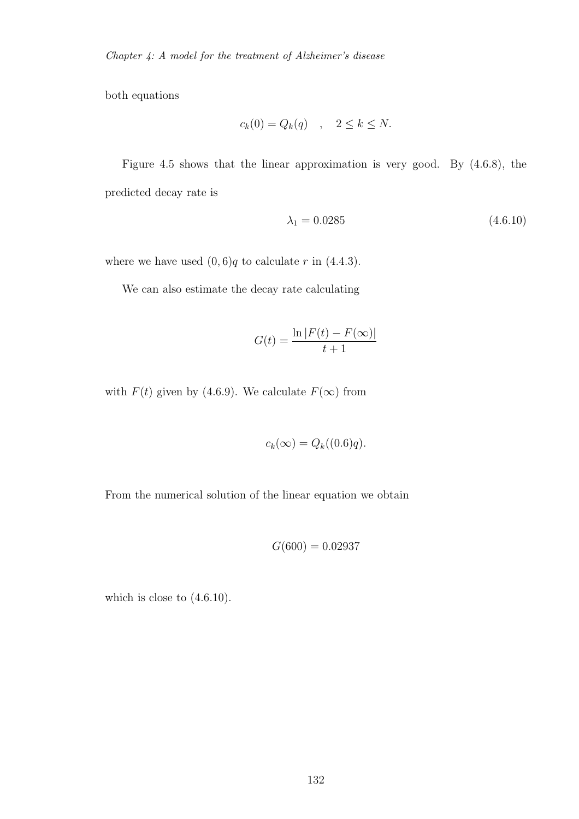both equations

$$
c_k(0) = Q_k(q) \quad , \quad 2 \le k \le N.
$$

Figure 4.5 shows that the linear approximation is very good. By (4.6.8), the predicted decay rate is

$$
\lambda_1 = 0.0285 \tag{4.6.10}
$$

where we have used  $(0, 6)q$  to calculate r in  $(4.4.3)$ .

We can also estimate the decay rate calculating

$$
G(t) = \frac{\ln |F(t) - F(\infty)|}{t+1}
$$

with  $F(t)$  given by (4.6.9). We calculate  $F(\infty)$  from

$$
c_k(\infty) = Q_k((0.6)q).
$$

From the numerical solution of the linear equation we obtain

$$
G(600) = 0.02937
$$

which is close to (4.6.10).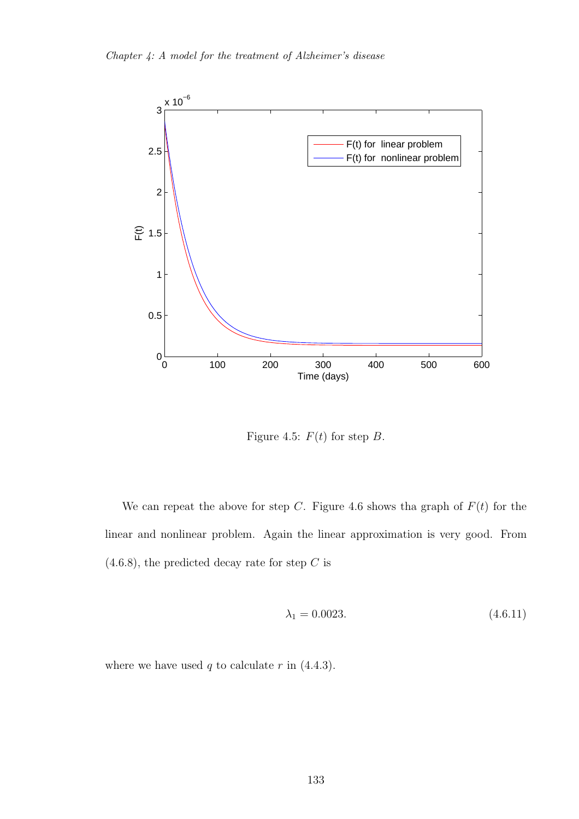

Figure 4.5:  $F(t)$  for step B.

We can repeat the above for step C. Figure 4.6 shows tha graph of  $F(t)$  for the linear and nonlinear problem. Again the linear approximation is very good. From  $(4.6.8)$ , the predicted decay rate for step C is

$$
\lambda_1 = 0.0023. \tag{4.6.11}
$$

where we have used  $q$  to calculate  $r$  in  $(4.4.3)$ .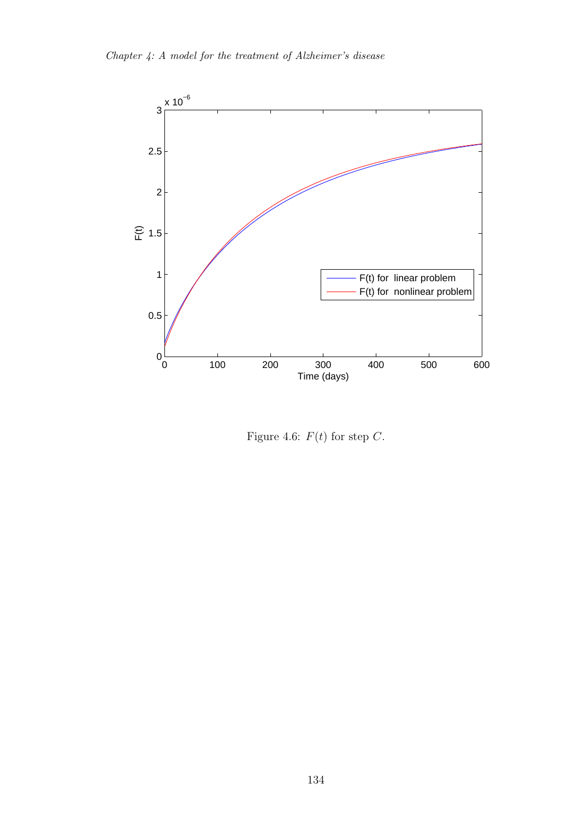

Figure 4.6:  $F(t)$  for step C.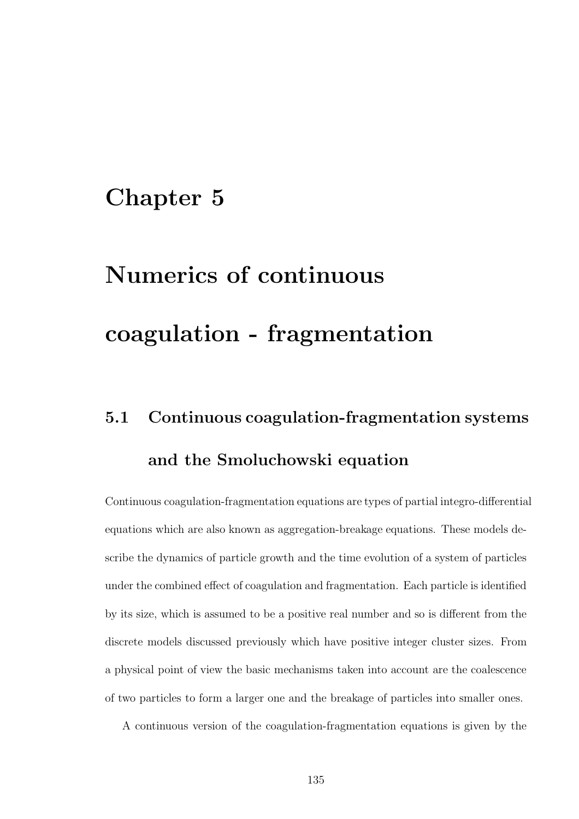## Chapter 5

# Numerics of continuous coagulation - fragmentation

## 5.1 Continuous coagulation-fragmentation systems and the Smoluchowski equation

Continuous coagulation-fragmentation equations are types of partial integro-differential equations which are also known as aggregation-breakage equations. These models describe the dynamics of particle growth and the time evolution of a system of particles under the combined effect of coagulation and fragmentation. Each particle is identified by its size, which is assumed to be a positive real number and so is different from the discrete models discussed previously which have positive integer cluster sizes. From a physical point of view the basic mechanisms taken into account are the coalescence of two particles to form a larger one and the breakage of particles into smaller ones.

A continuous version of the coagulation-fragmentation equations is given by the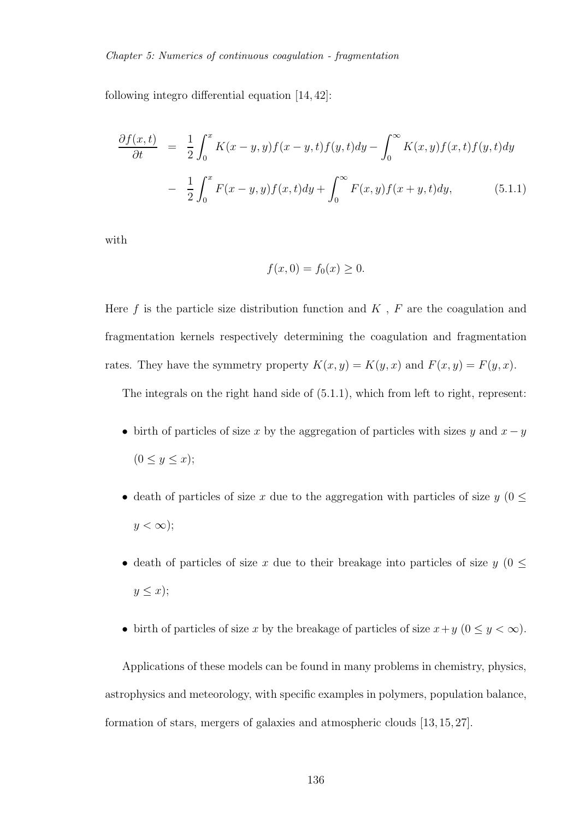following integro differential equation [14, 42]:

$$
\frac{\partial f(x,t)}{\partial t} = \frac{1}{2} \int_0^x K(x-y,y) f(x-y,t) f(y,t) dy - \int_0^\infty K(x,y) f(x,t) f(y,t) dy \n- \frac{1}{2} \int_0^x F(x-y,y) f(x,t) dy + \int_0^\infty F(x,y) f(x+y,t) dy,
$$
\n(5.1.1)

with

$$
f(x,0) = f_0(x) \ge 0.
$$

Here  $f$  is the particle size distribution function and  $K$ ,  $F$  are the coagulation and fragmentation kernels respectively determining the coagulation and fragmentation rates. They have the symmetry property  $K(x, y) = K(y, x)$  and  $F(x, y) = F(y, x)$ .

The integrals on the right hand side of (5.1.1), which from left to right, represent:

- birth of particles of size x by the aggregation of particles with sizes y and  $x y$  $(0 \le y \le x);$
- death of particles of size x due to the aggregation with particles of size  $y$  ( $0 \leq$  $y < \infty$ );
- death of particles of size x due to their breakage into particles of size  $y(0 \leq$  $y \leq x$ );
- birth of particles of size x by the breakage of particles of size  $x+y$   $(0 \le y < \infty)$ .

Applications of these models can be found in many problems in chemistry, physics, astrophysics and meteorology, with specific examples in polymers, population balance, formation of stars, mergers of galaxies and atmospheric clouds [13, 15, 27].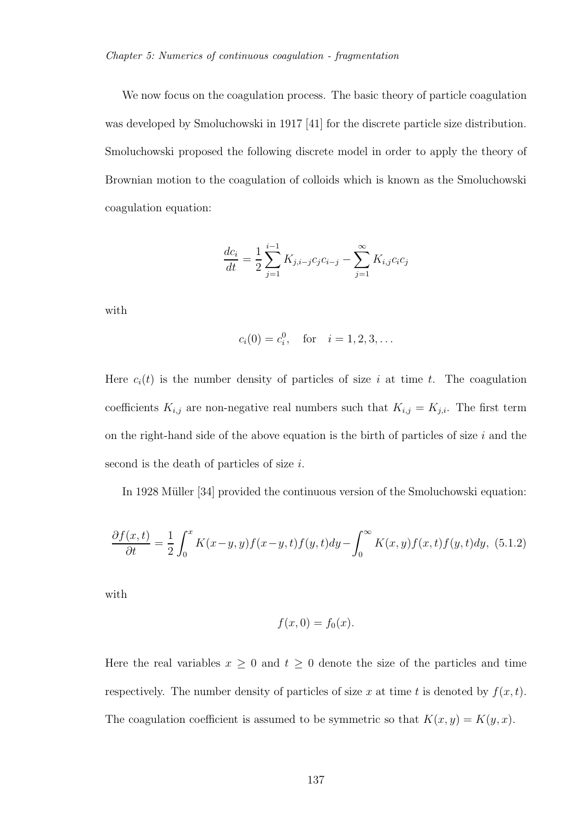We now focus on the coagulation process. The basic theory of particle coagulation was developed by Smoluchowski in 1917 [41] for the discrete particle size distribution. Smoluchowski proposed the following discrete model in order to apply the theory of Brownian motion to the coagulation of colloids which is known as the Smoluchowski coagulation equation:

$$
\frac{dc_i}{dt} = \frac{1}{2} \sum_{j=1}^{i-1} K_{j,i-j} c_j c_{i-j} - \sum_{j=1}^{\infty} K_{i,j} c_i c_j
$$

with

$$
c_i(0) = c_i^0
$$
, for  $i = 1, 2, 3, ...$ 

Here  $c_i(t)$  is the number density of particles of size i at time t. The coagulation coefficients  $K_{i,j}$  are non-negative real numbers such that  $K_{i,j} = K_{j,i}$ . The first term on the right-hand side of the above equation is the birth of particles of size  $i$  and the second is the death of particles of size i.

In 1928 Müller [34] provided the continuous version of the Smoluchowski equation:

$$
\frac{\partial f(x,t)}{\partial t} = \frac{1}{2} \int_0^x K(x-y,y) f(x-y,t) f(y,t) dy - \int_0^\infty K(x,y) f(x,t) f(y,t) dy, \tag{5.1.2}
$$

with

$$
f(x,0) = f_0(x).
$$

Here the real variables  $x \geq 0$  and  $t \geq 0$  denote the size of the particles and time respectively. The number density of particles of size x at time t is denoted by  $f(x, t)$ . The coagulation coefficient is assumed to be symmetric so that  $K(x, y) = K(y, x)$ .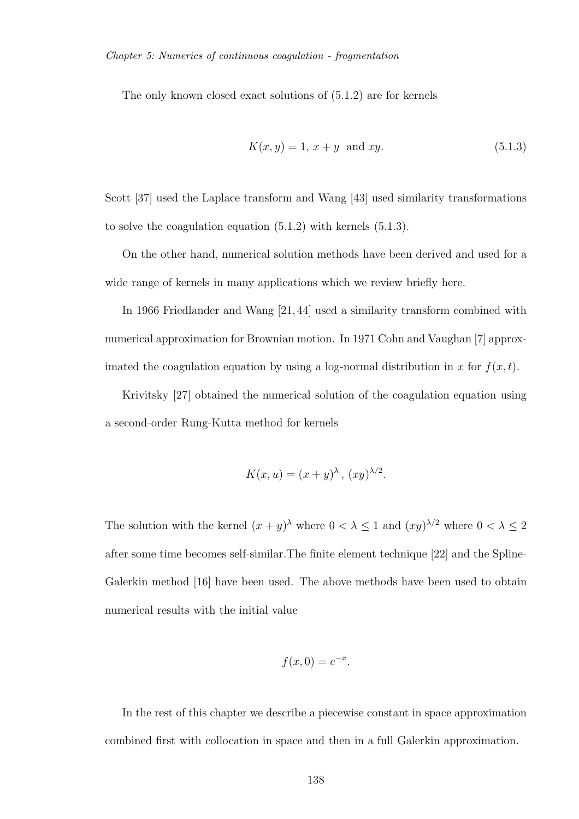The only known closed exact solutions of (5.1.2) are for kernels

$$
K(x, y) = 1, x + y \text{ and } xy.
$$
 (5.1.3)

Scott [37] used the Laplace transform and Wang [43] used similarity transformations to solve the coagulation equation (5.1.2) with kernels (5.1.3).

On the other hand, numerical solution methods have been derived and used for a wide range of kernels in many applications which we review briefly here.

In 1966 Friedlander and Wang [21, 44] used a similarity transform combined with numerical approximation for Brownian motion. In 1971 Cohn and Vaughan [7] approximated the coagulation equation by using a log-normal distribution in x for  $f(x, t)$ .

Krivitsky [27] obtained the numerical solution of the coagulation equation using a second-order Rung-Kutta method for kernels

$$
K(x, u) = (x + y)^{\lambda}, (xy)^{\lambda/2}.
$$

The solution with the kernel  $(x + y)^{\lambda}$  where  $0 < \lambda \le 1$  and  $(xy)^{\lambda/2}$  where  $0 < \lambda \le 2$ after some time becomes self-similar.The finite element technique [22] and the Spline-Galerkin method [16] have been used. The above methods have been used to obtain numerical results with the initial value

$$
f(x,0) = e^{-x}.
$$

In the rest of this chapter we describe a piecewise constant in space approximation combined first with collocation in space and then in a full Galerkin approximation.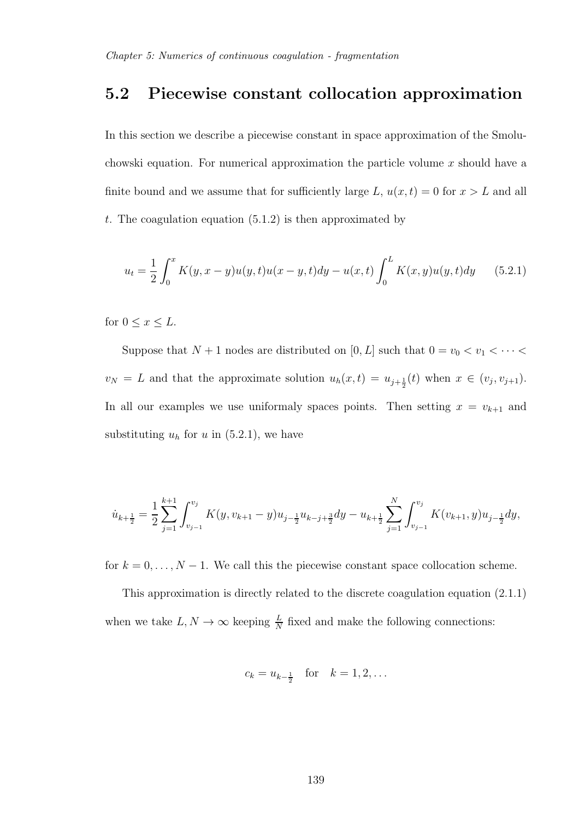### 5.2 Piecewise constant collocation approximation

In this section we describe a piecewise constant in space approximation of the Smoluchowski equation. For numerical approximation the particle volume  $x$  should have a finite bound and we assume that for sufficiently large L,  $u(x, t) = 0$  for  $x > L$  and all t. The coagulation equation  $(5.1.2)$  is then approximated by

$$
u_t = \frac{1}{2} \int_0^x K(y, x - y) u(y, t) u(x - y, t) dy - u(x, t) \int_0^L K(x, y) u(y, t) dy \qquad (5.2.1)
$$

for  $0 \leq x \leq L$ .

Suppose that  $N + 1$  nodes are distributed on  $[0, L]$  such that  $0 = v_0 < v_1 < \cdots < v_n$  $v_N = L$  and that the approximate solution  $u_h(x,t) = u_{j+\frac{1}{2}}(t)$  when  $x \in (v_j, v_{j+1})$ . In all our examples we use uniformaly spaces points. Then setting  $x = v_{k+1}$  and substituting  $u_h$  for u in (5.2.1), we have

$$
\dot{u}_{k+\frac{1}{2}} = \frac{1}{2} \sum_{j=1}^{k+1} \int_{v_{j-1}}^{v_j} K(y, v_{k+1} - y) u_{j-\frac{1}{2}} u_{k-j+\frac{3}{2}} dy - u_{k+\frac{1}{2}} \sum_{j=1}^N \int_{v_{j-1}}^{v_j} K(v_{k+1}, y) u_{j-\frac{1}{2}} dy,
$$

for  $k = 0, \ldots, N - 1$ . We call this the piecewise constant space collocation scheme.

This approximation is directly related to the discrete coagulation equation (2.1.1) when we take  $L, N \to \infty$  keeping  $\frac{L}{N}$  fixed and make the following connections:

$$
c_k = u_{k-\frac{1}{2}}
$$
 for  $k = 1, 2, ...$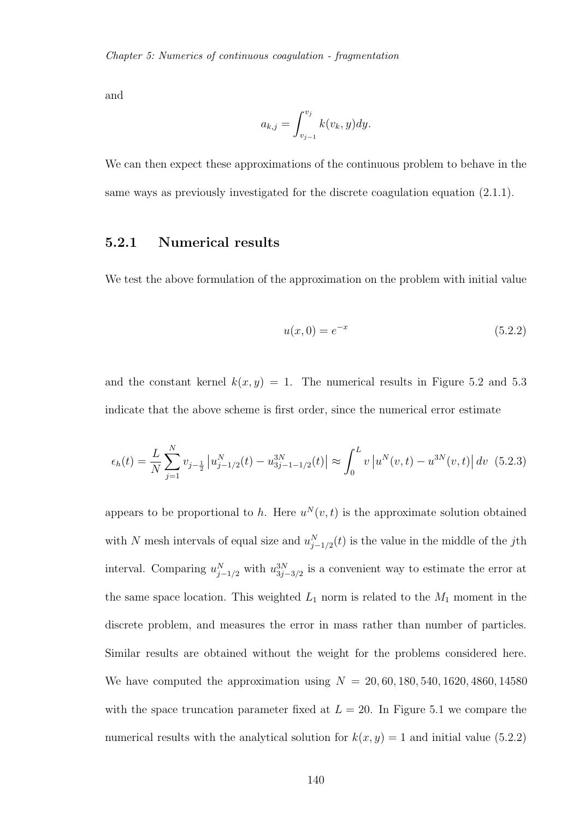and

$$
a_{k,j} = \int_{v_{j-1}}^{v_j} k(v_k, y) dy.
$$

We can then expect these approximations of the continuous problem to behave in the same ways as previously investigated for the discrete coagulation equation (2.1.1).

#### 5.2.1 Numerical results

We test the above formulation of the approximation on the problem with initial value

$$
u(x,0) = e^{-x}
$$
 (5.2.2)

and the constant kernel  $k(x, y) = 1$ . The numerical results in Figure 5.2 and 5.3 indicate that the above scheme is first order, since the numerical error estimate

$$
\epsilon_h(t) = \frac{L}{N} \sum_{j=1}^N v_{j-\frac{1}{2}} \left| u_{j-1/2}^N(t) - u_{3j-1-1/2}^{3N}(t) \right| \approx \int_0^L v \left| u^N(v,t) - u^{3N}(v,t) \right| dv
$$
 (5.2.3)

appears to be proportional to h. Here  $u^N(v,t)$  is the approximate solution obtained with N mesh intervals of equal size and  $u_{j-1/2}^N(t)$  is the value in the middle of the jth interval. Comparing  $u_{j-1/2}^N$  with  $u_{3j-3/2}^{3N}$  is a convenient way to estimate the error at the same space location. This weighted  $L_1$  norm is related to the  $M_1$  moment in the discrete problem, and measures the error in mass rather than number of particles. Similar results are obtained without the weight for the problems considered here. We have computed the approximation using  $N = 20, 60, 180, 540, 1620, 4860, 14580$ with the space truncation parameter fixed at  $L = 20$ . In Figure 5.1 we compare the numerical results with the analytical solution for  $k(x, y) = 1$  and initial value (5.2.2)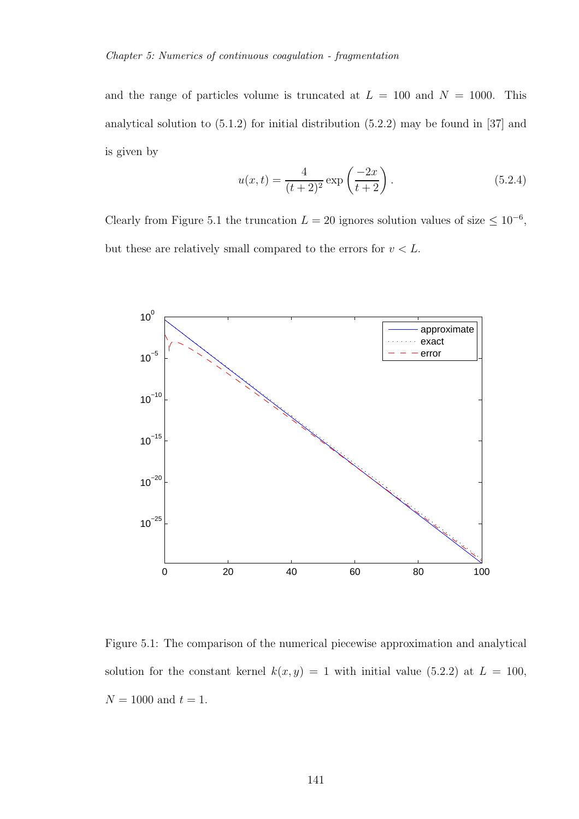and the range of particles volume is truncated at  $L = 100$  and  $N = 1000$ . This analytical solution to (5.1.2) for initial distribution (5.2.2) may be found in [37] and is given by

$$
u(x,t) = \frac{4}{(t+2)^2} \exp\left(\frac{-2x}{t+2}\right).
$$
 (5.2.4)

Clearly from Figure 5.1 the truncation  $L = 20$  ignores solution values of size  $\leq 10^{-6}$ , but these are relatively small compared to the errors for  $v < L$ .



Figure 5.1: The comparison of the numerical piecewise approximation and analytical solution for the constant kernel  $k(x, y) = 1$  with initial value (5.2.2) at  $L = 100$ ,  $N = 1000$  and  $t = 1$ .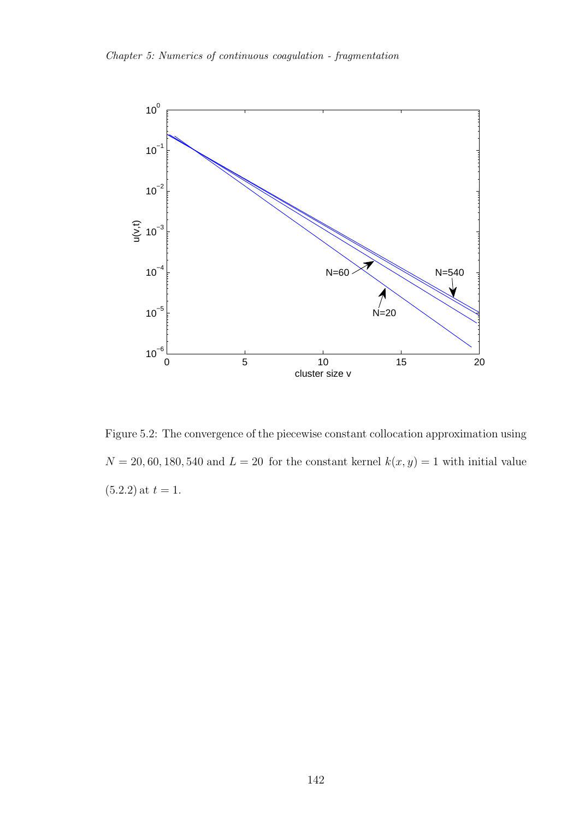

Figure 5.2: The convergence of the piecewise constant collocation approximation using  $N = 20, 60, 180, 540$  and  $L = 20$  for the constant kernel  $k(x, y) = 1$  with initial value  $(5.2.2)$  at  $t = 1$ .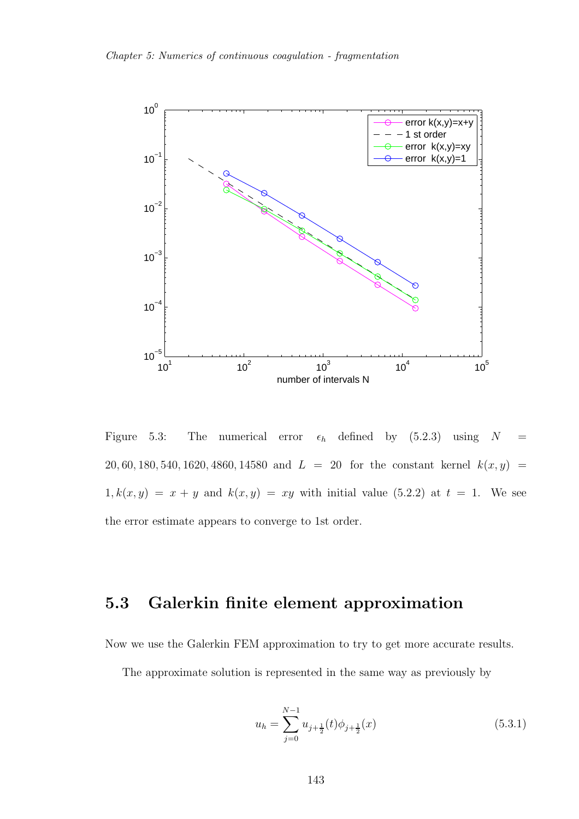

Figure 5.3: The numerical error  $\epsilon_h$  defined by (5.2.3) using  $N =$ 20, 60, 180, 540, 1620, 4860, 14580 and  $L = 20$  for the constant kernel  $k(x, y) =$  $1, k(x, y) = x + y$  and  $k(x, y) = xy$  with initial value (5.2.2) at  $t = 1$ . We see the error estimate appears to converge to 1st order.

### 5.3 Galerkin finite element approximation

Now we use the Galerkin FEM approximation to try to get more accurate results.

The approximate solution is represented in the same way as previously by

$$
u_h = \sum_{j=0}^{N-1} u_{j+\frac{1}{2}}(t)\phi_{j+\frac{1}{2}}(x)
$$
\n(5.3.1)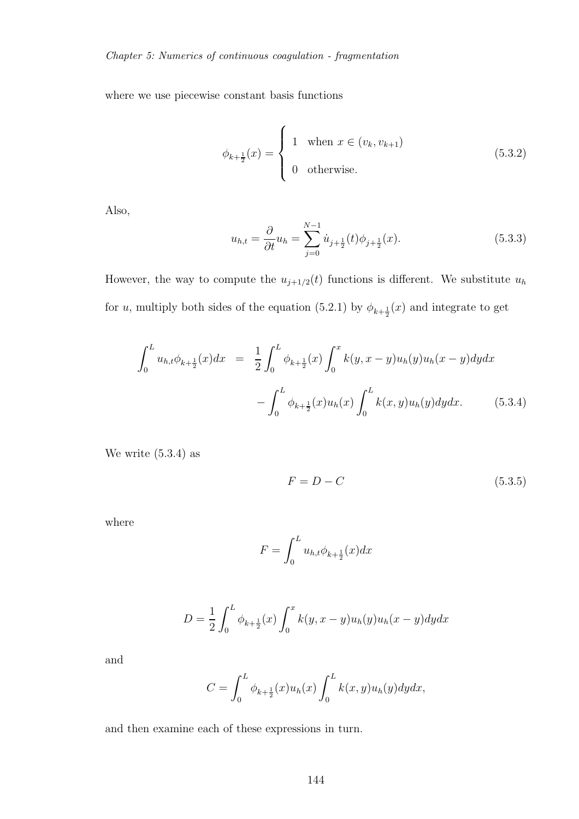where we use piecewise constant basis functions

$$
\phi_{k+\frac{1}{2}}(x) = \begin{cases} 1 & \text{when } x \in (v_k, v_{k+1}) \\ 0 & \text{otherwise.} \end{cases} \tag{5.3.2}
$$

Also,

$$
u_{h,t} = \frac{\partial}{\partial t} u_h = \sum_{j=0}^{N-1} \dot{u}_{j+\frac{1}{2}}(t)\phi_{j+\frac{1}{2}}(x).
$$
 (5.3.3)

However, the way to compute the  $u_{j+1/2}(t)$  functions is different. We substitute  $u_h$ for u, multiply both sides of the equation (5.2.1) by  $\phi_{k+\frac{1}{2}}(x)$  and integrate to get

$$
\int_0^L u_{h,t} \phi_{k+\frac{1}{2}}(x) dx = \frac{1}{2} \int_0^L \phi_{k+\frac{1}{2}}(x) \int_0^x k(y, x - y) u_h(y) u_h(x - y) dy dx \n- \int_0^L \phi_{k+\frac{1}{2}}(x) u_h(x) \int_0^L k(x, y) u_h(y) dy dx.
$$
\n(5.3.4)

We write (5.3.4) as

$$
F = D - C \tag{5.3.5}
$$

where

$$
F = \int_0^L u_{h,t} \phi_{k + \frac{1}{2}}(x) dx
$$

$$
D = \frac{1}{2} \int_0^L \phi_{k + \frac{1}{2}}(x) \int_0^x k(y, x - y) u_h(y) u_h(x - y) dy dx
$$

and

$$
C = \int_0^L \phi_{k+\frac{1}{2}}(x)u_h(x) \int_0^L k(x,y)u_h(y)dydx,
$$

and then examine each of these expressions in turn.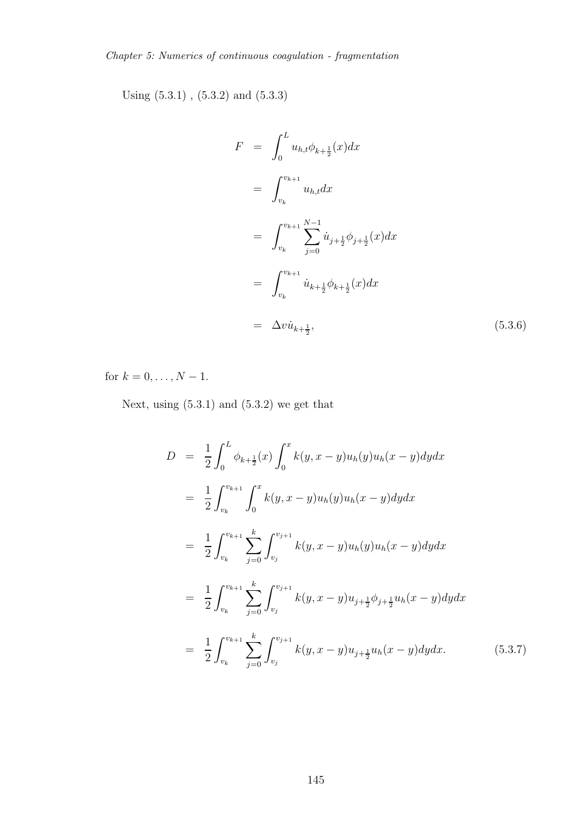Using (5.3.1) , (5.3.2) and (5.3.3)

$$
F = \int_0^L u_{h,t} \phi_{k+\frac{1}{2}}(x) dx
$$
  
\n
$$
= \int_{v_k}^{v_{k+1}} u_{h,t} dx
$$
  
\n
$$
= \int_{v_k}^{v_{k+1}} \sum_{j=0}^{N-1} \dot{u}_{j+\frac{1}{2}} \phi_{j+\frac{1}{2}}(x) dx
$$
  
\n
$$
= \int_{v_k}^{v_{k+1}} \dot{u}_{k+\frac{1}{2}} \phi_{k+\frac{1}{2}}(x) dx
$$
  
\n
$$
= \Delta v \dot{u}_{k+\frac{1}{2}}, \qquad (5.3.6)
$$

for  $k = 0, ..., N - 1$ .

Next, using  $(5.3.1)$  and  $(5.3.2)$  we get that

$$
D = \frac{1}{2} \int_0^L \phi_{k+\frac{1}{2}}(x) \int_0^x k(y, x - y) u_h(y) u_h(x - y) dy dx
$$
  
\n
$$
= \frac{1}{2} \int_{v_k}^{v_{k+1}} \int_0^x k(y, x - y) u_h(y) u_h(x - y) dy dx
$$
  
\n
$$
= \frac{1}{2} \int_{v_k}^{v_{k+1}} \sum_{j=0}^k \int_{v_j}^{v_{j+1}} k(y, x - y) u_h(y) u_h(x - y) dy dx
$$
  
\n
$$
= \frac{1}{2} \int_{v_k}^{v_{k+1}} \sum_{j=0}^k \int_{v_j}^{v_{j+1}} k(y, x - y) u_{j+\frac{1}{2}} \phi_{j+\frac{1}{2}} u_h(x - y) dy dx
$$
  
\n
$$
= \frac{1}{2} \int_{v_k}^{v_{k+1}} \sum_{j=0}^k \int_{v_j}^{v_{j+1}} k(y, x - y) u_{j+\frac{1}{2}} u_h(x - y) dy dx.
$$
 (5.3.7)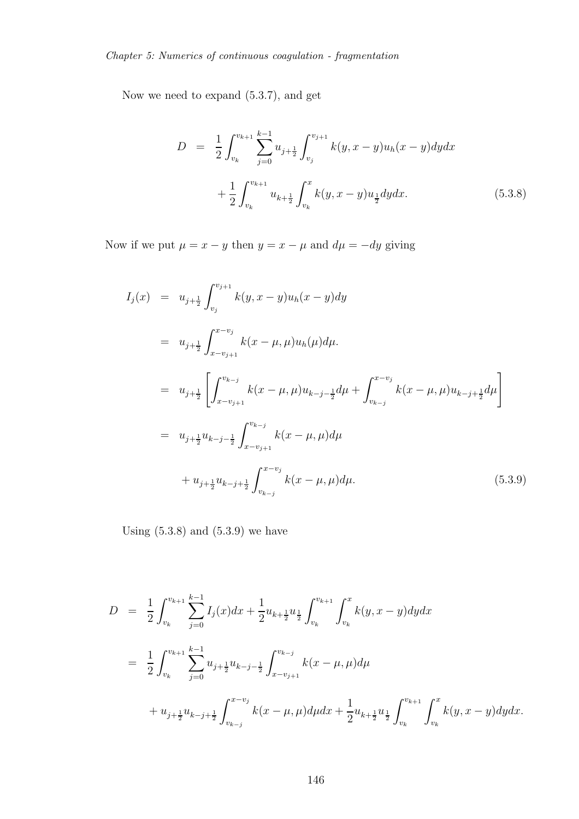Now we need to expand (5.3.7), and get

$$
D = \frac{1}{2} \int_{v_k}^{v_{k+1}} \sum_{j=0}^{k-1} u_{j+\frac{1}{2}} \int_{v_j}^{v_{j+1}} k(y, x - y) u_h(x - y) dy dx
$$
  
+ 
$$
\frac{1}{2} \int_{v_k}^{v_{k+1}} u_{k+\frac{1}{2}} \int_{v_k}^x k(y, x - y) u_{\frac{1}{2}} dy dx.
$$
 (5.3.8)

Now if we put  $\mu = x - y$  then  $y = x - \mu$  and  $d\mu = -dy$  giving

$$
I_j(x) = u_{j+\frac{1}{2}} \int_{v_j}^{v_{j+1}} k(y, x - y) u_h(x - y) dy
$$
  
\n
$$
= u_{j+\frac{1}{2}} \int_{x-v_{j+1}}^{x-v_j} k(x - \mu, \mu) u_h(\mu) d\mu.
$$
  
\n
$$
= u_{j+\frac{1}{2}} \left[ \int_{x-v_{j+1}}^{v_{k-j}} k(x - \mu, \mu) u_{k-j-\frac{1}{2}} d\mu + \int_{v_{k-j}}^{x-v_j} k(x - \mu, \mu) u_{k-j+\frac{1}{2}} d\mu \right]
$$
  
\n
$$
= u_{j+\frac{1}{2}} u_{k-j-\frac{1}{2}} \int_{x-v_{j+1}}^{v_{k-j}} k(x - \mu, \mu) d\mu
$$
  
\n
$$
+ u_{j+\frac{1}{2}} u_{k-j+\frac{1}{2}} \int_{v_{k-j}}^{x-v_j} k(x - \mu, \mu) d\mu.
$$
 (5.3.9)

Using  $(5.3.8)$  and  $(5.3.9)$  we have

$$
D = \frac{1}{2} \int_{v_k}^{v_{k+1}} \sum_{j=0}^{k-1} I_j(x) dx + \frac{1}{2} u_{k+\frac{1}{2}} u_{\frac{1}{2}} \int_{v_k}^{v_{k+1}} \int_{v_k}^x k(y, x - y) dy dx
$$
  

$$
= \frac{1}{2} \int_{v_k}^{v_{k+1}} \sum_{j=0}^{k-1} u_{j+\frac{1}{2}} u_{k-j-\frac{1}{2}} \int_{x-v_{j+1}}^{v_{k-j}} k(x - \mu, \mu) d\mu
$$
  

$$
+ u_{j+\frac{1}{2}} u_{k-j+\frac{1}{2}} \int_{v_{k-j}}^{x-v_j} k(x - \mu, \mu) d\mu dx + \frac{1}{2} u_{k+\frac{1}{2}} u_{\frac{1}{2}} \int_{v_k}^{v_{k+1}} \int_{v_k}^x k(y, x - y) dy dx.
$$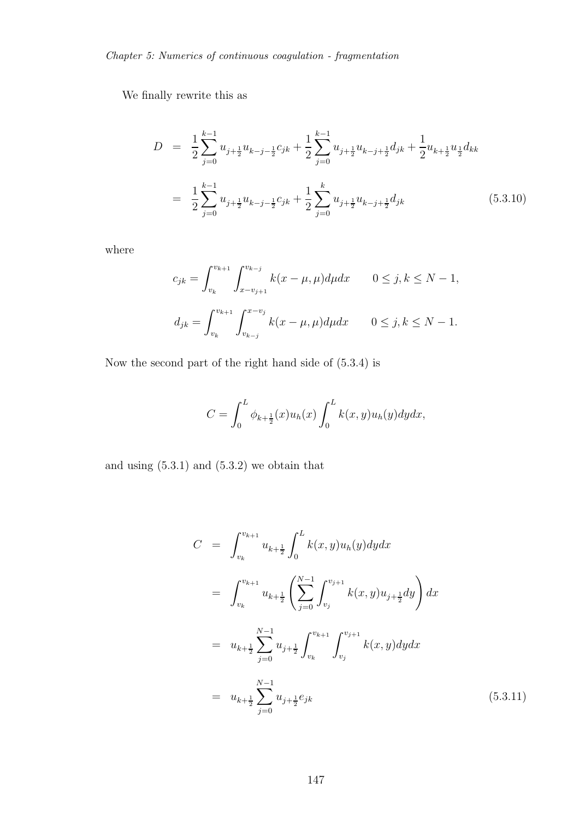We finally rewrite this as

$$
D = \frac{1}{2} \sum_{j=0}^{k-1} u_{j+\frac{1}{2}} u_{k-j-\frac{1}{2}} c_{jk} + \frac{1}{2} \sum_{j=0}^{k-1} u_{j+\frac{1}{2}} u_{k-j+\frac{1}{2}} d_{jk} + \frac{1}{2} u_{k+\frac{1}{2}} u_{\frac{1}{2}} d_{kk}
$$
  

$$
= \frac{1}{2} \sum_{j=0}^{k-1} u_{j+\frac{1}{2}} u_{k-j-\frac{1}{2}} c_{jk} + \frac{1}{2} \sum_{j=0}^{k} u_{j+\frac{1}{2}} u_{k-j+\frac{1}{2}} d_{jk}
$$
(5.3.10)

where

$$
c_{jk} = \int_{v_k}^{v_{k+1}} \int_{x-v_{j+1}}^{v_{k-j}} k(x - \mu, \mu) d\mu dx \qquad 0 \le j, k \le N - 1,
$$
  

$$
d_{jk} = \int_{v_k}^{v_{k+1}} \int_{v_{k-j}}^{x-v_j} k(x - \mu, \mu) d\mu dx \qquad 0 \le j, k \le N - 1.
$$

Now the second part of the right hand side of (5.3.4) is

$$
C = \int_0^L \phi_{k+\frac{1}{2}}(x)u_h(x) \int_0^L k(x,y)u_h(y)dydx,
$$

and using  $(5.3.1)$  and  $(5.3.2)$  we obtain that

$$
C = \int_{v_k}^{v_{k+1}} u_{k+\frac{1}{2}} \int_0^L k(x, y) u_h(y) dy dx
$$
  
\n
$$
= \int_{v_k}^{v_{k+1}} u_{k+\frac{1}{2}} \left( \sum_{j=0}^{N-1} \int_{v_j}^{v_{j+1}} k(x, y) u_{j+\frac{1}{2}} dy \right) dx
$$
  
\n
$$
= u_{k+\frac{1}{2}} \sum_{j=0}^{N-1} u_{j+\frac{1}{2}} \int_{v_k}^{v_{k+1}} \int_{v_j}^{v_{j+1}} k(x, y) dy dx
$$
  
\n
$$
= u_{k+\frac{1}{2}} \sum_{j=0}^{N-1} u_{j+\frac{1}{2}} e_{jk}
$$
(5.3.11)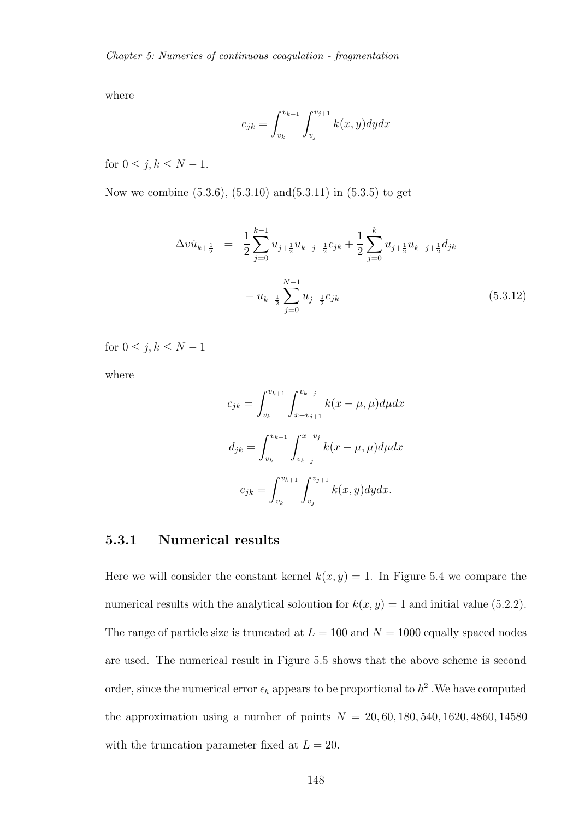where

$$
e_{jk} = \int_{v_k}^{v_{k+1}} \int_{v_j}^{v_{j+1}} k(x, y) dy dx
$$

for  $0 \leq j, k \leq N-1$ .

Now we combine (5.3.6), (5.3.10) and(5.3.11) in (5.3.5) to get

$$
\Delta v \dot{u}_{k+\frac{1}{2}} = \frac{1}{2} \sum_{j=0}^{k-1} u_{j+\frac{1}{2}} u_{k-j-\frac{1}{2}} c_{jk} + \frac{1}{2} \sum_{j=0}^{k} u_{j+\frac{1}{2}} u_{k-j+\frac{1}{2}} d_{jk}
$$

$$
- u_{k+\frac{1}{2}} \sum_{j=0}^{N-1} u_{j+\frac{1}{2}} e_{jk}
$$
(5.3.12)

for  $0 \leq j, k \leq N-1$ 

where

$$
c_{jk} = \int_{v_k}^{v_{k+1}} \int_{x-v_{j+1}}^{v_{k-j}} k(x - \mu, \mu) d\mu dx
$$

$$
d_{jk} = \int_{v_k}^{v_{k+1}} \int_{v_{k-j}}^{x-v_j} k(x - \mu, \mu) d\mu dx
$$

$$
e_{jk} = \int_{v_k}^{v_{k+1}} \int_{v_j}^{v_{j+1}} k(x, y) dy dx.
$$

#### 5.3.1 Numerical results

Here we will consider the constant kernel  $k(x, y) = 1$ . In Figure 5.4 we compare the numerical results with the analytical soloution for  $k(x, y) = 1$  and initial value (5.2.2). The range of particle size is truncated at  $L = 100$  and  $N = 1000$  equally spaced nodes are used. The numerical result in Figure 5.5 shows that the above scheme is second order, since the numerical error  $\epsilon_h$  appears to be proportional to  $h^2$  . We have computed the approximation using a number of points  $N = 20, 60, 180, 540, 1620, 4860, 14580$ with the truncation parameter fixed at  $L = 20$ .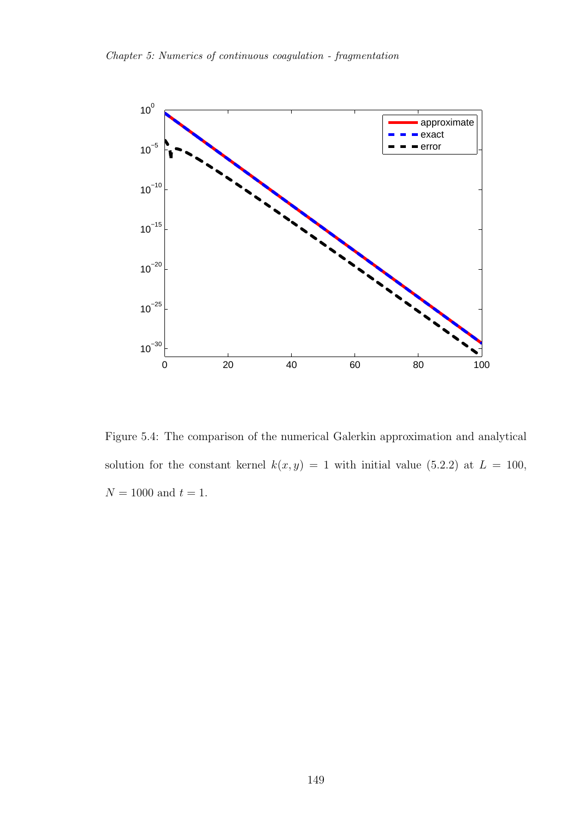

Figure 5.4: The comparison of the numerical Galerkin approximation and analytical solution for the constant kernel  $k(x, y) = 1$  with initial value (5.2.2) at  $L = 100$ ,  ${\cal N}=1000$  and  $t=1.$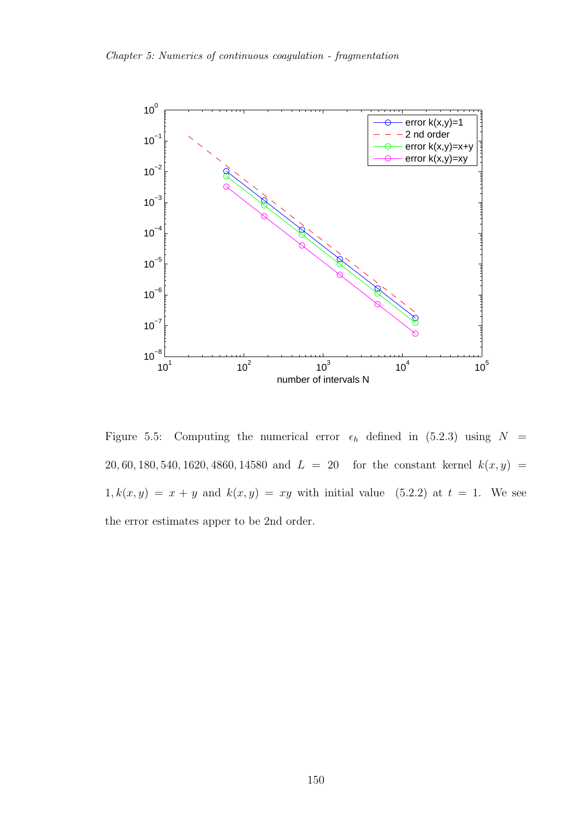

Figure 5.5: Computing the numerical error  $\epsilon_h$  defined in (5.2.3) using  $N =$ 20, 60, 180, 540, 1620, 4860, 14580 and  $L = 20$  for the constant kernel  $k(x, y) =$  $1, k(x, y) = x + y$  and  $k(x, y) = xy$  with initial value (5.2.2) at  $t = 1$ . We see the error estimates apper to be 2nd order.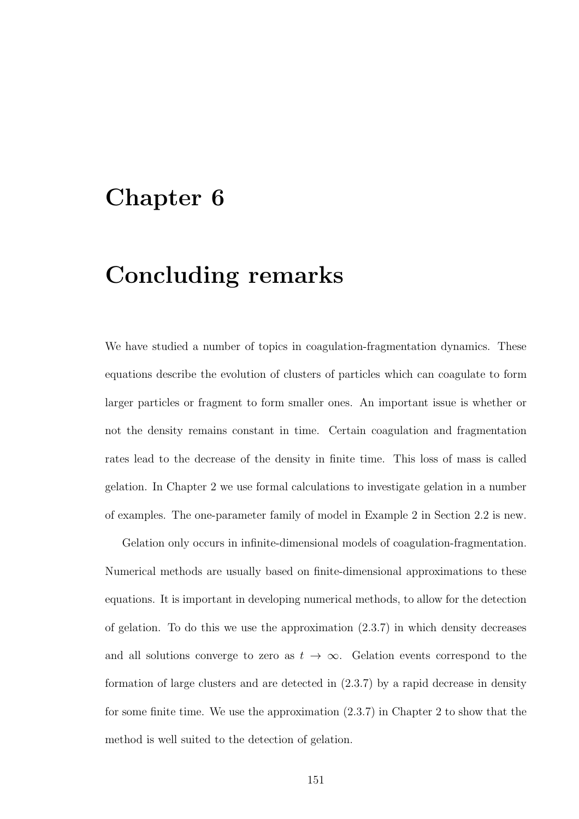### Chapter 6

# Concluding remarks

We have studied a number of topics in coagulation-fragmentation dynamics. These equations describe the evolution of clusters of particles which can coagulate to form larger particles or fragment to form smaller ones. An important issue is whether or not the density remains constant in time. Certain coagulation and fragmentation rates lead to the decrease of the density in finite time. This loss of mass is called gelation. In Chapter 2 we use formal calculations to investigate gelation in a number of examples. The one-parameter family of model in Example 2 in Section 2.2 is new.

Gelation only occurs in infinite-dimensional models of coagulation-fragmentation. Numerical methods are usually based on finite-dimensional approximations to these equations. It is important in developing numerical methods, to allow for the detection of gelation. To do this we use the approximation  $(2.3.7)$  in which density decreases and all solutions converge to zero as  $t \to \infty$ . Gelation events correspond to the formation of large clusters and are detected in (2.3.7) by a rapid decrease in density for some finite time. We use the approximation (2.3.7) in Chapter 2 to show that the method is well suited to the detection of gelation.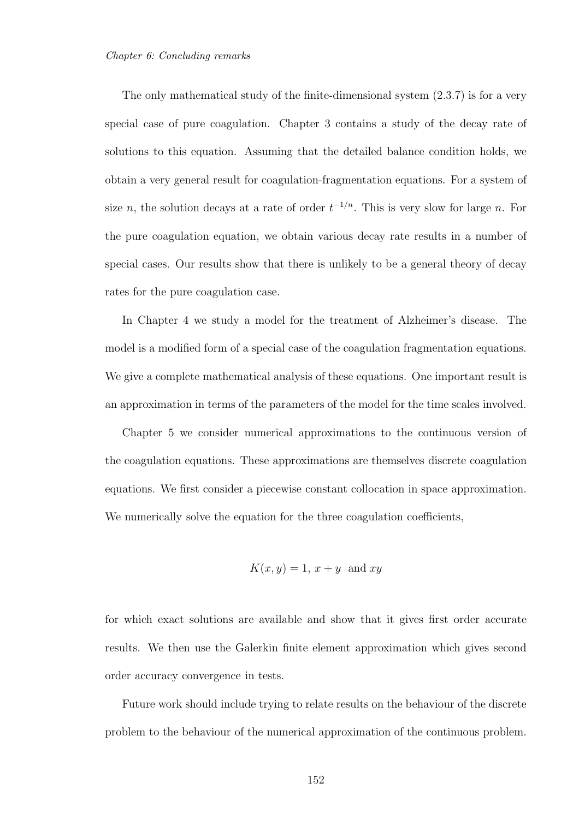The only mathematical study of the finite-dimensional system (2.3.7) is for a very special case of pure coagulation. Chapter 3 contains a study of the decay rate of solutions to this equation. Assuming that the detailed balance condition holds, we obtain a very general result for coagulation-fragmentation equations. For a system of size n, the solution decays at a rate of order  $t^{-1/n}$ . This is very slow for large n. For the pure coagulation equation, we obtain various decay rate results in a number of special cases. Our results show that there is unlikely to be a general theory of decay rates for the pure coagulation case.

In Chapter 4 we study a model for the treatment of Alzheimer's disease. The model is a modified form of a special case of the coagulation fragmentation equations. We give a complete mathematical analysis of these equations. One important result is an approximation in terms of the parameters of the model for the time scales involved.

Chapter 5 we consider numerical approximations to the continuous version of the coagulation equations. These approximations are themselves discrete coagulation equations. We first consider a piecewise constant collocation in space approximation. We numerically solve the equation for the three coagulation coefficients,

$$
K(x, y) = 1, x + y \text{ and } xy
$$

for which exact solutions are available and show that it gives first order accurate results. We then use the Galerkin finite element approximation which gives second order accuracy convergence in tests.

Future work should include trying to relate results on the behaviour of the discrete problem to the behaviour of the numerical approximation of the continuous problem.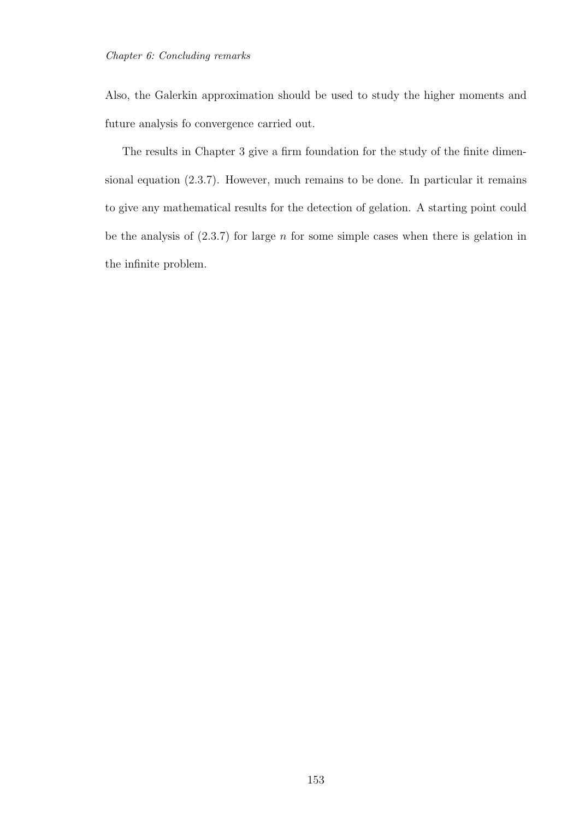Also, the Galerkin approximation should be used to study the higher moments and future analysis fo convergence carried out.

The results in Chapter 3 give a firm foundation for the study of the finite dimensional equation (2.3.7). However, much remains to be done. In particular it remains to give any mathematical results for the detection of gelation. A starting point could be the analysis of  $(2.3.7)$  for large *n* for some simple cases when there is gelation in the infinite problem.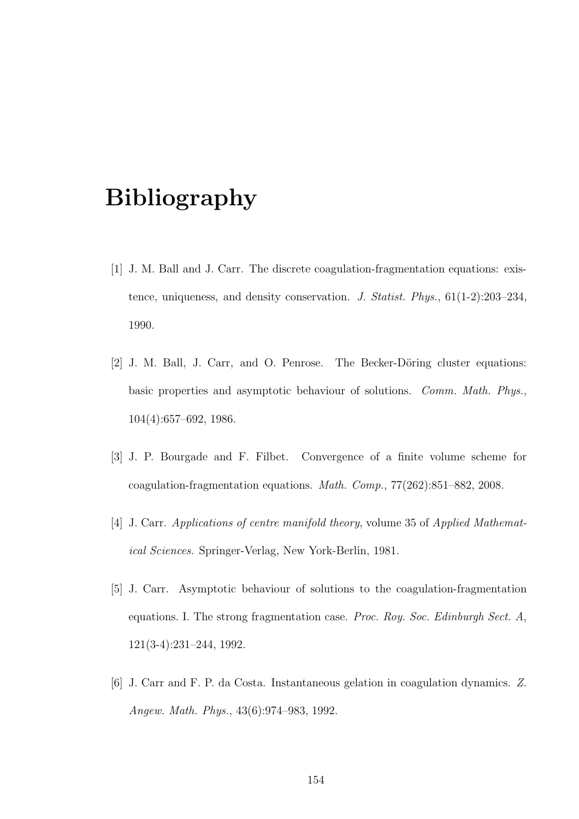## Bibliography

- [1] J. M. Ball and J. Carr. The discrete coagulation-fragmentation equations: existence, uniqueness, and density conservation. *J. Statist. Phys.*, 61(1-2):203–234, 1990.
- [2] J. M. Ball, J. Carr, and O. Penrose. The Becker-Döring cluster equations: basic properties and asymptotic behaviour of solutions. *Comm. Math. Phys.*, 104(4):657–692, 1986.
- [3] J. P. Bourgade and F. Filbet. Convergence of a finite volume scheme for coagulation-fragmentation equations. *Math. Comp.*, 77(262):851–882, 2008.
- [4] J. Carr. *Applications of centre manifold theory*, volume 35 of *Applied Mathematical Sciences*. Springer-Verlag, New York-Berlin, 1981.
- [5] J. Carr. Asymptotic behaviour of solutions to the coagulation-fragmentation equations. I. The strong fragmentation case. *Proc. Roy. Soc. Edinburgh Sect. A*, 121(3-4):231–244, 1992.
- [6] J. Carr and F. P. da Costa. Instantaneous gelation in coagulation dynamics. *Z. Angew. Math. Phys.*, 43(6):974–983, 1992.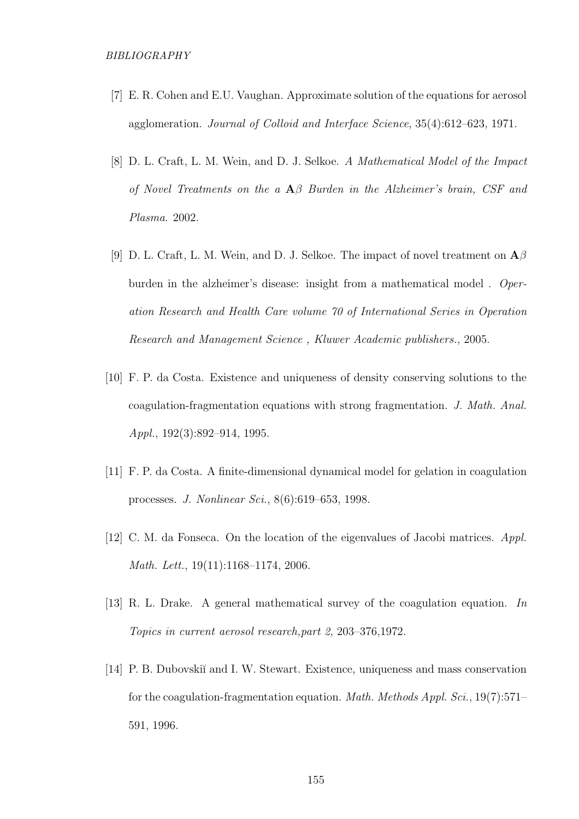- [7] E. R. Cohen and E.U. Vaughan. Approximate solution of the equations for aerosol agglomeration. *Journal of Colloid and Interface Science*, 35(4):612–623, 1971.
- [8] D. L. Craft, L. M. Wein, and D. J. Selkoe. *A Mathematical Model of the Impact of Novel Treatments on the a* Aβ *Burden in the Alzheimer's brain, CSF and Plasma*. 2002.
- [9] D. L. Craft, L. M. Wein, and D. J. Selkoe. The impact of novel treatment on  $\mathbf{A}\beta$ burden in the alzheimer's disease: insight from a mathematical model . *Operation Research and Health Care volume 70 of International Series in Operation Research and Management Science , Kluwer Academic publishers.*, 2005.
- [10] F. P. da Costa. Existence and uniqueness of density conserving solutions to the coagulation-fragmentation equations with strong fragmentation. *J. Math. Anal. Appl.*, 192(3):892–914, 1995.
- [11] F. P. da Costa. A finite-dimensional dynamical model for gelation in coagulation processes. *J. Nonlinear Sci.*, 8(6):619–653, 1998.
- [12] C. M. da Fonseca. On the location of the eigenvalues of Jacobi matrices. *Appl. Math. Lett.*, 19(11):1168–1174, 2006.
- [13] R. L. Drake. A general mathematical survey of the coagulation equation. *In Topics in current aerosol research,part 2*, 203–376,1972.
- [14] P. B. Dubovskiı̆ and I. W. Stewart. Existence, uniqueness and mass conservation for the coagulation-fragmentation equation. *Math. Methods Appl. Sci.*, 19(7):571– 591, 1996.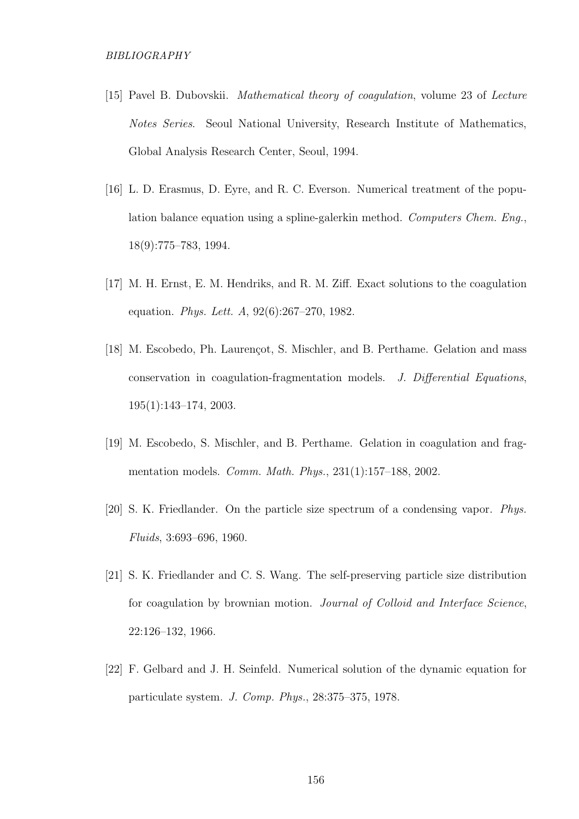- [15] Pavel B. Dubovskii. *Mathematical theory of coagulation*, volume 23 of *Lecture Notes Series*. Seoul National University, Research Institute of Mathematics, Global Analysis Research Center, Seoul, 1994.
- [16] L. D. Erasmus, D. Eyre, and R. C. Everson. Numerical treatment of the population balance equation using a spline-galerkin method. *Computers Chem. Eng.*, 18(9):775–783, 1994.
- [17] M. H. Ernst, E. M. Hendriks, and R. M. Ziff. Exact solutions to the coagulation equation. *Phys. Lett. A*, 92(6):267–270, 1982.
- [18] M. Escobedo, Ph. Laurençot, S. Mischler, and B. Perthame. Gelation and mass conservation in coagulation-fragmentation models. *J. Differential Equations*, 195(1):143–174, 2003.
- [19] M. Escobedo, S. Mischler, and B. Perthame. Gelation in coagulation and fragmentation models. *Comm. Math. Phys.*, 231(1):157–188, 2002.
- [20] S. K. Friedlander. On the particle size spectrum of a condensing vapor. *Phys. Fluids*, 3:693–696, 1960.
- [21] S. K. Friedlander and C. S. Wang. The self-preserving particle size distribution for coagulation by brownian motion. *Journal of Colloid and Interface Science*, 22:126–132, 1966.
- [22] F. Gelbard and J. H. Seinfeld. Numerical solution of the dynamic equation for particulate system. *J. Comp. Phys.*, 28:375–375, 1978.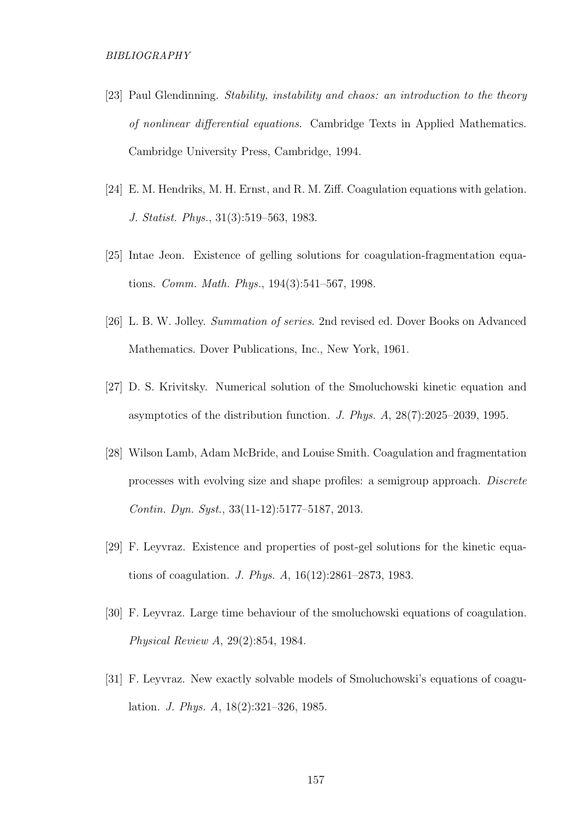- [23] Paul Glendinning. *Stability, instability and chaos: an introduction to the theory of nonlinear differential equations*. Cambridge Texts in Applied Mathematics. Cambridge University Press, Cambridge, 1994.
- [24] E. M. Hendriks, M. H. Ernst, and R. M. Ziff. Coagulation equations with gelation. *J. Statist. Phys.*, 31(3):519–563, 1983.
- [25] Intae Jeon. Existence of gelling solutions for coagulation-fragmentation equations. *Comm. Math. Phys.*, 194(3):541–567, 1998.
- [26] L. B. W. Jolley. *Summation of series*. 2nd revised ed. Dover Books on Advanced Mathematics. Dover Publications, Inc., New York, 1961.
- [27] D. S. Krivitsky. Numerical solution of the Smoluchowski kinetic equation and asymptotics of the distribution function. *J. Phys. A*, 28(7):2025–2039, 1995.
- [28] Wilson Lamb, Adam McBride, and Louise Smith. Coagulation and fragmentation processes with evolving size and shape profiles: a semigroup approach. *Discrete Contin. Dyn. Syst.*, 33(11-12):5177–5187, 2013.
- [29] F. Leyvraz. Existence and properties of post-gel solutions for the kinetic equations of coagulation. *J. Phys. A*, 16(12):2861–2873, 1983.
- [30] F. Leyvraz. Large time behaviour of the smoluchowski equations of coagulation. *Physical Review A*, 29(2):854, 1984.
- [31] F. Leyvraz. New exactly solvable models of Smoluchowski's equations of coagulation. *J. Phys. A*, 18(2):321–326, 1985.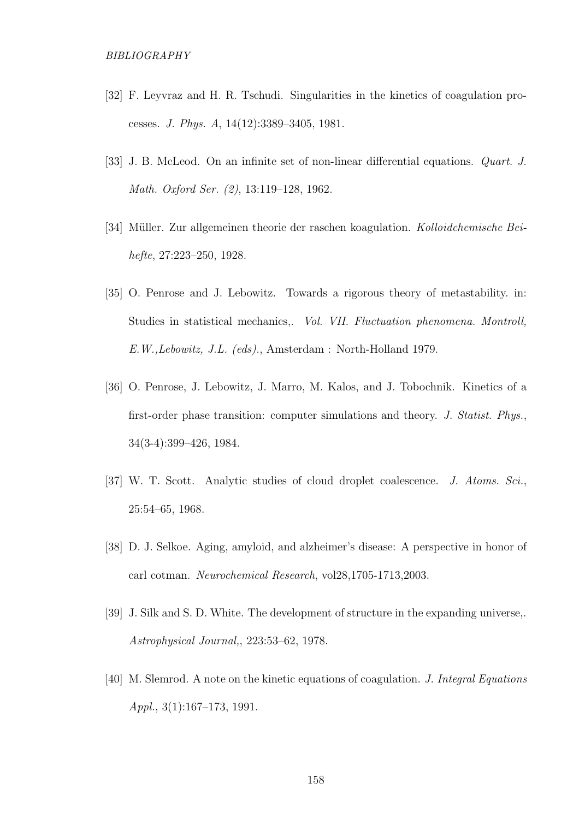- [32] F. Leyvraz and H. R. Tschudi. Singularities in the kinetics of coagulation processes. *J. Phys. A*, 14(12):3389–3405, 1981.
- [33] J. B. McLeod. On an infinite set of non-linear differential equations. *Quart. J. Math. Oxford Ser. (2)*, 13:119–128, 1962.
- [34] M¨uller. Zur allgemeinen theorie der raschen koagulation. *Kolloidchemische Beihefte*, 27:223–250, 1928.
- [35] O. Penrose and J. Lebowitz. Towards a rigorous theory of metastability. in: Studies in statistical mechanics,. *Vol. VII. Fluctuation phenomena. Montroll, E.W.,Lebowitz, J.L. (eds).*, Amsterdam : North-Holland 1979.
- [36] O. Penrose, J. Lebowitz, J. Marro, M. Kalos, and J. Tobochnik. Kinetics of a first-order phase transition: computer simulations and theory. *J. Statist. Phys.*, 34(3-4):399–426, 1984.
- [37] W. T. Scott. Analytic studies of cloud droplet coalescence. *J. Atoms. Sci.*, 25:54–65, 1968.
- [38] D. J. Selkoe. Aging, amyloid, and alzheimer's disease: A perspective in honor of carl cotman. *Neurochemical Research*, vol28,1705-1713,2003.
- [39] J. Silk and S. D. White. The development of structure in the expanding universe,. *Astrophysical Journal,*, 223:53–62, 1978.
- [40] M. Slemrod. A note on the kinetic equations of coagulation. *J. Integral Equations Appl.*, 3(1):167–173, 1991.